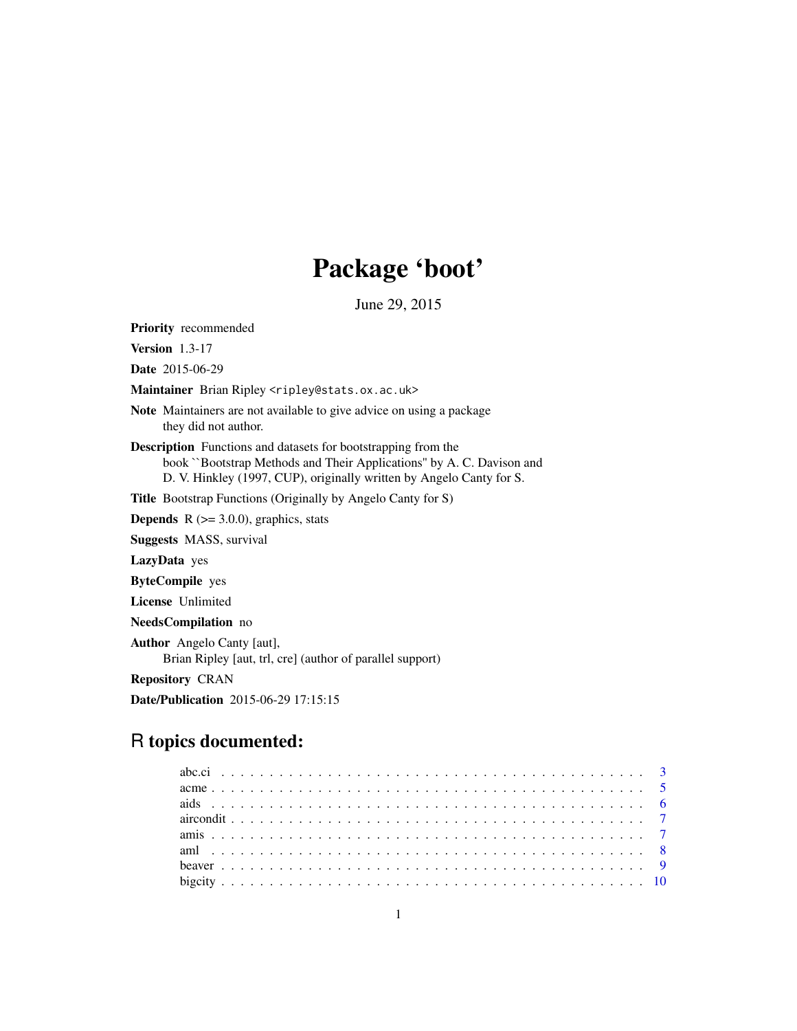# Package 'boot'

June 29, 2015

<span id="page-0-0"></span>Priority recommended

Version 1.3-17

Date 2015-06-29

Maintainer Brian Ripley <ripley@stats.ox.ac.uk>

Note Maintainers are not available to give advice on using a package they did not author.

Description Functions and datasets for bootstrapping from the book ``Bootstrap Methods and Their Applications'' by A. C. Davison and D. V. Hinkley (1997, CUP), originally written by Angelo Canty for S.

Title Bootstrap Functions (Originally by Angelo Canty for S)

**Depends**  $R$  ( $>= 3.0.0$ ), graphics, stats

Suggests MASS, survival

LazyData yes

ByteCompile yes

License Unlimited

NeedsCompilation no

Author Angelo Canty [aut], Brian Ripley [aut, trl, cre] (author of parallel support)

Repository CRAN

Date/Publication 2015-06-29 17:15:15

## R topics documented: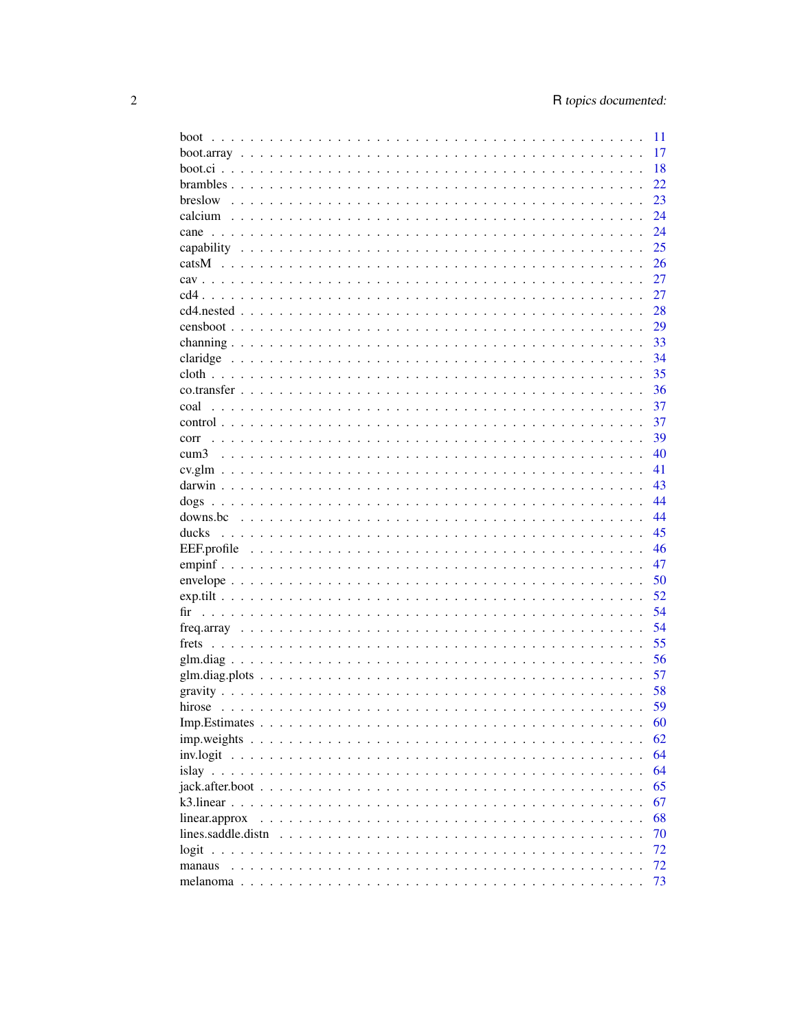| boot                                                                                                                   | 11 |
|------------------------------------------------------------------------------------------------------------------------|----|
|                                                                                                                        | 17 |
|                                                                                                                        | 18 |
|                                                                                                                        | 22 |
| breslow                                                                                                                | 23 |
|                                                                                                                        | 24 |
| cane                                                                                                                   | 24 |
|                                                                                                                        | 25 |
|                                                                                                                        | 26 |
|                                                                                                                        | 27 |
|                                                                                                                        | 27 |
|                                                                                                                        | 28 |
|                                                                                                                        |    |
|                                                                                                                        | 29 |
|                                                                                                                        | 33 |
|                                                                                                                        | 34 |
|                                                                                                                        | 35 |
|                                                                                                                        | 36 |
| coal                                                                                                                   | 37 |
|                                                                                                                        | 37 |
| corr                                                                                                                   | 39 |
| cum3                                                                                                                   | 40 |
|                                                                                                                        | 41 |
|                                                                                                                        | 43 |
|                                                                                                                        | 44 |
|                                                                                                                        | 44 |
| ducks                                                                                                                  | 45 |
|                                                                                                                        | 46 |
|                                                                                                                        | 47 |
|                                                                                                                        | 50 |
|                                                                                                                        | 52 |
|                                                                                                                        | 54 |
|                                                                                                                        | 54 |
|                                                                                                                        |    |
|                                                                                                                        | 55 |
|                                                                                                                        | 56 |
|                                                                                                                        | 57 |
|                                                                                                                        | 58 |
|                                                                                                                        | 59 |
|                                                                                                                        | 60 |
| $imp. weights \ldots \ldots \ldots \ldots \ldots \ldots \ldots \ldots \ldots \ldots \ldots \ldots$                     | 62 |
|                                                                                                                        | 64 |
|                                                                                                                        | 64 |
| $jack.afterboot \dots \dots \dots \dots \dots \dots \dots \dots \dots \dots \dots \dots \dots \dots \dots \dots \dots$ | 65 |
|                                                                                                                        | 67 |
| linear.approx                                                                                                          | 68 |
| lines.saddle.distn                                                                                                     | 70 |
|                                                                                                                        | 72 |
| manaus                                                                                                                 | 72 |
|                                                                                                                        | 73 |
|                                                                                                                        |    |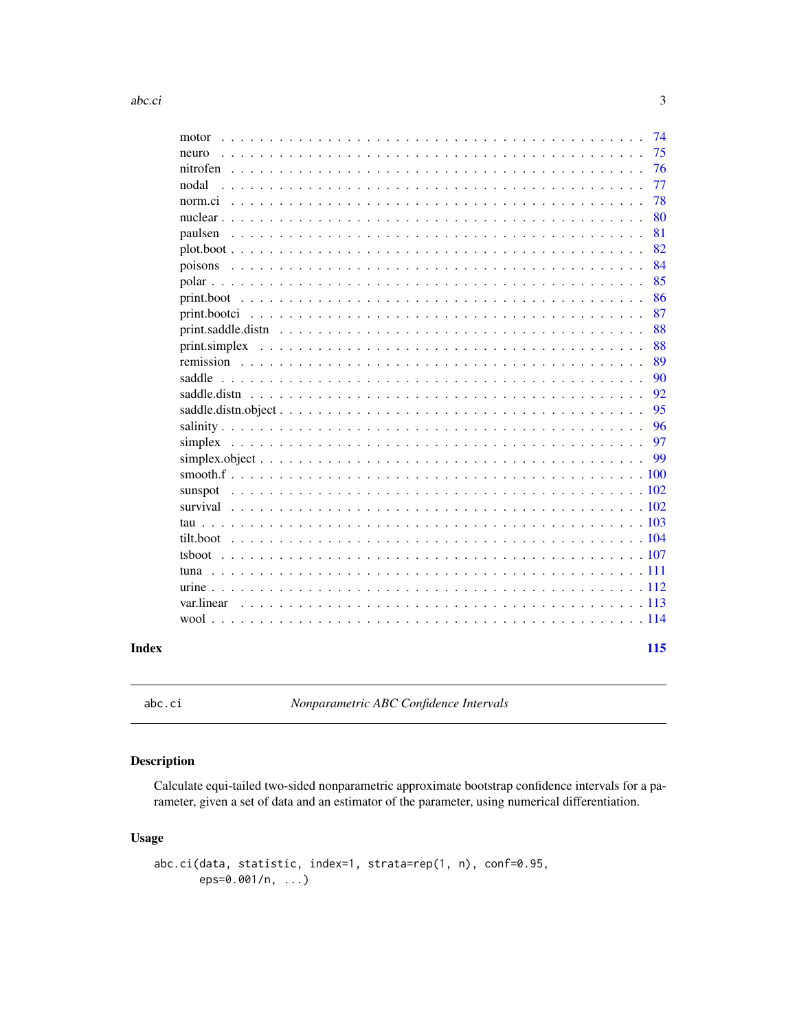<span id="page-2-0"></span>

| motor                                                                                                                                                     |     | 74 |
|-----------------------------------------------------------------------------------------------------------------------------------------------------------|-----|----|
| neuro                                                                                                                                                     |     | 75 |
|                                                                                                                                                           |     | 76 |
| nodal                                                                                                                                                     |     | 77 |
|                                                                                                                                                           |     | 78 |
|                                                                                                                                                           |     | 80 |
| paulsen                                                                                                                                                   |     | 81 |
|                                                                                                                                                           |     | 82 |
|                                                                                                                                                           |     | 84 |
|                                                                                                                                                           |     | 85 |
|                                                                                                                                                           |     | 86 |
|                                                                                                                                                           |     | 87 |
| $print.\text{saddle.distn}$ $\ldots$ $\ldots$ $\ldots$ $\ldots$ $\ldots$ $\ldots$ $\ldots$ $\ldots$ $\ldots$ $\ldots$ $\ldots$ $\ldots$ $\ldots$ $\ldots$ |     | 88 |
|                                                                                                                                                           |     | 88 |
|                                                                                                                                                           |     | 89 |
| saddle                                                                                                                                                    |     | 90 |
|                                                                                                                                                           |     | 92 |
|                                                                                                                                                           |     | 95 |
|                                                                                                                                                           |     | 96 |
|                                                                                                                                                           |     | 97 |
|                                                                                                                                                           |     | 99 |
|                                                                                                                                                           | 100 |    |
|                                                                                                                                                           |     |    |
|                                                                                                                                                           |     |    |
|                                                                                                                                                           |     |    |
|                                                                                                                                                           |     |    |
|                                                                                                                                                           |     |    |
|                                                                                                                                                           |     |    |
|                                                                                                                                                           |     |    |
| var.linear                                                                                                                                                |     |    |
|                                                                                                                                                           |     |    |
|                                                                                                                                                           | 115 |    |
|                                                                                                                                                           |     |    |

<span id="page-2-1"></span>abc.ci *Nonparametric ABC Confidence Intervals*

## Description

Calculate equi-tailed two-sided nonparametric approximate bootstrap confidence intervals for a parameter, given a set of data and an estimator of the parameter, using numerical differentiation.

## Usage

```
abc.ci(data, statistic, index=1, strata=rep(1, n), conf=0.95,
      eps=0.001/n, ...)
```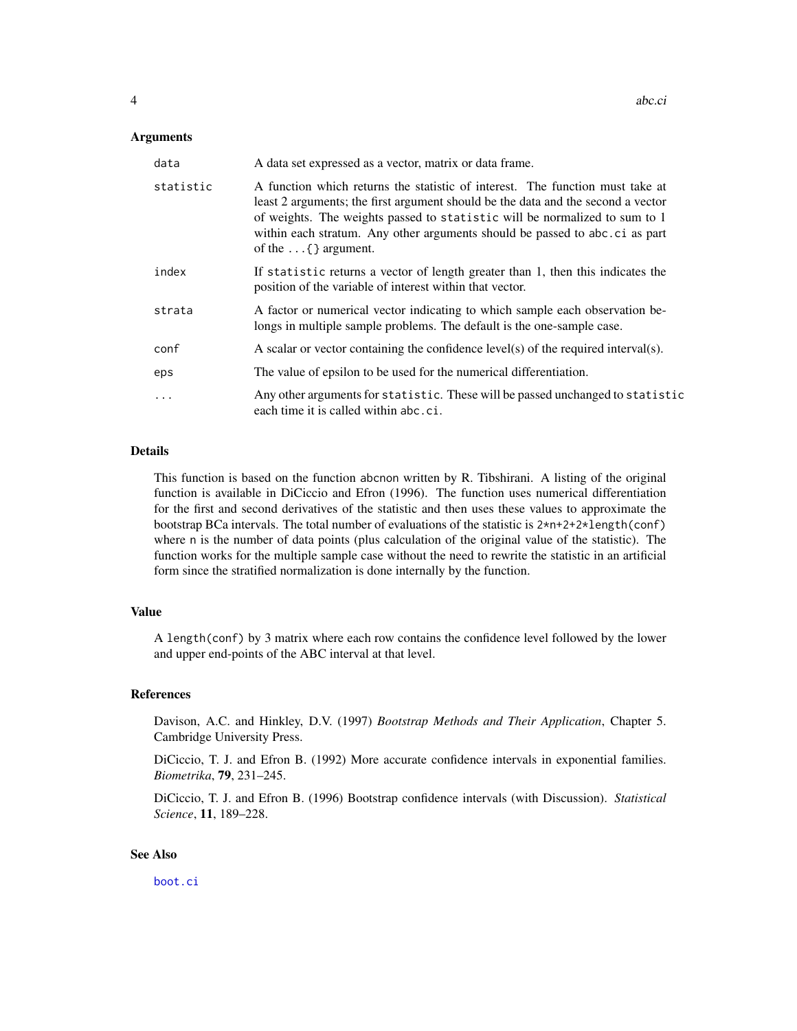#### Arguments

| data       | A data set expressed as a vector, matrix or data frame.                                                                                                                                                                                                                                                                                                        |
|------------|----------------------------------------------------------------------------------------------------------------------------------------------------------------------------------------------------------------------------------------------------------------------------------------------------------------------------------------------------------------|
| statistic  | A function which returns the statistic of interest. The function must take at<br>least 2 arguments; the first argument should be the data and the second a vector<br>of weights. The weights passed to statistic will be normalized to sum to 1<br>within each stratum. Any other arguments should be passed to abc.ci as part<br>of the $\dots$ { } argument. |
| index      | If statistic returns a vector of length greater than 1, then this indicates the<br>position of the variable of interest within that vector.                                                                                                                                                                                                                    |
| strata     | A factor or numerical vector indicating to which sample each observation be-<br>longs in multiple sample problems. The default is the one-sample case.                                                                                                                                                                                                         |
| conf       | A scalar or vector containing the confidence $level(s)$ of the required interval $(s)$ .                                                                                                                                                                                                                                                                       |
| eps        | The value of epsilon to be used for the numerical differentiation.                                                                                                                                                                                                                                                                                             |
| $\ddots$ . | Any other arguments for statistic. These will be passed unchanged to statistic<br>each time it is called within abc.ci.                                                                                                                                                                                                                                        |

## Details

This function is based on the function abcnon written by R. Tibshirani. A listing of the original function is available in DiCiccio and Efron (1996). The function uses numerical differentiation for the first and second derivatives of the statistic and then uses these values to approximate the bootstrap BCa intervals. The total number of evaluations of the statistic is  $2*n+2+2*length(conf)$ where n is the number of data points (plus calculation of the original value of the statistic). The function works for the multiple sample case without the need to rewrite the statistic in an artificial form since the stratified normalization is done internally by the function.

#### Value

A length(conf) by 3 matrix where each row contains the confidence level followed by the lower and upper end-points of the ABC interval at that level.

## References

Davison, A.C. and Hinkley, D.V. (1997) *Bootstrap Methods and Their Application*, Chapter 5. Cambridge University Press.

DiCiccio, T. J. and Efron B. (1992) More accurate confidence intervals in exponential families. *Biometrika*, 79, 231–245.

DiCiccio, T. J. and Efron B. (1996) Bootstrap confidence intervals (with Discussion). *Statistical Science*, 11, 189–228.

#### See Also

[boot.ci](#page-17-1)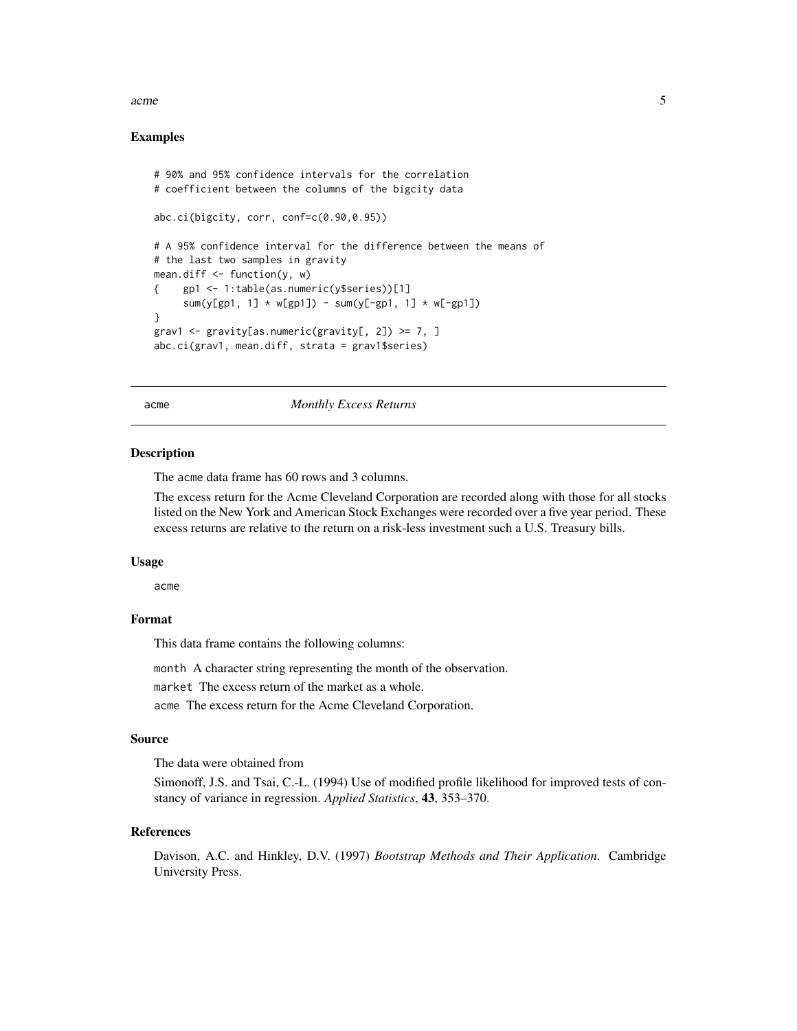#### <span id="page-4-0"></span>acme 5

## Examples

```
# 90% and 95% confidence intervals for the correlation
# coefficient between the columns of the bigcity data
abc.ci(bigcity, corr, conf=c(0.90,0.95))
# A 95% confidence interval for the difference between the means of
# the last two samples in gravity
mean.diff \leq function(y, w)
{ gp1 <- 1:table(as.numeric(y$series))[1]
     sum(y[gp1, 1] * w[gp1]) - sum(y[-gp1, 1] * w[-gp1])}
grav1 <- gravity[as.numeric(gravity[, 2]) >= 7, ]
abc.ci(grav1, mean.diff, strata = grav1$series)
```
acme *Monthly Excess Returns*

#### **Description**

The acme data frame has 60 rows and 3 columns.

The excess return for the Acme Cleveland Corporation are recorded along with those for all stocks listed on the New York and American Stock Exchanges were recorded over a five year period. These excess returns are relative to the return on a risk-less investment such a U.S. Treasury bills.

#### Usage

acme

## Format

This data frame contains the following columns:

month A character string representing the month of the observation.

market The excess return of the market as a whole.

acme The excess return for the Acme Cleveland Corporation.

#### Source

The data were obtained from

Simonoff, J.S. and Tsai, C.-L. (1994) Use of modified profile likelihood for improved tests of constancy of variance in regression. *Applied Statistics*, 43, 353–370.

#### References

Davison, A.C. and Hinkley, D.V. (1997) *Bootstrap Methods and Their Application*. Cambridge University Press.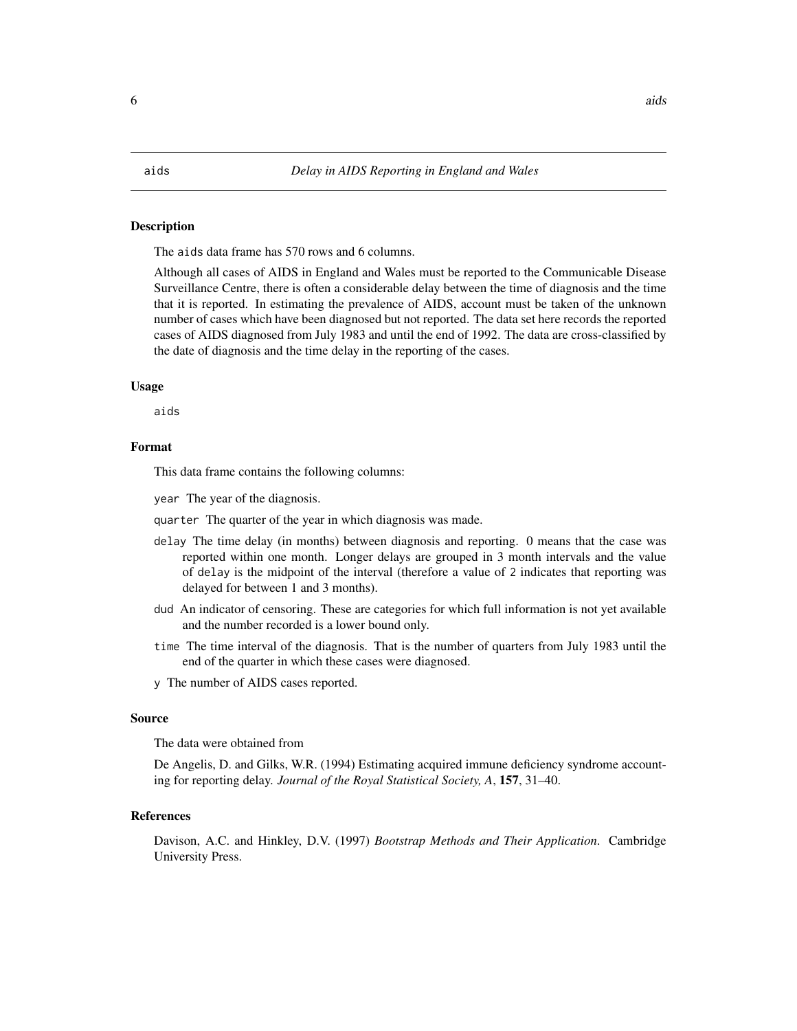### <span id="page-5-0"></span>Description

The aids data frame has 570 rows and 6 columns.

Although all cases of AIDS in England and Wales must be reported to the Communicable Disease Surveillance Centre, there is often a considerable delay between the time of diagnosis and the time that it is reported. In estimating the prevalence of AIDS, account must be taken of the unknown number of cases which have been diagnosed but not reported. The data set here records the reported cases of AIDS diagnosed from July 1983 and until the end of 1992. The data are cross-classified by the date of diagnosis and the time delay in the reporting of the cases.

#### Usage

aids

## Format

This data frame contains the following columns:

year The year of the diagnosis.

quarter The quarter of the year in which diagnosis was made.

- delay The time delay (in months) between diagnosis and reporting. 0 means that the case was reported within one month. Longer delays are grouped in 3 month intervals and the value of delay is the midpoint of the interval (therefore a value of 2 indicates that reporting was delayed for between 1 and 3 months).
- dud An indicator of censoring. These are categories for which full information is not yet available and the number recorded is a lower bound only.
- time The time interval of the diagnosis. That is the number of quarters from July 1983 until the end of the quarter in which these cases were diagnosed.
- y The number of AIDS cases reported.

### Source

The data were obtained from

De Angelis, D. and Gilks, W.R. (1994) Estimating acquired immune deficiency syndrome accounting for reporting delay. *Journal of the Royal Statistical Society, A*, 157, 31–40.

#### References

Davison, A.C. and Hinkley, D.V. (1997) *Bootstrap Methods and Their Application*. Cambridge University Press.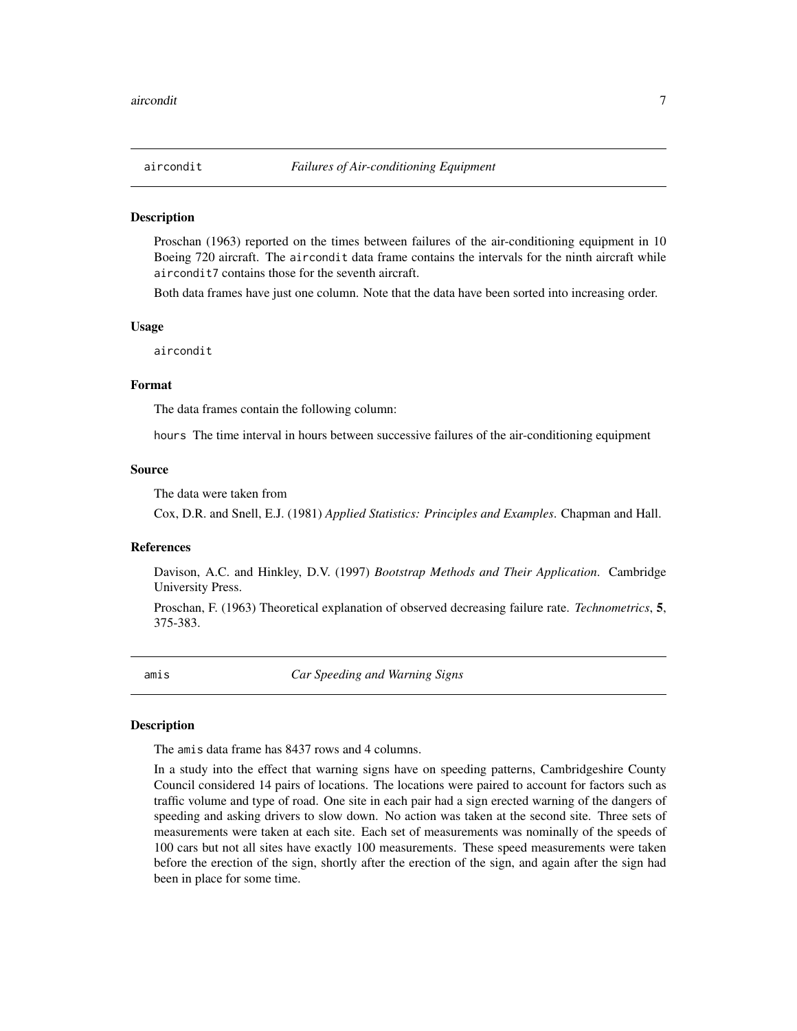<span id="page-6-0"></span>

#### **Description**

Proschan (1963) reported on the times between failures of the air-conditioning equipment in 10 Boeing 720 aircraft. The aircondit data frame contains the intervals for the ninth aircraft while aircondit7 contains those for the seventh aircraft.

Both data frames have just one column. Note that the data have been sorted into increasing order.

#### Usage

aircondit

## Format

The data frames contain the following column:

hours The time interval in hours between successive failures of the air-conditioning equipment

#### Source

The data were taken from

Cox, D.R. and Snell, E.J. (1981) *Applied Statistics: Principles and Examples*. Chapman and Hall.

## **References**

Davison, A.C. and Hinkley, D.V. (1997) *Bootstrap Methods and Their Application*. Cambridge University Press.

Proschan, F. (1963) Theoretical explanation of observed decreasing failure rate. *Technometrics*, 5, 375-383.

amis *Car Speeding and Warning Signs*

#### **Description**

The amis data frame has 8437 rows and 4 columns.

In a study into the effect that warning signs have on speeding patterns, Cambridgeshire County Council considered 14 pairs of locations. The locations were paired to account for factors such as traffic volume and type of road. One site in each pair had a sign erected warning of the dangers of speeding and asking drivers to slow down. No action was taken at the second site. Three sets of measurements were taken at each site. Each set of measurements was nominally of the speeds of 100 cars but not all sites have exactly 100 measurements. These speed measurements were taken before the erection of the sign, shortly after the erection of the sign, and again after the sign had been in place for some time.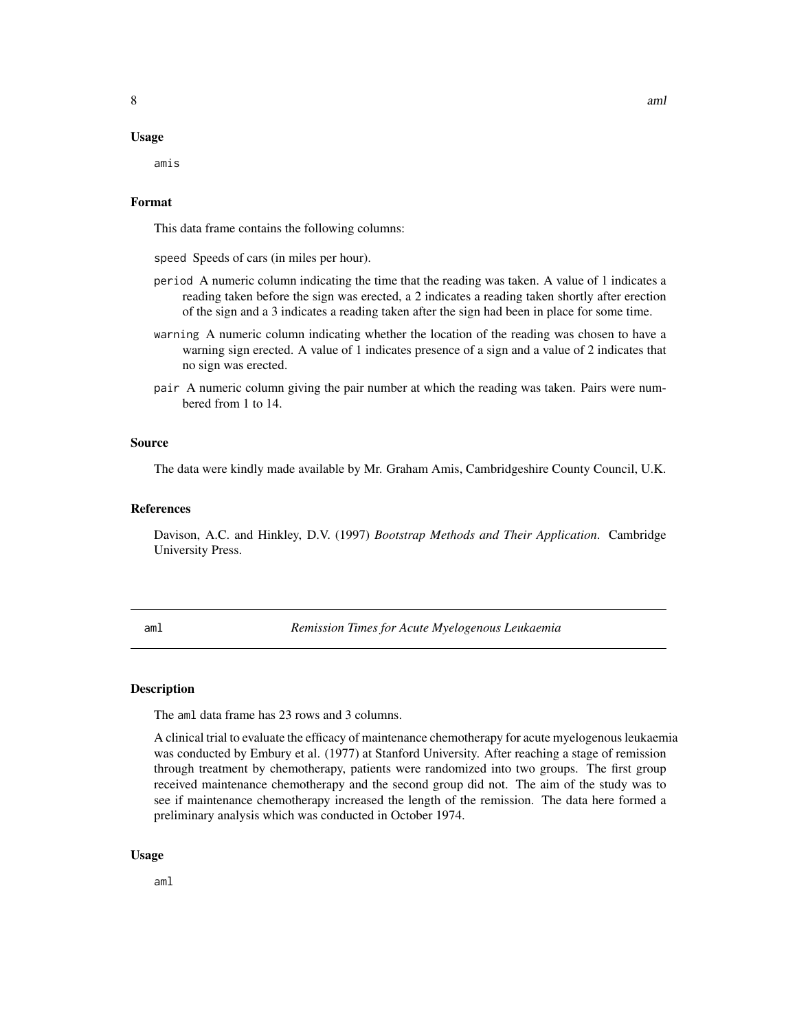#### <span id="page-7-0"></span>Usage

amis

## Format

This data frame contains the following columns:

speed Speeds of cars (in miles per hour).

- period A numeric column indicating the time that the reading was taken. A value of 1 indicates a reading taken before the sign was erected, a 2 indicates a reading taken shortly after erection of the sign and a 3 indicates a reading taken after the sign had been in place for some time.
- warning A numeric column indicating whether the location of the reading was chosen to have a warning sign erected. A value of 1 indicates presence of a sign and a value of 2 indicates that no sign was erected.
- pair A numeric column giving the pair number at which the reading was taken. Pairs were numbered from 1 to 14.

#### Source

The data were kindly made available by Mr. Graham Amis, Cambridgeshire County Council, U.K.

#### References

Davison, A.C. and Hinkley, D.V. (1997) *Bootstrap Methods and Their Application*. Cambridge University Press.

aml *Remission Times for Acute Myelogenous Leukaemia*

#### Description

The aml data frame has 23 rows and 3 columns.

A clinical trial to evaluate the efficacy of maintenance chemotherapy for acute myelogenous leukaemia was conducted by Embury et al. (1977) at Stanford University. After reaching a stage of remission through treatment by chemotherapy, patients were randomized into two groups. The first group received maintenance chemotherapy and the second group did not. The aim of the study was to see if maintenance chemotherapy increased the length of the remission. The data here formed a preliminary analysis which was conducted in October 1974.

#### Usage

aml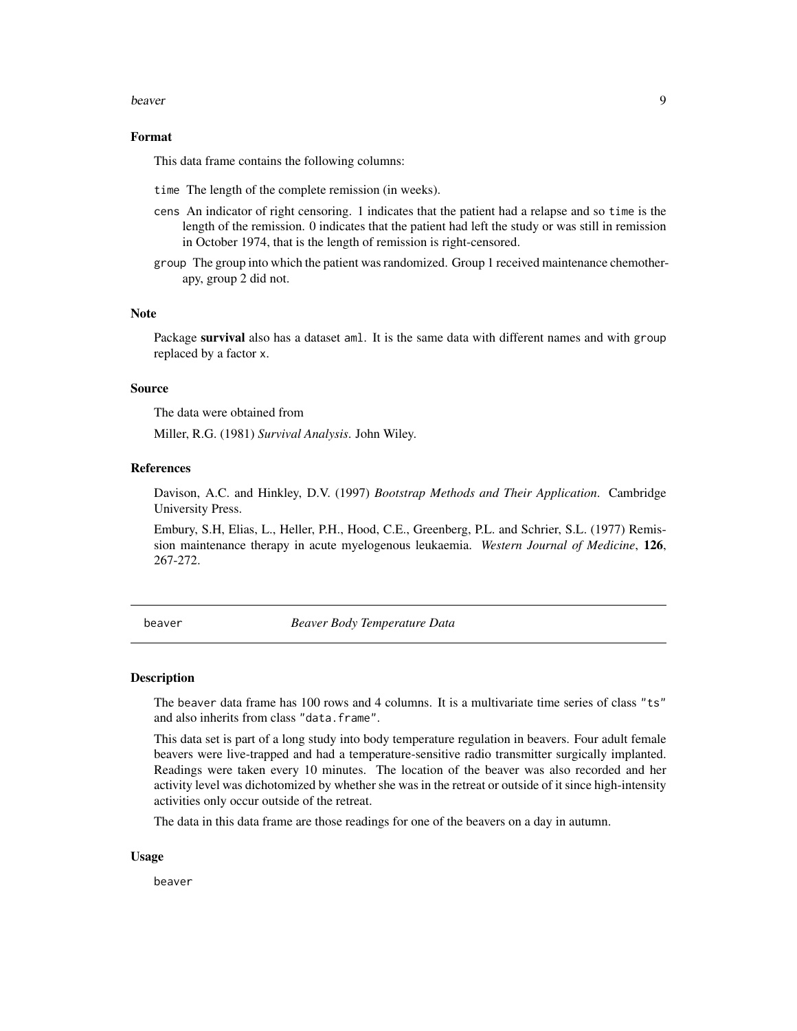#### <span id="page-8-0"></span>beaver and the set of the set of the set of the set of the set of the set of the set of the set of the set of the set of the set of the set of the set of the set of the set of the set of the set of the set of the set of th

### Format

This data frame contains the following columns:

- time The length of the complete remission (in weeks).
- cens An indicator of right censoring. 1 indicates that the patient had a relapse and so time is the length of the remission. 0 indicates that the patient had left the study or was still in remission in October 1974, that is the length of remission is right-censored.
- group The group into which the patient was randomized. Group 1 received maintenance chemotherapy, group 2 did not.

#### Note

Package survival also has a dataset aml. It is the same data with different names and with group replaced by a factor x.

#### Source

The data were obtained from

Miller, R.G. (1981) *Survival Analysis*. John Wiley.

#### **References**

Davison, A.C. and Hinkley, D.V. (1997) *Bootstrap Methods and Their Application*. Cambridge University Press.

Embury, S.H, Elias, L., Heller, P.H., Hood, C.E., Greenberg, P.L. and Schrier, S.L. (1977) Remission maintenance therapy in acute myelogenous leukaemia. *Western Journal of Medicine*, 126, 267-272.

beaver *Beaver Body Temperature Data*

#### Description

The beaver data frame has 100 rows and 4 columns. It is a multivariate time series of class "ts" and also inherits from class "data.frame".

This data set is part of a long study into body temperature regulation in beavers. Four adult female beavers were live-trapped and had a temperature-sensitive radio transmitter surgically implanted. Readings were taken every 10 minutes. The location of the beaver was also recorded and her activity level was dichotomized by whether she was in the retreat or outside of it since high-intensity activities only occur outside of the retreat.

The data in this data frame are those readings for one of the beavers on a day in autumn.

#### Usage

beaver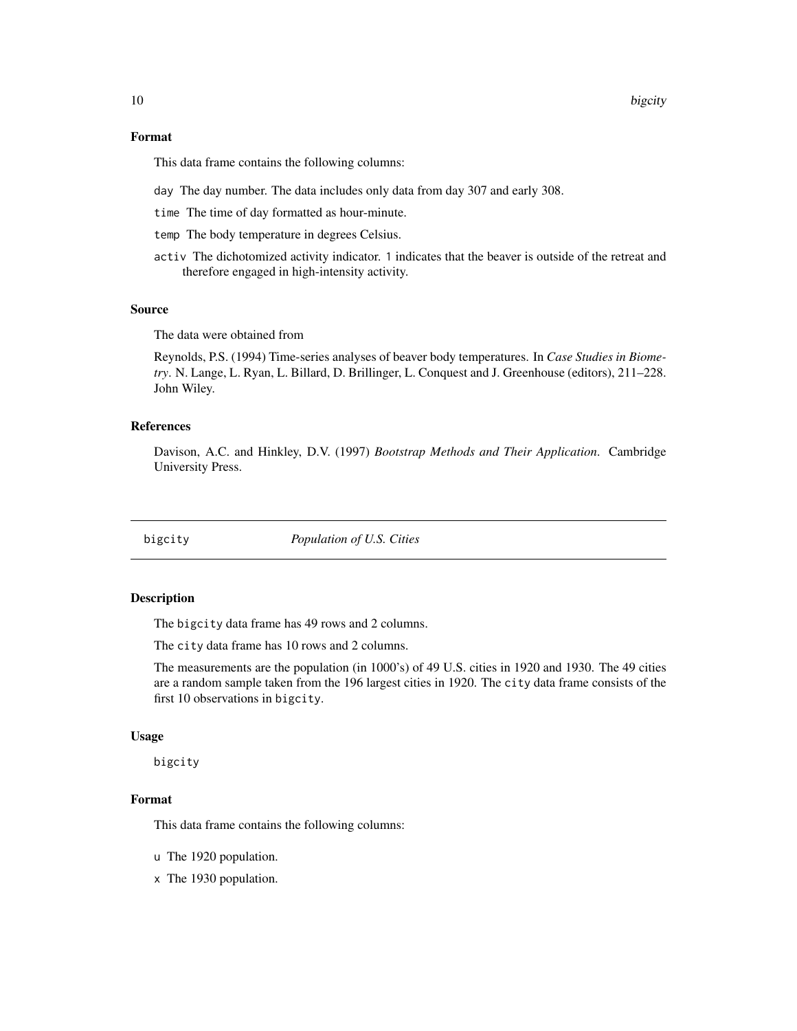<span id="page-9-0"></span>This data frame contains the following columns:

- day The day number. The data includes only data from day 307 and early 308.
- time The time of day formatted as hour-minute.
- temp The body temperature in degrees Celsius.
- activ The dichotomized activity indicator. 1 indicates that the beaver is outside of the retreat and therefore engaged in high-intensity activity.

#### Source

The data were obtained from

Reynolds, P.S. (1994) Time-series analyses of beaver body temperatures. In *Case Studies in Biometry*. N. Lange, L. Ryan, L. Billard, D. Brillinger, L. Conquest and J. Greenhouse (editors), 211–228. John Wiley.

### References

Davison, A.C. and Hinkley, D.V. (1997) *Bootstrap Methods and Their Application*. Cambridge University Press.

bigcity *Population of U.S. Cities*

#### Description

The bigcity data frame has 49 rows and 2 columns.

The city data frame has 10 rows and 2 columns.

The measurements are the population (in 1000's) of 49 U.S. cities in 1920 and 1930. The 49 cities are a random sample taken from the 196 largest cities in 1920. The city data frame consists of the first 10 observations in bigcity.

#### Usage

bigcity

### Format

This data frame contains the following columns:

- u The 1920 population.
- x The 1930 population.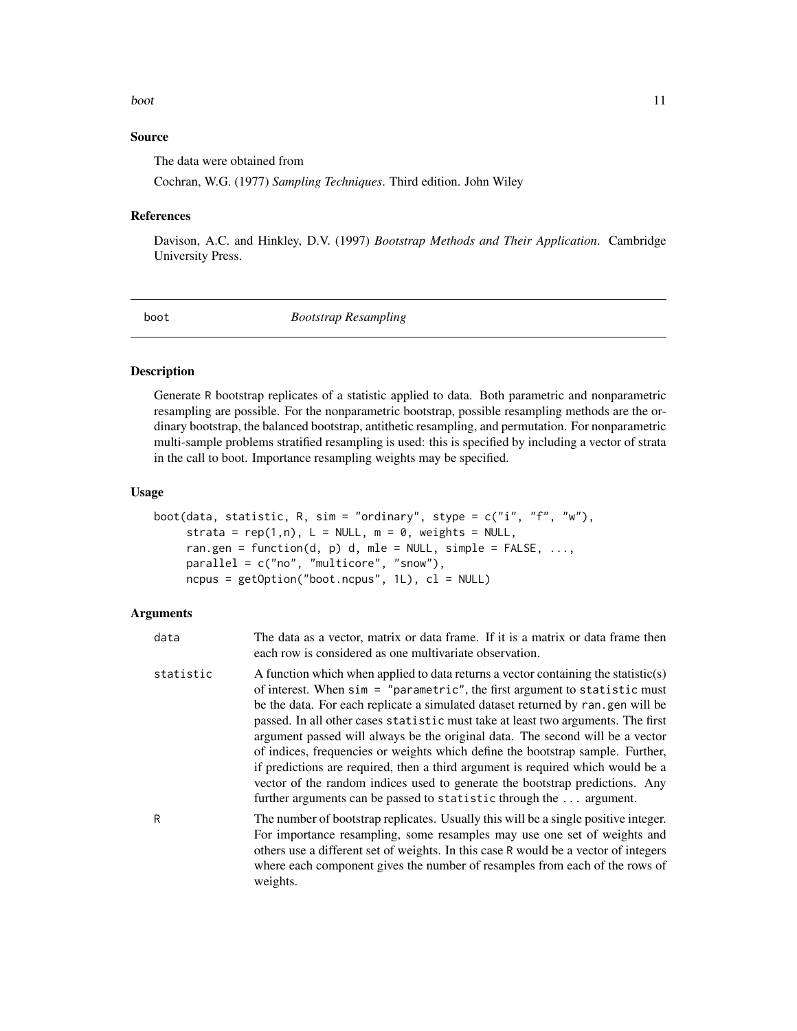#### <span id="page-10-0"></span>boot 11

## Source

The data were obtained from

Cochran, W.G. (1977) *Sampling Techniques*. Third edition. John Wiley

#### References

Davison, A.C. and Hinkley, D.V. (1997) *Bootstrap Methods and Their Application*. Cambridge University Press.

<span id="page-10-1"></span>boot *Bootstrap Resampling*

## Description

Generate R bootstrap replicates of a statistic applied to data. Both parametric and nonparametric resampling are possible. For the nonparametric bootstrap, possible resampling methods are the ordinary bootstrap, the balanced bootstrap, antithetic resampling, and permutation. For nonparametric multi-sample problems stratified resampling is used: this is specified by including a vector of strata in the call to boot. Importance resampling weights may be specified.

## Usage

```
boot(data, statistic, R, sim = "ordinary", stype = c("i", "f", "w"),strata = rep(1, n), L = NULL, m = 0, weights = NULL,
     ran.gen = function(d, p) d, mle = NULL, simple = FALSE, \dots,
     parallel = c("no", "multicore", "snow"),
     ncpus = getOption("boot.ncpus", 1L), cl = NULL)
```
#### Arguments

| data      | The data as a vector, matrix or data frame. If it is a matrix or data frame then<br>each row is considered as one multivariate observation.                                                                                                                                                                                                                                                                                                                                                                                                                                                                                                                                                                                                              |
|-----------|----------------------------------------------------------------------------------------------------------------------------------------------------------------------------------------------------------------------------------------------------------------------------------------------------------------------------------------------------------------------------------------------------------------------------------------------------------------------------------------------------------------------------------------------------------------------------------------------------------------------------------------------------------------------------------------------------------------------------------------------------------|
| statistic | A function which when applied to data returns a vector containing the statistic(s)<br>of interest. When $sim = "parameteric",$ the first argument to statistic must<br>be the data. For each replicate a simulated dataset returned by ran, gen will be<br>passed. In all other cases statistic must take at least two arguments. The first<br>argument passed will always be the original data. The second will be a vector<br>of indices, frequencies or weights which define the bootstrap sample. Further,<br>if predictions are required, then a third argument is required which would be a<br>vector of the random indices used to generate the bootstrap predictions. Any<br>further arguments can be passed to statistic through the  argument. |
| R         | The number of bootstrap replicates. Usually this will be a single positive integer.<br>For importance resampling, some resamples may use one set of weights and<br>others use a different set of weights. In this case R would be a vector of integers<br>where each component gives the number of resamples from each of the rows of<br>weights.                                                                                                                                                                                                                                                                                                                                                                                                        |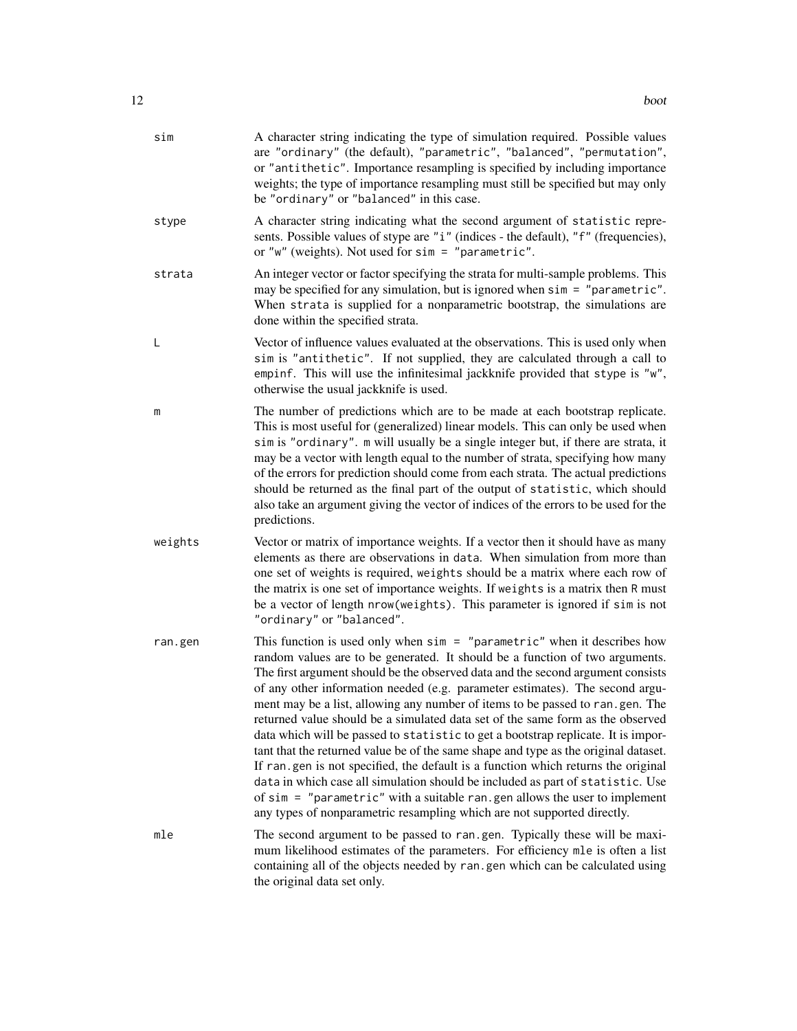| sim     | A character string indicating the type of simulation required. Possible values<br>are "ordinary" (the default), "parametric", "balanced", "permutation",<br>or "antithetic". Importance resampling is specified by including importance<br>weights; the type of importance resampling must still be specified but may only<br>be "ordinary" or "balanced" in this case.                                                                                                                                                                                                                                                                                                                                                                                                                                                                                                                                                                                                                                          |
|---------|------------------------------------------------------------------------------------------------------------------------------------------------------------------------------------------------------------------------------------------------------------------------------------------------------------------------------------------------------------------------------------------------------------------------------------------------------------------------------------------------------------------------------------------------------------------------------------------------------------------------------------------------------------------------------------------------------------------------------------------------------------------------------------------------------------------------------------------------------------------------------------------------------------------------------------------------------------------------------------------------------------------|
| stype   | A character string indicating what the second argument of statistic repre-<br>sents. Possible values of stype are "i" (indices - the default), "f" (frequencies),<br>or "w" (weights). Not used for $sim =$ "parametric".                                                                                                                                                                                                                                                                                                                                                                                                                                                                                                                                                                                                                                                                                                                                                                                        |
| strata  | An integer vector or factor specifying the strata for multi-sample problems. This<br>may be specified for any simulation, but is ignored when sim = "parametric".<br>When strata is supplied for a nonparametric bootstrap, the simulations are<br>done within the specified strata.                                                                                                                                                                                                                                                                                                                                                                                                                                                                                                                                                                                                                                                                                                                             |
| L       | Vector of influence values evaluated at the observations. This is used only when<br>sim is "antithetic". If not supplied, they are calculated through a call to<br>empinf. This will use the infinitesimal jackknife provided that stype is "w",<br>otherwise the usual jackknife is used.                                                                                                                                                                                                                                                                                                                                                                                                                                                                                                                                                                                                                                                                                                                       |
| m       | The number of predictions which are to be made at each bootstrap replicate.<br>This is most useful for (generalized) linear models. This can only be used when<br>sim is "ordinary". m will usually be a single integer but, if there are strata, it<br>may be a vector with length equal to the number of strata, specifying how many<br>of the errors for prediction should come from each strata. The actual predictions<br>should be returned as the final part of the output of statistic, which should<br>also take an argument giving the vector of indices of the errors to be used for the<br>predictions.                                                                                                                                                                                                                                                                                                                                                                                              |
| weights | Vector or matrix of importance weights. If a vector then it should have as many<br>elements as there are observations in data. When simulation from more than<br>one set of weights is required, weights should be a matrix where each row of<br>the matrix is one set of importance weights. If weights is a matrix then R must<br>be a vector of length nrow(weights). This parameter is ignored if sim is not<br>"ordinary" or "balanced".                                                                                                                                                                                                                                                                                                                                                                                                                                                                                                                                                                    |
| ran.gen | This function is used only when $sim = "parameteric"$ when it describes how<br>random values are to be generated. It should be a function of two arguments.<br>The first argument should be the observed data and the second argument consists<br>of any other information needed (e.g. parameter estimates). The second argu-<br>ment may be a list, allowing any number of items to be passed to ran.gen. The<br>returned value should be a simulated data set of the same form as the observed<br>data which will be passed to statistic to get a bootstrap replicate. It is impor-<br>tant that the returned value be of the same shape and type as the original dataset.<br>If ran gen is not specified, the default is a function which returns the original<br>data in which case all simulation should be included as part of statistic. Use<br>of $sim =$ "parametric" with a suitable ran. gen allows the user to implement<br>any types of nonparametric resampling which are not supported directly. |
| mle     | The second argument to be passed to ran gen. Typically these will be maxi-<br>mum likelihood estimates of the parameters. For efficiency mle is often a list<br>containing all of the objects needed by ran.gen which can be calculated using<br>the original data set only.                                                                                                                                                                                                                                                                                                                                                                                                                                                                                                                                                                                                                                                                                                                                     |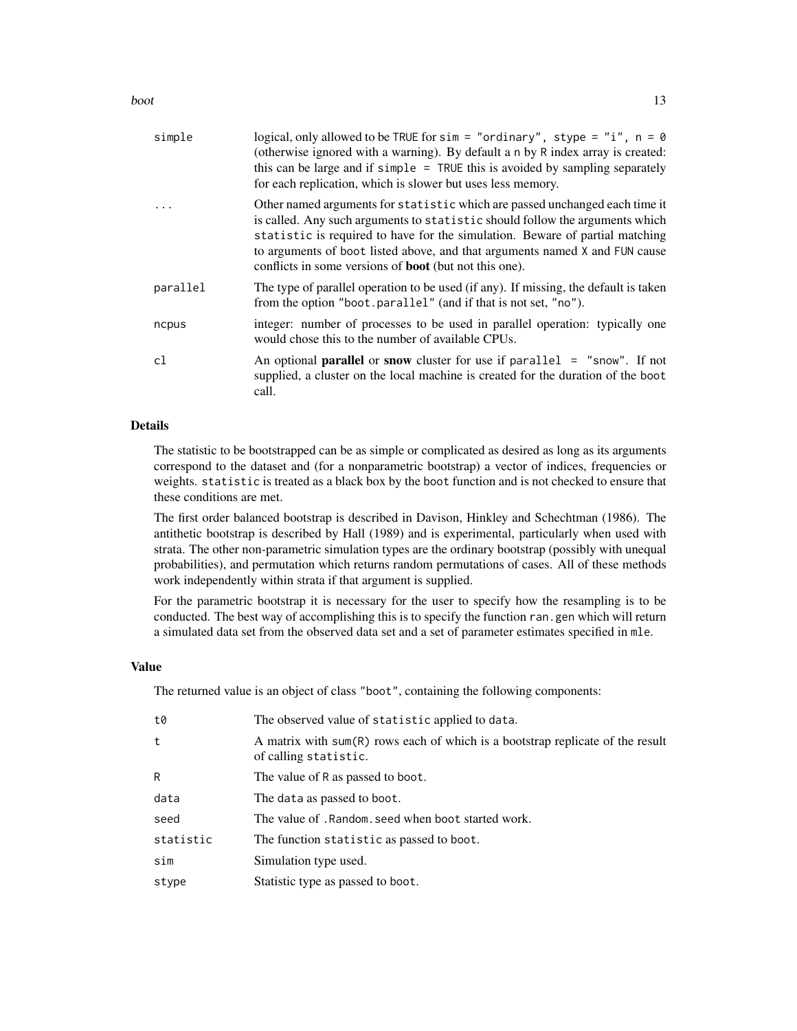boot and the set of the set of the set of the set of the set of the set of the set of the set of the set of the set of the set of the set of the set of the set of the set of the set of the set of the set of the set of the

| simple   | logical, only allowed to be TRUE for sim = "ordinary", stype = "i", $n = 0$<br>(otherwise ignored with a warning). By default a n by R index array is created:<br>this can be large and if simple $=$ TRUE this is avoided by sampling separately<br>for each replication, which is slower but uses less memory.                                                                            |
|----------|---------------------------------------------------------------------------------------------------------------------------------------------------------------------------------------------------------------------------------------------------------------------------------------------------------------------------------------------------------------------------------------------|
|          | Other named arguments for statistic which are passed unchanged each time it<br>is called. Any such arguments to statistic should follow the arguments which<br>statistic is required to have for the simulation. Beware of partial matching<br>to arguments of boot listed above, and that arguments named X and FUN cause<br>conflicts in some versions of <b>boot</b> (but not this one). |
| parallel | The type of parallel operation to be used (if any). If missing, the default is taken<br>from the option "boot.parallel" (and if that is not set, "no").                                                                                                                                                                                                                                     |
| ncpus    | integer: number of processes to be used in parallel operation: typically one<br>would chose this to the number of available CPUs.                                                                                                                                                                                                                                                           |
| c1       | An optional <b>parallel</b> or snow cluster for use if $parallel = "snow".$ If not<br>supplied, a cluster on the local machine is created for the duration of the boot<br>call.                                                                                                                                                                                                             |

### Details

The statistic to be bootstrapped can be as simple or complicated as desired as long as its arguments correspond to the dataset and (for a nonparametric bootstrap) a vector of indices, frequencies or weights. statistic is treated as a black box by the boot function and is not checked to ensure that these conditions are met.

The first order balanced bootstrap is described in Davison, Hinkley and Schechtman (1986). The antithetic bootstrap is described by Hall (1989) and is experimental, particularly when used with strata. The other non-parametric simulation types are the ordinary bootstrap (possibly with unequal probabilities), and permutation which returns random permutations of cases. All of these methods work independently within strata if that argument is supplied.

For the parametric bootstrap it is necessary for the user to specify how the resampling is to be conducted. The best way of accomplishing this is to specify the function ran.gen which will return a simulated data set from the observed data set and a set of parameter estimates specified in mle.

## Value

The returned value is an object of class "boot", containing the following components:

| t0        | The observed value of statistic applied to data.                                                        |
|-----------|---------------------------------------------------------------------------------------------------------|
| t         | A matrix with sum(R) rows each of which is a bootstrap replicate of the result<br>of calling statistic. |
| R         | The value of R as passed to boot.                                                                       |
| data      | The data as passed to boot.                                                                             |
| seed      | The value of . Random, seed when boot started work.                                                     |
| statistic | The function statistic as passed to boot.                                                               |
| sim       | Simulation type used.                                                                                   |
| stype     | Statistic type as passed to boot.                                                                       |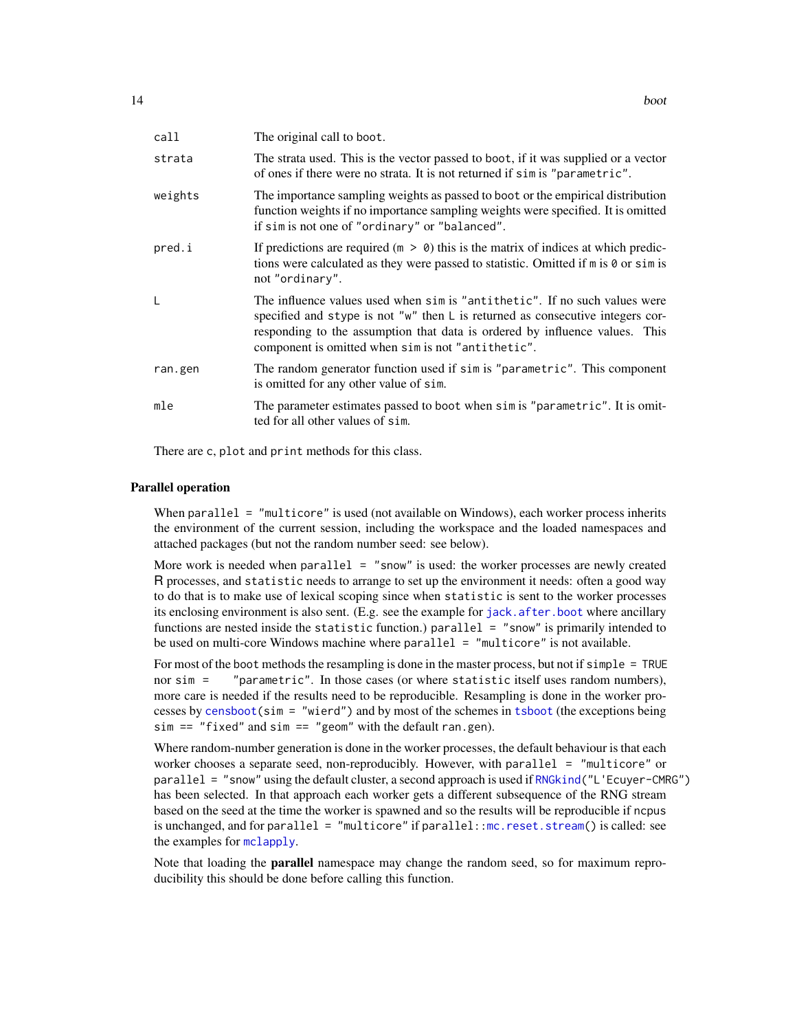| call    | The original call to boot.                                                                                                                                                                                                                                                                            |
|---------|-------------------------------------------------------------------------------------------------------------------------------------------------------------------------------------------------------------------------------------------------------------------------------------------------------|
| strata  | The strata used. This is the vector passed to boot, if it was supplied or a vector<br>of ones if there were no strata. It is not returned if sim is "parametric".                                                                                                                                     |
| weights | The importance sampling weights as passed to boot or the empirical distribution<br>function weights if no importance sampling weights were specified. It is omitted<br>if sim is not one of "ordinary" or "balanced".                                                                                 |
| pred.i  | If predictions are required ( $m > 0$ ) this is the matrix of indices at which predic-<br>tions were calculated as they were passed to statistic. Omitted if m is 0 or sim is<br>not "ordinary".                                                                                                      |
| L       | The influence values used when sim is "antithetic". If no such values were<br>specified and stype is not " $w$ " then L is returned as consecutive integers cor-<br>responding to the assumption that data is ordered by influence values. This<br>component is omitted when sim is not "antithetic". |
| ran.gen | The random generator function used if sim is "parametric". This component<br>is omitted for any other value of sim.                                                                                                                                                                                   |
| mle     | The parameter estimates passed to boot when sim is "parametric". It is omit-<br>ted for all other values of sim.                                                                                                                                                                                      |

There are c, plot and print methods for this class.

#### Parallel operation

When parallel = "multicore" is used (not available on Windows), each worker process inherits the environment of the current session, including the workspace and the loaded namespaces and attached packages (but not the random number seed: see below).

More work is needed when parallel  $=$  "snow" is used: the worker processes are newly created R processes, and statistic needs to arrange to set up the environment it needs: often a good way to do that is to make use of lexical scoping since when statistic is sent to the worker processes its enclosing environment is also sent. (E.g. see the example for [jack.after.boot](#page-64-1) where ancillary functions are nested inside the statistic function.) parallel = "snow" is primarily intended to be used on multi-core Windows machine where  $parallel = "multicore"$  is not available.

For most of the boot methods the resampling is done in the master process, but not if simple = TRUE nor sim = "parametric". In those cases (or where statistic itself uses random numbers), more care is needed if the results need to be reproducible. Resampling is done in the worker processes by [censboot\(](#page-28-1)sim = "wierd") and by most of the schemes in [tsboot](#page-106-1) (the exceptions being  $sim = "fixed"$  and  $sim = "geom"$  with the default ran.gen).

Where random-number generation is done in the worker processes, the default behaviour is that each worker chooses a separate seed, non-reproducibly. However, with parallel = "multicore" or parallel = "snow" using the default cluster, a second approach is used if [RNGkind\(](#page-0-0)"L'Ecuyer-CMRG") has been selected. In that approach each worker gets a different subsequence of the RNG stream based on the seed at the time the worker is spawned and so the results will be reproducible if ncpus is unchanged, and for parallel = "multicore" if parallel:[:mc.reset.stream\(](#page-0-0)) is called: see the examples for [mclapply](#page-0-0).

Note that loading the **parallel** namespace may change the random seed, so for maximum reproducibility this should be done before calling this function.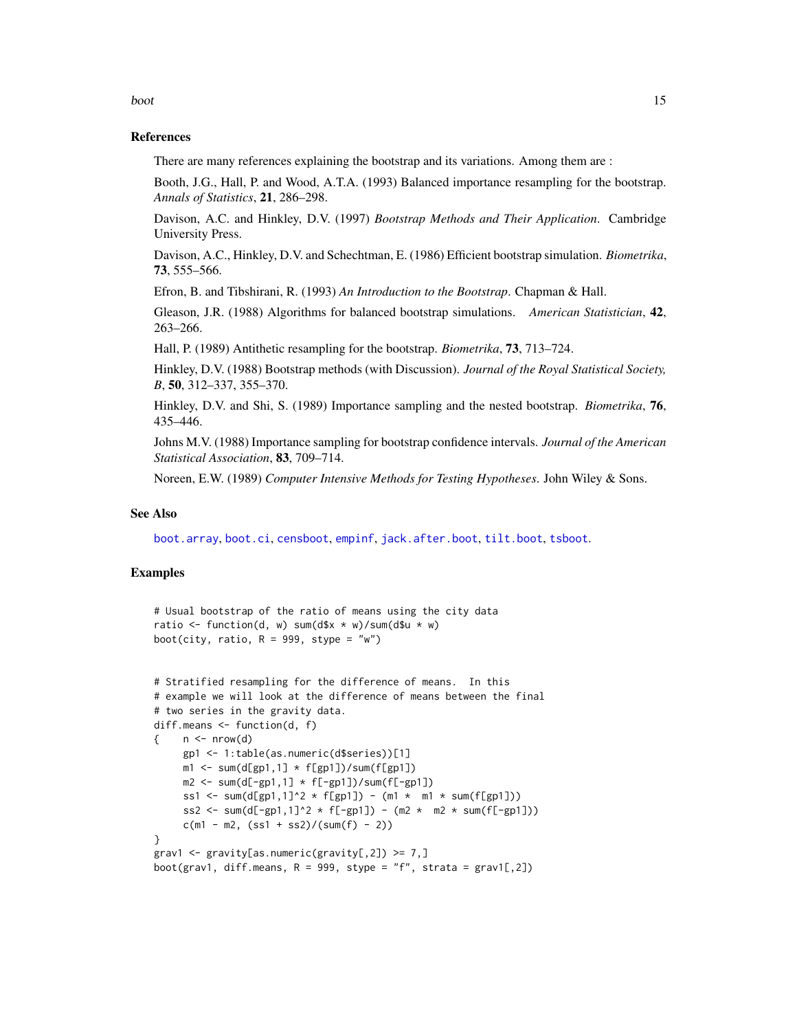## References

There are many references explaining the bootstrap and its variations. Among them are :

Booth, J.G., Hall, P. and Wood, A.T.A. (1993) Balanced importance resampling for the bootstrap. *Annals of Statistics*, 21, 286–298.

Davison, A.C. and Hinkley, D.V. (1997) *Bootstrap Methods and Their Application*. Cambridge University Press.

Davison, A.C., Hinkley, D.V. and Schechtman, E. (1986) Efficient bootstrap simulation. *Biometrika*, 73, 555–566.

Efron, B. and Tibshirani, R. (1993) *An Introduction to the Bootstrap*. Chapman & Hall.

Gleason, J.R. (1988) Algorithms for balanced bootstrap simulations. *American Statistician*, 42, 263–266.

Hall, P. (1989) Antithetic resampling for the bootstrap. *Biometrika*, 73, 713–724.

Hinkley, D.V. (1988) Bootstrap methods (with Discussion). *Journal of the Royal Statistical Society, B*, 50, 312–337, 355–370.

Hinkley, D.V. and Shi, S. (1989) Importance sampling and the nested bootstrap. *Biometrika*, 76, 435–446.

Johns M.V. (1988) Importance sampling for bootstrap confidence intervals. *Journal of the American Statistical Association*, 83, 709–714.

Noreen, E.W. (1989) *Computer Intensive Methods for Testing Hypotheses*. John Wiley & Sons.

#### See Also

[boot.array](#page-16-1), [boot.ci](#page-17-1), [censboot](#page-28-1), [empinf](#page-46-1), [jack.after.boot](#page-64-1), [tilt.boot](#page-103-1), [tsboot](#page-106-1).

### Examples

```
# Usual bootstrap of the ratio of means using the city data
ratio \le function(d, w) sum(d$x \star w)/sum(d$u \star w)
boot(city, ratio, R = 999, stype = "w")
```

```
# Stratified resampling for the difference of means. In this
# example we will look at the difference of means between the final
# two series in the gravity data.
diff.means <- function(d, f)
\{ n \leq - nrow(d)
     gp1 <- 1:table(as.numeric(d$series))[1]
     m1 \le -\text{sum(d[gp1,1] + f[gp1])}/\text{sum(f[gp1])}m2 \le -\text{sum}(d[-gp1,1] \times f[-gp1]) / \text{sum}(f[-gp1])ss1 <- sum(d[gp1,1]^2 * f[gp1]) - (m1 * m1 * sum(f[gp1]))
     ss2 <- sum(d[-gp1,1]^2 * f[-gp1]) - (m2 * m2 * sum(f[-gp1]))c(m1 - m2, (ss1 + ss2)/(sum(f) - 2))}
grav1 <- gravity[as.numeric(gravity[,2]) >= 7,]
boot(grav1, diff.means, R = 999, stype = "f", strata = grav1[,2])
```
boot and the set of the set of the set of the set of the set of the set of the set of the set of the set of the set of the set of the set of the set of the set of the set of the set of the set of the set of the set of the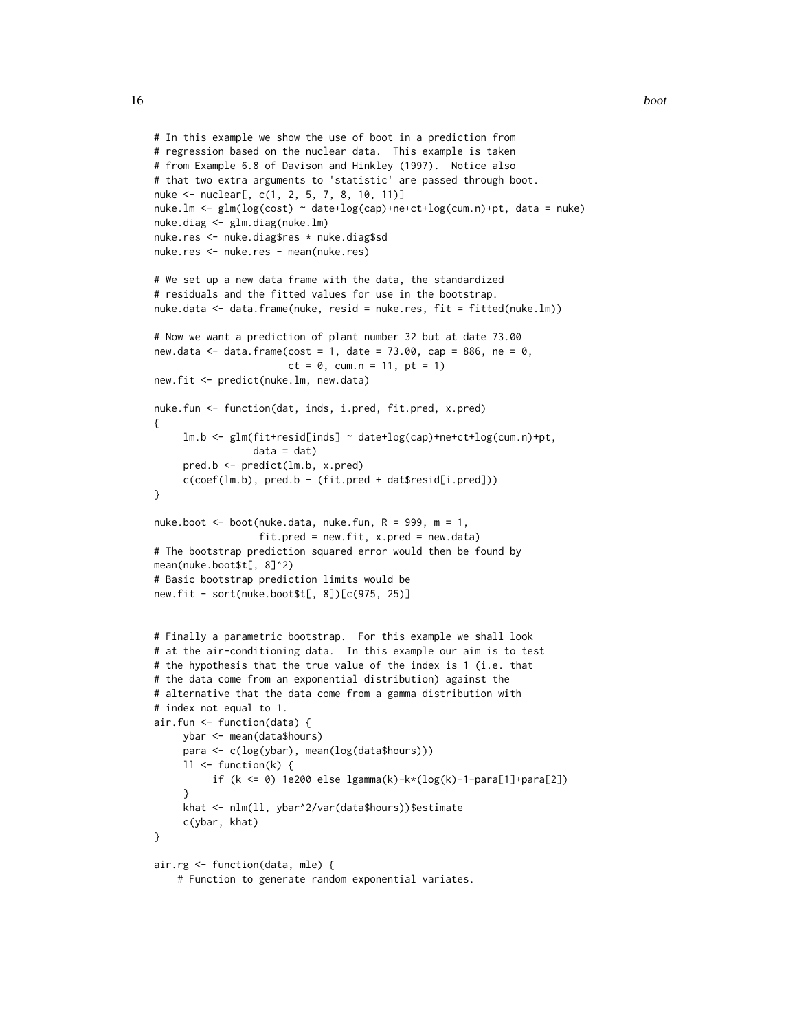```
# In this example we show the use of boot in a prediction from
# regression based on the nuclear data. This example is taken
# from Example 6.8 of Davison and Hinkley (1997). Notice also
# that two extra arguments to 'statistic' are passed through boot.
nuke <- nuclear[, c(1, 2, 5, 7, 8, 10, 11)]
nuke.lm <- glm(log(cost) ~ date+log(cap)+ne+ct+log(cum.n)+pt, data = nuke)
nuke.diag <- glm.diag(nuke.lm)
nuke.res <- nuke.diag$res * nuke.diag$sd
nuke.res <- nuke.res - mean(nuke.res)
# We set up a new data frame with the data, the standardized
# residuals and the fitted values for use in the bootstrap.
nuke.data <- data.frame(nuke, resid = nuke.res, fit = fitted(nuke.lm))
# Now we want a prediction of plant number 32 but at date 73.00
new.data \leq data.frame(cost = 1, date = 73.00, cap = 886, ne = 0,
                       ct = 0, cum.n = 11, pt = 1)new.fit <- predict(nuke.lm, new.data)
nuke.fun <- function(dat, inds, i.pred, fit.pred, x.pred)
{
     lm.b <- glm(fit+resid[inds] ~ date+log(cap)+ne+ct+log(cum.n)+pt,
                 data = dat)pred.b <- predict(lm.b, x.pred)
     c(coef(lm.b), pred.b - (fit.pred + dat$resid[i.pred]))
}
nuke.boot \leq boot(nuke.data, nuke.fun, R = 999, m = 1,
                  fit.pred = new.fit, x.pred = new.data)
# The bootstrap prediction squared error would then be found by
mean(nuke.boot$t[, 8]^2)
# Basic bootstrap prediction limits would be
new.fit - sort(nuke.boot$t[, 8])[c(975, 25)]
# Finally a parametric bootstrap. For this example we shall look
# at the air-conditioning data. In this example our aim is to test
# the hypothesis that the true value of the index is 1 (i.e. that
# the data come from an exponential distribution) against the
# alternative that the data come from a gamma distribution with
# index not equal to 1.
air.fun <- function(data) {
     ybar <- mean(data$hours)
     para <- c(log(ybar), mean(log(data$hours)))
     11 \leftarrow function(k) {
          if (k <= 0) 1e200 else lgamma(k)-k*(log(k)-1-para[1]+para[2])
     }
     khat <- nlm(ll, ybar^2/var(data$hours))$estimate
     c(ybar, khat)
}
air.rg <- function(data, mle) {
```
# Function to generate random exponential variates.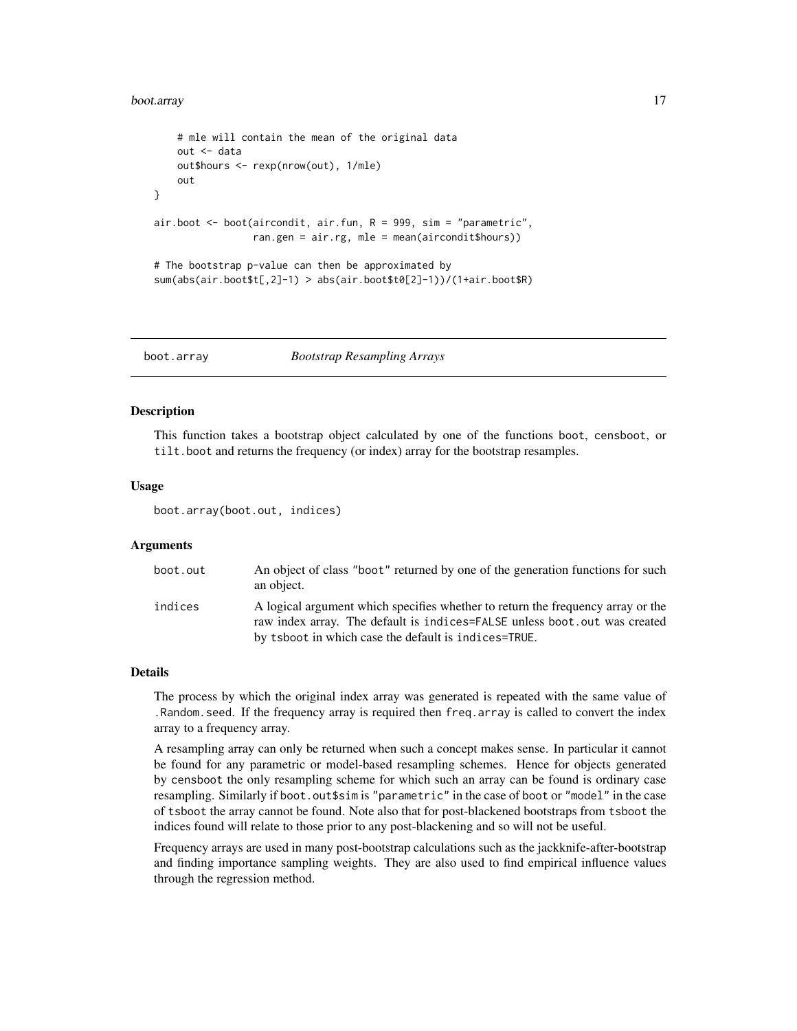#### <span id="page-16-0"></span>boot.array 17

```
# mle will contain the mean of the original data
    out <- data
    out$hours <- rexp(nrow(out), 1/mle)
    out
}
air.boot <- boot(aircondit, air.fun, R = 999, sim = "parametric",
                 ran.gen = air.rg, mle = mean(aircondit$hours))
# The bootstrap p-value can then be approximated by
sum(abs(air.boot$t[,2]-1) > abs(air.boot$t0[2]-1))/(1+air.boot$R)
```
<span id="page-16-1"></span>boot.array *Bootstrap Resampling Arrays*

#### **Description**

This function takes a bootstrap object calculated by one of the functions boot, censboot, or tilt.boot and returns the frequency (or index) array for the bootstrap resamples.

#### Usage

boot.array(boot.out, indices)

#### Arguments

| boot.out | An object of class "boot" returned by one of the generation functions for such<br>an object.                                                                                                                         |
|----------|----------------------------------------------------------------------------------------------------------------------------------------------------------------------------------------------------------------------|
| indices  | A logical argument which specifies whether to return the frequency array or the<br>raw index array. The default is indices=FALSE unless boot out was created<br>by tsboot in which case the default is indices=TRUE. |

### Details

The process by which the original index array was generated is repeated with the same value of .Random.seed. If the frequency array is required then freq.array is called to convert the index array to a frequency array.

A resampling array can only be returned when such a concept makes sense. In particular it cannot be found for any parametric or model-based resampling schemes. Hence for objects generated by censboot the only resampling scheme for which such an array can be found is ordinary case resampling. Similarly if boot.out\$sim is "parametric" in the case of boot or "model" in the case of tsboot the array cannot be found. Note also that for post-blackened bootstraps from tsboot the indices found will relate to those prior to any post-blackening and so will not be useful.

Frequency arrays are used in many post-bootstrap calculations such as the jackknife-after-bootstrap and finding importance sampling weights. They are also used to find empirical influence values through the regression method.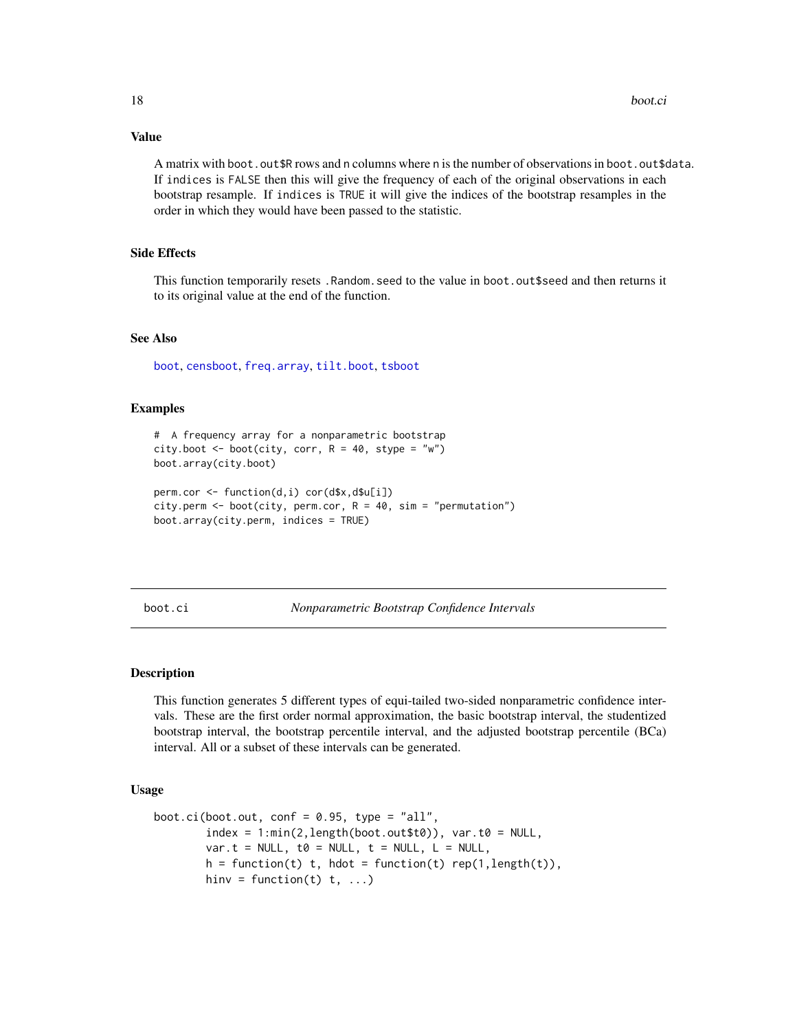Value

A matrix with boot. out \$R rows and n columns where n is the number of observations in boot. out \$data. If indices is FALSE then this will give the frequency of each of the original observations in each bootstrap resample. If indices is TRUE it will give the indices of the bootstrap resamples in the order in which they would have been passed to the statistic.

#### Side Effects

This function temporarily resets .Random.seed to the value in boot.out\$seed and then returns it to its original value at the end of the function.

## See Also

[boot](#page-10-1), [censboot](#page-28-1), [freq.array](#page-53-1), [tilt.boot](#page-103-1), [tsboot](#page-106-1)

#### Examples

```
# A frequency array for a nonparametric bootstrap
city.boot \leq boot(city, corr, R = 40, stype = "w")
boot.array(city.boot)
perm.cor <- function(d,i) cor(d$x,d$u[i])
city.perm <- boot(city, perm.cor, R = 40, sim = "permutation")
```

```
boot.array(city.perm, indices = TRUE)
```
<span id="page-17-1"></span>

boot.ci *Nonparametric Bootstrap Confidence Intervals*

#### Description

This function generates 5 different types of equi-tailed two-sided nonparametric confidence intervals. These are the first order normal approximation, the basic bootstrap interval, the studentized bootstrap interval, the bootstrap percentile interval, and the adjusted bootstrap percentile (BCa) interval. All or a subset of these intervals can be generated.

#### Usage

```
boot.ci(boot.out, conf = 0.95, type = "all",
        index = 1: min(2, length(boot.out $t0)), var.t0 = NULL,var.t = NULL, t\theta = NULL, t = NULL, L = NULL,
        h = function(t) t, hdot = function(t) rep(1,length(t)),
        hinv = function(t) t, ...)
```
<span id="page-17-0"></span>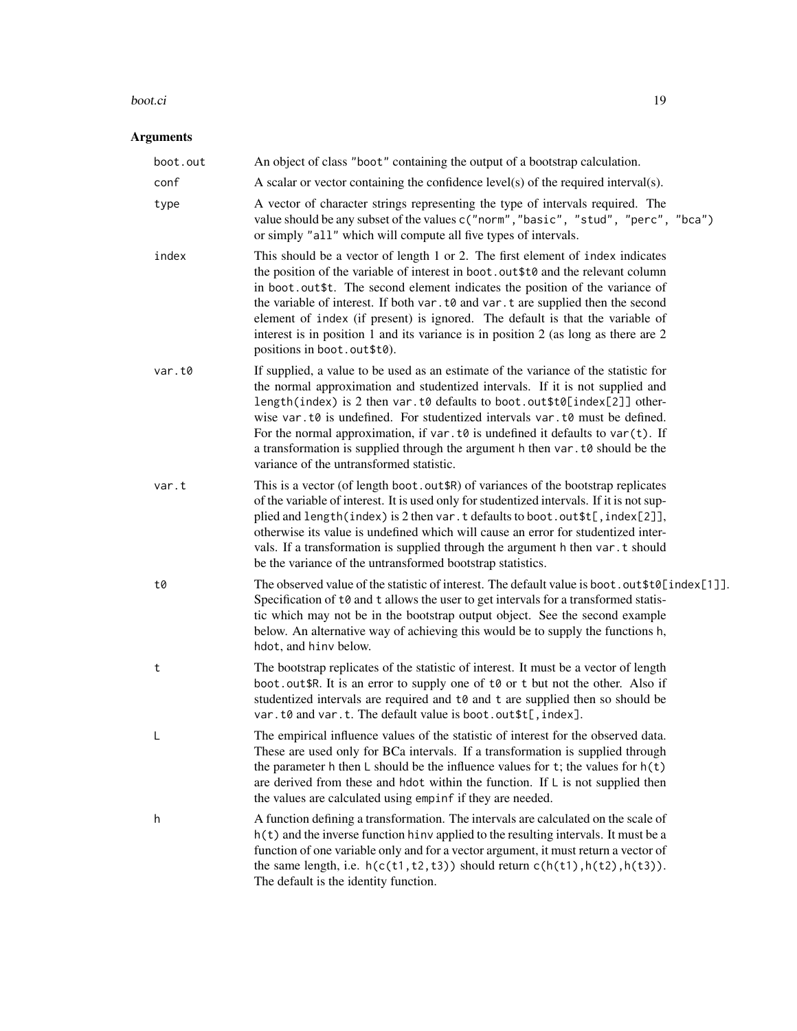#### boot.ci ilaa 19 maarta 1900 ku sida 1900 ku sida 1900 ku sida 1900 ku sida 1900 ku sida 1900 ku sida 1900 ku s

## Arguments

| boot.out | An object of class "boot" containing the output of a bootstrap calculation.                                                                                                                                                                                                                                                                                                                                                                                                                                                                                 |
|----------|-------------------------------------------------------------------------------------------------------------------------------------------------------------------------------------------------------------------------------------------------------------------------------------------------------------------------------------------------------------------------------------------------------------------------------------------------------------------------------------------------------------------------------------------------------------|
| conf     | A scalar or vector containing the confidence $level(s)$ of the required interval $(s)$ .                                                                                                                                                                                                                                                                                                                                                                                                                                                                    |
| type     | A vector of character strings representing the type of intervals required. The<br>value should be any subset of the values c("norm", "basic", "stud", "perc", "bca")<br>or simply "all" which will compute all five types of intervals.                                                                                                                                                                                                                                                                                                                     |
| index    | This should be a vector of length 1 or 2. The first element of index indicates<br>the position of the variable of interest in boot.out \$t0 and the relevant column<br>in boot.out\$t. The second element indicates the position of the variance of<br>the variable of interest. If both var. t0 and var. t are supplied then the second<br>element of index (if present) is ignored. The default is that the variable of<br>interest is in position 1 and its variance is in position 2 (as long as there are $2$<br>positions in boot.out\$t0).           |
| var.t0   | If supplied, a value to be used as an estimate of the variance of the statistic for<br>the normal approximation and studentized intervals. If it is not supplied and<br>length(index) is 2 then var.t0 defaults to boot.out\$t0[index[2]] other-<br>wise var.t0 is undefined. For studentized intervals var.t0 must be defined.<br>For the normal approximation, if var $t \theta$ is undefined it defaults to var $(t)$ . If<br>a transformation is supplied through the argument h then var. t0 should be the<br>variance of the untransformed statistic. |
| var.t    | This is a vector (of length boot.out \$R) of variances of the bootstrap replicates<br>of the variable of interest. It is used only for studentized intervals. If it is not sup-<br>plied and length(index) is 2 then var.t defaults to boot.out \$t[, index[2]],<br>otherwise its value is undefined which will cause an error for studentized inter-<br>vals. If a transformation is supplied through the argument h then var.t should<br>be the variance of the untransformed bootstrap statistics.                                                       |
| t0       | The observed value of the statistic of interest. The default value is boot.out\$t0[index[1]].<br>Specification of t0 and t allows the user to get intervals for a transformed statis-<br>tic which may not be in the bootstrap output object. See the second example<br>below. An alternative way of achieving this would be to supply the functions h,<br>hdot, and hinv below.                                                                                                                                                                            |
| t        | The bootstrap replicates of the statistic of interest. It must be a vector of length<br>boot.out \$R. It is an error to supply one of to or t but not the other. Also if<br>studentized intervals are required and t0 and t are supplied then so should be<br>var.t0 and var.t. The default value is boot.out\$t[, index].                                                                                                                                                                                                                                  |
|          | The empirical influence values of the statistic of interest for the observed data.<br>These are used only for BCa intervals. If a transformation is supplied through<br>the parameter h then $\mathsf L$ should be the influence values for t; the values for $\mathsf h(\mathsf t)$<br>are derived from these and hdot within the function. If $\mathsf{L}$ is not supplied then<br>the values are calculated using empinf if they are needed.                                                                                                             |
| h        | A function defining a transformation. The intervals are calculated on the scale of<br>$h(t)$ and the inverse function hinv applied to the resulting intervals. It must be a<br>function of one variable only and for a vector argument, it must return a vector of<br>the same length, i.e. $h(c(t1, t2, t3))$ should return $c(h(t1), h(t2), h(t3))$ .<br>The default is the identity function.                                                                                                                                                            |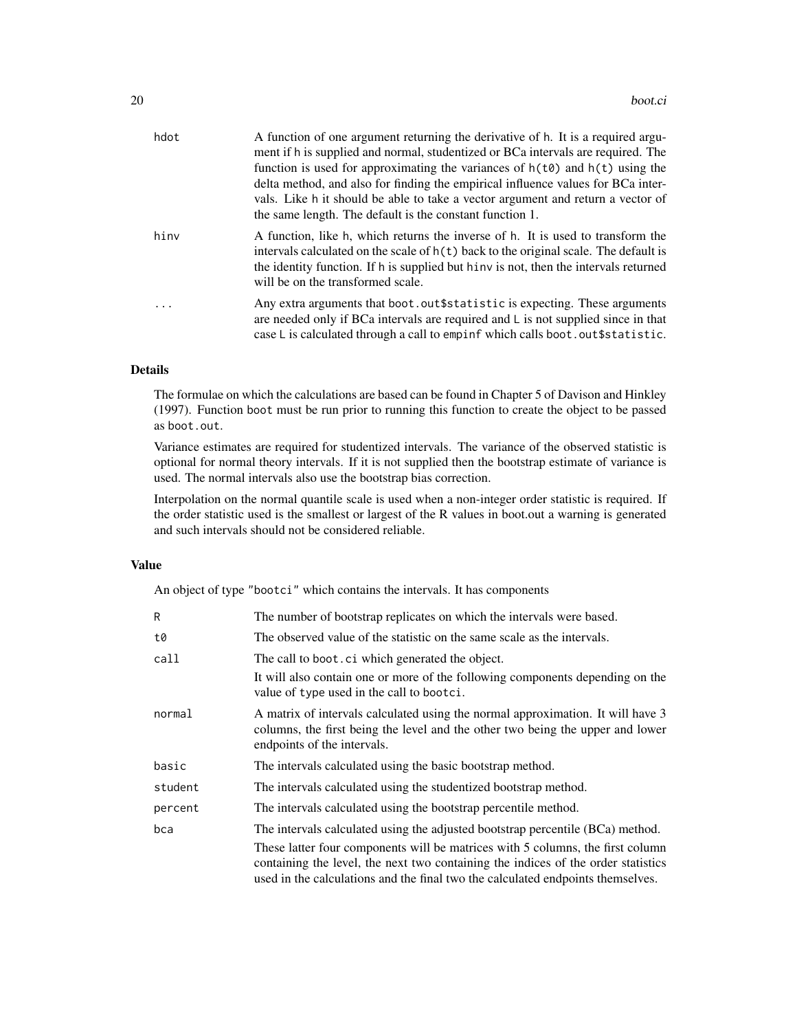| hdot | A function of one argument returning the derivative of h. It is a required argu-<br>ment if h is supplied and normal, studentized or BCa intervals are required. The<br>function is used for approximating the variances of $h(t\theta)$ and $h(t)$ using the<br>delta method, and also for finding the empirical influence values for BCa inter-<br>vals. Like h it should be able to take a vector argument and return a vector of<br>the same length. The default is the constant function 1. |
|------|--------------------------------------------------------------------------------------------------------------------------------------------------------------------------------------------------------------------------------------------------------------------------------------------------------------------------------------------------------------------------------------------------------------------------------------------------------------------------------------------------|
| hinv | A function, like h, which returns the inverse of h. It is used to transform the<br>intervals calculated on the scale of $h(t)$ back to the original scale. The default is<br>the identity function. If h is supplied but hinv is not, then the intervals returned<br>will be on the transformed scale.                                                                                                                                                                                           |
| .    | Any extra arguments that boot. out \$statistic is expecting. These arguments<br>are needed only if BCa intervals are required and $\mathsf{L}$ is not supplied since in that<br>case L is calculated through a call to empinf which calls boot.out \$ statistic.                                                                                                                                                                                                                                 |

## Details

The formulae on which the calculations are based can be found in Chapter 5 of Davison and Hinkley (1997). Function boot must be run prior to running this function to create the object to be passed as boot.out.

Variance estimates are required for studentized intervals. The variance of the observed statistic is optional for normal theory intervals. If it is not supplied then the bootstrap estimate of variance is used. The normal intervals also use the bootstrap bias correction.

Interpolation on the normal quantile scale is used when a non-integer order statistic is required. If the order statistic used is the smallest or largest of the R values in boot.out a warning is generated and such intervals should not be considered reliable.

## Value

An object of type "bootci" which contains the intervals. It has components

| R       | The number of bootstrap replicates on which the intervals were based.                                                                                                                                                                                  |
|---------|--------------------------------------------------------------------------------------------------------------------------------------------------------------------------------------------------------------------------------------------------------|
| t0      | The observed value of the statistic on the same scale as the intervals.                                                                                                                                                                                |
| call    | The call to boot. ci which generated the object.                                                                                                                                                                                                       |
|         | It will also contain one or more of the following components depending on the<br>value of type used in the call to bootci.                                                                                                                             |
| normal  | A matrix of intervals calculated using the normal approximation. It will have 3<br>columns, the first being the level and the other two being the upper and lower<br>endpoints of the intervals.                                                       |
| basic   | The intervals calculated using the basic bootstrap method.                                                                                                                                                                                             |
| student | The intervals calculated using the studentized bootstrap method.                                                                                                                                                                                       |
| percent | The intervals calculated using the bootstrap percentile method.                                                                                                                                                                                        |
| bca     | The intervals calculated using the adjusted bootstrap percentile (BCa) method.                                                                                                                                                                         |
|         | These latter four components will be matrices with 5 columns, the first column<br>containing the level, the next two containing the indices of the order statistics<br>used in the calculations and the final two the calculated endpoints themselves. |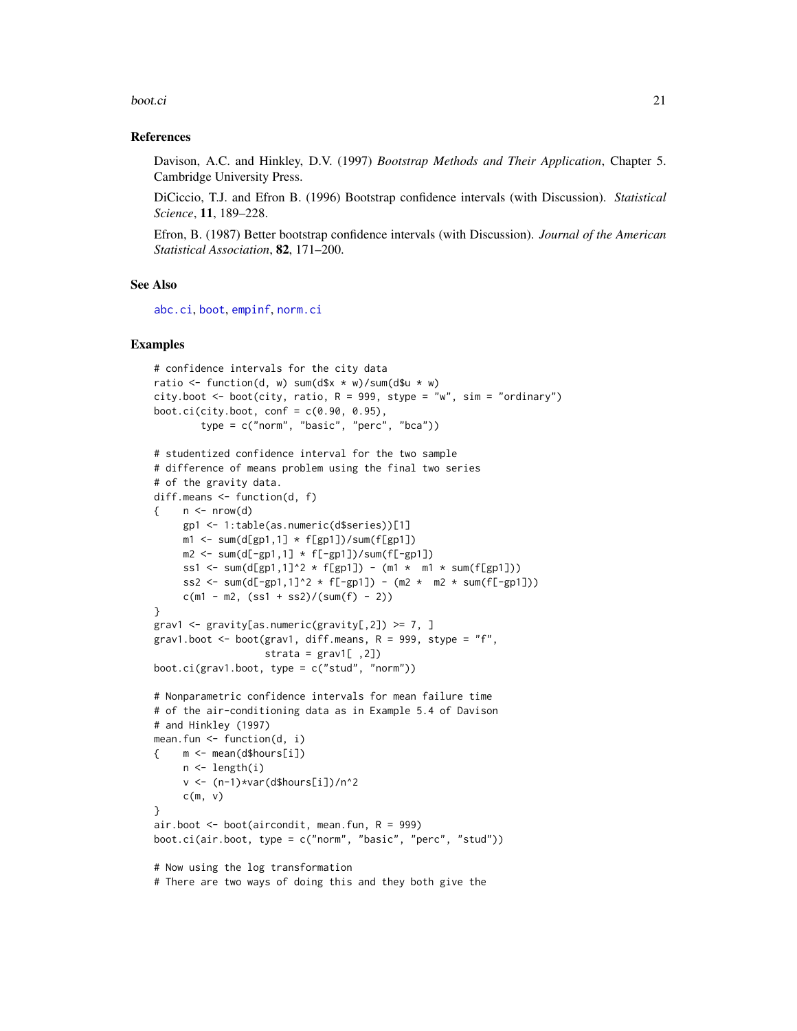#### boot.ci 21

### References

Davison, A.C. and Hinkley, D.V. (1997) *Bootstrap Methods and Their Application*, Chapter 5. Cambridge University Press.

DiCiccio, T.J. and Efron B. (1996) Bootstrap confidence intervals (with Discussion). *Statistical Science*, 11, 189–228.

Efron, B. (1987) Better bootstrap confidence intervals (with Discussion). *Journal of the American Statistical Association*, 82, 171–200.

### See Also

[abc.ci](#page-2-1), [boot](#page-10-1), [empinf](#page-46-1), [norm.ci](#page-77-1)

#### Examples

```
# confidence intervals for the city data
ratio \le function(d, w) sum(d$x * w)/sum(d$u * w)
city.boot \le boot(city, ratio, R = 999, stype = "w", sim = "ordinary")
boot.ci(city.boot, conf = c(0.90, 0.95),
        type = c("norm", "basic", "perc", "bca"))
# studentized confidence interval for the two sample
# difference of means problem using the final two series
# of the gravity data.
diff.means <- function(d, f)
\{ n < - nrow(d) \}gp1 <- 1:table(as.numeric(d$series))[1]
     m1 \le -\text{sum}(d[gp1,1] \times f[gp1]) / \text{sum}(f[gp1])m2 \le -\text{sum}(d[-gp1,1] \times f[-gp1]) / \text{sum}(f[-gp1])ss1 <- sum(d[gp1,1]^2 * f[gp1]) - (m1 * m1 * sum(f[gp1]))
     ss2 <- sum(d[-gp1,1]^2 * f[-gp1]) - (m2 * m2 * sum(f[-gp1]))
     c(m1 - m2, (ss1 + ss2)/(sum(f) - 2))}
grav1 \leq gravity[as.numeric(gravity[,2]) \geq 7, ]
grav1.boot \leq boot(grav1, diff.means, R = 999, stype = "f",
                    strata = grav1[, 2])
boot.ci(grav1.boot, type = c("stud", "norm"))# Nonparametric confidence intervals for mean failure time
# of the air-conditioning data as in Example 5.4 of Davison
# and Hinkley (1997)
mean.fun <- function(d, i)
    { m <- mean(d$hours[i])
     n <- length(i)
     v <- (n-1)*var(d$hours[i])/n^2
     c(m, v)}
air.boot \leq boot(aircondit, mean.fun, R = 999)
boot.ci(air.boot, type = c("norm", "basic", "perc", "stud"))
# Now using the log transformation
# There are two ways of doing this and they both give the
```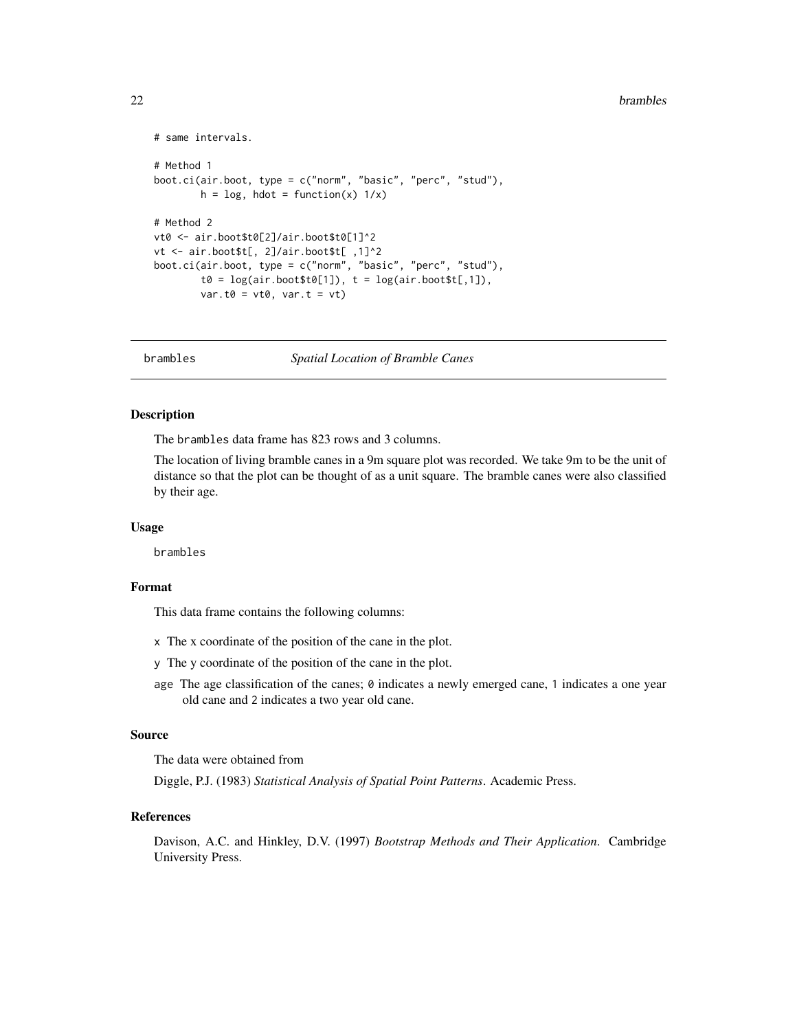#### <span id="page-21-0"></span>22 brambles and the contract of the contract of the contract of the contract of the contract of the contract of the contract of the contract of the contract of the contract of the contract of the contract of the contract o

```
# same intervals.
# Method 1
boot.ci(air.boot, type = c("norm", "basic", "perc", "stud"),
        h = \log, hdot = function(x) 1/x)
# Method 2
vt0 <- air.boot$t0[2]/air.boot$t0[1]^2
vt <- air.boot$t[, 2]/air.boot$t[ ,1]^2
boot.ci(air.boot, type = c("norm", "basic", "perc", "stud"),
         t0 = \log(\text{air}.\text{boot$t0[1]), t = \log(\text{air}.\text{boot$t[,1]}),var.t0 = vt0, var.t = vt)
```
brambles *Spatial Location of Bramble Canes*

## Description

The brambles data frame has 823 rows and 3 columns.

The location of living bramble canes in a 9m square plot was recorded. We take 9m to be the unit of distance so that the plot can be thought of as a unit square. The bramble canes were also classified by their age.

#### Usage

brambles

## Format

This data frame contains the following columns:

- x The x coordinate of the position of the cane in the plot.
- y The y coordinate of the position of the cane in the plot.
- age The age classification of the canes;  $\theta$  indicates a newly emerged cane, 1 indicates a one year old cane and 2 indicates a two year old cane.

#### Source

The data were obtained from

Diggle, P.J. (1983) *Statistical Analysis of Spatial Point Patterns*. Academic Press.

## References

Davison, A.C. and Hinkley, D.V. (1997) *Bootstrap Methods and Their Application*. Cambridge University Press.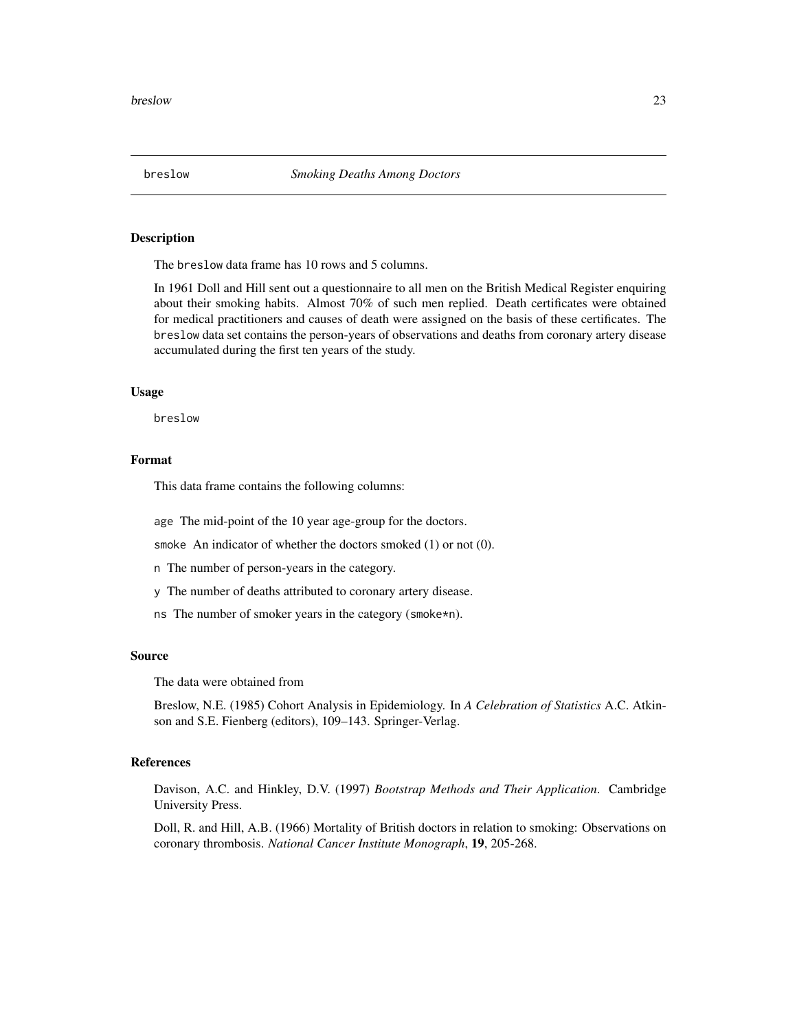<span id="page-22-0"></span>

#### Description

The breslow data frame has 10 rows and 5 columns.

In 1961 Doll and Hill sent out a questionnaire to all men on the British Medical Register enquiring about their smoking habits. Almost 70% of such men replied. Death certificates were obtained for medical practitioners and causes of death were assigned on the basis of these certificates. The breslow data set contains the person-years of observations and deaths from coronary artery disease accumulated during the first ten years of the study.

#### Usage

breslow

## Format

This data frame contains the following columns:

age The mid-point of the 10 year age-group for the doctors.

smoke An indicator of whether the doctors smoked (1) or not (0).

n The number of person-years in the category.

y The number of deaths attributed to coronary artery disease.

ns The number of smoker years in the category (smoke\*n).

#### Source

The data were obtained from

Breslow, N.E. (1985) Cohort Analysis in Epidemiology. In *A Celebration of Statistics* A.C. Atkinson and S.E. Fienberg (editors), 109–143. Springer-Verlag.

#### References

Davison, A.C. and Hinkley, D.V. (1997) *Bootstrap Methods and Their Application*. Cambridge University Press.

Doll, R. and Hill, A.B. (1966) Mortality of British doctors in relation to smoking: Observations on coronary thrombosis. *National Cancer Institute Monograph*, 19, 205-268.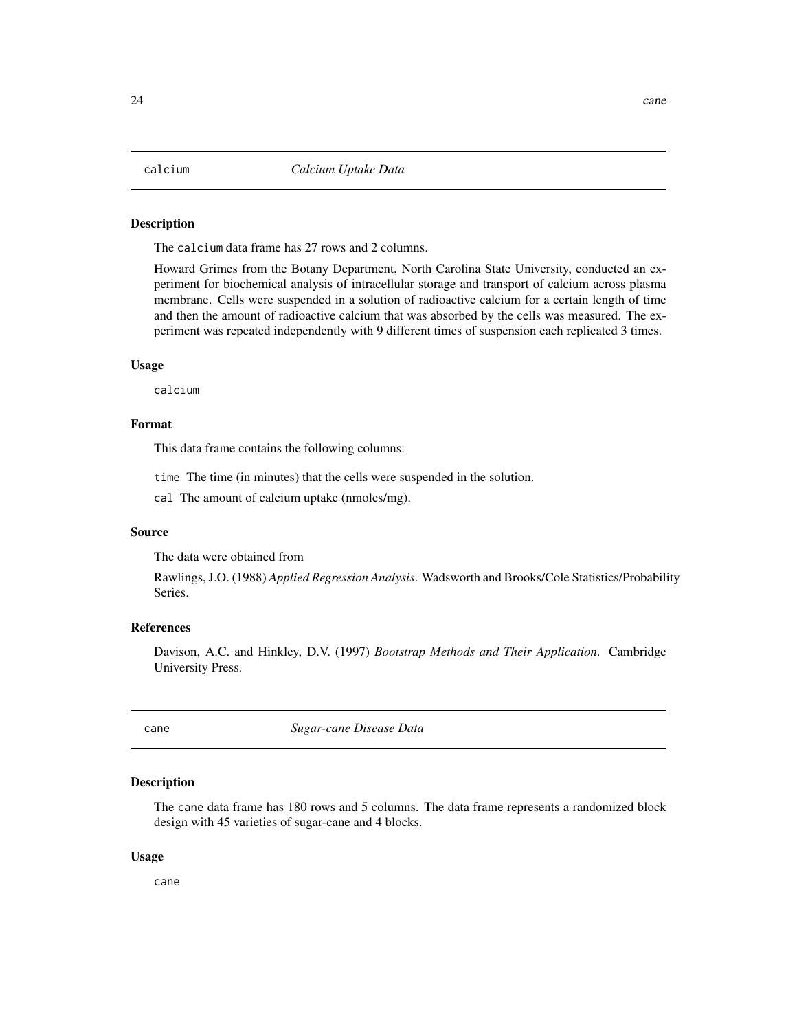#### <span id="page-23-0"></span>Description

The calcium data frame has 27 rows and 2 columns.

Howard Grimes from the Botany Department, North Carolina State University, conducted an experiment for biochemical analysis of intracellular storage and transport of calcium across plasma membrane. Cells were suspended in a solution of radioactive calcium for a certain length of time and then the amount of radioactive calcium that was absorbed by the cells was measured. The experiment was repeated independently with 9 different times of suspension each replicated 3 times.

#### Usage

calcium

## Format

This data frame contains the following columns:

time The time (in minutes) that the cells were suspended in the solution.

cal The amount of calcium uptake (nmoles/mg).

#### Source

The data were obtained from

Rawlings, J.O. (1988) *Applied Regression Analysis*. Wadsworth and Brooks/Cole Statistics/Probability Series.

#### References

Davison, A.C. and Hinkley, D.V. (1997) *Bootstrap Methods and Their Application*. Cambridge University Press.

cane *Sugar-cane Disease Data*

#### **Description**

The cane data frame has 180 rows and 5 columns. The data frame represents a randomized block design with 45 varieties of sugar-cane and 4 blocks.

#### Usage

cane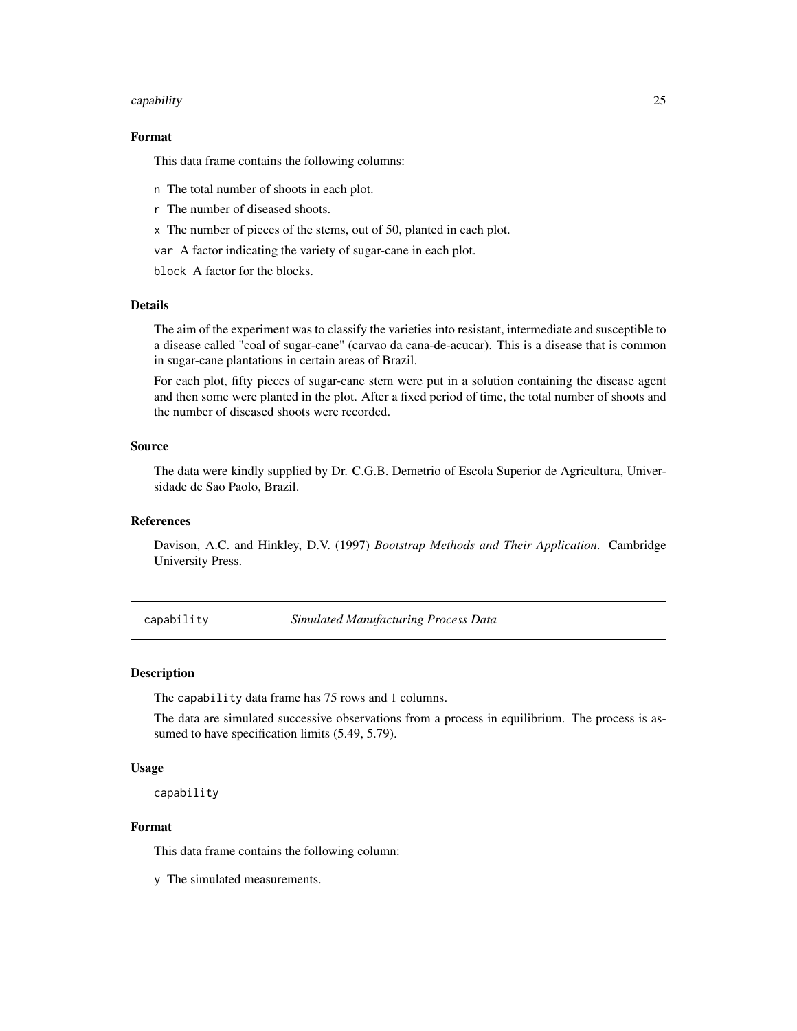#### <span id="page-24-0"></span>capability 25

## Format

This data frame contains the following columns:

- n The total number of shoots in each plot.
- r The number of diseased shoots.
- x The number of pieces of the stems, out of 50, planted in each plot.
- var A factor indicating the variety of sugar-cane in each plot.

block A factor for the blocks.

#### Details

The aim of the experiment was to classify the varieties into resistant, intermediate and susceptible to a disease called "coal of sugar-cane" (carvao da cana-de-acucar). This is a disease that is common in sugar-cane plantations in certain areas of Brazil.

For each plot, fifty pieces of sugar-cane stem were put in a solution containing the disease agent and then some were planted in the plot. After a fixed period of time, the total number of shoots and the number of diseased shoots were recorded.

#### Source

The data were kindly supplied by Dr. C.G.B. Demetrio of Escola Superior de Agricultura, Universidade de Sao Paolo, Brazil.

## References

Davison, A.C. and Hinkley, D.V. (1997) *Bootstrap Methods and Their Application*. Cambridge University Press.

capability *Simulated Manufacturing Process Data*

#### Description

The capability data frame has 75 rows and 1 columns.

The data are simulated successive observations from a process in equilibrium. The process is assumed to have specification limits  $(5.49, 5.79)$ .

#### Usage

capability

## Format

This data frame contains the following column:

y The simulated measurements.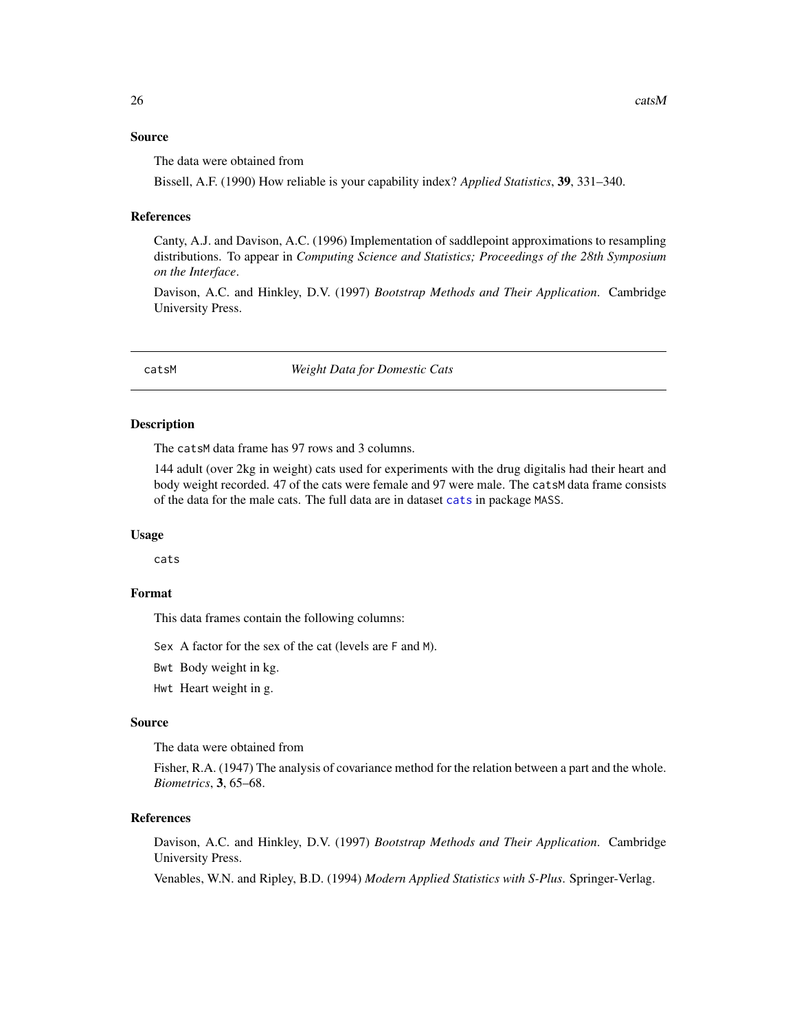#### <span id="page-25-0"></span>Source

The data were obtained from

Bissell, A.F. (1990) How reliable is your capability index? *Applied Statistics*, 39, 331–340.

#### References

Canty, A.J. and Davison, A.C. (1996) Implementation of saddlepoint approximations to resampling distributions. To appear in *Computing Science and Statistics; Proceedings of the 28th Symposium on the Interface*.

Davison, A.C. and Hinkley, D.V. (1997) *Bootstrap Methods and Their Application*. Cambridge University Press.

catsM *Weight Data for Domestic Cats*

#### Description

The catsM data frame has 97 rows and 3 columns.

144 adult (over 2kg in weight) cats used for experiments with the drug digitalis had their heart and body weight recorded. 47 of the cats were female and 97 were male. The catsM data frame consists of the data for the male cats. The full data are in dataset [cats](#page-0-0) in package MASS.

#### Usage

cats

## Format

This data frames contain the following columns:

Sex A factor for the sex of the cat (levels are F and M).

Bwt Body weight in kg.

Hwt Heart weight in g.

## Source

The data were obtained from

Fisher, R.A. (1947) The analysis of covariance method for the relation between a part and the whole. *Biometrics*, 3, 65–68.

#### References

Davison, A.C. and Hinkley, D.V. (1997) *Bootstrap Methods and Their Application*. Cambridge University Press.

Venables, W.N. and Ripley, B.D. (1994) *Modern Applied Statistics with S-Plus*. Springer-Verlag.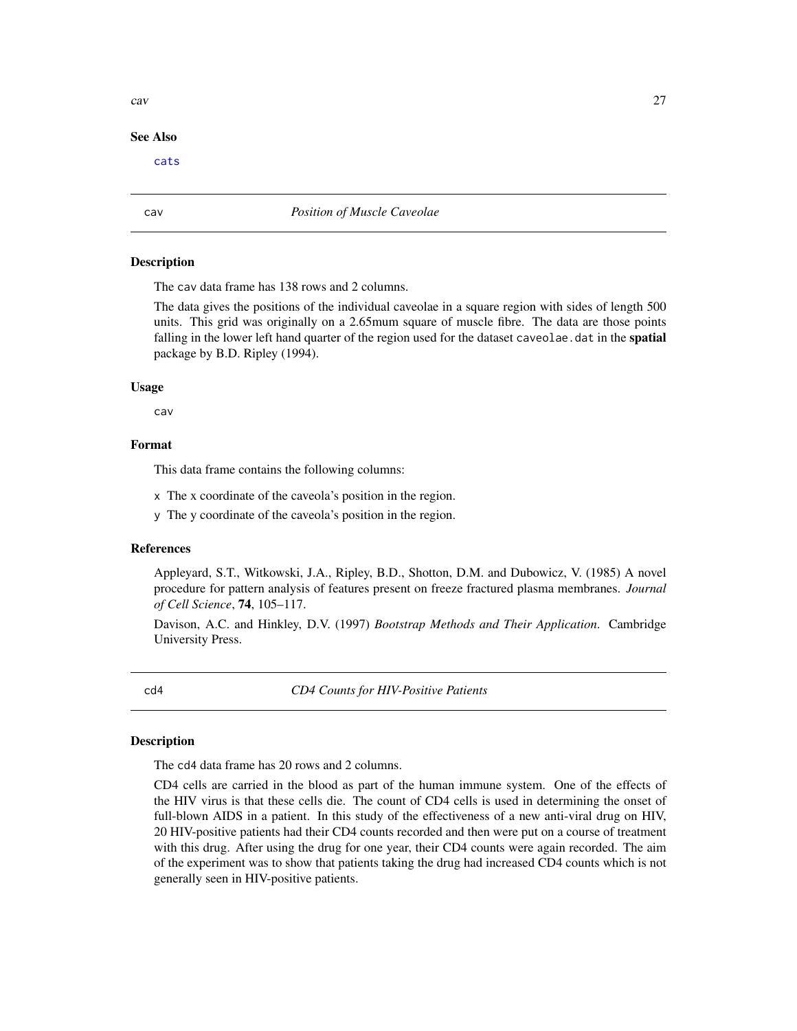#### See Also

[cats](#page-0-0)

cav *Position of Muscle Caveolae*

## **Description**

The cav data frame has 138 rows and 2 columns.

The data gives the positions of the individual caveolae in a square region with sides of length 500 units. This grid was originally on a 2.65mum square of muscle fibre. The data are those points falling in the lower left hand quarter of the region used for the dataset caveolae.dat in the spatial package by B.D. Ripley (1994).

#### Usage

cav

## Format

This data frame contains the following columns:

x The x coordinate of the caveola's position in the region.

y The y coordinate of the caveola's position in the region.

## References

Appleyard, S.T., Witkowski, J.A., Ripley, B.D., Shotton, D.M. and Dubowicz, V. (1985) A novel procedure for pattern analysis of features present on freeze fractured plasma membranes. *Journal of Cell Science*, 74, 105–117.

Davison, A.C. and Hinkley, D.V. (1997) *Bootstrap Methods and Their Application*. Cambridge University Press.

<span id="page-26-1"></span>cd4 *CD4 Counts for HIV-Positive Patients*

#### Description

The cd4 data frame has 20 rows and 2 columns.

CD4 cells are carried in the blood as part of the human immune system. One of the effects of the HIV virus is that these cells die. The count of CD4 cells is used in determining the onset of full-blown AIDS in a patient. In this study of the effectiveness of a new anti-viral drug on HIV, 20 HIV-positive patients had their CD4 counts recorded and then were put on a course of treatment with this drug. After using the drug for one year, their CD4 counts were again recorded. The aim of the experiment was to show that patients taking the drug had increased CD4 counts which is not generally seen in HIV-positive patients.

<span id="page-26-0"></span>cav 27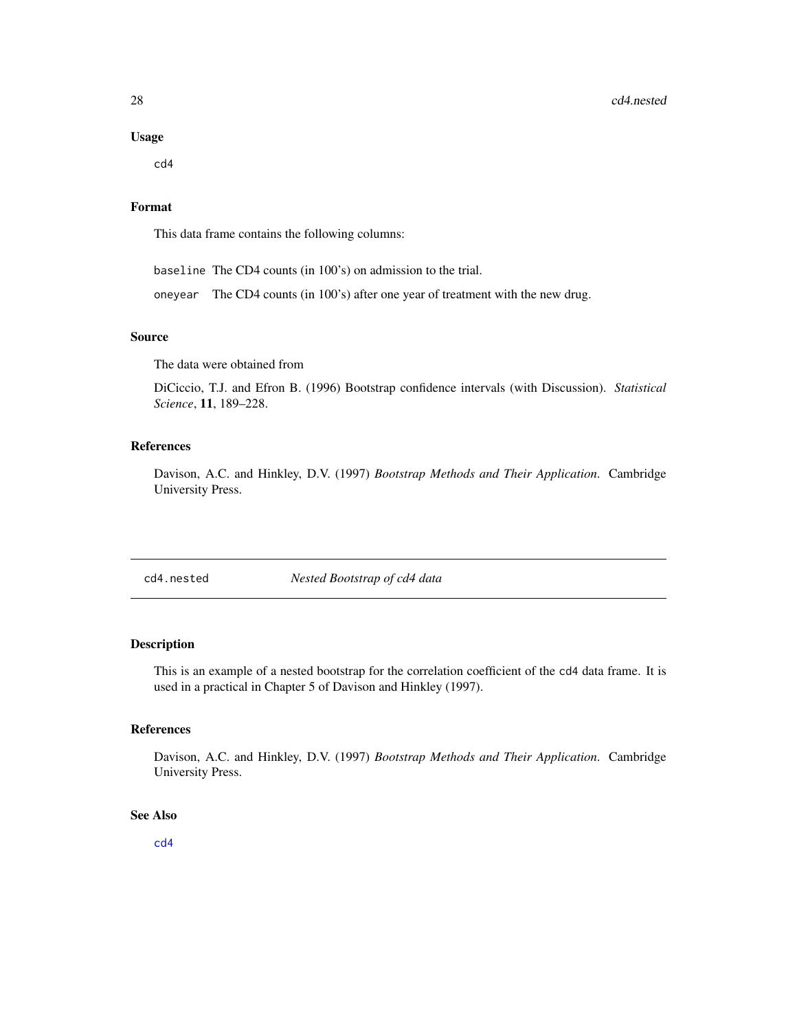#### Usage

cd4

## Format

This data frame contains the following columns:

baseline The CD4 counts (in 100's) on admission to the trial.

oneyear The CD4 counts (in 100's) after one year of treatment with the new drug.

## Source

The data were obtained from

DiCiccio, T.J. and Efron B. (1996) Bootstrap confidence intervals (with Discussion). *Statistical Science*, 11, 189–228.

#### References

Davison, A.C. and Hinkley, D.V. (1997) *Bootstrap Methods and Their Application*. Cambridge University Press.

cd4.nested *Nested Bootstrap of cd4 data*

## Description

This is an example of a nested bootstrap for the correlation coefficient of the cd4 data frame. It is used in a practical in Chapter 5 of Davison and Hinkley (1997).

## References

Davison, A.C. and Hinkley, D.V. (1997) *Bootstrap Methods and Their Application*. Cambridge University Press.

## See Also

[cd4](#page-26-1)

<span id="page-27-0"></span>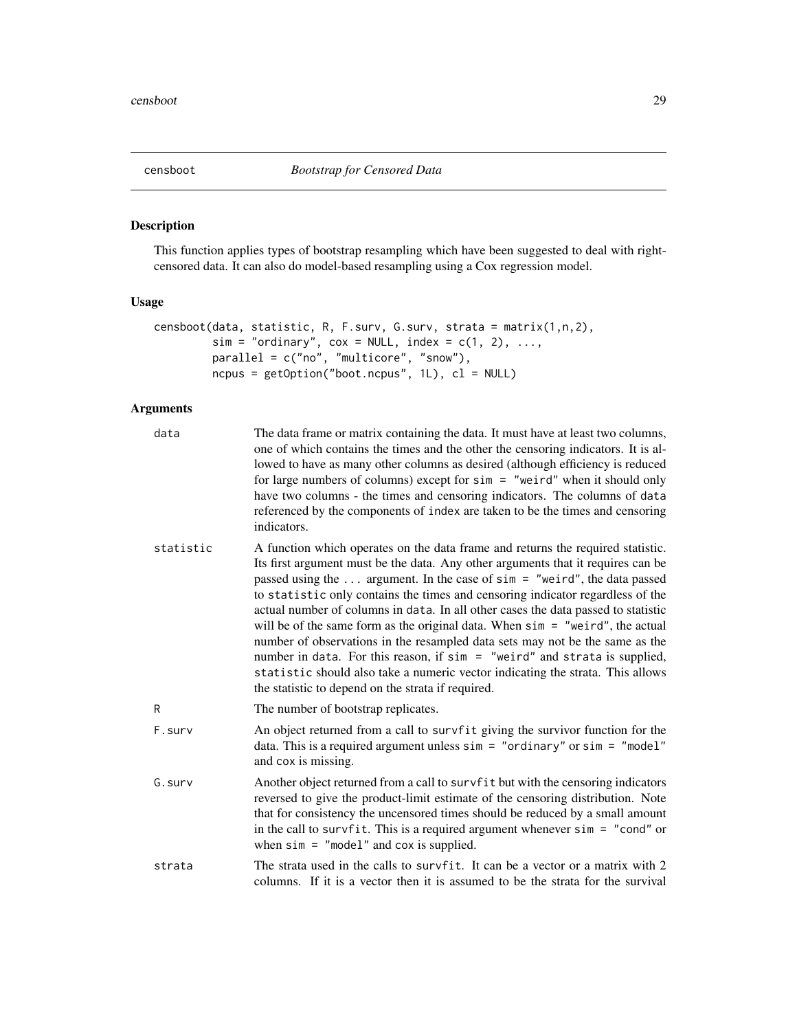<span id="page-28-1"></span><span id="page-28-0"></span>

## Description

This function applies types of bootstrap resampling which have been suggested to deal with rightcensored data. It can also do model-based resampling using a Cox regression model.

## Usage

```
censboot(data, statistic, R, F.surv, G.surv, strata = matrix(1,n,2),
        sim = "ordinary", cov = NULL, index = c(1, 2), ...,parallel = c("no", "multicore", "snow"),
        ncpus = getOption("boot.ncpus", 1L), cl = NULL)
```
## Arguments

| data      | The data frame or matrix containing the data. It must have at least two columns,<br>one of which contains the times and the other the censoring indicators. It is al-<br>lowed to have as many other columns as desired (although efficiency is reduced<br>for large numbers of columns) except for $sim = "weird"$ when it should only<br>have two columns - the times and censoring indicators. The columns of data<br>referenced by the components of index are taken to be the times and censoring<br>indicators.                                                                                                                                                                                                                                                                                               |
|-----------|---------------------------------------------------------------------------------------------------------------------------------------------------------------------------------------------------------------------------------------------------------------------------------------------------------------------------------------------------------------------------------------------------------------------------------------------------------------------------------------------------------------------------------------------------------------------------------------------------------------------------------------------------------------------------------------------------------------------------------------------------------------------------------------------------------------------|
| statistic | A function which operates on the data frame and returns the required statistic.<br>Its first argument must be the data. Any other arguments that it requires can be<br>passed using the  argument. In the case of $sim = "weird",$ the data passed<br>to statistic only contains the times and censoring indicator regardless of the<br>actual number of columns in data. In all other cases the data passed to statistic<br>will be of the same form as the original data. When $sim = "weird",$ the actual<br>number of observations in the resampled data sets may not be the same as the<br>number in data. For this reason, if $sim = "weird"$ and strata is supplied,<br>statistic should also take a numeric vector indicating the strata. This allows<br>the statistic to depend on the strata if required. |
| R         | The number of bootstrap replicates.                                                                                                                                                                                                                                                                                                                                                                                                                                                                                                                                                                                                                                                                                                                                                                                 |
| F.surv    | An object returned from a call to survfit giving the survivor function for the<br>data. This is a required argument unless $sim = "ordinary" or sim = "model"$<br>and cox is missing.                                                                                                                                                                                                                                                                                                                                                                                                                                                                                                                                                                                                                               |
| G. surv   | Another object returned from a call to survfit but with the censoring indicators<br>reversed to give the product-limit estimate of the censoring distribution. Note<br>that for consistency the uncensored times should be reduced by a small amount<br>in the call to survfit. This is a required argument whenever $sim = "cond"$ or<br>when $sim =$ "model" and cox is supplied.                                                                                                                                                                                                                                                                                                                                                                                                                                 |
| strata    | The strata used in the calls to survfit. It can be a vector or a matrix with 2<br>columns. If it is a vector then it is assumed to be the strata for the survival                                                                                                                                                                                                                                                                                                                                                                                                                                                                                                                                                                                                                                                   |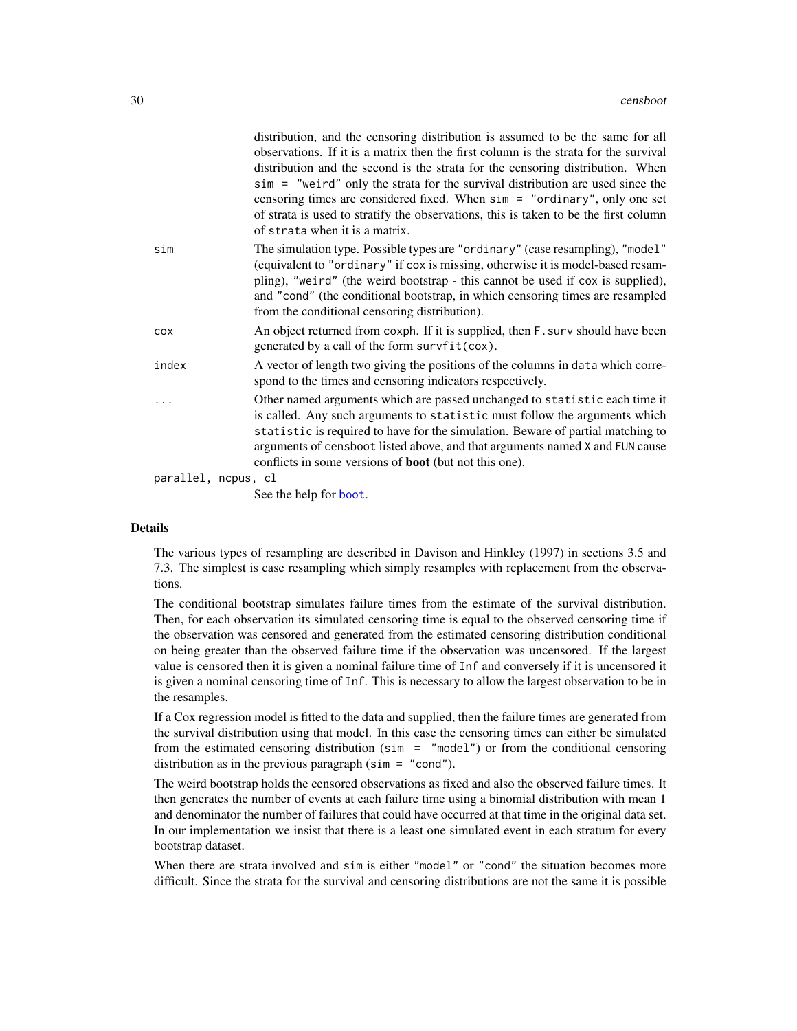|                     |       | distribution, and the censoring distribution is assumed to be the same for all<br>observations. If it is a matrix then the first column is the strata for the survival<br>distribution and the second is the strata for the censoring distribution. When<br>sim = "weird" only the strata for the survival distribution are used since the<br>censoring times are considered fixed. When $sim = "ordinary", only one set$<br>of strata is used to stratify the observations, this is taken to be the first column<br>of strata when it is a matrix. |
|---------------------|-------|-----------------------------------------------------------------------------------------------------------------------------------------------------------------------------------------------------------------------------------------------------------------------------------------------------------------------------------------------------------------------------------------------------------------------------------------------------------------------------------------------------------------------------------------------------|
|                     | sim   | The simulation type. Possible types are "ordinary" (case resampling), "model"<br>(equivalent to "ordinary" if cox is missing, otherwise it is model-based resam-<br>pling), "weird" (the weird bootstrap - this cannot be used if cox is supplied),<br>and "cond" (the conditional bootstrap, in which censoring times are resampled<br>from the conditional censoring distribution).                                                                                                                                                               |
|                     | COX   | An object returned from coxph. If it is supplied, then F. surv should have been<br>generated by a call of the form survfit(cox).                                                                                                                                                                                                                                                                                                                                                                                                                    |
|                     | index | A vector of length two giving the positions of the columns in data which corre-<br>spond to the times and censoring indicators respectively.                                                                                                                                                                                                                                                                                                                                                                                                        |
|                     | .     | Other named arguments which are passed unchanged to statistic each time it<br>is called. Any such arguments to statistic must follow the arguments which<br>statistic is required to have for the simulation. Beware of partial matching to<br>arguments of censboot listed above, and that arguments named X and FUN cause<br>conflicts in some versions of <b>boot</b> (but not this one).                                                                                                                                                        |
| parallel, ncpus, cl |       |                                                                                                                                                                                                                                                                                                                                                                                                                                                                                                                                                     |
|                     |       |                                                                                                                                                                                                                                                                                                                                                                                                                                                                                                                                                     |

See the help for [boot](#page-10-1).

#### Details

The various types of resampling are described in Davison and Hinkley (1997) in sections 3.5 and 7.3. The simplest is case resampling which simply resamples with replacement from the observations.

The conditional bootstrap simulates failure times from the estimate of the survival distribution. Then, for each observation its simulated censoring time is equal to the observed censoring time if the observation was censored and generated from the estimated censoring distribution conditional on being greater than the observed failure time if the observation was uncensored. If the largest value is censored then it is given a nominal failure time of Inf and conversely if it is uncensored it is given a nominal censoring time of Inf. This is necessary to allow the largest observation to be in the resamples.

If a Cox regression model is fitted to the data and supplied, then the failure times are generated from the survival distribution using that model. In this case the censoring times can either be simulated from the estimated censoring distribution (sim = "model") or from the conditional censoring distribution as in the previous paragraph ( $sim = "cond"$ ).

The weird bootstrap holds the censored observations as fixed and also the observed failure times. It then generates the number of events at each failure time using a binomial distribution with mean 1 and denominator the number of failures that could have occurred at that time in the original data set. In our implementation we insist that there is a least one simulated event in each stratum for every bootstrap dataset.

When there are strata involved and sim is either "model" or "cond" the situation becomes more difficult. Since the strata for the survival and censoring distributions are not the same it is possible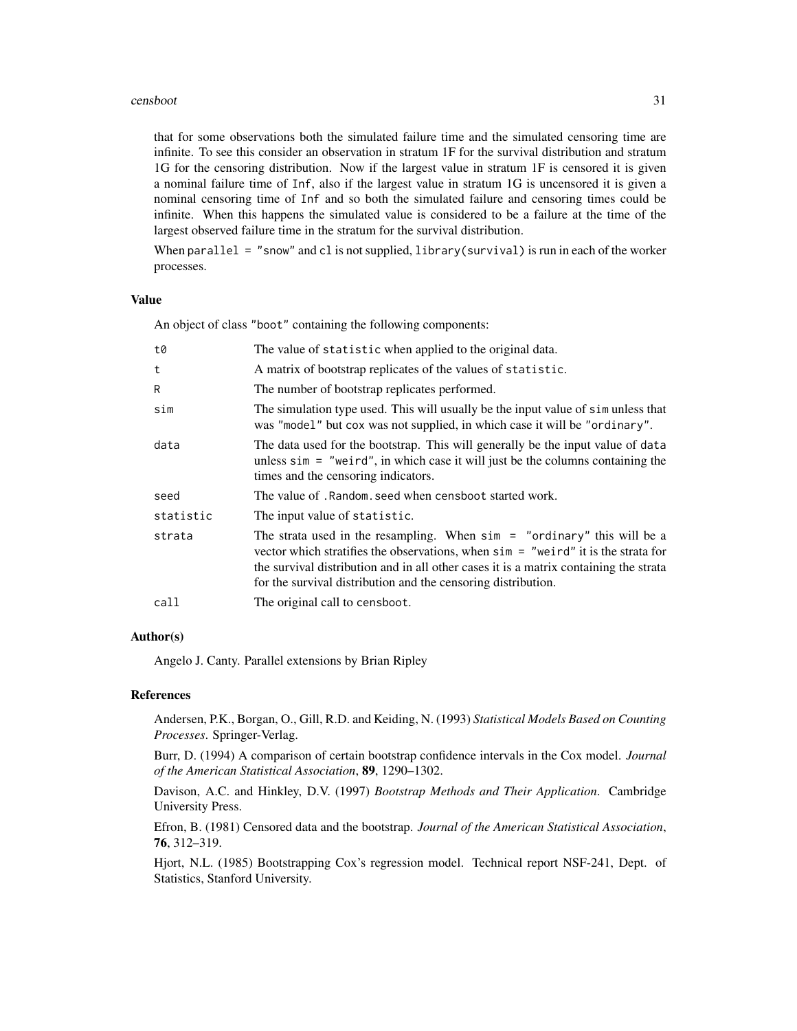#### censboot 31

that for some observations both the simulated failure time and the simulated censoring time are infinite. To see this consider an observation in stratum 1F for the survival distribution and stratum 1G for the censoring distribution. Now if the largest value in stratum 1F is censored it is given a nominal failure time of Inf, also if the largest value in stratum 1G is uncensored it is given a nominal censoring time of Inf and so both the simulated failure and censoring times could be infinite. When this happens the simulated value is considered to be a failure at the time of the largest observed failure time in the stratum for the survival distribution.

When parallel = "snow" and cl is not supplied, library(survival) is run in each of the worker processes.

## Value

An object of class "boot" containing the following components:

| t0        | The value of statistic when applied to the original data.                                                                                                                                                                                                                                                                     |
|-----------|-------------------------------------------------------------------------------------------------------------------------------------------------------------------------------------------------------------------------------------------------------------------------------------------------------------------------------|
| t         | A matrix of bootstrap replicates of the values of statistic.                                                                                                                                                                                                                                                                  |
| R         | The number of bootstrap replicates performed.                                                                                                                                                                                                                                                                                 |
| sim       | The simulation type used. This will usually be the input value of simulter that<br>was "model" but cox was not supplied, in which case it will be "ordinary".                                                                                                                                                                 |
| data      | The data used for the bootstrap. This will generally be the input value of data<br>unless $\sin =$ "we ird", in which case it will just be the columns containing the<br>times and the censoring indicators.                                                                                                                  |
| seed      | The value of . Random, seed when censboot started work.                                                                                                                                                                                                                                                                       |
| statistic | The input value of statistic.                                                                                                                                                                                                                                                                                                 |
| strata    | The strata used in the resampling. When $\sin =$ "ordinary" this will be a<br>vector which stratifies the observations, when $\sin =$ "we ind" it is the strata for<br>the survival distribution and in all other cases it is a matrix containing the strata<br>for the survival distribution and the censoring distribution. |
| call      | The original call to censboot.                                                                                                                                                                                                                                                                                                |
|           |                                                                                                                                                                                                                                                                                                                               |

## Author(s)

Angelo J. Canty. Parallel extensions by Brian Ripley

## References

Andersen, P.K., Borgan, O., Gill, R.D. and Keiding, N. (1993) *Statistical Models Based on Counting Processes*. Springer-Verlag.

Burr, D. (1994) A comparison of certain bootstrap confidence intervals in the Cox model. *Journal of the American Statistical Association*, 89, 1290–1302.

Davison, A.C. and Hinkley, D.V. (1997) *Bootstrap Methods and Their Application*. Cambridge University Press.

Efron, B. (1981) Censored data and the bootstrap. *Journal of the American Statistical Association*, 76, 312–319.

Hjort, N.L. (1985) Bootstrapping Cox's regression model. Technical report NSF-241, Dept. of Statistics, Stanford University.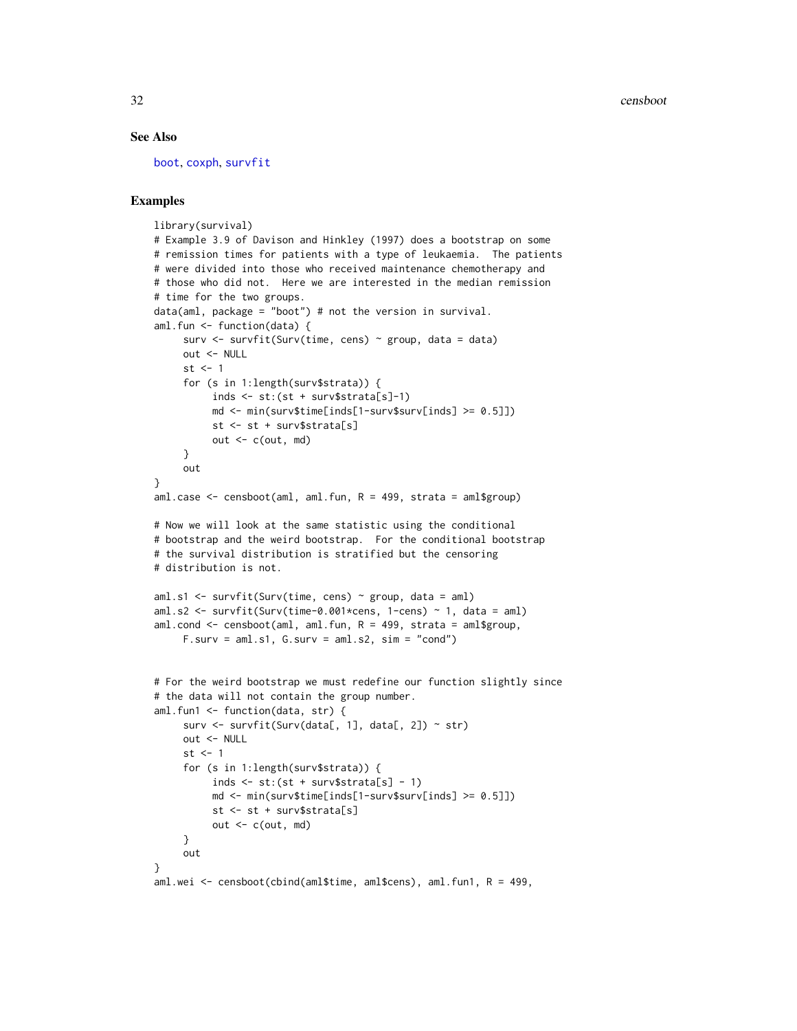#### See Also

[boot](#page-10-1), [coxph](#page-0-0), [survfit](#page-0-0)

## Examples

```
library(survival)
# Example 3.9 of Davison and Hinkley (1997) does a bootstrap on some
# remission times for patients with a type of leukaemia. The patients
# were divided into those who received maintenance chemotherapy and
# those who did not. Here we are interested in the median remission
# time for the two groups.
data(aml, package = "boot") # not the version in survival.
aml.fun <- function(data) {
     surv \le survfit(Surv(time, cens) \sim group, data = data)
    out <- NULL
    st \leq -1for (s in 1:length(surv$strata)) {
          inds <- st:(st + surv$strata[s]-1)
         md \le min(surv$time[inds[1-surv$surv[inds] \ge 0.5]])
          st <- st + surv$strata[s]
         out \leq c(out, md)
     }
    out
}
aml.case \leq censboot(aml, aml.fun, R = 499, strata = aml$group)
# Now we will look at the same statistic using the conditional
# bootstrap and the weird bootstrap. For the conditional bootstrap
# the survival distribution is stratified but the censoring
# distribution is not.
aml.s1 <- survfit(Surv(time, cens) ~ group, data = aml)
aml.s2 <- survfit(Surv(time-0.001*cens, 1-cens) ~ 1, data = aml)
aml.cond \leq censboot(aml, aml.fun, R = 499, strata = aml$group,
     F.surv = am1.s1, G.surv = am1.s2, sim = "cond")# For the weird bootstrap we must redefine our function slightly since
# the data will not contain the group number.
aml.fun1 <- function(data, str) {
     surv \le survfit(Surv(data[, 1], data[, 2]) \sim str)
    out <- NULL
    st <-1for (s in 1:length(surv$strata)) {
          inds \le st:(st + surv$strata[s] - 1)
         md \le min(surv$time[inds[1-surv$surv[inds] \ge 0.5]])
          st <- st + surv$strata[s]
         out \leq c(out, md)
     }
     out
}
aml.wei <- censboot(cbind(aml$time, aml$cens), aml.fun1, R = 499,
```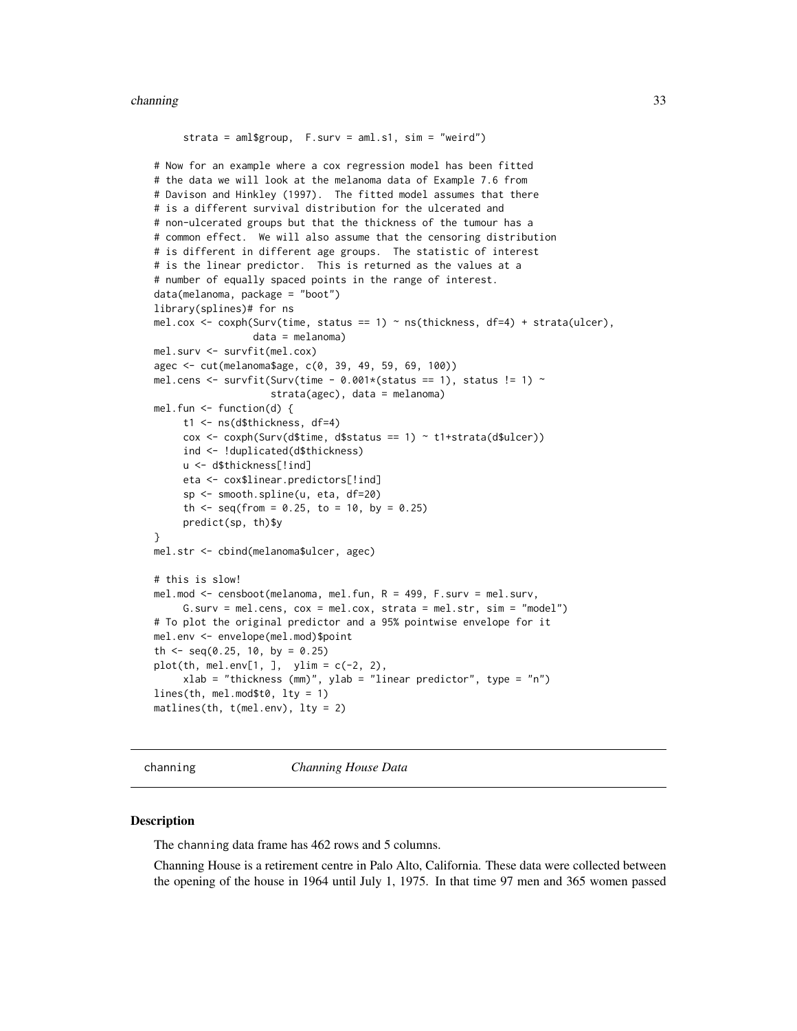#### <span id="page-32-0"></span>channing 33

```
strata = aml$group, F.surv = aml.s1, sim = "weird")
# Now for an example where a cox regression model has been fitted
# the data we will look at the melanoma data of Example 7.6 from
# Davison and Hinkley (1997). The fitted model assumes that there
# is a different survival distribution for the ulcerated and
# non-ulcerated groups but that the thickness of the tumour has a
# common effect. We will also assume that the censoring distribution
# is different in different age groups. The statistic of interest
# is the linear predictor. This is returned as the values at a
# number of equally spaced points in the range of interest.
data(melanoma, package = "boot")
library(splines)# for ns
mel.cox <- coxph(Surv(time, status == 1) \sim ns(thickness, df=4) + strata(ulcer),
                 data = melanoma)
mel.surv <- survfit(mel.cox)
agec <- cut(melanoma$age, c(0, 39, 49, 59, 69, 100))
mel.cens <- survfit(Surv(time - 0.001*(status == 1), status != 1) ~
                     strata(agec), data = melanoma)
mel.fun <- function(d) {
     t1 <- ns(d$thickness, df=4)
     \cos \leftarrow \cosh(\text{Surv}(\text{d}time, \text{d}tstate) = 1) \sim \text{t1-strata}(\text{d}tule)ind <- !duplicated(d$thickness)
     u <- d$thickness[!ind]
     eta <- cox$linear.predictors[!ind]
     sp <- smooth.spline(u, eta, df=20)
     th \leq seq(from = 0.25, to = 10, by = 0.25)
     predict(sp, th)$y
}
mel.str <- cbind(melanoma$ulcer, agec)
# this is slow!
mel.mod <- censboot(melanoma, mel.fun, R = 499, F.surv = mel.surv,
     G.surv = mel.cens, \cos = mel.cox, strata = mel.str, \sin = "model")
# To plot the original predictor and a 95% pointwise envelope for it
mel.env <- envelope(mel.mod)$point
th <- seq(0.25, 10, by = 0.25)plot(th, mel.env[1, ], ylim = c(-2, 2),xlab = "thickness (mm)", ylab = "linear predictor", type = "n")
lines(th, mel.mod$t0, lty = 1)
matlines(th, t(mel.env), lty = 2)
```
channing *Channing House Data*

#### **Description**

The channing data frame has 462 rows and 5 columns.

Channing House is a retirement centre in Palo Alto, California. These data were collected between the opening of the house in 1964 until July 1, 1975. In that time 97 men and 365 women passed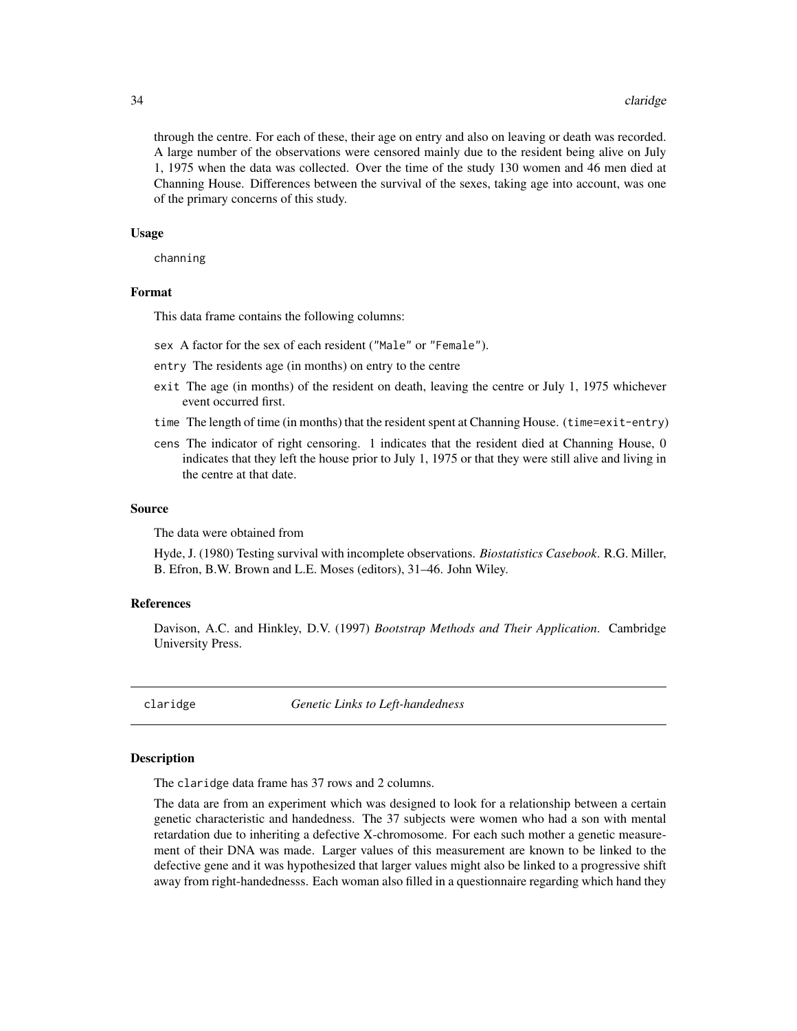#### 34 claridge

through the centre. For each of these, their age on entry and also on leaving or death was recorded. A large number of the observations were censored mainly due to the resident being alive on July 1, 1975 when the data was collected. Over the time of the study 130 women and 46 men died at Channing House. Differences between the survival of the sexes, taking age into account, was one of the primary concerns of this study.

#### Usage

channing

#### Format

This data frame contains the following columns:

- sex A factor for the sex of each resident ("Male" or "Female").
- entry The residents age (in months) on entry to the centre
- exit The age (in months) of the resident on death, leaving the centre or July 1, 1975 whichever event occurred first.
- time The length of time (in months) that the resident spent at Channing House. (time=exit-entry)
- cens The indicator of right censoring. 1 indicates that the resident died at Channing House, 0 indicates that they left the house prior to July 1, 1975 or that they were still alive and living in the centre at that date.

#### Source

The data were obtained from

Hyde, J. (1980) Testing survival with incomplete observations. *Biostatistics Casebook*. R.G. Miller, B. Efron, B.W. Brown and L.E. Moses (editors), 31–46. John Wiley.

#### References

Davison, A.C. and Hinkley, D.V. (1997) *Bootstrap Methods and Their Application*. Cambridge University Press.

claridge *Genetic Links to Left-handedness*

#### Description

The claridge data frame has 37 rows and 2 columns.

The data are from an experiment which was designed to look for a relationship between a certain genetic characteristic and handedness. The 37 subjects were women who had a son with mental retardation due to inheriting a defective X-chromosome. For each such mother a genetic measurement of their DNA was made. Larger values of this measurement are known to be linked to the defective gene and it was hypothesized that larger values might also be linked to a progressive shift away from right-handednesss. Each woman also filled in a questionnaire regarding which hand they

<span id="page-33-0"></span>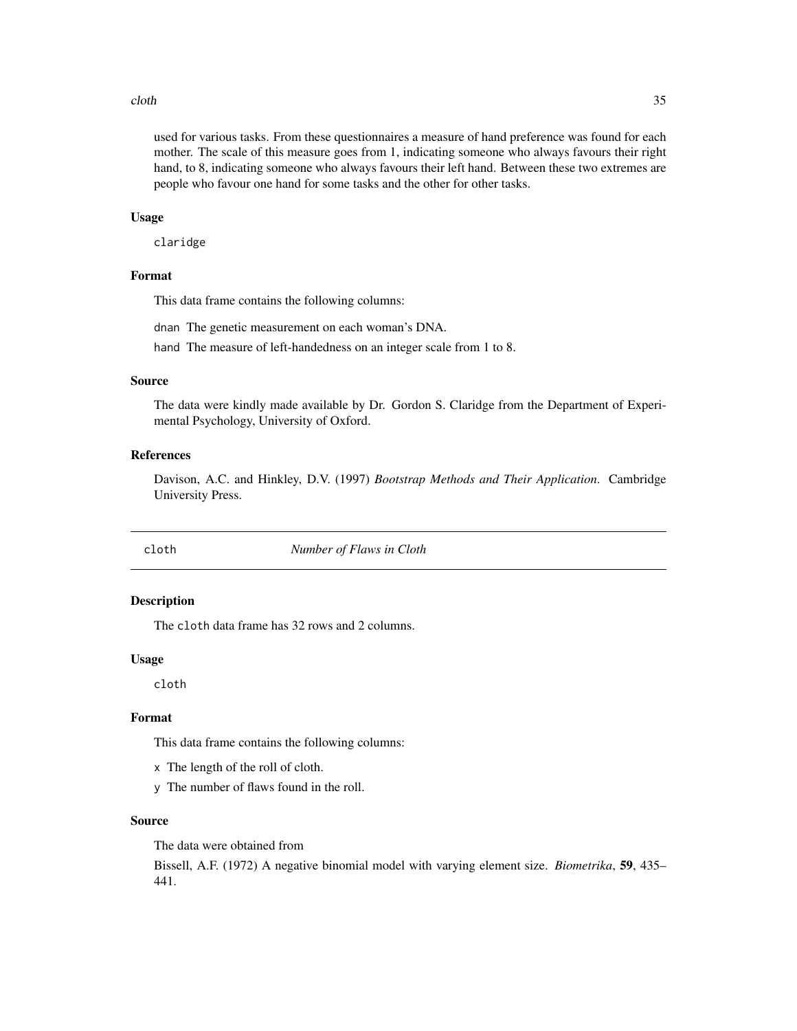#### <span id="page-34-0"></span>cloth 35

used for various tasks. From these questionnaires a measure of hand preference was found for each mother. The scale of this measure goes from 1, indicating someone who always favours their right hand, to 8, indicating someone who always favours their left hand. Between these two extremes are people who favour one hand for some tasks and the other for other tasks.

#### Usage

claridge

### Format

This data frame contains the following columns:

dnan The genetic measurement on each woman's DNA.

hand The measure of left-handedness on an integer scale from 1 to 8.

## Source

The data were kindly made available by Dr. Gordon S. Claridge from the Department of Experimental Psychology, University of Oxford.

## References

Davison, A.C. and Hinkley, D.V. (1997) *Bootstrap Methods and Their Application*. Cambridge University Press.

cloth *Number of Flaws in Cloth*

#### Description

The cloth data frame has 32 rows and 2 columns.

#### Usage

cloth

#### Format

This data frame contains the following columns:

- x The length of the roll of cloth.
- y The number of flaws found in the roll.

#### Source

The data were obtained from

Bissell, A.F. (1972) A negative binomial model with varying element size. *Biometrika*, 59, 435– 441.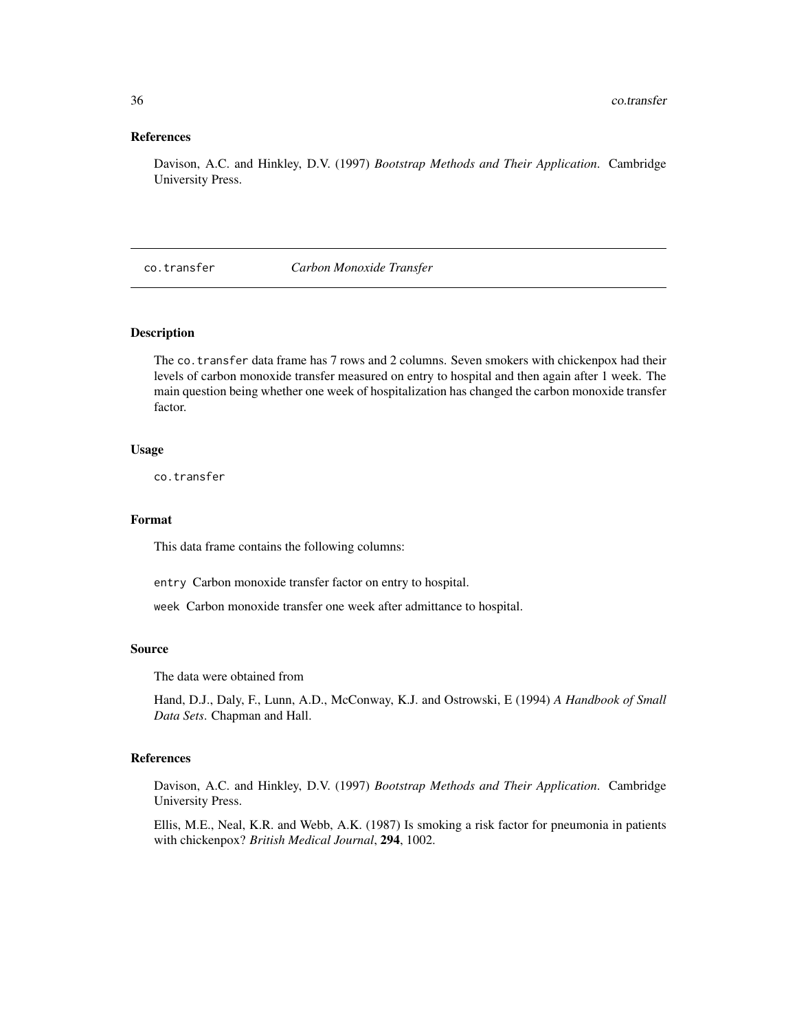## References

Davison, A.C. and Hinkley, D.V. (1997) *Bootstrap Methods and Their Application*. Cambridge University Press.

co.transfer *Carbon Monoxide Transfer*

## Description

The co.transfer data frame has 7 rows and 2 columns. Seven smokers with chickenpox had their levels of carbon monoxide transfer measured on entry to hospital and then again after 1 week. The main question being whether one week of hospitalization has changed the carbon monoxide transfer factor.

#### Usage

co.transfer

#### Format

This data frame contains the following columns:

entry Carbon monoxide transfer factor on entry to hospital.

week Carbon monoxide transfer one week after admittance to hospital.

#### Source

The data were obtained from

Hand, D.J., Daly, F., Lunn, A.D., McConway, K.J. and Ostrowski, E (1994) *A Handbook of Small Data Sets*. Chapman and Hall.

#### References

Davison, A.C. and Hinkley, D.V. (1997) *Bootstrap Methods and Their Application*. Cambridge University Press.

Ellis, M.E., Neal, K.R. and Webb, A.K. (1987) Is smoking a risk factor for pneumonia in patients with chickenpox? *British Medical Journal*, 294, 1002.

<span id="page-35-0"></span>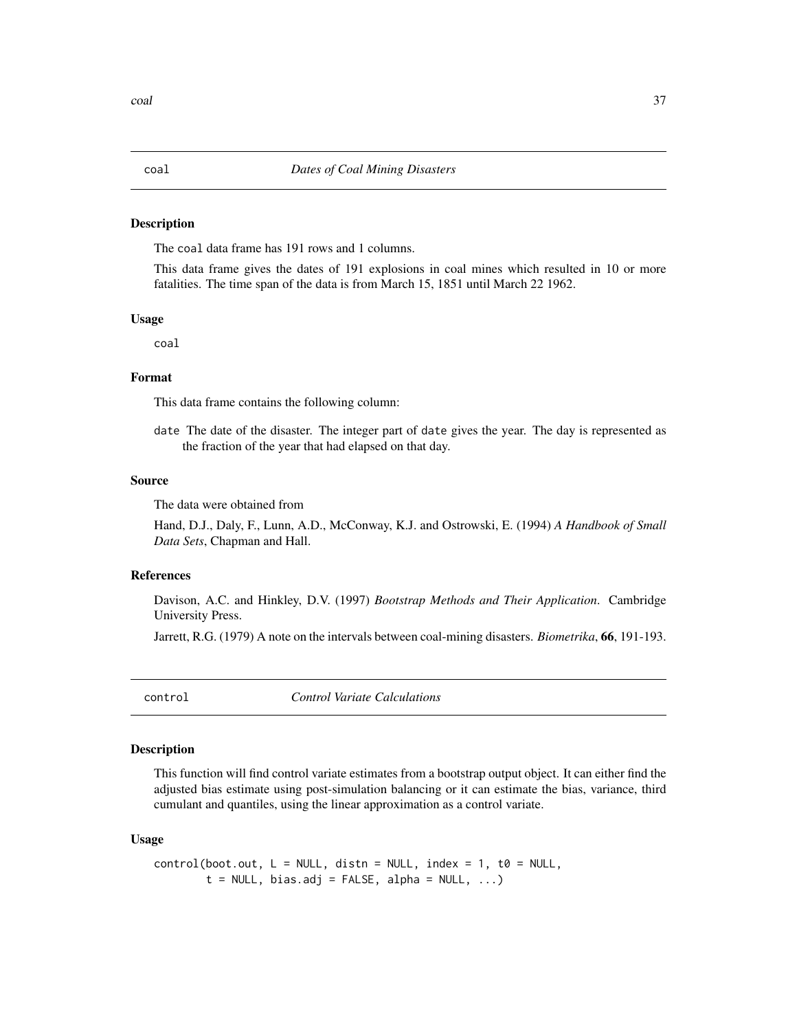#### Description

The coal data frame has 191 rows and 1 columns.

This data frame gives the dates of 191 explosions in coal mines which resulted in 10 or more fatalities. The time span of the data is from March 15, 1851 until March 22 1962.

#### Usage

coal

# Format

This data frame contains the following column:

date The date of the disaster. The integer part of date gives the year. The day is represented as the fraction of the year that had elapsed on that day.

#### Source

The data were obtained from

Hand, D.J., Daly, F., Lunn, A.D., McConway, K.J. and Ostrowski, E. (1994) *A Handbook of Small Data Sets*, Chapman and Hall.

#### References

Davison, A.C. and Hinkley, D.V. (1997) *Bootstrap Methods and Their Application*. Cambridge University Press.

Jarrett, R.G. (1979) A note on the intervals between coal-mining disasters. *Biometrika*, 66, 191-193.

<span id="page-36-0"></span>control *Control Variate Calculations*

## Description

This function will find control variate estimates from a bootstrap output object. It can either find the adjusted bias estimate using post-simulation balancing or it can estimate the bias, variance, third cumulant and quantiles, using the linear approximation as a control variate.

## Usage

$$
control(boot.out, L = NULL, distn = NULL, index = 1, t0 = NULL, t = NULL, bias.add = FALSE, alpha = NULL, ...)
$$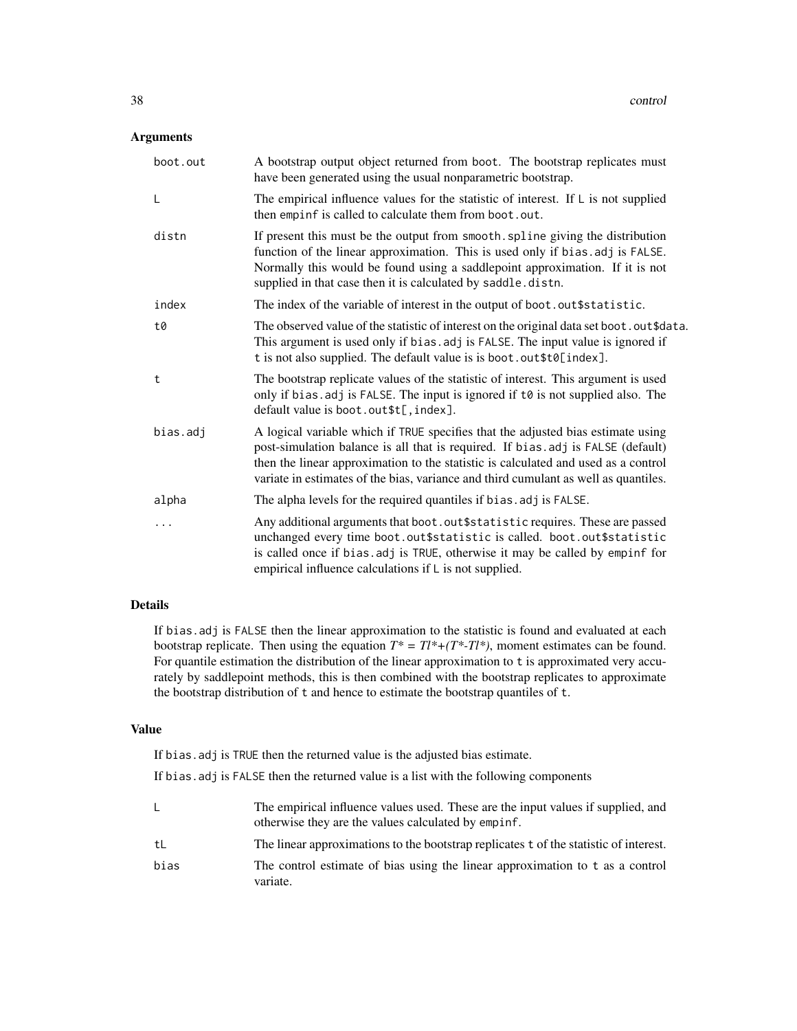# Arguments

| boot.out | A bootstrap output object returned from boot. The bootstrap replicates must<br>have been generated using the usual nonparametric bootstrap.                                                                                                                                                                                                      |
|----------|--------------------------------------------------------------------------------------------------------------------------------------------------------------------------------------------------------------------------------------------------------------------------------------------------------------------------------------------------|
| L        | The empirical influence values for the statistic of interest. If $\mathsf{L}$ is not supplied<br>then empinf is called to calculate them from boot.out.                                                                                                                                                                                          |
| distn    | If present this must be the output from smooth. spline giving the distribution<br>function of the linear approximation. This is used only if bias.adj is FALSE.<br>Normally this would be found using a saddlepoint approximation. If it is not<br>supplied in that case then it is calculated by saddle.distn.                                  |
| index    | The index of the variable of interest in the output of boot.out\$statistic.                                                                                                                                                                                                                                                                      |
| t0       | The observed value of the statistic of interest on the original data set boot. out \$data.<br>This argument is used only if bias. adj is FALSE. The input value is ignored if<br>t is not also supplied. The default value is is boot.out\$t0[index].                                                                                            |
| t        | The bootstrap replicate values of the statistic of interest. This argument is used<br>only if bias. adj is FALSE. The input is ignored if $t\theta$ is not supplied also. The<br>default value is boot.out\$t[, index].                                                                                                                          |
| bias.adj | A logical variable which if TRUE specifies that the adjusted bias estimate using<br>post-simulation balance is all that is required. If bias.adj is FALSE (default)<br>then the linear approximation to the statistic is calculated and used as a control<br>variate in estimates of the bias, variance and third cumulant as well as quantiles. |
| alpha    | The alpha levels for the required quantiles if bias. adj is FALSE.                                                                                                                                                                                                                                                                               |
| .        | Any additional arguments that boot. out \$statistic requires. These are passed<br>unchanged every time boot.out\$statistic is called. boot.out\$statistic<br>is called once if bias. adj is TRUE, otherwise it may be called by empinf for<br>empirical influence calculations if $\mathsf{L}$ is not supplied.                                  |

# Details

If bias.adj is FALSE then the linear approximation to the statistic is found and evaluated at each bootstrap replicate. Then using the equation  $T^* = TI^*+(T^*-TI^*)$ , moment estimates can be found. For quantile estimation the distribution of the linear approximation to t is approximated very accurately by saddlepoint methods, this is then combined with the bootstrap replicates to approximate the bootstrap distribution of t and hence to estimate the bootstrap quantiles of t.

# Value

If bias.adj is TRUE then the returned value is the adjusted bias estimate.

If bias.adj is FALSE then the returned value is a list with the following components

|      | The empirical influence values used. These are the input values if supplied, and<br>otherwise they are the values calculated by empinf. |
|------|-----------------------------------------------------------------------------------------------------------------------------------------|
| tL   | The linear approximations to the bootstrap replicates t of the statistic of interest.                                                   |
| bias | The control estimate of bias using the linear approximation to t as a control<br>variate.                                               |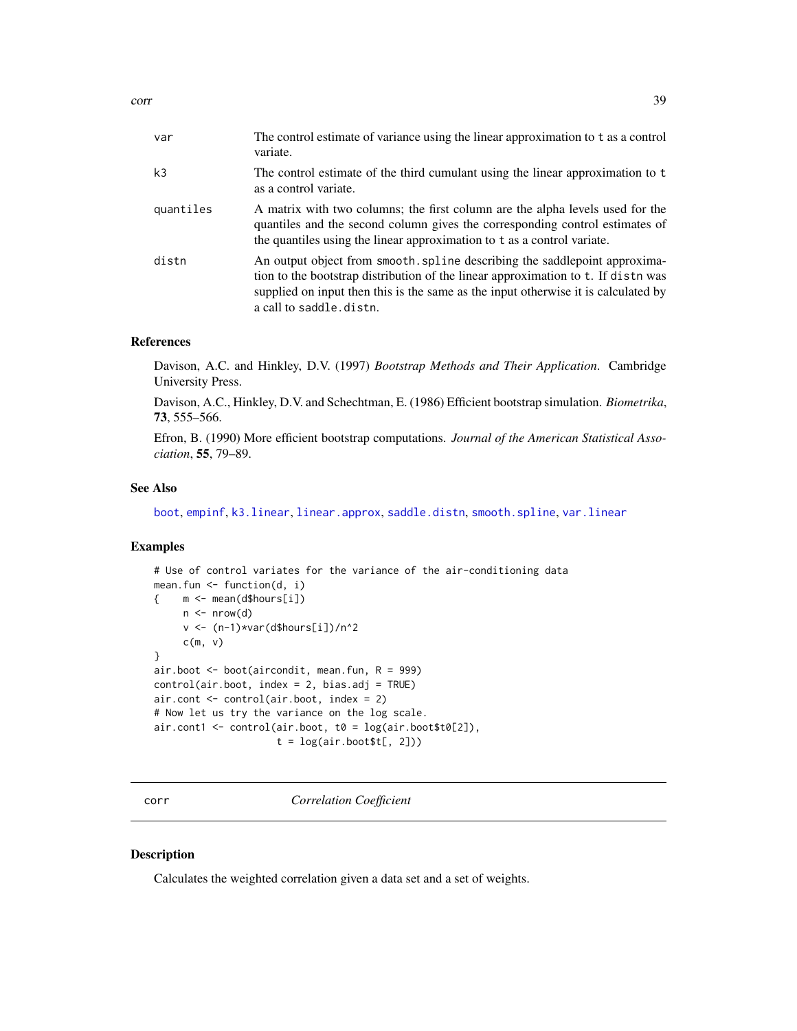| var       | The control estimate of variance using the linear approximation to t as a control<br>variate.                                                                                                                                                                                    |
|-----------|----------------------------------------------------------------------------------------------------------------------------------------------------------------------------------------------------------------------------------------------------------------------------------|
| k3        | The control estimate of the third cumulant using the linear approximation to t<br>as a control variate.                                                                                                                                                                          |
| quantiles | A matrix with two columns; the first column are the alpha levels used for the<br>quantiles and the second column gives the corresponding control estimates of<br>the quantiles using the linear approximation to t as a control variate.                                         |
| distn     | An output object from smooth. spline describing the saddlepoint approxima-<br>tion to the bootstrap distribution of the linear approximation to t. If distn was<br>supplied on input then this is the same as the input otherwise it is calculated by<br>a call to saddle.distn. |

# References

Davison, A.C. and Hinkley, D.V. (1997) *Bootstrap Methods and Their Application*. Cambridge University Press.

Davison, A.C., Hinkley, D.V. and Schechtman, E. (1986) Efficient bootstrap simulation. *Biometrika*, 73, 555–566.

Efron, B. (1990) More efficient bootstrap computations. *Journal of the American Statistical Association*, 55, 79–89.

## See Also

[boot](#page-10-0), [empinf](#page-46-0), [k3.linear](#page-66-0), [linear.approx](#page-67-0), [saddle.distn](#page-91-0), [smooth.spline](#page-0-0), [var.linear](#page-112-0)

## Examples

```
# Use of control variates for the variance of the air-conditioning data
mean.fun <- function(d, i)
{ m <- mean(d$hours[i])
    n \leq -nrow(d)v <- (n-1)*var(d$hours[i])/n^2
     c(m, v)}
air.boot <- boot(aircondit, mean.fun, R = 999)
control(air.boot, index = 2, bias.adj = TRUE)
air.cont <- control(air.boot, index = 2)
# Now let us try the variance on the log scale.
air.cont1 <- control(air.boot, t0 = log(air.boot$t0[2]),
                     t = log(air.boot$t[, 2])
```
corr *Correlation Coefficient*

# Description

Calculates the weighted correlation given a data set and a set of weights.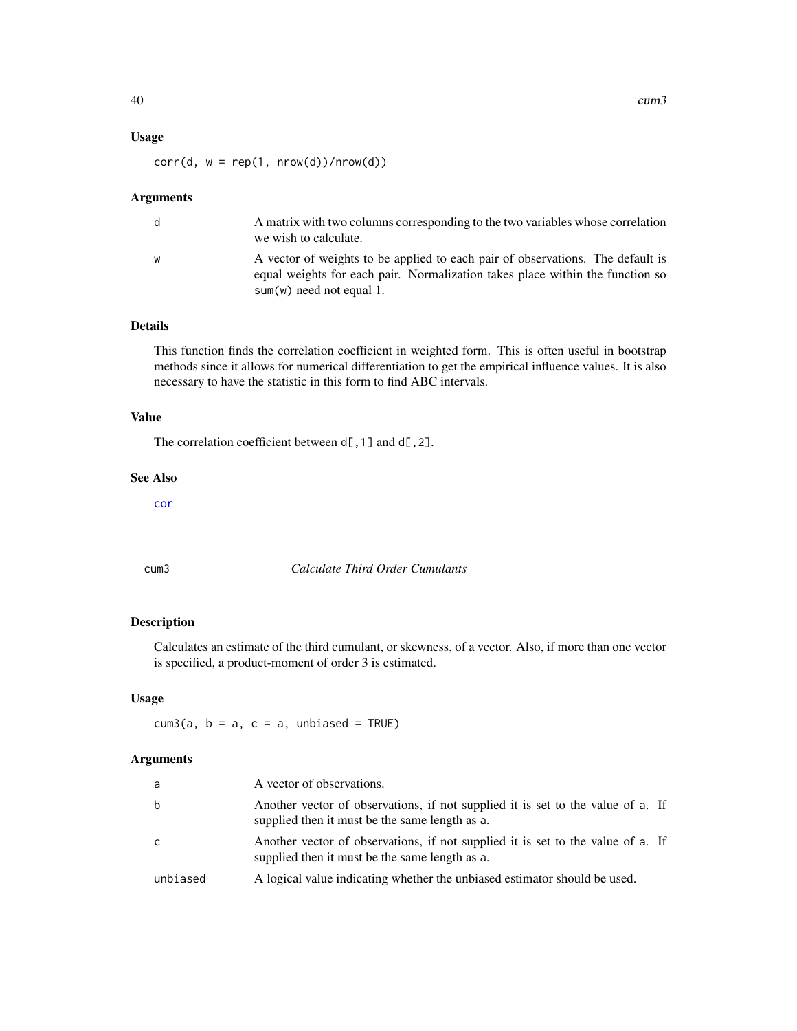# Usage

 $corr(d, w = rep(1, nrow(d))/nrow(d))$ 

#### Arguments

| d. | A matrix with two columns corresponding to the two variables whose correlation<br>we wish to calculate.                                                                                       |
|----|-----------------------------------------------------------------------------------------------------------------------------------------------------------------------------------------------|
| W  | A vector of weights to be applied to each pair of observations. The default is<br>equal weights for each pair. Normalization takes place within the function so<br>$sum(w)$ need not equal 1. |

# Details

This function finds the correlation coefficient in weighted form. This is often useful in bootstrap methods since it allows for numerical differentiation to get the empirical influence values. It is also necessary to have the statistic in this form to find ABC intervals.

## Value

The correlation coefficient between  $d[$ , 1] and  $d[$ , 2].

## See Also

[cor](#page-0-0)

## cum3 *Calculate Third Order Cumulants*

# Description

Calculates an estimate of the third cumulant, or skewness, of a vector. Also, if more than one vector is specified, a product-moment of order 3 is estimated.

# Usage

 $cum3(a, b = a, c = a, unbiased = TRUE)$ 

## Arguments

| a        | A vector of observations.                                                                                                         |
|----------|-----------------------------------------------------------------------------------------------------------------------------------|
| b        | Another vector of observations, if not supplied it is set to the value of a. If<br>supplied then it must be the same length as a. |
| C.       | Another vector of observations, if not supplied it is set to the value of a. If<br>supplied then it must be the same length as a. |
| unbiased | A logical value indicating whether the unbiased estimator should be used.                                                         |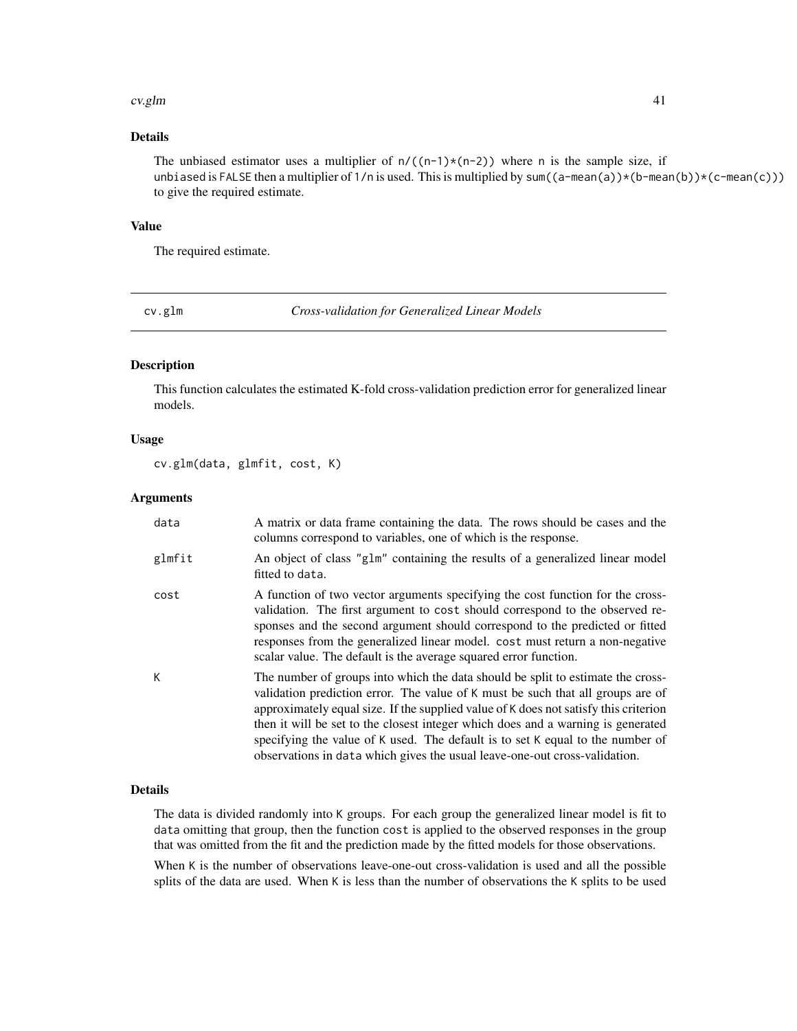#### cv.glm 41

# Details

The unbiased estimator uses a multiplier of  $n/((n-1)*(n-2))$  where n is the sample size, if unbiased is FALSE then a multiplier of 1/n is used. This is multiplied by sum((a-mean(a))\*(b-mean(b))\*(c-mean(c))) to give the required estimate.

#### Value

The required estimate.

cv.glm *Cross-validation for Generalized Linear Models*

# Description

This function calculates the estimated K-fold cross-validation prediction error for generalized linear models.

## Usage

cv.glm(data, glmfit, cost, K)

## Arguments

| data   | A matrix or data frame containing the data. The rows should be cases and the<br>columns correspond to variables, one of which is the response.                                                                                                                                                                                                                                                                                                                                                                 |
|--------|----------------------------------------------------------------------------------------------------------------------------------------------------------------------------------------------------------------------------------------------------------------------------------------------------------------------------------------------------------------------------------------------------------------------------------------------------------------------------------------------------------------|
| glmfit | An object of class "glm" containing the results of a generalized linear model<br>fitted to data.                                                                                                                                                                                                                                                                                                                                                                                                               |
| cost   | A function of two vector arguments specifying the cost function for the cross-<br>validation. The first argument to cost should correspond to the observed re-<br>sponses and the second argument should correspond to the predicted or fitted<br>responses from the generalized linear model. cost must return a non-negative<br>scalar value. The default is the average squared error function.                                                                                                             |
| K      | The number of groups into which the data should be split to estimate the cross-<br>validation prediction error. The value of K must be such that all groups are of<br>approximately equal size. If the supplied value of K does not satisfy this criterion<br>then it will be set to the closest integer which does and a warning is generated<br>specifying the value of K used. The default is to set K equal to the number of<br>observations in data which gives the usual leave-one-out cross-validation. |

#### Details

The data is divided randomly into K groups. For each group the generalized linear model is fit to data omitting that group, then the function cost is applied to the observed responses in the group that was omitted from the fit and the prediction made by the fitted models for those observations.

When K is the number of observations leave-one-out cross-validation is used and all the possible splits of the data are used. When K is less than the number of observations the K splits to be used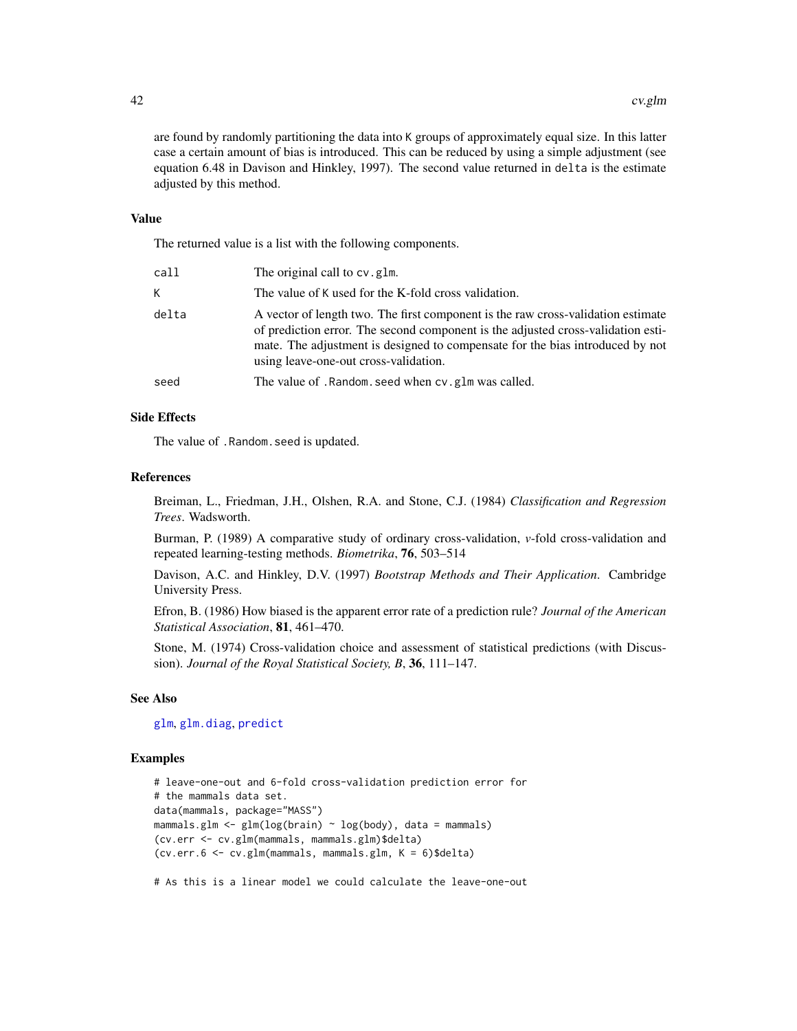are found by randomly partitioning the data into K groups of approximately equal size. In this latter case a certain amount of bias is introduced. This can be reduced by using a simple adjustment (see equation 6.48 in Davison and Hinkley, 1997). The second value returned in delta is the estimate adjusted by this method.

## Value

The returned value is a list with the following components.

| call  | The original call to cv. glm.                                                                                                                                                                                                                                                                  |
|-------|------------------------------------------------------------------------------------------------------------------------------------------------------------------------------------------------------------------------------------------------------------------------------------------------|
| K     | The value of K used for the K-fold cross validation.                                                                                                                                                                                                                                           |
| delta | A vector of length two. The first component is the raw cross-validation estimate<br>of prediction error. The second component is the adjusted cross-validation esti-<br>mate. The adjustment is designed to compensate for the bias introduced by not<br>using leave-one-out cross-validation. |
| seed  | The value of . Random. seed when cv. glm was called.                                                                                                                                                                                                                                           |
|       |                                                                                                                                                                                                                                                                                                |

# Side Effects

The value of .Random.seed is updated.

#### References

Breiman, L., Friedman, J.H., Olshen, R.A. and Stone, C.J. (1984) *Classification and Regression Trees*. Wadsworth.

Burman, P. (1989) A comparative study of ordinary cross-validation, *v*-fold cross-validation and repeated learning-testing methods. *Biometrika*, 76, 503–514

Davison, A.C. and Hinkley, D.V. (1997) *Bootstrap Methods and Their Application*. Cambridge University Press.

Efron, B. (1986) How biased is the apparent error rate of a prediction rule? *Journal of the American Statistical Association*, 81, 461–470.

Stone, M. (1974) Cross-validation choice and assessment of statistical predictions (with Discussion). *Journal of the Royal Statistical Society, B*, 36, 111–147.

## See Also

[glm](#page-0-0), [glm.diag](#page-55-0), [predict](#page-0-0)

## Examples

```
# leave-one-out and 6-fold cross-validation prediction error for
# the mammals data set.
data(mammals, package="MASS")
mammals.glm <- glm(log(brain) ~ log(body), data = mammals)
(cv.err <- cv.glm(mammals, mammals.glm)$delta)
(cv.err.6 <- cv.glm(mammals, mammals.glm, K = 6)$delta)
```
# As this is a linear model we could calculate the leave-one-out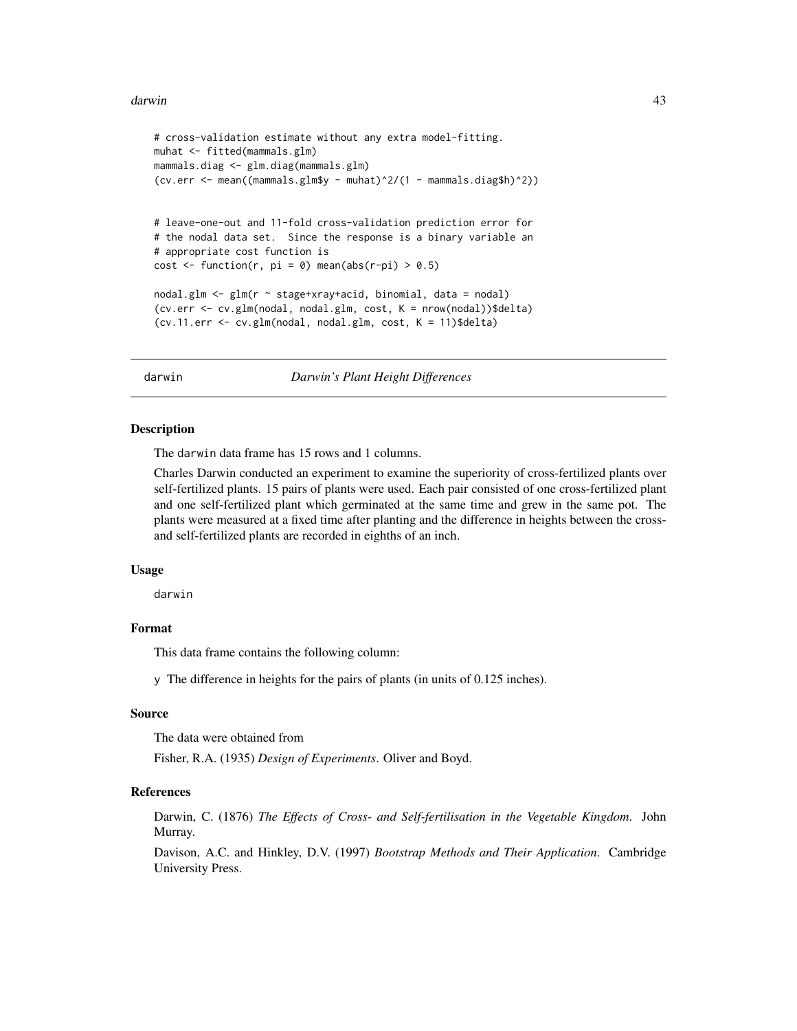#### darwin **43**

```
# cross-validation estimate without any extra model-fitting.
muhat <- fitted(mammals.glm)
mammals.diag <- glm.diag(mammals.glm)
(cv.err < - mean((mammals.glm$y - muhat)<sup>2</sup>/(1 - mammals.diag$h)<sup>2</sup>))# leave-one-out and 11-fold cross-validation prediction error for
# the nodal data set. Since the response is a binary variable an
# appropriate cost function is
cost \le function(r, pi = 0) mean(abs(r-pi) > 0.5)
nodal.glm <- glm(r ~ stage+xray+acid, binomial, data = nodal)
(cv.err <- cv.glm(nodal, nodal.glm, cost, K = nrow(nodal))$delta)
(cv.11.err <- cv.glm(nodal, nodal.glm, cost, K = 11)$delta)
```
darwin *Darwin's Plant Height Differences*

## Description

The darwin data frame has 15 rows and 1 columns.

Charles Darwin conducted an experiment to examine the superiority of cross-fertilized plants over self-fertilized plants. 15 pairs of plants were used. Each pair consisted of one cross-fertilized plant and one self-fertilized plant which germinated at the same time and grew in the same pot. The plants were measured at a fixed time after planting and the difference in heights between the crossand self-fertilized plants are recorded in eighths of an inch.

#### Usage

darwin

# Format

This data frame contains the following column:

y The difference in heights for the pairs of plants (in units of 0.125 inches).

#### Source

The data were obtained from

Fisher, R.A. (1935) *Design of Experiments*. Oliver and Boyd.

# References

Darwin, C. (1876) *The Effects of Cross- and Self-fertilisation in the Vegetable Kingdom*. John Murray.

Davison, A.C. and Hinkley, D.V. (1997) *Bootstrap Methods and Their Application*. Cambridge University Press.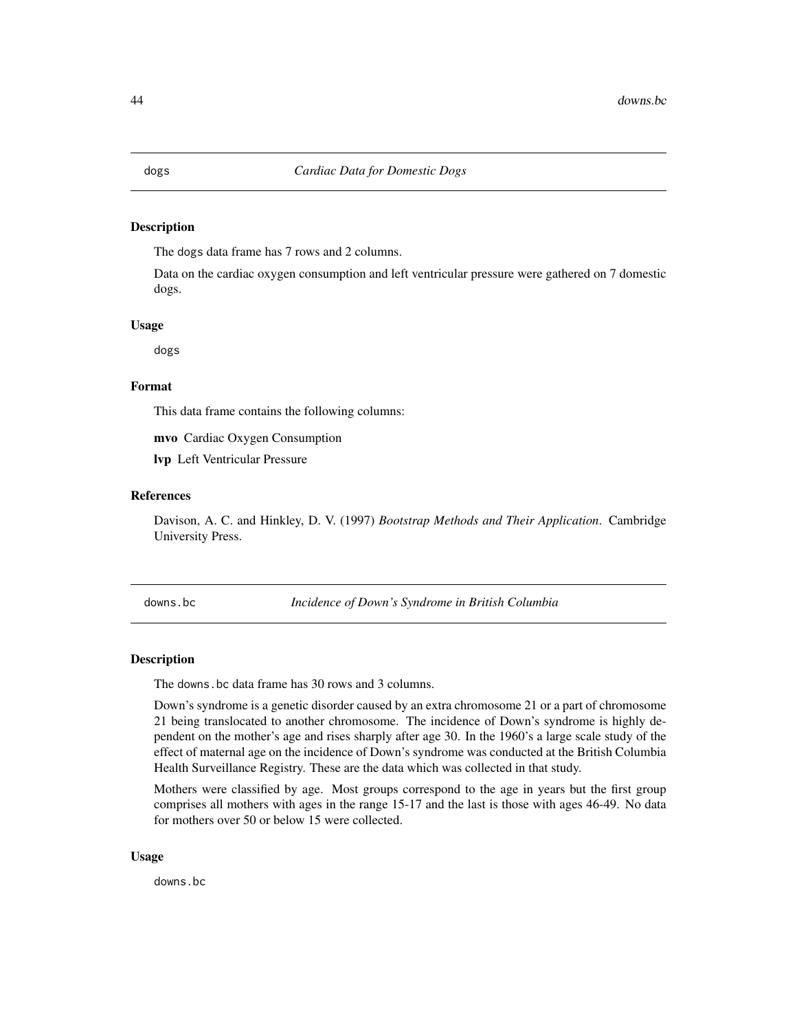## Description

The dogs data frame has 7 rows and 2 columns.

Data on the cardiac oxygen consumption and left ventricular pressure were gathered on 7 domestic dogs.

#### Usage

dogs

## Format

This data frame contains the following columns:

mvo Cardiac Oxygen Consumption

lvp Left Ventricular Pressure

# References

Davison, A. C. and Hinkley, D. V. (1997) *Bootstrap Methods and Their Application*. Cambridge University Press.

downs.bc *Incidence of Down's Syndrome in British Columbia*

#### Description

The downs.bc data frame has 30 rows and 3 columns.

Down's syndrome is a genetic disorder caused by an extra chromosome 21 or a part of chromosome 21 being translocated to another chromosome. The incidence of Down's syndrome is highly dependent on the mother's age and rises sharply after age 30. In the 1960's a large scale study of the effect of maternal age on the incidence of Down's syndrome was conducted at the British Columbia Health Surveillance Registry. These are the data which was collected in that study.

Mothers were classified by age. Most groups correspond to the age in years but the first group comprises all mothers with ages in the range 15-17 and the last is those with ages 46-49. No data for mothers over 50 or below 15 were collected.

#### Usage

downs.bc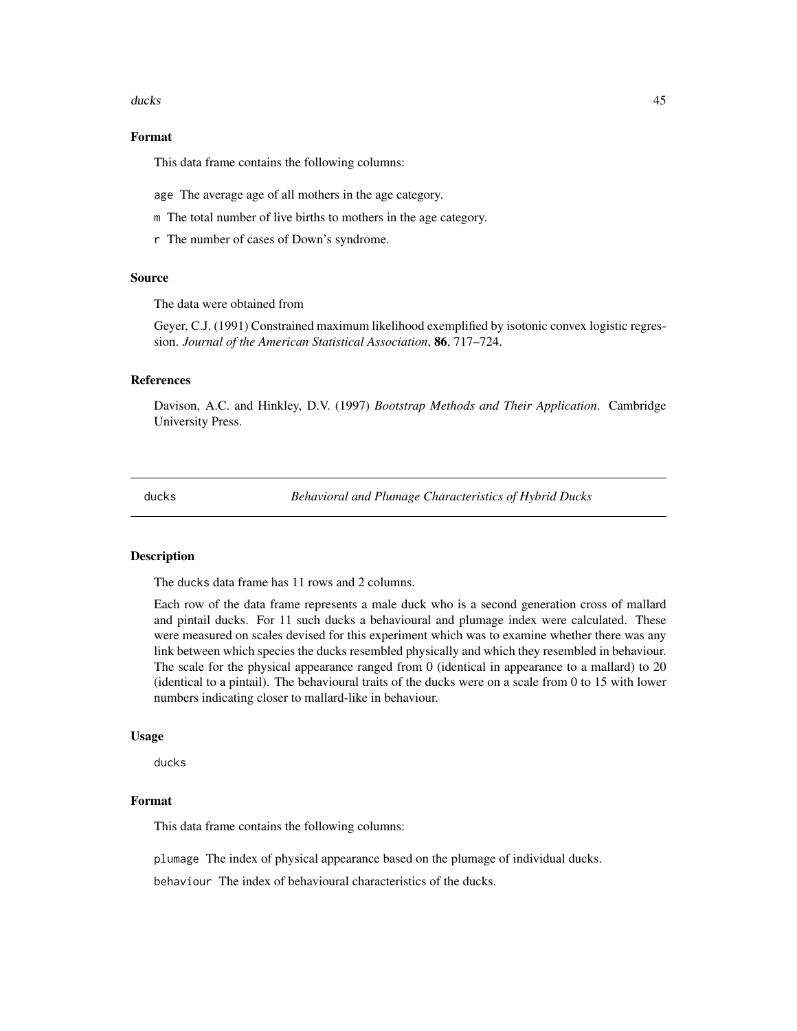#### ducks and the contract of the contract of the contract of the contract of the contract of the contract of the contract of the contract of the contract of the contract of the contract of the contract of the contract of the

# Format

This data frame contains the following columns:

age The average age of all mothers in the age category.

- m The total number of live births to mothers in the age category.
- r The number of cases of Down's syndrome.

#### Source

The data were obtained from

Geyer, C.J. (1991) Constrained maximum likelihood exemplified by isotonic convex logistic regression. *Journal of the American Statistical Association*, 86, 717–724.

## References

Davison, A.C. and Hinkley, D.V. (1997) *Bootstrap Methods and Their Application*. Cambridge University Press.

ducks *Behavioral and Plumage Characteristics of Hybrid Ducks*

# Description

The ducks data frame has 11 rows and 2 columns.

Each row of the data frame represents a male duck who is a second generation cross of mallard and pintail ducks. For 11 such ducks a behavioural and plumage index were calculated. These were measured on scales devised for this experiment which was to examine whether there was any link between which species the ducks resembled physically and which they resembled in behaviour. The scale for the physical appearance ranged from 0 (identical in appearance to a mallard) to 20 (identical to a pintail). The behavioural traits of the ducks were on a scale from 0 to 15 with lower numbers indicating closer to mallard-like in behaviour.

## Usage

ducks

# Format

This data frame contains the following columns:

plumage The index of physical appearance based on the plumage of individual ducks.

behaviour The index of behavioural characteristics of the ducks.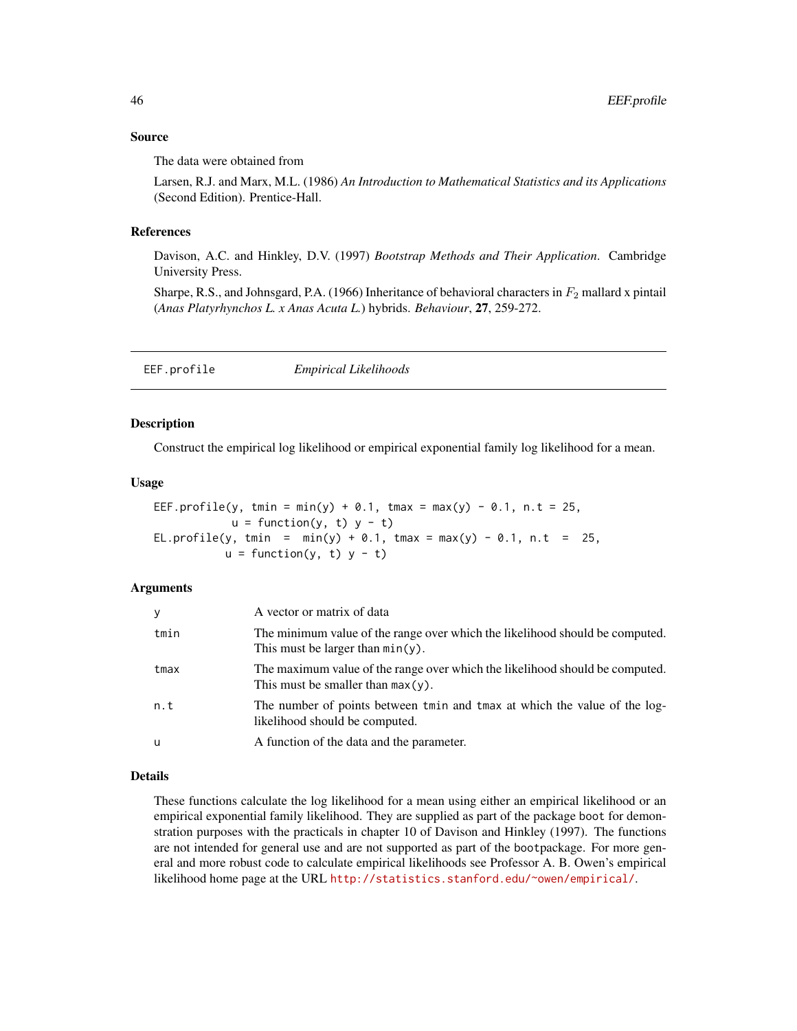## Source

The data were obtained from

Larsen, R.J. and Marx, M.L. (1986) *An Introduction to Mathematical Statistics and its Applications* (Second Edition). Prentice-Hall.

### References

Davison, A.C. and Hinkley, D.V. (1997) *Bootstrap Methods and Their Application*. Cambridge University Press.

Sharpe, R.S., and Johnsgard, P.A. (1966) Inheritance of behavioral characters in  $F_2$  mallard x pintail (*Anas Platyrhynchos L. x Anas Acuta L.*) hybrids. *Behaviour*, 27, 259-272.

| EEF.profile | <b>Empirical Likelihoods</b> |
|-------------|------------------------------|
|             |                              |

# **Description**

Construct the empirical log likelihood or empirical exponential family log likelihood for a mean.

## Usage

```
EEF.profile(y, tmin = min(y) + 0.1, tmax = max(y) - 0.1, n.t = 25,
           u = function(y, t) y - t)
EL.profile(y, tmin = min(y) + 0.1, tmax = max(y) - 0.1, n.t = 25,
          u = function(y, t) y - t)
```
## Arguments

| У    | A vector or matrix of data                                                                                           |
|------|----------------------------------------------------------------------------------------------------------------------|
| tmin | The minimum value of the range over which the likelihood should be computed.<br>This must be larger than $min(y)$ .  |
| tmax | The maximum value of the range over which the likelihood should be computed.<br>This must be smaller than $max(y)$ . |
| n.t  | The number of points between tmin and tmax at which the value of the log-<br>likelihood should be computed.          |
| u    | A function of the data and the parameter.                                                                            |

## Details

These functions calculate the log likelihood for a mean using either an empirical likelihood or an empirical exponential family likelihood. They are supplied as part of the package boot for demonstration purposes with the practicals in chapter 10 of Davison and Hinkley (1997). The functions are not intended for general use and are not supported as part of the bootpackage. For more general and more robust code to calculate empirical likelihoods see Professor A. B. Owen's empirical likelihood home page at the URL <http://statistics.stanford.edu/~owen/empirical/>.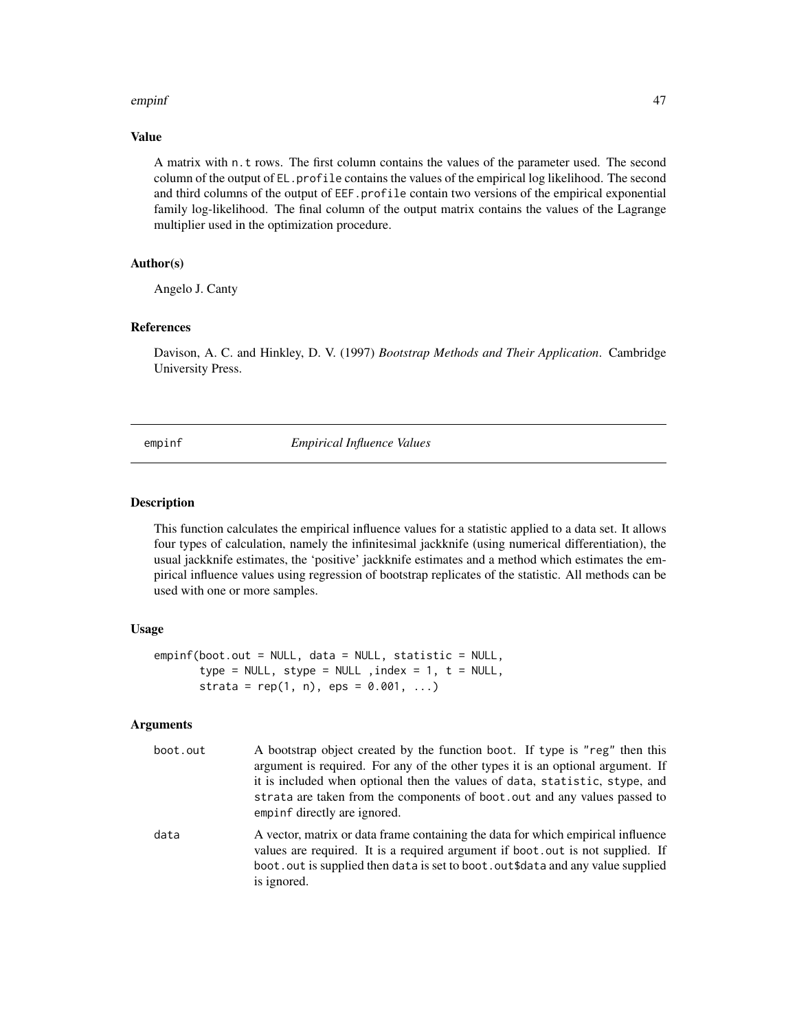#### empinf and the contract of the contract of the contract of the contract of the contract of the contract of the contract of the contract of the contract of the contract of the contract of the contract of the contract of the

# Value

A matrix with n.t rows. The first column contains the values of the parameter used. The second column of the output of EL.profile contains the values of the empirical log likelihood. The second and third columns of the output of EEF.profile contain two versions of the empirical exponential family log-likelihood. The final column of the output matrix contains the values of the Lagrange multiplier used in the optimization procedure.

## Author(s)

Angelo J. Canty

## References

Davison, A. C. and Hinkley, D. V. (1997) *Bootstrap Methods and Their Application*. Cambridge University Press.

<span id="page-46-0"></span>

empinf *Empirical Influence Values*

# Description

This function calculates the empirical influence values for a statistic applied to a data set. It allows four types of calculation, namely the infinitesimal jackknife (using numerical differentiation), the usual jackknife estimates, the 'positive' jackknife estimates and a method which estimates the empirical influence values using regression of bootstrap replicates of the statistic. All methods can be used with one or more samples.

## Usage

```
empinf(boot.out = NULL, data = NULL, statistic = NULL,
       type = NULL, stype = NULL , index = 1, t = NULL,
       strata = rep(1, n), eps = 0.001, ...)
```
#### Arguments

| boot.out | A bootstrap object created by the function boot. If type is "reg" then this<br>argument is required. For any of the other types it is an optional argument. If<br>it is included when optional then the values of data, statistic, stype, and<br>strata are taken from the components of boot, out and any values passed to<br>empinf directly are ignored. |
|----------|-------------------------------------------------------------------------------------------------------------------------------------------------------------------------------------------------------------------------------------------------------------------------------------------------------------------------------------------------------------|
| data     | A vector, matrix or data frame containing the data for which empirical influence<br>values are required. It is a required argument if boot out is not supplied. If<br>boot out is supplied then data is set to boot out\$data and any value supplied<br>is ignored.                                                                                         |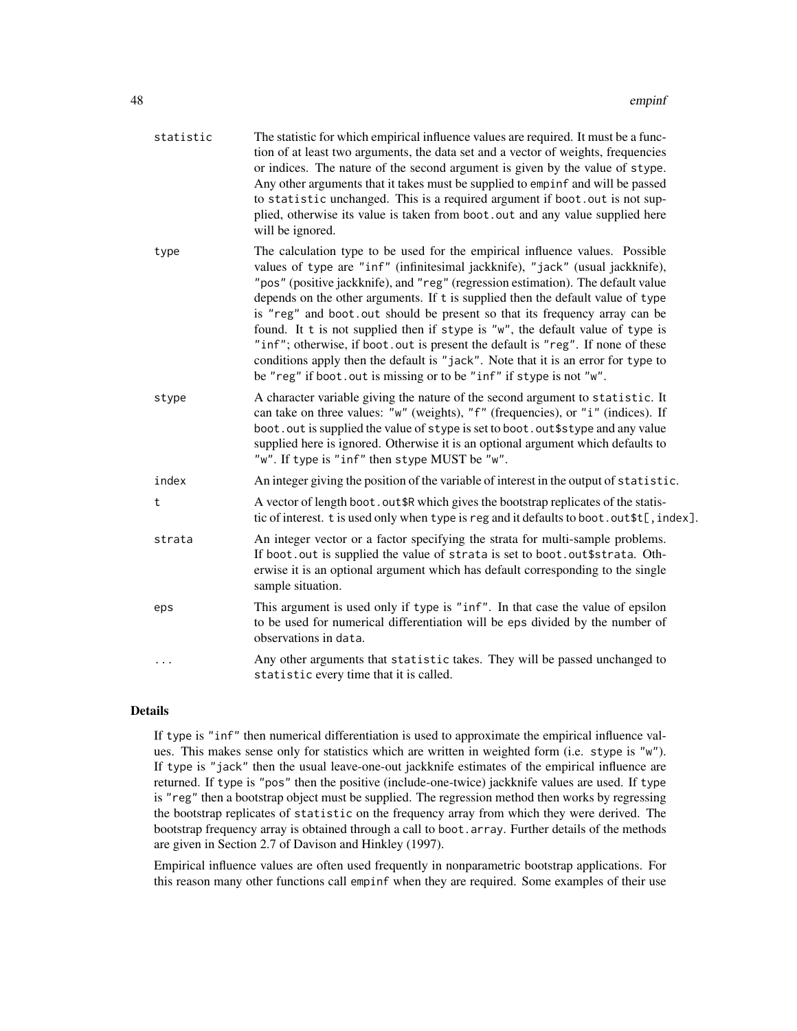| statistic | The statistic for which empirical influence values are required. It must be a func-<br>tion of at least two arguments, the data set and a vector of weights, frequencies<br>or indices. The nature of the second argument is given by the value of stype.<br>Any other arguments that it takes must be supplied to empinf and will be passed<br>to statistic unchanged. This is a required argument if boot. out is not sup-<br>plied, otherwise its value is taken from boot. out and any value supplied here<br>will be ignored.                                                                                                                                                                                                                    |
|-----------|-------------------------------------------------------------------------------------------------------------------------------------------------------------------------------------------------------------------------------------------------------------------------------------------------------------------------------------------------------------------------------------------------------------------------------------------------------------------------------------------------------------------------------------------------------------------------------------------------------------------------------------------------------------------------------------------------------------------------------------------------------|
| type      | The calculation type to be used for the empirical influence values. Possible<br>values of type are "inf" (infinitesimal jackknife), "jack" (usual jackknife),<br>"pos" (positive jackknife), and "reg" (regression estimation). The default value<br>depends on the other arguments. If t is supplied then the default value of type<br>is "reg" and boot.out should be present so that its frequency array can be<br>found. It t is not supplied then if stype is "w", the default value of type is<br>"inf"; otherwise, if boot. out is present the default is "reg". If none of these<br>conditions apply then the default is "jack". Note that it is an error for type to<br>be "reg" if boot. out is missing or to be "inf" if stype is not "w". |
| stype     | A character variable giving the nature of the second argument to statistic. It<br>can take on three values: "w" (weights), "f" (frequencies), or "i" (indices). If<br>boot. out is supplied the value of stype is set to boot. out \$stype and any value<br>supplied here is ignored. Otherwise it is an optional argument which defaults to<br>"w". If type is "inf" then stype MUST be "w".                                                                                                                                                                                                                                                                                                                                                         |
| index     | An integer giving the position of the variable of interest in the output of statistic.                                                                                                                                                                                                                                                                                                                                                                                                                                                                                                                                                                                                                                                                |
| t         | A vector of length boot. out \$R which gives the bootstrap replicates of the statis-<br>tic of interest. t is used only when type is reg and it defaults to boot.out\$t[, index].                                                                                                                                                                                                                                                                                                                                                                                                                                                                                                                                                                     |
| strata    | An integer vector or a factor specifying the strata for multi-sample problems.<br>If boot.out is supplied the value of strata is set to boot.out\$strata. Oth-<br>erwise it is an optional argument which has default corresponding to the single<br>sample situation.                                                                                                                                                                                                                                                                                                                                                                                                                                                                                |
| eps       | This argument is used only if type is "inf". In that case the value of epsilon<br>to be used for numerical differentiation will be eps divided by the number of<br>observations in data.                                                                                                                                                                                                                                                                                                                                                                                                                                                                                                                                                              |
| $\cdots$  | Any other arguments that statistic takes. They will be passed unchanged to<br>statistic every time that it is called.                                                                                                                                                                                                                                                                                                                                                                                                                                                                                                                                                                                                                                 |

# Details

If type is "inf" then numerical differentiation is used to approximate the empirical influence values. This makes sense only for statistics which are written in weighted form (i.e. stype is "w"). If type is "jack" then the usual leave-one-out jackknife estimates of the empirical influence are returned. If type is "pos" then the positive (include-one-twice) jackknife values are used. If type is "reg" then a bootstrap object must be supplied. The regression method then works by regressing the bootstrap replicates of statistic on the frequency array from which they were derived. The bootstrap frequency array is obtained through a call to boot.array. Further details of the methods are given in Section 2.7 of Davison and Hinkley (1997).

Empirical influence values are often used frequently in nonparametric bootstrap applications. For this reason many other functions call empinf when they are required. Some examples of their use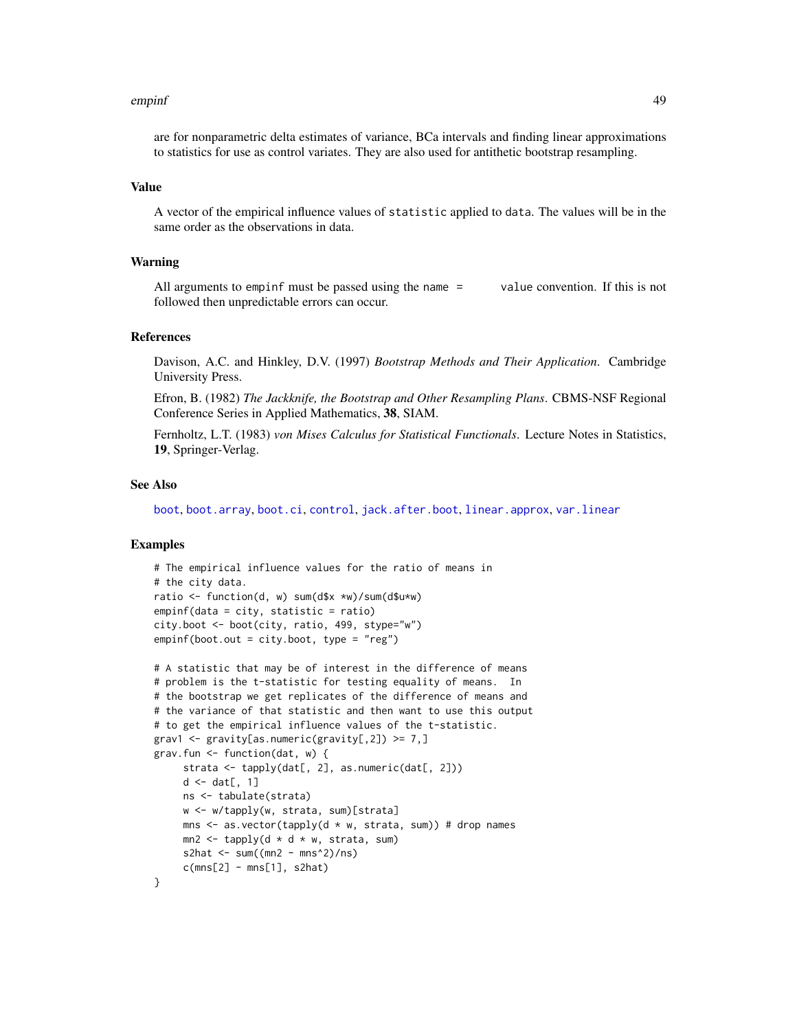#### empinf and the contract of the contract of the contract of the contract of the contract of the contract of the contract of the contract of the contract of the contract of the contract of the contract of the contract of the

are for nonparametric delta estimates of variance, BCa intervals and finding linear approximations to statistics for use as control variates. They are also used for antithetic bootstrap resampling.

#### Value

A vector of the empirical influence values of statistic applied to data. The values will be in the same order as the observations in data.

# Warning

All arguments to empinf must be passed using the name = value convention. If this is not followed then unpredictable errors can occur.

# References

Davison, A.C. and Hinkley, D.V. (1997) *Bootstrap Methods and Their Application*. Cambridge University Press.

Efron, B. (1982) *The Jackknife, the Bootstrap and Other Resampling Plans*. CBMS-NSF Regional Conference Series in Applied Mathematics, 38, SIAM.

Fernholtz, L.T. (1983) *von Mises Calculus for Statistical Functionals*. Lecture Notes in Statistics, 19, Springer-Verlag.

## See Also

[boot](#page-10-0), [boot.array](#page-16-0), [boot.ci](#page-17-0), [control](#page-36-0), [jack.after.boot](#page-64-0), [linear.approx](#page-67-0), [var.linear](#page-112-0)

## Examples

```
# The empirical influence values for the ratio of means in
# the city data.
ratio <- function(d, w) sum(d$x *w)/sum(d$u*w)
empinf(data = city, statistic = ratio)
city.boot <- boot(city, ratio, 499, stype="w")
empinf(boot.out = city.boot, type = "reg")
```

```
# A statistic that may be of interest in the difference of means
# problem is the t-statistic for testing equality of means. In
# the bootstrap we get replicates of the difference of means and
# the variance of that statistic and then want to use this output
# to get the empirical influence values of the t-statistic.
grav1 \leq gravity[as.numeric(gravity[,2]) \geq 7,]
grav.fun <- function(dat, w) {
     strata <- tapply(dat[, 2], as.numeric(dat[, 2]))
     d \leftarrow dat[, 1]ns <- tabulate(strata)
     w <- w/tapply(w, strata, sum)[strata]
    mns \leq as.vector(tapply(d * w, strata, sum)) # drop names
    mn2 \leq - \t{tapply}(d * d * w, \text{ strata}, \text{ sum})s2hat \leq sum((mn2 - mns^2)/ns)
     c(mns[2] - mns[1], s2hat)}
```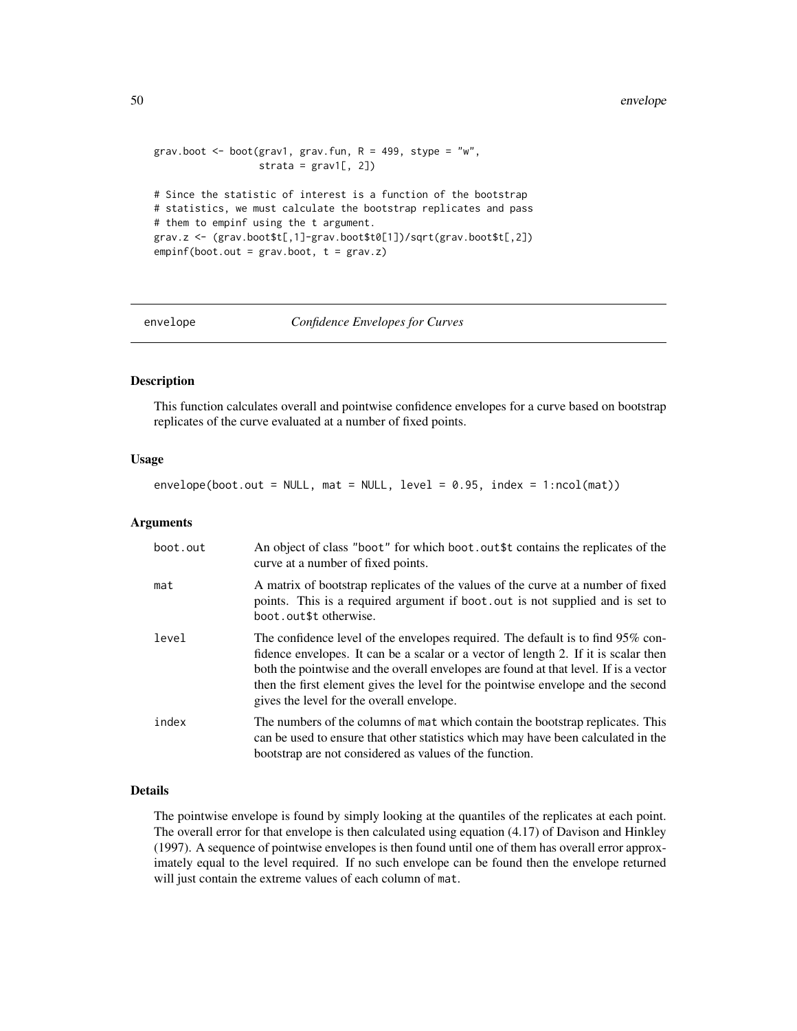```
grav.boot \leq boot(grav1, grav.fun, R = 499, stype = "w",
                  strata = grav1[, 2])# Since the statistic of interest is a function of the bootstrap
# statistics, we must calculate the bootstrap replicates and pass
# them to empinf using the t argument.
grav.z <- (grav.boot$t[,1]-grav.boot$t0[1])/sqrt(grav.boot$t[,2])
empinf(boot.out = grav.boot, t = grav.z)
```
envelope *Confidence Envelopes for Curves*

# **Description**

This function calculates overall and pointwise confidence envelopes for a curve based on bootstrap replicates of the curve evaluated at a number of fixed points.

## Usage

 $envelope(boot.out = NULL, mat = NULL, level = 0.95, index = 1:ncol(mat))$ 

#### **Arguments**

| boot.out | An object of class "boot" for which boot out\$t contains the replicates of the<br>curve at a number of fixed points.                                                                                                                                                                                                                                                                            |
|----------|-------------------------------------------------------------------------------------------------------------------------------------------------------------------------------------------------------------------------------------------------------------------------------------------------------------------------------------------------------------------------------------------------|
| mat      | A matrix of bootstrap replicates of the values of the curve at a number of fixed<br>points. This is a required argument if boot out is not supplied and is set to<br>boot.out\$t otherwise.                                                                                                                                                                                                     |
| level    | The confidence level of the envelopes required. The default is to find 95% con-<br>fidence envelopes. It can be a scalar or a vector of length 2. If it is scalar then<br>both the pointwise and the overall envelopes are found at that level. If is a vector<br>then the first element gives the level for the pointwise envelope and the second<br>gives the level for the overall envelope. |
| index    | The numbers of the columns of mat which contain the bootstrap replicates. This<br>can be used to ensure that other statistics which may have been calculated in the<br>bootstrap are not considered as values of the function.                                                                                                                                                                  |

## Details

The pointwise envelope is found by simply looking at the quantiles of the replicates at each point. The overall error for that envelope is then calculated using equation (4.17) of Davison and Hinkley (1997). A sequence of pointwise envelopes is then found until one of them has overall error approximately equal to the level required. If no such envelope can be found then the envelope returned will just contain the extreme values of each column of mat.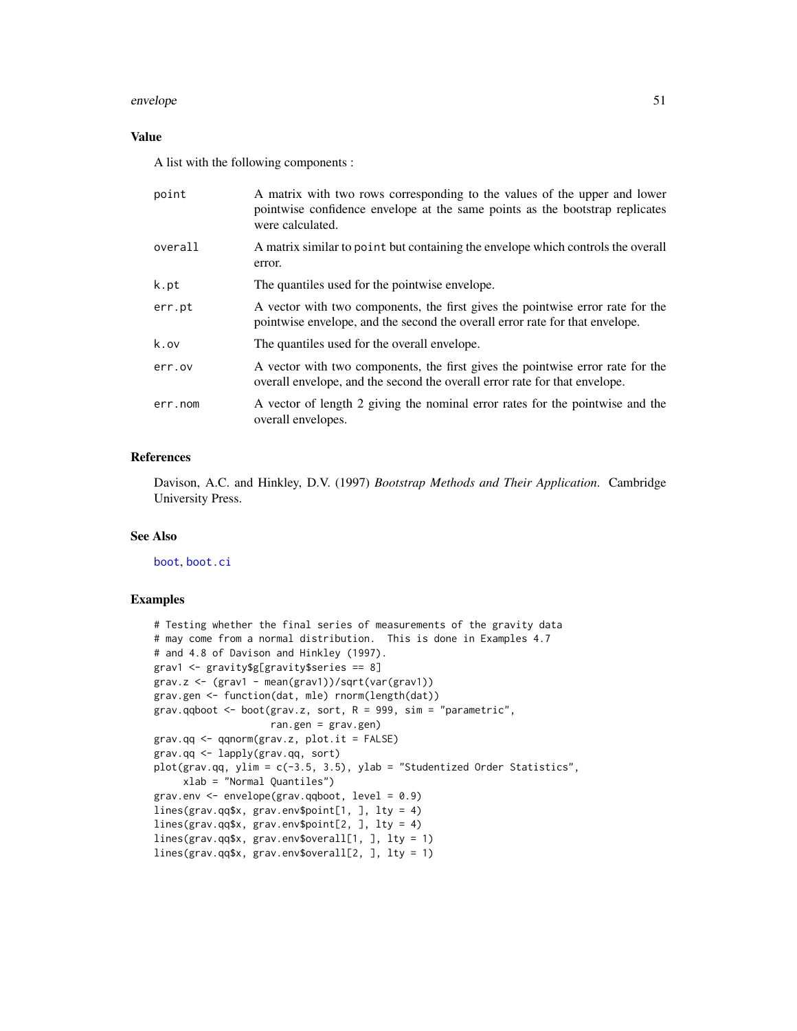### envelope 51

# Value

A list with the following components :

| point   | A matrix with two rows corresponding to the values of the upper and lower<br>pointwise confidence envelope at the same points as the bootstrap replicates<br>were calculated. |
|---------|-------------------------------------------------------------------------------------------------------------------------------------------------------------------------------|
| overall | A matrix similar to point but containing the envelope which controls the overall<br>error.                                                                                    |
| k.pt    | The quantiles used for the pointwise envelope.                                                                                                                                |
| err.pt  | A vector with two components, the first gives the pointwise error rate for the<br>pointwise envelope, and the second the overall error rate for that envelope.                |
| k.ov    | The quantiles used for the overall envelope.                                                                                                                                  |
| err.ov  | A vector with two components, the first gives the pointwise error rate for the<br>overall envelope, and the second the overall error rate for that envelope.                  |
| err.nom | A vector of length 2 giving the nominal error rates for the pointwise and the<br>overall envelopes.                                                                           |

# References

Davison, A.C. and Hinkley, D.V. (1997) *Bootstrap Methods and Their Application*. Cambridge University Press.

# See Also

[boot](#page-10-0), [boot.ci](#page-17-0)

# Examples

```
# Testing whether the final series of measurements of the gravity data
# may come from a normal distribution. This is done in Examples 4.7
# and 4.8 of Davison and Hinkley (1997).
grav1 <- gravity$g[gravity$series == 8]
grav.z <- (grav1 - mean(grav1))/sqrt(var(grav1))
grav.gen <- function(dat, mle) rnorm(length(dat))
grav.qqboot <- boot(grav.z, sort, R = 999, sim = "parametric",
                    ran.gen = grav.gen)
grav.qq <- qqnorm(grav.z, plot.it = FALSE)
grav.qq <- lapply(grav.qq, sort)
plot(grav.qq, ylim = c(-3.5, 3.5), ylab = "Studentized Order Statistics",
    xlab = "Normal Quantiles")
grav.env <- envelope(grav.qqboot, level = 0.9)
lines(grav.qq$x, grav.env$point[1, ], lty = 4)
lines(grav.qq$x, grav.env$point[2, ], lty = 4)
lines(grav.qq$x, grav.env$overall[1, ], lty = 1)
lines(grav.qq$x, grav.env$overall[2, ], lty = 1)
```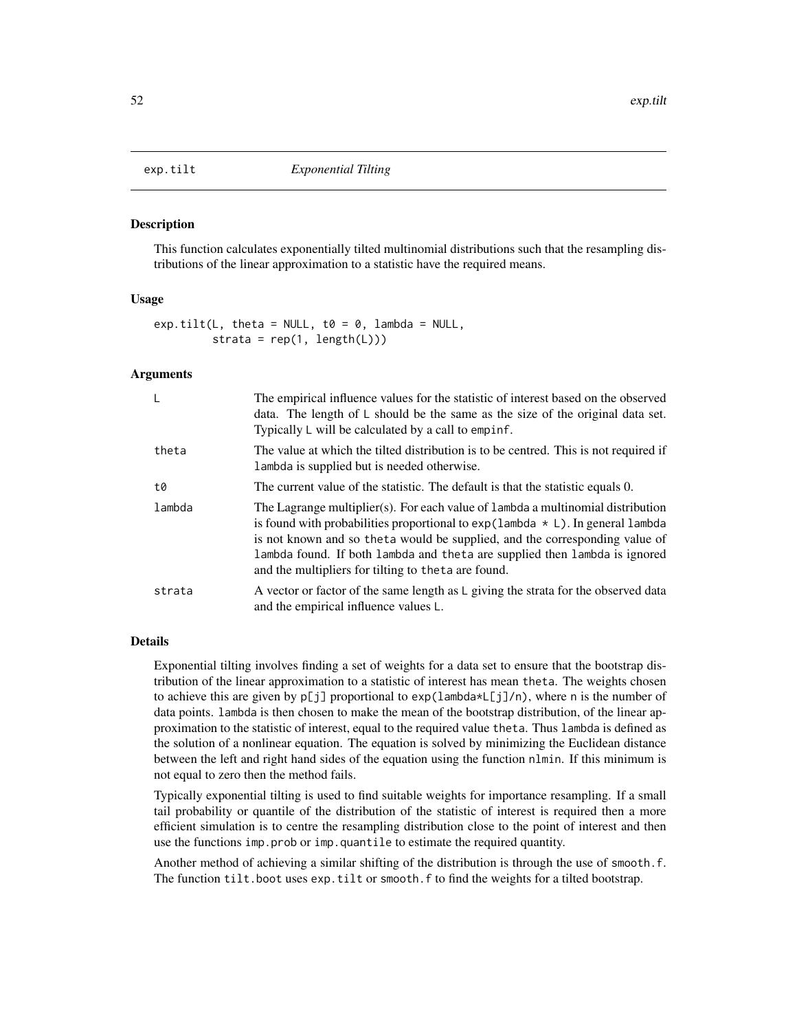<span id="page-51-0"></span>

#### Description

This function calculates exponentially tilted multinomial distributions such that the resampling distributions of the linear approximation to a statistic have the required means.

## Usage

 $exp.title(L, theta = NULL, to = 0, lambda = NULL,$ strata =  $rep(1, length(L)))$ 

## **Arguments**

| L      | The empirical influence values for the statistic of interest based on the observed<br>data. The length of $\mathsf{L}$ should be the same as the size of the original data set.<br>Typically L will be calculated by a call to empinf.                                                                                                                                                          |  |
|--------|-------------------------------------------------------------------------------------------------------------------------------------------------------------------------------------------------------------------------------------------------------------------------------------------------------------------------------------------------------------------------------------------------|--|
| theta  | The value at which the tilted distribution is to be centred. This is not required if<br>lambda is supplied but is needed otherwise.                                                                                                                                                                                                                                                             |  |
| t0     | The current value of the statistic. The default is that the statistic equals 0.                                                                                                                                                                                                                                                                                                                 |  |
| lambda | The Lagrange multiplier(s). For each value of lambda a multinomial distribution<br>is found with probabilities proportional to $exp(1$ ambda $\star$ L). In general lambda<br>is not known and so theta would be supplied, and the corresponding value of<br>lambda found. If both lambda and theta are supplied then lambda is ignored<br>and the multipliers for tilting to the ta are found. |  |
| strata | A vector or factor of the same length as L giving the strata for the observed data<br>and the empirical influence values L.                                                                                                                                                                                                                                                                     |  |

# Details

Exponential tilting involves finding a set of weights for a data set to ensure that the bootstrap distribution of the linear approximation to a statistic of interest has mean theta. The weights chosen to achieve this are given by  $p[j]$  proportional to  $exp(1ambda * L[j]/n)$ , where n is the number of data points. lambda is then chosen to make the mean of the bootstrap distribution, of the linear approximation to the statistic of interest, equal to the required value theta. Thus lambda is defined as the solution of a nonlinear equation. The equation is solved by minimizing the Euclidean distance between the left and right hand sides of the equation using the function nlmin. If this minimum is not equal to zero then the method fails.

Typically exponential tilting is used to find suitable weights for importance resampling. If a small tail probability or quantile of the distribution of the statistic of interest is required then a more efficient simulation is to centre the resampling distribution close to the point of interest and then use the functions imp.prob or imp.quantile to estimate the required quantity.

Another method of achieving a similar shifting of the distribution is through the use of smooth.f. The function tilt.boot uses exp.tilt or smooth.f to find the weights for a tilted bootstrap.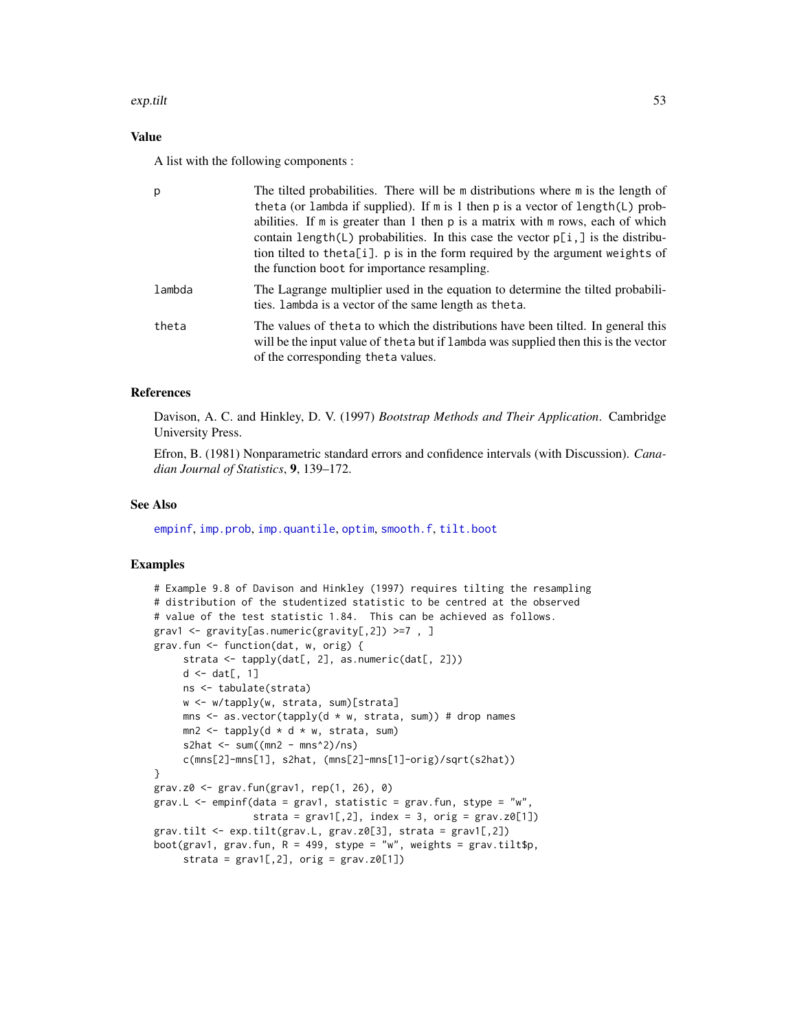## exp.tilt 53

# Value

A list with the following components :

| p      | The tilted probabilities. There will be m distributions where m is the length of<br>theta (or lambda if supplied). If m is 1 then p is a vector of length(L) prob-<br>abilities. If $m$ is greater than 1 then $p$ is a matrix with $m$ rows, each of which<br>contain length(L) probabilities. In this case the vector $p[i, ]$ is the distribu-<br>tion tilted to the ta[i]. p is in the form required by the argument weights of<br>the function boot for importance resampling. |
|--------|-------------------------------------------------------------------------------------------------------------------------------------------------------------------------------------------------------------------------------------------------------------------------------------------------------------------------------------------------------------------------------------------------------------------------------------------------------------------------------------|
| lambda | The Lagrange multiplier used in the equation to determine the tilted probabili-<br>ties. Lambda is a vector of the same length as the ta.                                                                                                                                                                                                                                                                                                                                           |
| theta  | The values of the ta to which the distributions have been tilted. In general this<br>will be the input value of the ta but if lambda was supplied then this is the vector<br>of the corresponding the ta values.                                                                                                                                                                                                                                                                    |

## References

Davison, A. C. and Hinkley, D. V. (1997) *Bootstrap Methods and Their Application*. Cambridge University Press.

Efron, B. (1981) Nonparametric standard errors and confidence intervals (with Discussion). *Canadian Journal of Statistics*, 9, 139–172.

## See Also

[empinf](#page-46-0), [imp.prob](#page-59-0), [imp.quantile](#page-59-0), [optim](#page-0-0), [smooth.f](#page-99-0), [tilt.boot](#page-103-0)

## Examples

```
# Example 9.8 of Davison and Hinkley (1997) requires tilting the resampling
# distribution of the studentized statistic to be centred at the observed
# value of the test statistic 1.84. This can be achieved as follows.
grav1 <- gravity[as.numeric(gravity[,2]) >=7, ]
grav.fun <- function(dat, w, orig) {
     strata <- tapply(dat[, 2], as.numeric(dat[, 2]))
    d \leftarrow dat[, 1]ns <- tabulate(strata)
    w <- w/tapply(w, strata, sum)[strata]
    mns \leq as.vector(tapply(d * w, strata, sum)) # drop names
    mn2 \leq tapply(d * d * w, strata, sum)
    s2hat \leq sum((mn2 - mns^2)/ns)
    c(mns[2]-mns[1], s2hat, (mns[2]-mns[1]-orig)/sqrt(s2hat))
}
grav.z0 <- grav.fun(grav1, rep(1, 26), 0)
grav.L \leq empinf(data = grav1, statistic = grav.fun, stype = "w",
                 strata = grav1[,2], index = 3, orig = grav.z0[1])grav.tilt <- exp.tilt(grav.L, grav.z0[3], strata = grav1[,2])
boot(grav1, grav.fun, R = 499, stype = "w", weights = grav.tilt$p,
     strata = grav1[,2], orig = grav.z0[1])
```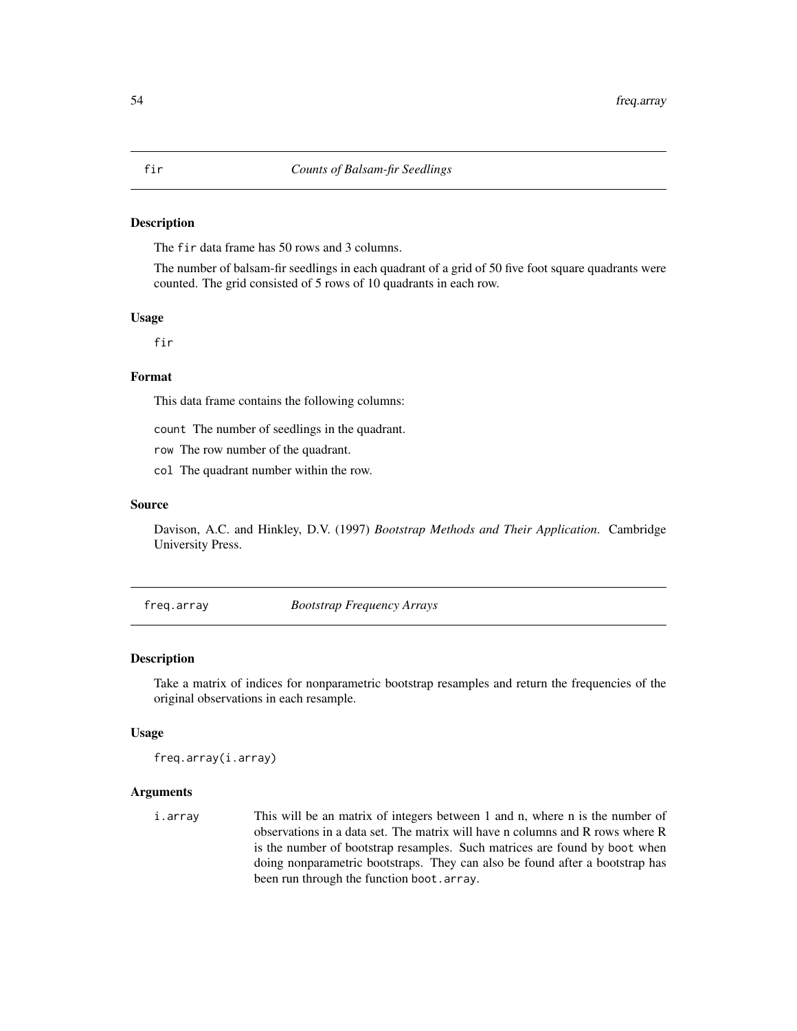## Description

The fir data frame has 50 rows and 3 columns.

The number of balsam-fir seedlings in each quadrant of a grid of 50 five foot square quadrants were counted. The grid consisted of 5 rows of 10 quadrants in each row.

## Usage

fir

## Format

This data frame contains the following columns:

count The number of seedlings in the quadrant.

row The row number of the quadrant.

col The quadrant number within the row.

## Source

Davison, A.C. and Hinkley, D.V. (1997) *Bootstrap Methods and Their Application*. Cambridge University Press.

freq.array *Bootstrap Frequency Arrays*

#### Description

Take a matrix of indices for nonparametric bootstrap resamples and return the frequencies of the original observations in each resample.

## Usage

freq.array(i.array)

#### Arguments

i.array This will be an matrix of integers between 1 and n, where n is the number of observations in a data set. The matrix will have n columns and R rows where R is the number of bootstrap resamples. Such matrices are found by boot when doing nonparametric bootstraps. They can also be found after a bootstrap has been run through the function boot.array.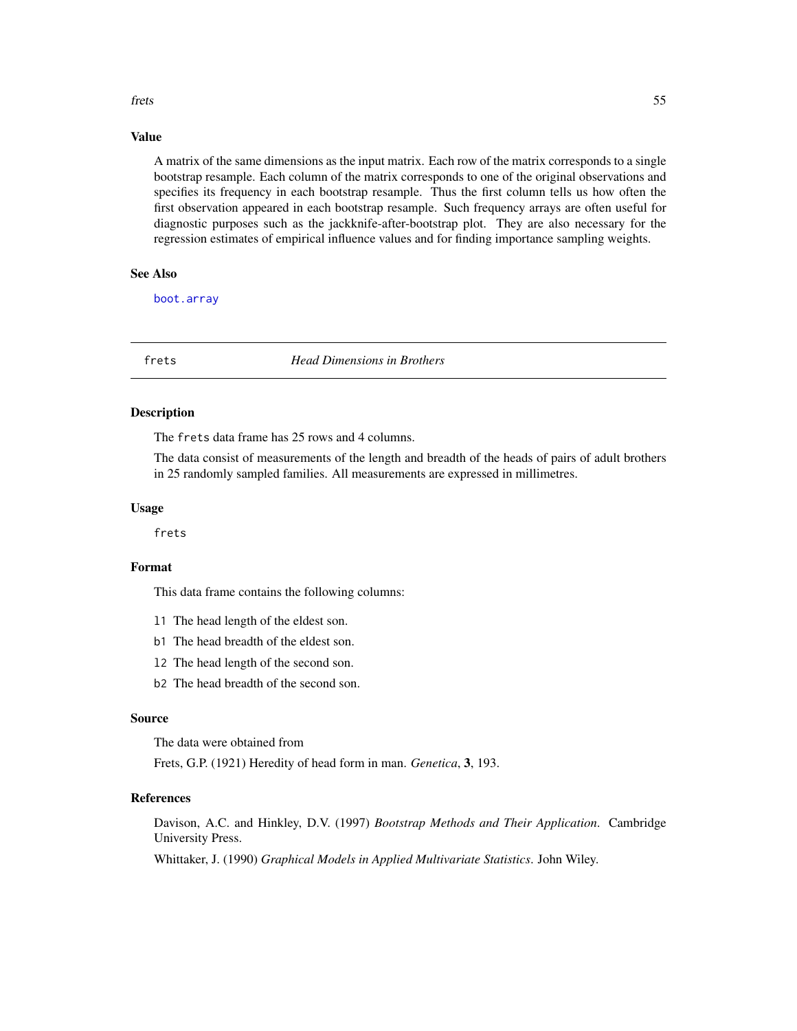#### frets 55

# Value

A matrix of the same dimensions as the input matrix. Each row of the matrix corresponds to a single bootstrap resample. Each column of the matrix corresponds to one of the original observations and specifies its frequency in each bootstrap resample. Thus the first column tells us how often the first observation appeared in each bootstrap resample. Such frequency arrays are often useful for diagnostic purposes such as the jackknife-after-bootstrap plot. They are also necessary for the regression estimates of empirical influence values and for finding importance sampling weights.

# See Also

[boot.array](#page-16-0)

frets *Head Dimensions in Brothers*

## Description

The frets data frame has 25 rows and 4 columns.

The data consist of measurements of the length and breadth of the heads of pairs of adult brothers in 25 randomly sampled families. All measurements are expressed in millimetres.

## Usage

frets

## Format

This data frame contains the following columns:

- l1 The head length of the eldest son.
- b1 The head breadth of the eldest son.
- l2 The head length of the second son.
- b2 The head breadth of the second son.

# Source

The data were obtained from

Frets, G.P. (1921) Heredity of head form in man. *Genetica*, 3, 193.

## References

Davison, A.C. and Hinkley, D.V. (1997) *Bootstrap Methods and Their Application*. Cambridge University Press.

Whittaker, J. (1990) *Graphical Models in Applied Multivariate Statistics*. John Wiley.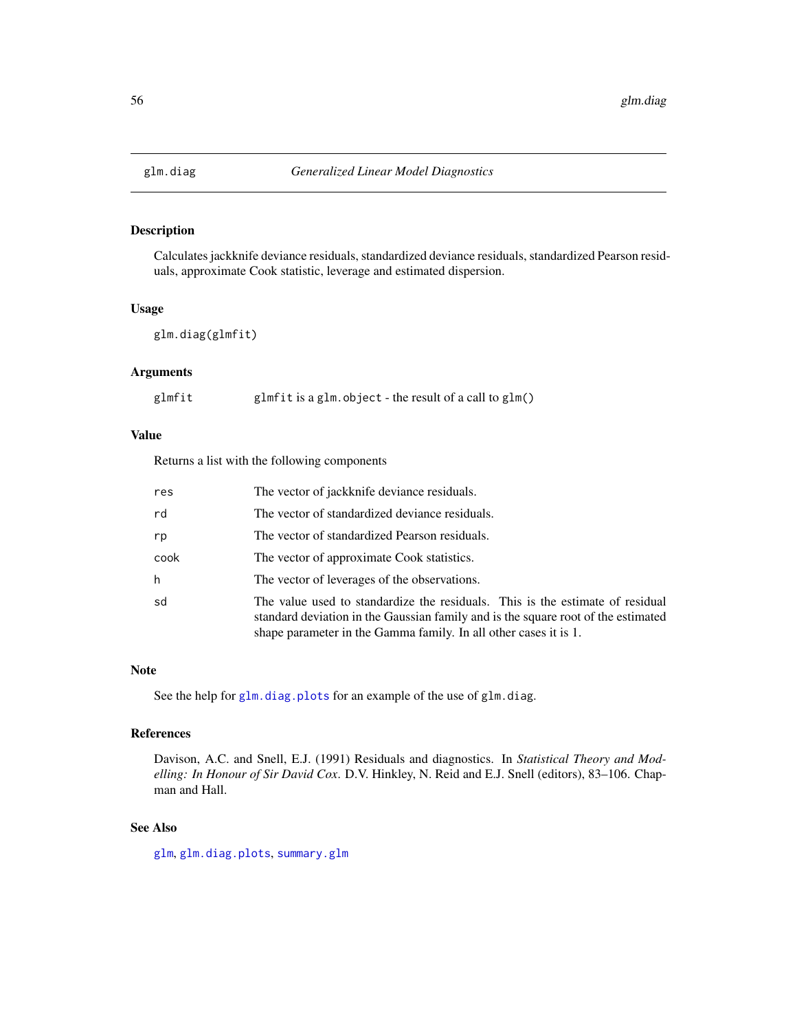<span id="page-55-0"></span>

# Description

Calculates jackknife deviance residuals, standardized deviance residuals, standardized Pearson residuals, approximate Cook statistic, leverage and estimated dispersion.

#### Usage

glm.diag(glmfit)

# Arguments

| glmfit is a glm. object - the result of a call to $glm()$ | glmfit |  |  |  |  |
|-----------------------------------------------------------|--------|--|--|--|--|
|-----------------------------------------------------------|--------|--|--|--|--|

# Value

Returns a list with the following components

| res  | The vector of jackknife deviance residuals.                                                                                                                                                                                            |
|------|----------------------------------------------------------------------------------------------------------------------------------------------------------------------------------------------------------------------------------------|
| rd   | The vector of standardized deviance residuals.                                                                                                                                                                                         |
| rp   | The vector of standardized Pearson residuals.                                                                                                                                                                                          |
| cook | The vector of approximate Cook statistics.                                                                                                                                                                                             |
| h    | The vector of leverages of the observations.                                                                                                                                                                                           |
| sd   | The value used to standardize the residuals. This is the estimate of residual<br>standard deviation in the Gaussian family and is the square root of the estimated<br>shape parameter in the Gamma family. In all other cases it is 1. |

#### Note

See the help for [glm.diag.plots](#page-56-0) for an example of the use of glm.diag.

# References

Davison, A.C. and Snell, E.J. (1991) Residuals and diagnostics. In *Statistical Theory and Modelling: In Honour of Sir David Cox*. D.V. Hinkley, N. Reid and E.J. Snell (editors), 83–106. Chapman and Hall.

## See Also

[glm](#page-0-0), [glm.diag.plots](#page-56-0), [summary.glm](#page-0-0)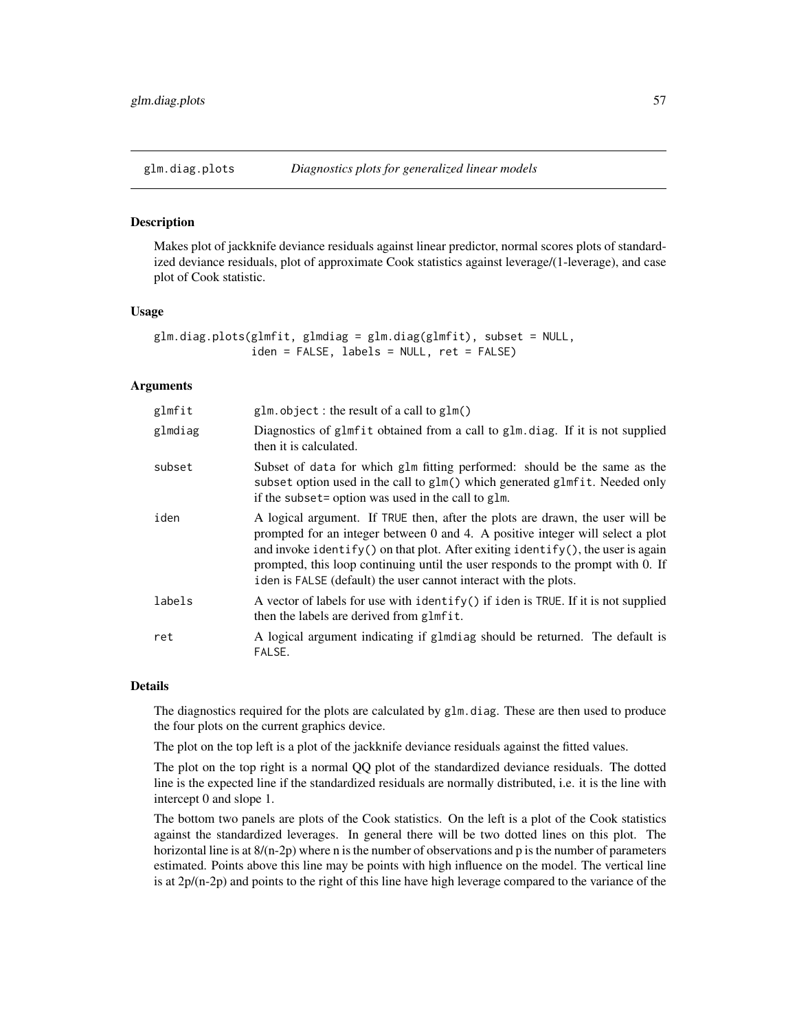<span id="page-56-0"></span>

## Description

Makes plot of jackknife deviance residuals against linear predictor, normal scores plots of standardized deviance residuals, plot of approximate Cook statistics against leverage/(1-leverage), and case plot of Cook statistic.

#### Usage

```
glm.diag.plots(glmfit, glmdiag = glm.diag(glmfit), subset = NULL,
               iden = FALSE, labels = NULL, ret = FALSE)
```
## Arguments

| glmfit  | $glm. object: the result of a call to glm()$                                                                                                                                                                                                                                                                                                                                                              |  |
|---------|-----------------------------------------------------------------------------------------------------------------------------------------------------------------------------------------------------------------------------------------------------------------------------------------------------------------------------------------------------------------------------------------------------------|--|
| glmdiag | Diagnostics of glmfit obtained from a call to glm.diag. If it is not supplied<br>then it is calculated.                                                                                                                                                                                                                                                                                                   |  |
| subset  | Subset of data for which glm fitting performed: should be the same as the<br>subset option used in the call to glm() which generated glmfit. Needed only<br>if the subset= option was used in the call to glm.                                                                                                                                                                                            |  |
| iden    | A logical argument. If TRUE then, after the plots are drawn, the user will be<br>prompted for an integer between 0 and 4. A positive integer will select a plot<br>and invoke identify() on that plot. After exiting identify(), the user is again<br>prompted, this loop continuing until the user responds to the prompt with 0. If<br>iden is FALSE (default) the user cannot interact with the plots. |  |
| labels  | A vector of labels for use with identify() if iden is TRUE. If it is not supplied<br>then the labels are derived from glmfit.                                                                                                                                                                                                                                                                             |  |
| ret     | A logical argument indicating if glmdiag should be returned. The default is<br>FALSE.                                                                                                                                                                                                                                                                                                                     |  |

## Details

The diagnostics required for the plots are calculated by glm.diag. These are then used to produce the four plots on the current graphics device.

The plot on the top left is a plot of the jackknife deviance residuals against the fitted values.

The plot on the top right is a normal QQ plot of the standardized deviance residuals. The dotted line is the expected line if the standardized residuals are normally distributed, i.e. it is the line with intercept 0 and slope 1.

The bottom two panels are plots of the Cook statistics. On the left is a plot of the Cook statistics against the standardized leverages. In general there will be two dotted lines on this plot. The horizontal line is at  $8/(n-2p)$  where n is the number of observations and p is the number of parameters estimated. Points above this line may be points with high influence on the model. The vertical line is at  $2p/(n-2p)$  and points to the right of this line have high leverage compared to the variance of the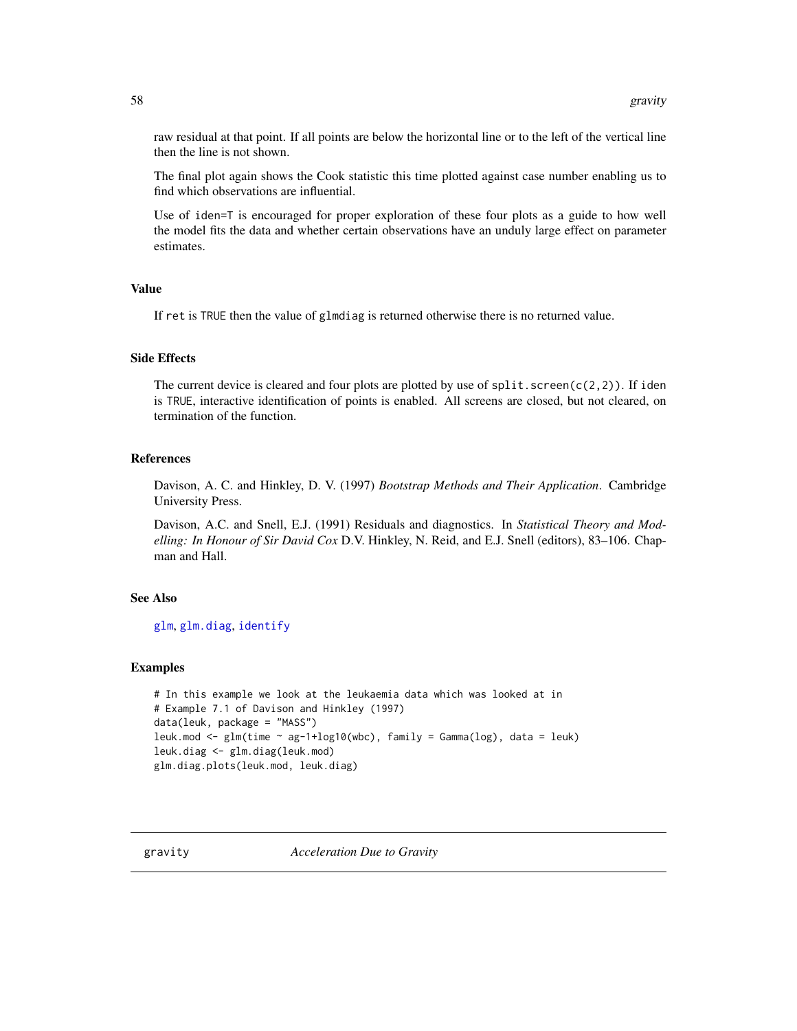raw residual at that point. If all points are below the horizontal line or to the left of the vertical line then the line is not shown.

The final plot again shows the Cook statistic this time plotted against case number enabling us to find which observations are influential.

Use of iden=T is encouraged for proper exploration of these four plots as a guide to how well the model fits the data and whether certain observations have an unduly large effect on parameter estimates.

#### Value

If ret is TRUE then the value of glmdiag is returned otherwise there is no returned value.

# Side Effects

The current device is cleared and four plots are plotted by use of  $split$ . screen(c(2,2)). If iden is TRUE, interactive identification of points is enabled. All screens are closed, but not cleared, on termination of the function.

# References

Davison, A. C. and Hinkley, D. V. (1997) *Bootstrap Methods and Their Application*. Cambridge University Press.

Davison, A.C. and Snell, E.J. (1991) Residuals and diagnostics. In *Statistical Theory and Modelling: In Honour of Sir David Cox* D.V. Hinkley, N. Reid, and E.J. Snell (editors), 83–106. Chapman and Hall.

## See Also

[glm](#page-0-0), [glm.diag](#page-55-0), [identify](#page-0-0)

# Examples

```
# In this example we look at the leukaemia data which was looked at in
# Example 7.1 of Davison and Hinkley (1997)
data(leuk, package = "MASS")
leuk.mod <- glm(time ~ ag-1+log10(wbc), family = Gamma(log), data = leuk)
leuk.diag <- glm.diag(leuk.mod)
glm.diag.plots(leuk.mod, leuk.diag)
```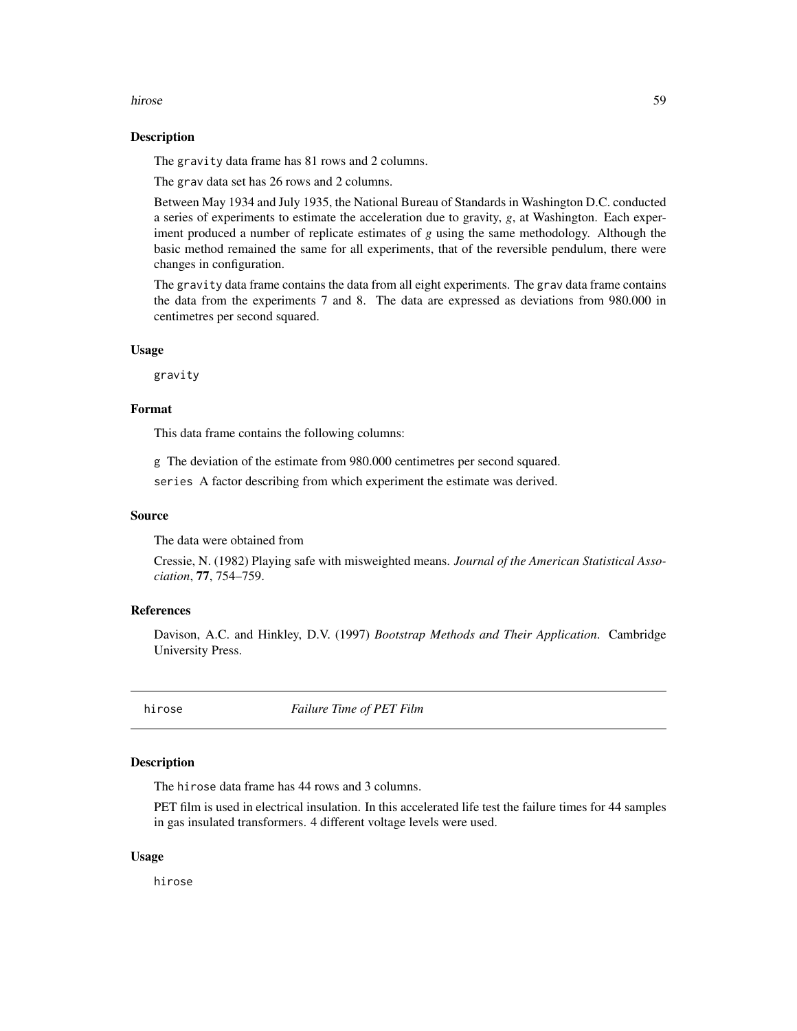#### hirose 59 and 59 and 59 and 59 and 59 and 59 and 59 and 59 and 59 and 59 and 59 and 59 and 59 and 59 and 59 and 59 and 59 and 59 and 59 and 59 and 59 and 59 and 59 and 59 and 59 and 59 and 59 and 59 and 59 and 59 and 59 an

### Description

The gravity data frame has 81 rows and 2 columns.

The grav data set has 26 rows and 2 columns.

Between May 1934 and July 1935, the National Bureau of Standards in Washington D.C. conducted a series of experiments to estimate the acceleration due to gravity, *g*, at Washington. Each experiment produced a number of replicate estimates of *g* using the same methodology. Although the basic method remained the same for all experiments, that of the reversible pendulum, there were changes in configuration.

The gravity data frame contains the data from all eight experiments. The grav data frame contains the data from the experiments 7 and 8. The data are expressed as deviations from 980.000 in centimetres per second squared.

## Usage

gravity

## Format

This data frame contains the following columns:

g The deviation of the estimate from 980.000 centimetres per second squared.

series A factor describing from which experiment the estimate was derived.

## Source

The data were obtained from

Cressie, N. (1982) Playing safe with misweighted means. *Journal of the American Statistical Association*, 77, 754–759.

## References

Davison, A.C. and Hinkley, D.V. (1997) *Bootstrap Methods and Their Application*. Cambridge University Press.

hirose *Failure Time of PET Film*

## **Description**

The hirose data frame has 44 rows and 3 columns.

PET film is used in electrical insulation. In this accelerated life test the failure times for 44 samples in gas insulated transformers. 4 different voltage levels were used.

## Usage

hirose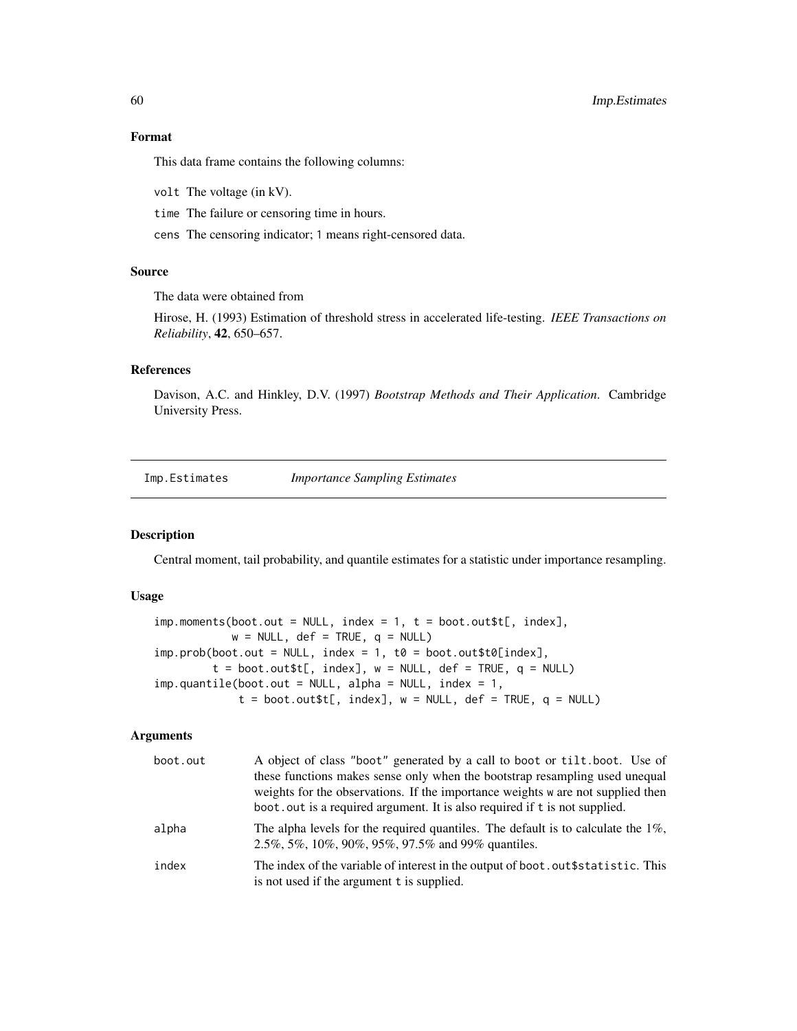# 60 Imp.Estimates

Format

This data frame contains the following columns:

volt The voltage (in kV).

time The failure or censoring time in hours.

cens The censoring indicator; 1 means right-censored data.

## Source

The data were obtained from

Hirose, H. (1993) Estimation of threshold stress in accelerated life-testing. *IEEE Transactions on Reliability*, 42, 650–657.

# References

Davison, A.C. and Hinkley, D.V. (1997) *Bootstrap Methods and Their Application*. Cambridge University Press.

Imp.Estimates *Importance Sampling Estimates*

#### <span id="page-59-0"></span>Description

Central moment, tail probability, and quantile estimates for a statistic under importance resampling.

#### Usage

```
imp.moments(boot.out = NULL, index = 1, t = boot.out$t[, index],w = NULL, def = TRUE, q = NULLimp.prob(boot.out = NULL, index = 1, t0 = boot.out$t0[index],t = boot.out; index, w = NULL, def = TRUE, q = NULLimp.quantile(boot.out = NULL, alpha = NULL, index = 1,t = boot.out; index], w = NULL, def = TRUE, q = NULL
```
## Arguments

| boot.out | A object of class "boot" generated by a call to boot or tilt.boot. Use of<br>these functions makes sense only when the bootstrap resampling used unequal<br>weights for the observations. If the importance weights w are not supplied then<br>boot.out is a required argument. It is also required if t is not supplied. |
|----------|---------------------------------------------------------------------------------------------------------------------------------------------------------------------------------------------------------------------------------------------------------------------------------------------------------------------------|
| alpha    | The alpha levels for the required quantiles. The default is to calculate the $1\%$ ,<br>2.5%, 5%, 10%, 90%, 95%, 97.5% and 99% quantiles.                                                                                                                                                                                 |
| index    | The index of the variable of interest in the output of boot. out \$ statistic. This<br>is not used if the argument t is supplied.                                                                                                                                                                                         |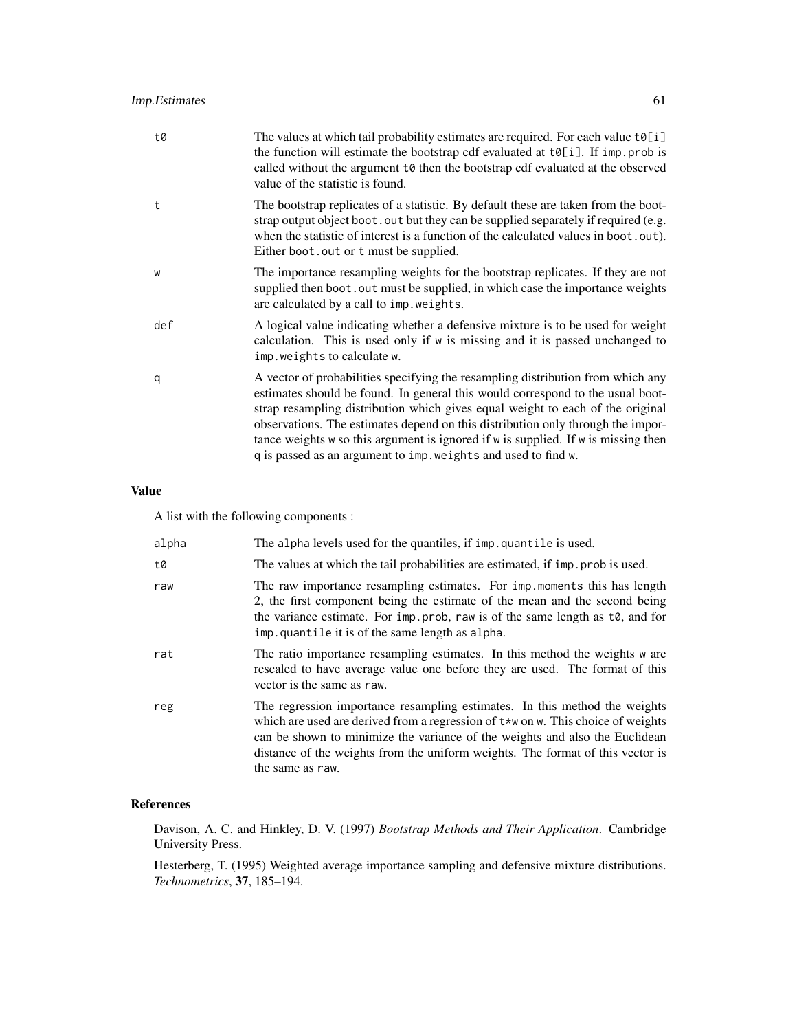| t0  | The values at which tail probability estimates are required. For each value $t\delta[i]$<br>the function will estimate the bootstrap cdf evaluated at $t\theta[i]$ . If imp. prob is<br>called without the argument t0 then the bootstrap cdf evaluated at the observed<br>value of the statistic is found.                                                                                                                                                                                          |
|-----|------------------------------------------------------------------------------------------------------------------------------------------------------------------------------------------------------------------------------------------------------------------------------------------------------------------------------------------------------------------------------------------------------------------------------------------------------------------------------------------------------|
| t   | The bootstrap replicates of a statistic. By default these are taken from the boot-<br>strap output object boot . out but they can be supplied separately if required (e.g.<br>when the statistic of interest is a function of the calculated values in boot.out).<br>Either boot. out or t must be supplied.                                                                                                                                                                                         |
| W   | The importance resampling weights for the bootstrap replicates. If they are not<br>supplied then boot. out must be supplied, in which case the importance weights<br>are calculated by a call to imp. weights.                                                                                                                                                                                                                                                                                       |
| def | A logical value indicating whether a defensive mixture is to be used for weight<br>calculation. This is used only if w is missing and it is passed unchanged to<br>imp.weights to calculate w.                                                                                                                                                                                                                                                                                                       |
| q   | A vector of probabilities specifying the resampling distribution from which any<br>estimates should be found. In general this would correspond to the usual boot-<br>strap resampling distribution which gives equal weight to each of the original<br>observations. The estimates depend on this distribution only through the impor-<br>tance weights $w$ so this argument is ignored if $w$ is supplied. If $w$ is missing then<br>q is passed as an argument to imp. weights and used to find w. |

# Value

A list with the following components :

| alpha | The alpha levels used for the quantiles, if imp. quantile is used.                                                                                                                                                                                                                                                                                          |
|-------|-------------------------------------------------------------------------------------------------------------------------------------------------------------------------------------------------------------------------------------------------------------------------------------------------------------------------------------------------------------|
| t0    | The values at which the tail probabilities are estimated, if imp. prob is used.                                                                                                                                                                                                                                                                             |
| raw   | The raw importance resampling estimates. For imp. moments this has length<br>2, the first component being the estimate of the mean and the second being<br>the variance estimate. For imp. prob, raw is of the same length as t0, and for<br>imp. quantile it is of the same length as alpha.                                                               |
| rat   | The ratio importance resampling estimates. In this method the weights w are<br>rescaled to have average value one before they are used. The format of this<br>vector is the same as raw.                                                                                                                                                                    |
| reg   | The regression importance resampling estimates. In this method the weights<br>which are used are derived from a regression of $t \star w$ on w. This choice of weights<br>can be shown to minimize the variance of the weights and also the Euclidean<br>distance of the weights from the uniform weights. The format of this vector is<br>the same as raw. |

# References

Davison, A. C. and Hinkley, D. V. (1997) *Bootstrap Methods and Their Application*. Cambridge University Press.

Hesterberg, T. (1995) Weighted average importance sampling and defensive mixture distributions. *Technometrics*, 37, 185–194.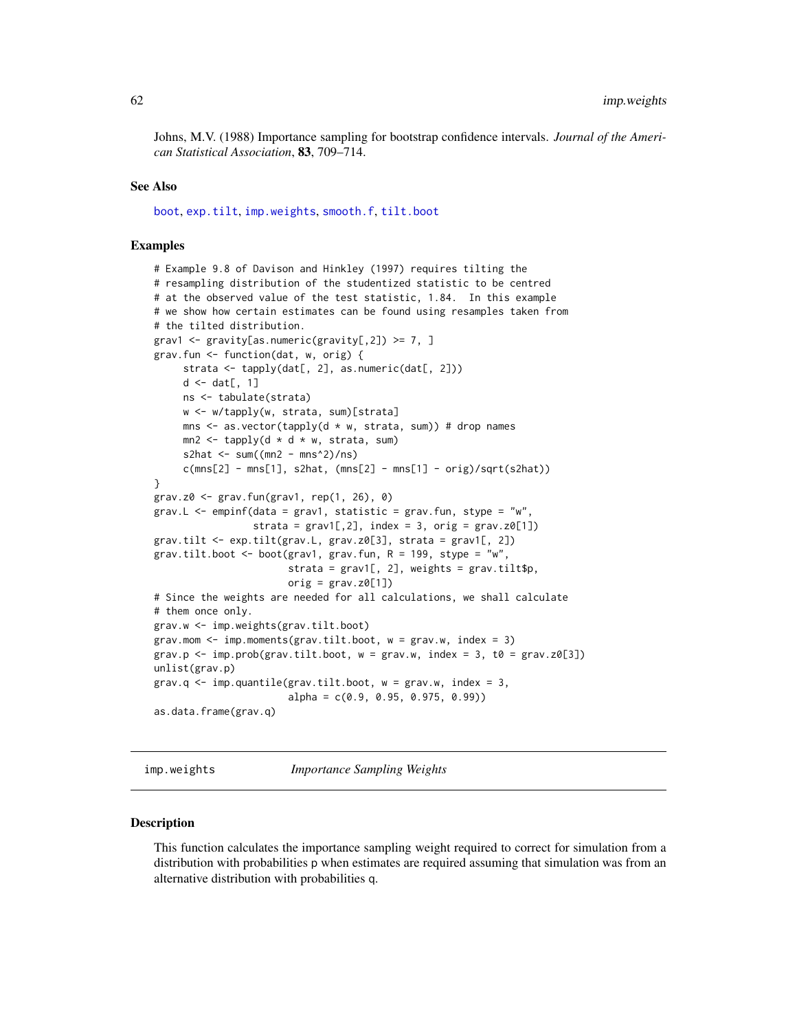Johns, M.V. (1988) Importance sampling for bootstrap confidence intervals. *Journal of the American Statistical Association*, 83, 709–714.

## See Also

[boot](#page-10-0), [exp.tilt](#page-51-0), [imp.weights](#page-61-0), [smooth.f](#page-99-0), [tilt.boot](#page-103-0)

#### Examples

```
# Example 9.8 of Davison and Hinkley (1997) requires tilting the
# resampling distribution of the studentized statistic to be centred
# at the observed value of the test statistic, 1.84. In this example
# we show how certain estimates can be found using resamples taken from
# the tilted distribution.
grav1 \leq gravity[as.numeric(gravity[,2]) \geq 7, ]
grav.fun <- function(dat, w, orig) {
     strata <- tapply(dat[, 2], as.numeric(dat[, 2]))
     d \leftarrow dat[, 1]ns <- tabulate(strata)
     w <- w/tapply(w, strata, sum)[strata]
     mns \leq as.vector(tapply(d \star w, strata, sum)) # drop names
     mn2 \le tapply(d * d * w, strata, sum)
     s2hat \leq sum((mn2 - mns^2)/ns)
     c(mns[2] - mns[1], s2hat, (mns[2] - mns[1] - orig)/sqrt(s2hat))}
grav.z0 \leq grav.fun(grav1, rep(1, 26), 0)grav.L \leq empinf(data = grav1, statistic = grav.fun, stype = "w",
                 strata = grav1[,2], index = 3, orig = grav.z0[1])grav.tilt <- exp.tilt(grav.L, grav.z0[3], strata = grav1[, 2])
grav.tilt.boot <- boot(grav1, grav.fun, R = 199, stype = "w",
                       strata = grav1[, 2], weights = grav.title$p,
                       orig = grav.Z0[1])# Since the weights are needed for all calculations, we shall calculate
# them once only.
grav.w <- imp.weights(grav.tilt.boot)
grav.mom \leq imp.moments(grav.tilt.boot, w = grav.w, index = 3)
grav.p <- imp.prob(grav.tilt.boot, w = grav.w, index = 3, t0 = grav.z0[3])
unlist(grav.p)
grav.q \leq imp.quantile(grav.tilt.boot, w = grav.w, index = 3,
                       alpha = c(0.9, 0.95, 0.975, 0.99))
as.data.frame(grav.q)
```
<span id="page-61-0"></span>imp.weights *Importance Sampling Weights*

#### Description

This function calculates the importance sampling weight required to correct for simulation from a distribution with probabilities p when estimates are required assuming that simulation was from an alternative distribution with probabilities q.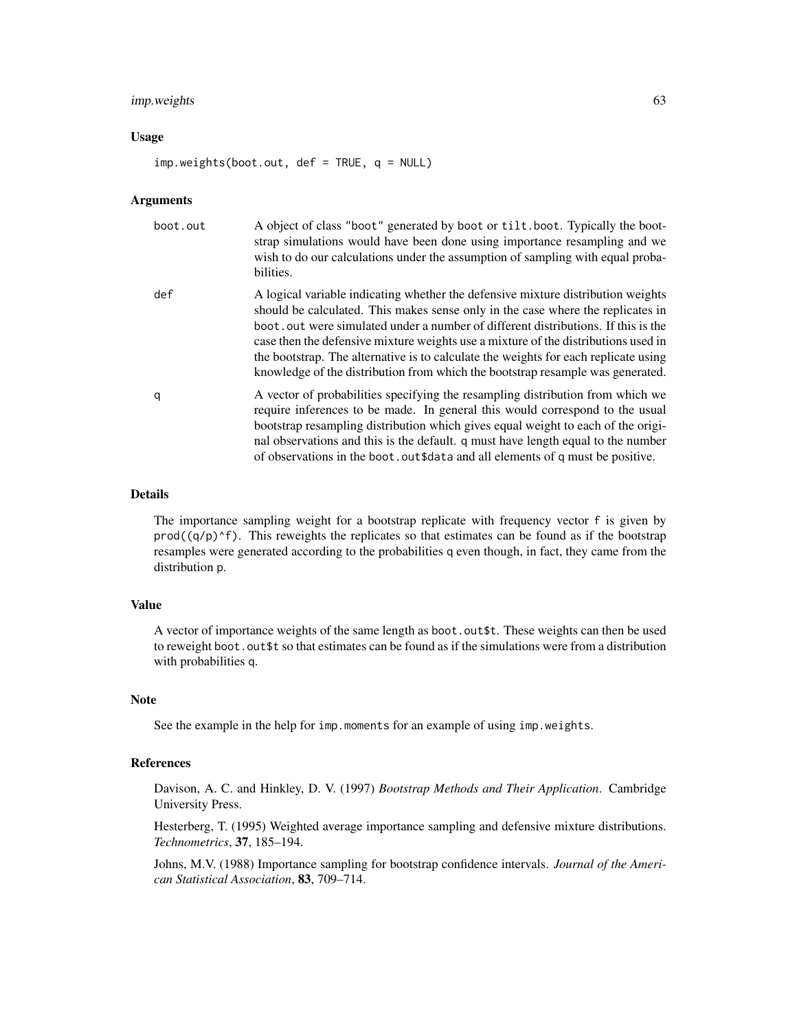# imp.weights 63

## Usage

imp.weights(boot.out, def = TRUE, q = NULL)

#### Arguments

| boot.out | A object of class "boot" generated by boot or tilt.boot. Typically the boot-<br>strap simulations would have been done using importance resampling and we<br>wish to do our calculations under the assumption of sampling with equal proba-<br>bilities.                                                                                                                                                                                                                                                                 |
|----------|--------------------------------------------------------------------------------------------------------------------------------------------------------------------------------------------------------------------------------------------------------------------------------------------------------------------------------------------------------------------------------------------------------------------------------------------------------------------------------------------------------------------------|
| def      | A logical variable indicating whether the defensive mixture distribution weights<br>should be calculated. This makes sense only in the case where the replicates in<br>boot, out were simulated under a number of different distributions. If this is the<br>case then the defensive mixture weights use a mixture of the distributions used in<br>the bootstrap. The alternative is to calculate the weights for each replicate using<br>knowledge of the distribution from which the bootstrap resample was generated. |
| q        | A vector of probabilities specifying the resampling distribution from which we<br>require inferences to be made. In general this would correspond to the usual<br>bootstrap resampling distribution which gives equal weight to each of the origi-<br>nal observations and this is the default. q must have length equal to the number<br>of observations in the boot. out \$data and all elements of q must be positive.                                                                                                |

#### Details

The importance sampling weight for a bootstrap replicate with frequency vector f is given by  $\text{prod}(q/p)^{f}$ . This reweights the replicates so that estimates can be found as if the bootstrap resamples were generated according to the probabilities q even though, in fact, they came from the distribution p.

## Value

A vector of importance weights of the same length as boot.out\$t. These weights can then be used to reweight boot. out \$t so that estimates can be found as if the simulations were from a distribution with probabilities q.

### Note

See the example in the help for imp.moments for an example of using imp.weights.

#### References

Davison, A. C. and Hinkley, D. V. (1997) *Bootstrap Methods and Their Application*. Cambridge University Press.

Hesterberg, T. (1995) Weighted average importance sampling and defensive mixture distributions. *Technometrics*, 37, 185–194.

Johns, M.V. (1988) Importance sampling for bootstrap confidence intervals. *Journal of the American Statistical Association*, 83, 709–714.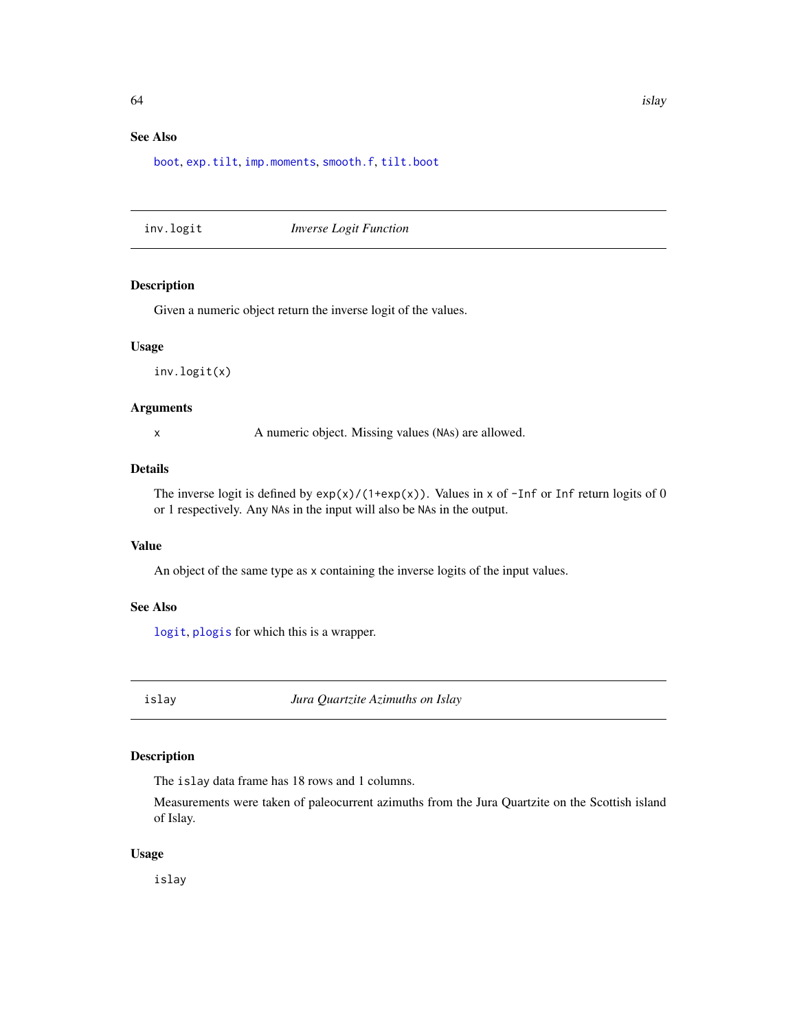# See Also

[boot](#page-10-0), [exp.tilt](#page-51-0), [imp.moments](#page-59-0), [smooth.f](#page-99-0), [tilt.boot](#page-103-0)

<span id="page-63-0"></span>inv.logit *Inverse Logit Function*

# Description

Given a numeric object return the inverse logit of the values.

#### Usage

inv.logit(x)

## Arguments

x A numeric object. Missing values (NAs) are allowed.

# Details

The inverse logit is defined by  $exp(x)/(1+exp(x))$ . Values in x of -Inf or Inf return logits of 0 or 1 respectively. Any NAs in the input will also be NAs in the output.

# Value

An object of the same type as x containing the inverse logits of the input values.

# See Also

[logit](#page-71-0), [plogis](#page-0-0) for which this is a wrapper.

islay *Jura Quartzite Azimuths on Islay*

## Description

The islay data frame has 18 rows and 1 columns.

Measurements were taken of paleocurrent azimuths from the Jura Quartzite on the Scottish island of Islay.

# Usage

islay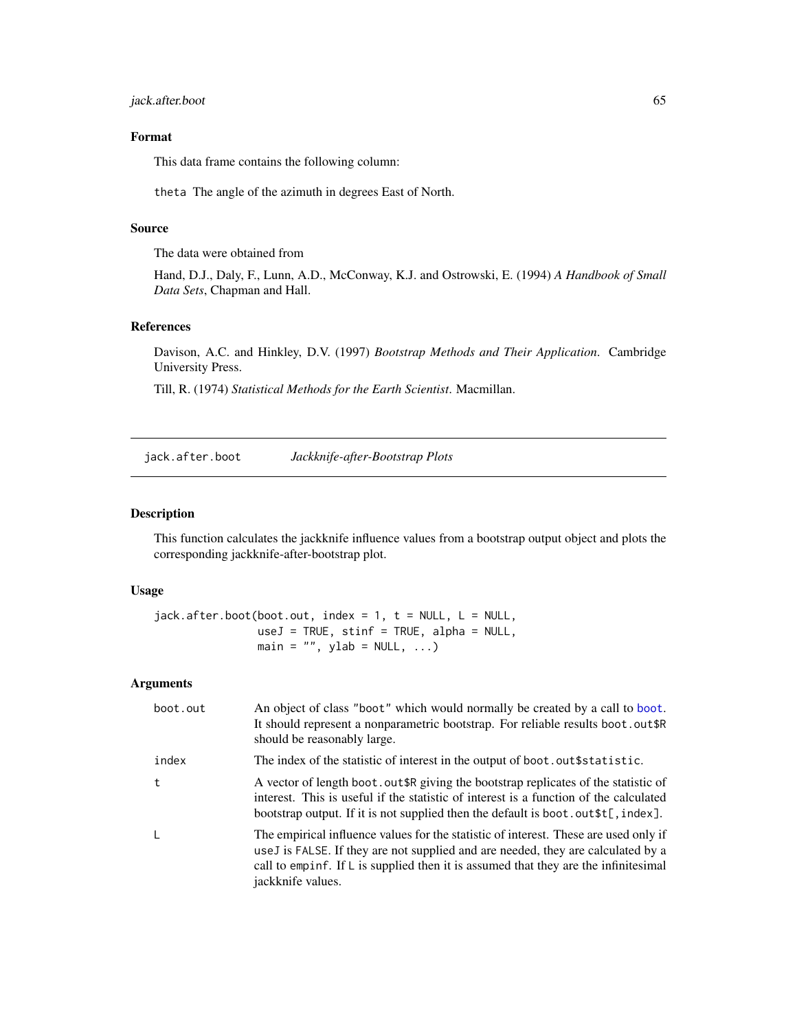jack.after.boot 65

# Format

This data frame contains the following column:

theta The angle of the azimuth in degrees East of North.

# Source

The data were obtained from

Hand, D.J., Daly, F., Lunn, A.D., McConway, K.J. and Ostrowski, E. (1994) *A Handbook of Small Data Sets*, Chapman and Hall.

## References

Davison, A.C. and Hinkley, D.V. (1997) *Bootstrap Methods and Their Application*. Cambridge University Press.

Till, R. (1974) *Statistical Methods for the Earth Scientist*. Macmillan.

<span id="page-64-0"></span>jack.after.boot *Jackknife-after-Bootstrap Plots*

## Description

This function calculates the jackknife influence values from a bootstrap output object and plots the corresponding jackknife-after-bootstrap plot.

## Usage

 $jack. after. boot (boot.out, index = 1, t = NULL, L = NULL,$  $useJ = TRUE, stinf = TRUE, alpha = NULL,$ main =  $"$ , ylab = NULL, ...)

### Arguments

| boot.out | An object of class "boot" which would normally be created by a call to boot.<br>It should represent a nonparametric bootstrap. For reliable results boot.out\$R<br>should be reasonably large.                                                                                                    |
|----------|---------------------------------------------------------------------------------------------------------------------------------------------------------------------------------------------------------------------------------------------------------------------------------------------------|
| index    | The index of the statistic of interest in the output of boot. out \$ statistic.                                                                                                                                                                                                                   |
| t        | A vector of length boot. out \$R giving the bootstrap replicates of the statistic of<br>interest. This is useful if the statistic of interest is a function of the calculated<br>bootstrap output. If it is not supplied then the default is boot. out $t$ , index].                              |
| L        | The empirical influence values for the statistic of interest. These are used only if<br>use J is FALSE. If they are not supplied and are needed, they are calculated by a<br>call to empirit. If $\mathsf{L}$ is supplied then it is assumed that they are the infinitesimal<br>jackknife values. |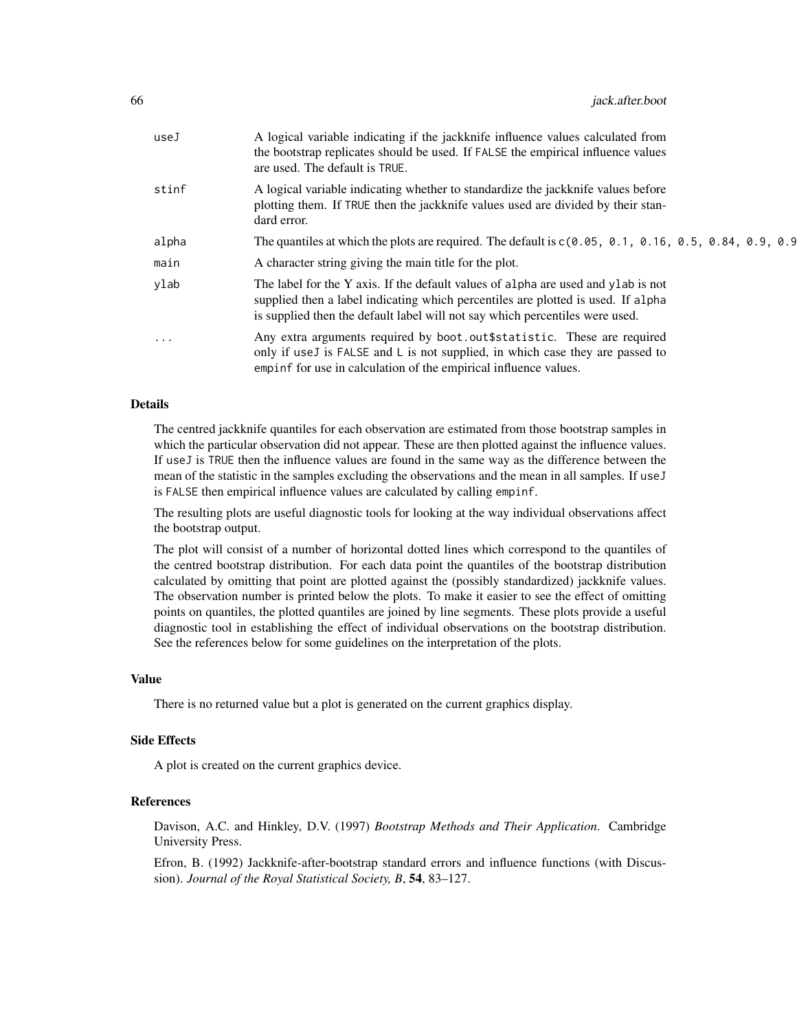| useJ  | A logical variable indicating if the jackknife influence values calculated from<br>the bootstrap replicates should be used. If FALSE the empirical influence values<br>are used. The default is TRUE.                                                 |
|-------|-------------------------------------------------------------------------------------------------------------------------------------------------------------------------------------------------------------------------------------------------------|
| stinf | A logical variable indicating whether to standardize the jackknife values before<br>plotting them. If TRUE then the jackknife values used are divided by their stan-<br>dard error.                                                                   |
| alpha | The quantiles at which the plots are required. The default is $c(0.05, 0.1, 0.16, 0.5, 0.84, 0.9, 0.9)$                                                                                                                                               |
| main  | A character string giving the main title for the plot.                                                                                                                                                                                                |
| ylab  | The label for the Y axis. If the default values of alpha are used and ylab is not<br>supplied then a label indicating which percentiles are plotted is used. If alpha<br>is supplied then the default label will not say which percentiles were used. |
| .     | Any extra arguments required by boot.out \$statistic. These are required<br>only if useJ is FALSE and L is not supplied, in which case they are passed to<br>empinf for use in calculation of the empirical influence values.                         |

## Details

The centred jackknife quantiles for each observation are estimated from those bootstrap samples in which the particular observation did not appear. These are then plotted against the influence values. If useJ is TRUE then the influence values are found in the same way as the difference between the mean of the statistic in the samples excluding the observations and the mean in all samples. If useJ is FALSE then empirical influence values are calculated by calling empinf.

The resulting plots are useful diagnostic tools for looking at the way individual observations affect the bootstrap output.

The plot will consist of a number of horizontal dotted lines which correspond to the quantiles of the centred bootstrap distribution. For each data point the quantiles of the bootstrap distribution calculated by omitting that point are plotted against the (possibly standardized) jackknife values. The observation number is printed below the plots. To make it easier to see the effect of omitting points on quantiles, the plotted quantiles are joined by line segments. These plots provide a useful diagnostic tool in establishing the effect of individual observations on the bootstrap distribution. See the references below for some guidelines on the interpretation of the plots.

#### Value

There is no returned value but a plot is generated on the current graphics display.

#### Side Effects

A plot is created on the current graphics device.

# References

Davison, A.C. and Hinkley, D.V. (1997) *Bootstrap Methods and Their Application*. Cambridge University Press.

Efron, B. (1992) Jackknife-after-bootstrap standard errors and influence functions (with Discussion). *Journal of the Royal Statistical Society, B*, 54, 83–127.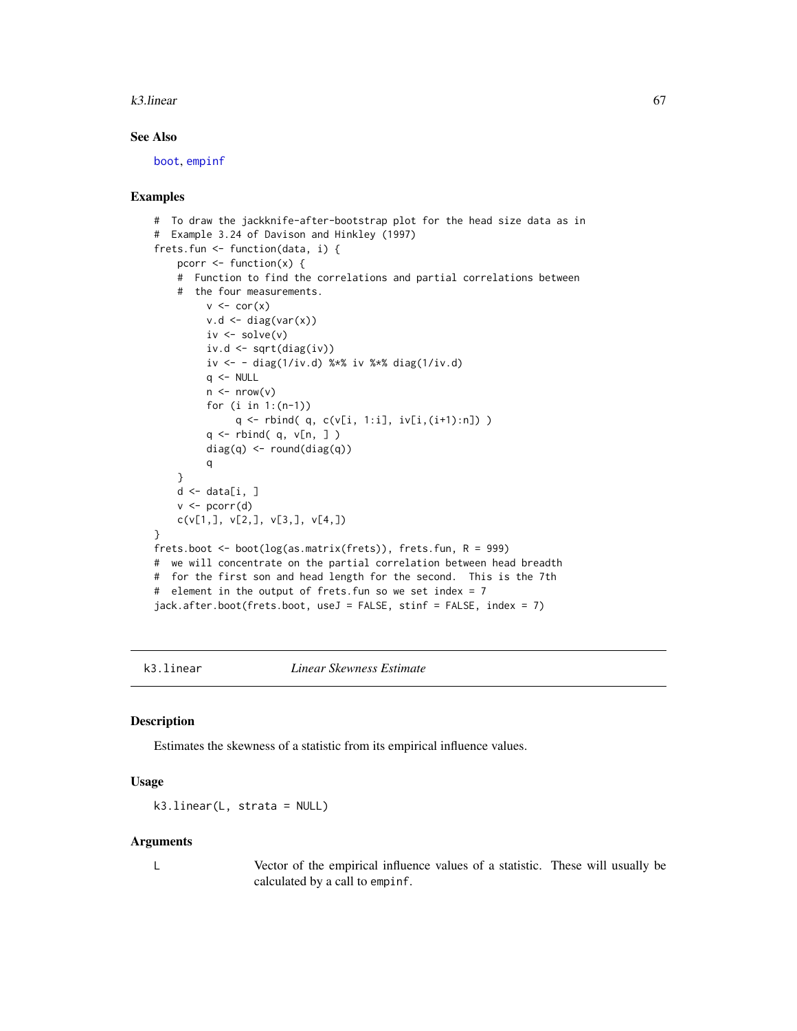#### k3.linear 67

# See Also

[boot](#page-10-0), [empinf](#page-46-0)

## Examples

```
# To draw the jackknife-after-bootstrap plot for the head size data as in
# Example 3.24 of Davison and Hinkley (1997)
frets.fun <- function(data, i) {
   pcorr \leq function(x) {
    # Function to find the correlations and partial correlations between
    # the four measurements.
         v \leq -\text{cor}(x)v.d \leftarrow diag(var(x))iv <- solve(v)
         iv.d <- sqrt(diag(iv))
         iv <- - diag(1/iv.d) %*% iv %*% diag(1/iv.d)
         q \le - NULL
         n \leq -nrow(v)for (i in 1:(n-1))
              q \leftarrow rbind( q, c(v[i, 1:i], iv[i, (i+1):n]) )
         q <- rbind( q, v[n, ] )
         diag(q) <- round(diag(q))
         q
    }
    d \leftarrow data[i, ]v \leftarrow pcorr(d)c(v[1,], v[2,], v[3,], v[4,])
}
frets.boot <- boot(log(as.matrix(frets)), frets.fun, R = 999)
# we will concentrate on the partial correlation between head breadth
# for the first son and head length for the second. This is the 7th
# element in the output of frets.fun so we set index = 7
jack.after.boot(frets.boot, useJ = FALSE, stinf = FALSE, index = 7)
```
<span id="page-66-0"></span>

k3.linear *Linear Skewness Estimate*

#### Description

Estimates the skewness of a statistic from its empirical influence values.

# Usage

```
k3.linear(L, strata = NULL)
```
## Arguments

L Vector of the empirical influence values of a statistic. These will usually be calculated by a call to empinf.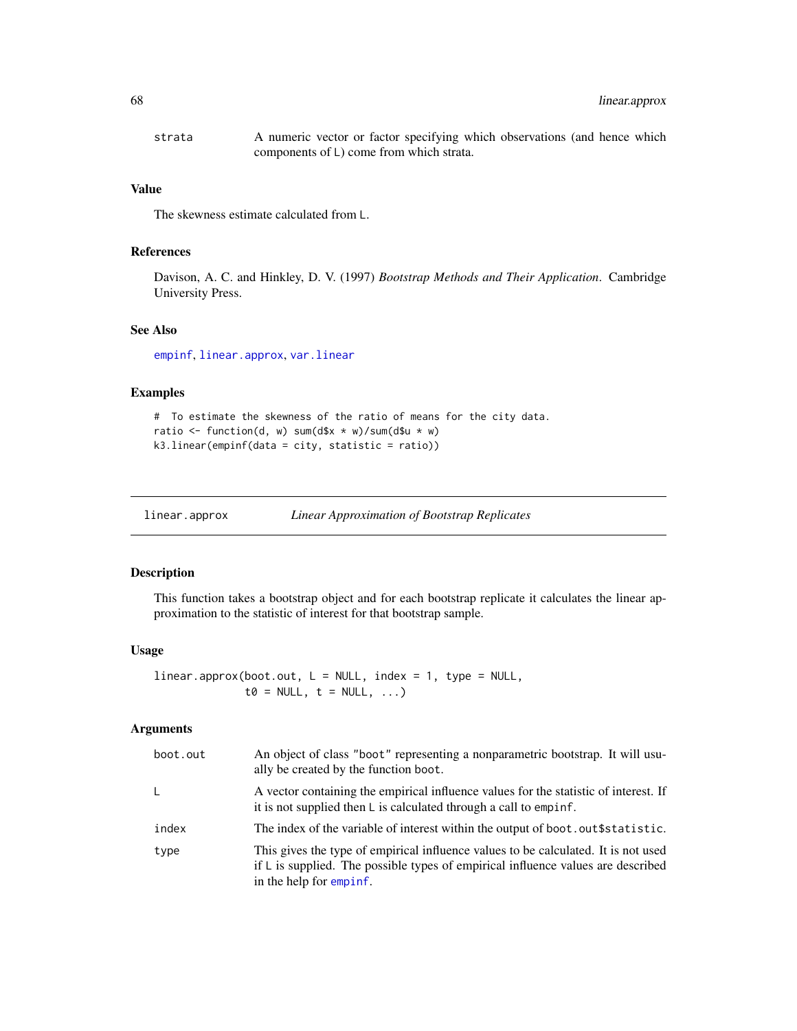| strata | A numeric vector or factor specifying which observations (and hence which |
|--------|---------------------------------------------------------------------------|
|        | components of L) come from which strata.                                  |

#### Value

The skewness estimate calculated from L.

# References

Davison, A. C. and Hinkley, D. V. (1997) *Bootstrap Methods and Their Application*. Cambridge University Press.

# See Also

[empinf](#page-46-0), [linear.approx](#page-67-0), [var.linear](#page-112-0)

## Examples

```
# To estimate the skewness of the ratio of means for the city data.
ratio <- function(d, w) sum(d$x * w)/sum(d$u * w)
k3.linear(empinf(data = city, statistic = ratio))
```
<span id="page-67-0"></span>

| linear.approx | <b>Linear Approximation of Bootstrap Replicates</b> |
|---------------|-----------------------------------------------------|
|               |                                                     |

# Description

This function takes a bootstrap object and for each bootstrap replicate it calculates the linear approximation to the statistic of interest for that bootstrap sample.

# Usage

```
linear.appendbook.out, L = NULL, index = 1, type = NULL,t0 = NULL, t = NULL, ...
```
# Arguments

| boot.out | An object of class "boot" representing a nonparametric bootstrap. It will usu-<br>ally be created by the function boot.                                                                                      |
|----------|--------------------------------------------------------------------------------------------------------------------------------------------------------------------------------------------------------------|
| L.       | A vector containing the empirical influence values for the statistic of interest. If<br>it is not supplied then $L$ is calculated through a call to empinf.                                                  |
| index    | The index of the variable of interest within the output of boot.out\$statistic.                                                                                                                              |
| type     | This gives the type of empirical influence values to be calculated. It is not used<br>if $\mathsf{L}$ is supplied. The possible types of empirical influence values are described<br>in the help for empinf. |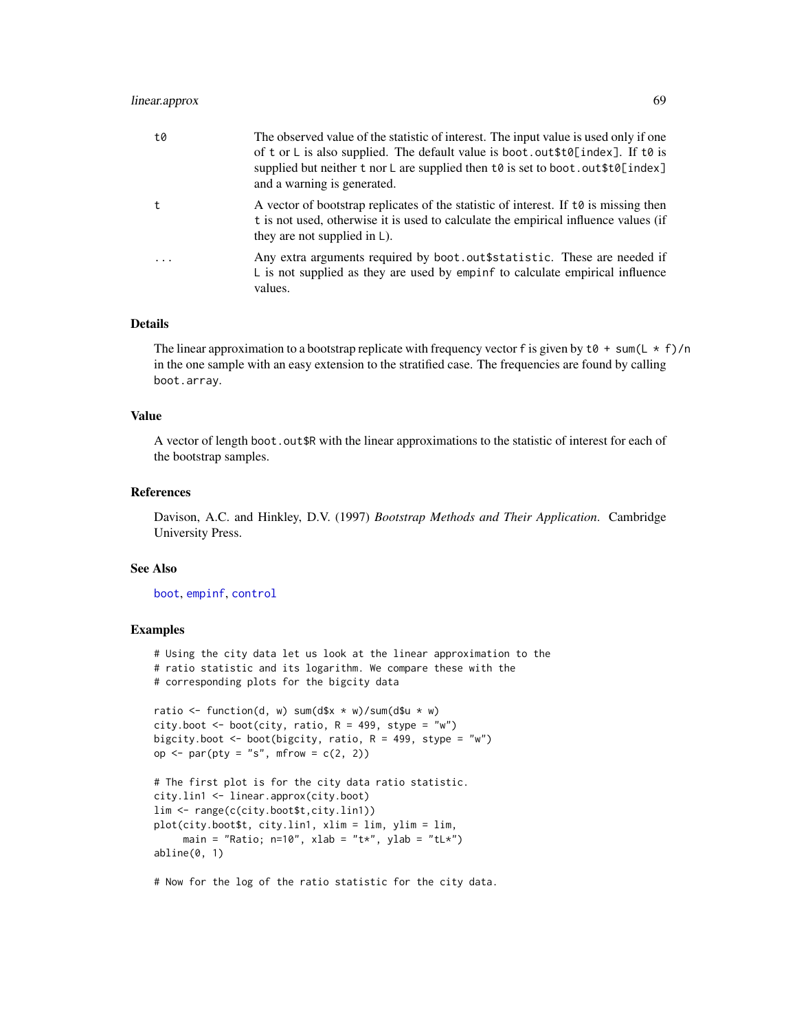# linear.approx 69

| t0      | The observed value of the statistic of interest. The input value is used only if one<br>of t or L is also supplied. The default value is boot.out $t \delta$ [index]. If to is<br>supplied but neither t nor L are supplied then $t \theta$ is set to boot. out $t \theta$ [index]<br>and a warning is generated. |
|---------|-------------------------------------------------------------------------------------------------------------------------------------------------------------------------------------------------------------------------------------------------------------------------------------------------------------------|
| t       | A vector of bootstrap replicates of the statistic of interest. If $\tau \phi$ is missing then<br>t is not used, otherwise it is used to calculate the empirical influence values (if<br>they are not supplied in $\mathsf{L}$ ).                                                                                  |
| $\cdot$ | Any extra arguments required by boot.out\$statistic. These are needed if<br>L is not supplied as they are used by empire to calculate empirical influence<br>values.                                                                                                                                              |

## Details

The linear approximation to a bootstrap replicate with frequency vector f is given by  $t0 + \frac{\text{sum}}{L} \times f$ /n in the one sample with an easy extension to the stratified case. The frequencies are found by calling boot.array.

## Value

A vector of length boot.out\$R with the linear approximations to the statistic of interest for each of the bootstrap samples.

## References

Davison, A.C. and Hinkley, D.V. (1997) *Bootstrap Methods and Their Application*. Cambridge University Press.

#### See Also

[boot](#page-10-0), [empinf](#page-46-0), [control](#page-36-0)

# Examples

# Using the city data let us look at the linear approximation to the # ratio statistic and its logarithm. We compare these with the # corresponding plots for the bigcity data ratio  $\le$  function(d, w) sum(d\$x  $\star$  w)/sum(d\$u  $\star$  w) city.boot  $\leq$  boot(city, ratio, R = 499, stype = "w") bigcity.boot  $\leq$  boot(bigcity, ratio, R = 499, stype = "w") op  $\leq$  par(pty = "s", mfrow = c(2, 2)) # The first plot is for the city data ratio statistic. city.lin1 <- linear.approx(city.boot) lim <- range(c(city.boot\$t,city.lin1)) plot(city.boot\$t, city.lin1, xlim = lim, ylim = lim, main = "Ratio;  $n=10$ ", xlab = "t\*", ylab = "tL\*")

```
abline(0, 1)
```
# Now for the log of the ratio statistic for the city data.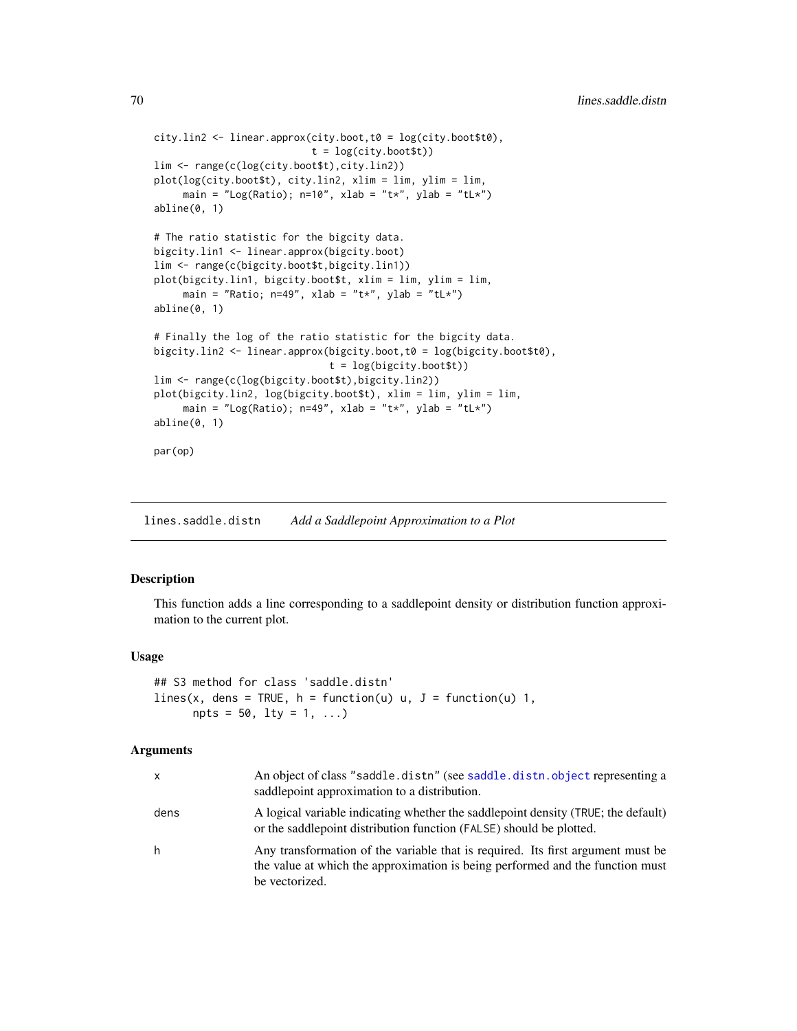```
city.lin2 <- linear.approx(city.boot,t0 = log(city.boot$t0),
                           t = log(city.boot $t))lim <- range(c(log(city.boot$t),city.lin2))
plot(log(city.boot$t), city.lin2, xlim = lim, ylim = lim,
     main = "Log(Ratio); n=10", xlab = "t*", ylab = "tL*")
abline(0, 1)
# The ratio statistic for the bigcity data.
bigcity.lin1 <- linear.approx(bigcity.boot)
lim <- range(c(bigcity.boot$t,bigcity.lin1))
plot(bigcity.lin1, bigcity.boot$t, xlim = lim, ylim = lim,
     main = "Ratio; n=49", xlab = "t*", ylab = "tL*")
abline(0, 1)
# Finally the log of the ratio statistic for the bigcity data.
bigcity.lin2 <- linear.approx(bigcity.boot,t0 = log(bigcity.boot$t0),
                              t = log(bigcity.boot$t))
lim <- range(c(log(bigcity.boot$t),bigcity.lin2))
plot(bigcity.lin2, log(bigcity.boot$t), xlim = lim, ylim = lim,
     main = "Log(Ratio); n=49", xlab = "t*", ylab = "t!*")abline(0, 1)
par(op)
```
lines.saddle.distn *Add a Saddlepoint Approximation to a Plot*

# Description

This function adds a line corresponding to a saddlepoint density or distribution function approximation to the current plot.

#### Usage

```
## S3 method for class 'saddle.distn'
lines(x, dens = TRUE, h = function(u) u, J = function(u) 1,
     npts = 50, 1ty = 1, ...
```
# Arguments

| x    | An object of class "saddle.distn" (see saddle.distn.object representing a<br>saddlepoint approximation to a distribution.                                                          |
|------|------------------------------------------------------------------------------------------------------------------------------------------------------------------------------------|
| dens | A logical variable indicating whether the saddlepoint density (TRUE; the default)<br>or the saddlepoint distribution function (FALSE) should be plotted.                           |
| h    | Any transformation of the variable that is required. Its first argument must be<br>the value at which the approximation is being performed and the function must<br>be vectorized. |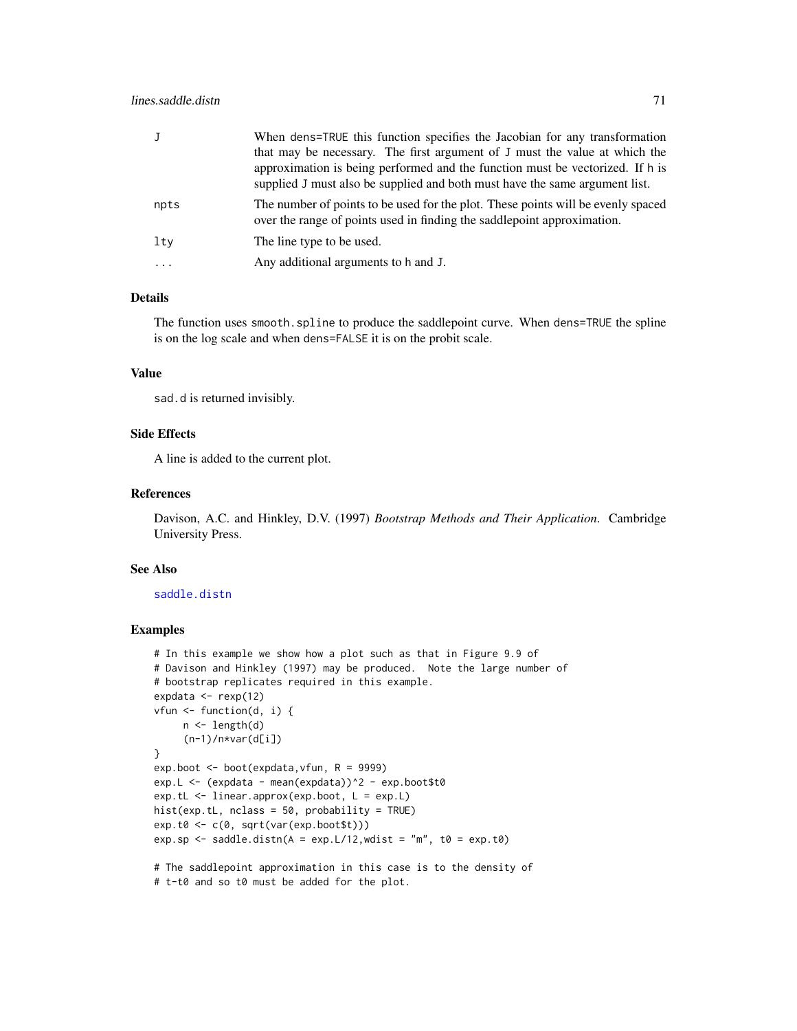| J        | When dens=TRUE this function specifies the Jacobian for any transformation<br>that may be necessary. The first argument of J must the value at which the<br>approximation is being performed and the function must be vectorized. If h is<br>supplied J must also be supplied and both must have the same argument list. |
|----------|--------------------------------------------------------------------------------------------------------------------------------------------------------------------------------------------------------------------------------------------------------------------------------------------------------------------------|
| npts     | The number of points to be used for the plot. These points will be evenly spaced<br>over the range of points used in finding the saddlepoint approximation.                                                                                                                                                              |
| lty      | The line type to be used.                                                                                                                                                                                                                                                                                                |
| $\cdots$ | Any additional arguments to h and J.                                                                                                                                                                                                                                                                                     |

# Details

The function uses smooth.spline to produce the saddlepoint curve. When dens=TRUE the spline is on the log scale and when dens=FALSE it is on the probit scale.

## Value

sad.d is returned invisibly.

# Side Effects

A line is added to the current plot.

## References

Davison, A.C. and Hinkley, D.V. (1997) *Bootstrap Methods and Their Application*. Cambridge University Press.

#### See Also

#### [saddle.distn](#page-91-0)

# Examples

```
# In this example we show how a plot such as that in Figure 9.9 of
# Davison and Hinkley (1997) may be produced. Note the large number of
# bootstrap replicates required in this example.
expdata \leq rexp(12)
vfun \leq function(d, i) {
     n <- length(d)
     (n-1)/n*var(d[i])}
exp.boot <- boot(expdata,vfun, R = 9999)
exp.L <- (expdata - mean(expdata))^2 - exp.boot$t0
exp.tL <- linear.approx(exp.boot, L = exp.L)
hist(exp.tL, nclass = 50, probability = TRUE)
exp.t0 <- c(0, sqrt(var(exp.boot$t)))
exp.sp <- saddle.distn(A = exp.L/12, wdist = "m", t0 = exp.t0)
# The saddlepoint approximation in this case is to the density of
```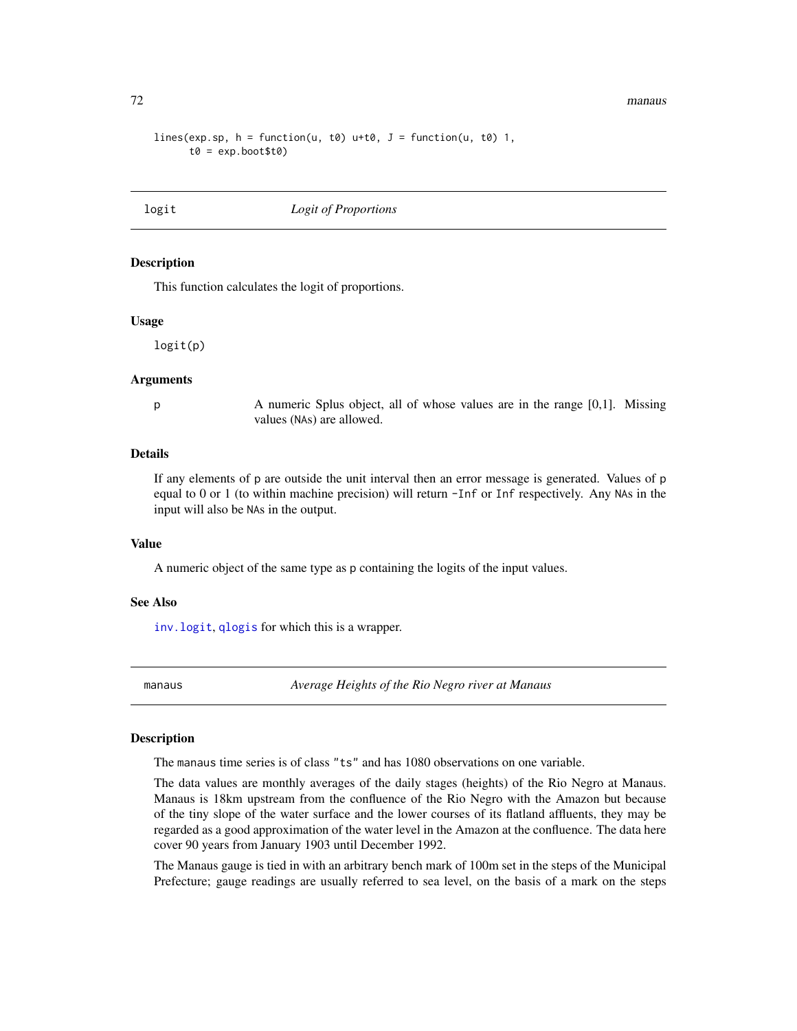72 manaus

```
lines(exp.sp, h = function(u, t0) u+t0, J = function(u, t0) 1,
      t0 = exp.boot $t0)
```
<span id="page-71-0"></span>

## logit *Logit of Proportions*

## Description

This function calculates the logit of proportions.

#### Usage

logit(p)

## Arguments

p A numeric Splus object, all of whose values are in the range [0,1]. Missing values (NAs) are allowed.

## Details

If any elements of p are outside the unit interval then an error message is generated. Values of p equal to 0 or 1 (to within machine precision) will return -Inf or Inf respectively. Any NAs in the input will also be NAs in the output.

## Value

A numeric object of the same type as p containing the logits of the input values.

## See Also

[inv.logit](#page-63-0), [qlogis](#page-0-0) for which this is a wrapper.

manaus *Average Heights of the Rio Negro river at Manaus*

## Description

The manaus time series is of class "ts" and has 1080 observations on one variable.

The data values are monthly averages of the daily stages (heights) of the Rio Negro at Manaus. Manaus is 18km upstream from the confluence of the Rio Negro with the Amazon but because of the tiny slope of the water surface and the lower courses of its flatland affluents, they may be regarded as a good approximation of the water level in the Amazon at the confluence. The data here cover 90 years from January 1903 until December 1992.

The Manaus gauge is tied in with an arbitrary bench mark of 100m set in the steps of the Municipal Prefecture; gauge readings are usually referred to sea level, on the basis of a mark on the steps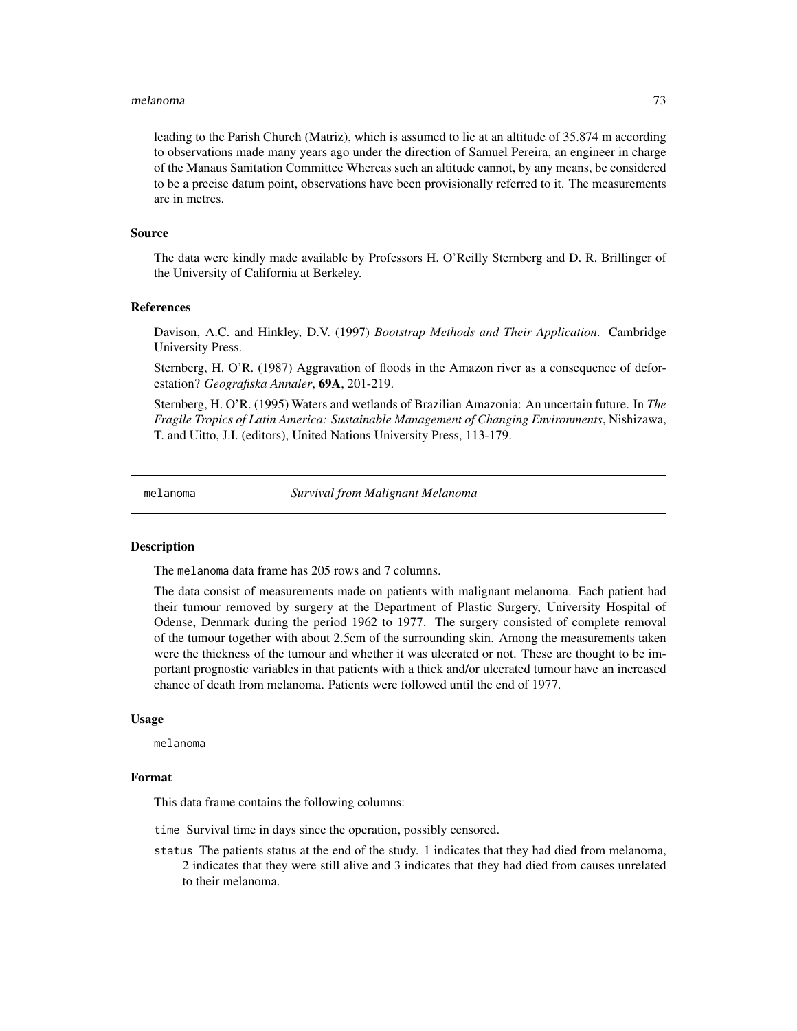#### melanoma 73

leading to the Parish Church (Matriz), which is assumed to lie at an altitude of 35.874 m according to observations made many years ago under the direction of Samuel Pereira, an engineer in charge of the Manaus Sanitation Committee Whereas such an altitude cannot, by any means, be considered to be a precise datum point, observations have been provisionally referred to it. The measurements are in metres.

#### Source

The data were kindly made available by Professors H. O'Reilly Sternberg and D. R. Brillinger of the University of California at Berkeley.

#### **References**

Davison, A.C. and Hinkley, D.V. (1997) *Bootstrap Methods and Their Application*. Cambridge University Press.

Sternberg, H. O'R. (1987) Aggravation of floods in the Amazon river as a consequence of deforestation? *Geografiska Annaler*, 69A, 201-219.

Sternberg, H. O'R. (1995) Waters and wetlands of Brazilian Amazonia: An uncertain future. In *The Fragile Tropics of Latin America: Sustainable Management of Changing Environments*, Nishizawa, T. and Uitto, J.I. (editors), United Nations University Press, 113-179.

melanoma *Survival from Malignant Melanoma*

# **Description**

The melanoma data frame has 205 rows and 7 columns.

The data consist of measurements made on patients with malignant melanoma. Each patient had their tumour removed by surgery at the Department of Plastic Surgery, University Hospital of Odense, Denmark during the period 1962 to 1977. The surgery consisted of complete removal of the tumour together with about 2.5cm of the surrounding skin. Among the measurements taken were the thickness of the tumour and whether it was ulcerated or not. These are thought to be important prognostic variables in that patients with a thick and/or ulcerated tumour have an increased chance of death from melanoma. Patients were followed until the end of 1977.

#### Usage

melanoma

# Format

This data frame contains the following columns:

time Survival time in days since the operation, possibly censored.

status The patients status at the end of the study. 1 indicates that they had died from melanoma, 2 indicates that they were still alive and 3 indicates that they had died from causes unrelated to their melanoma.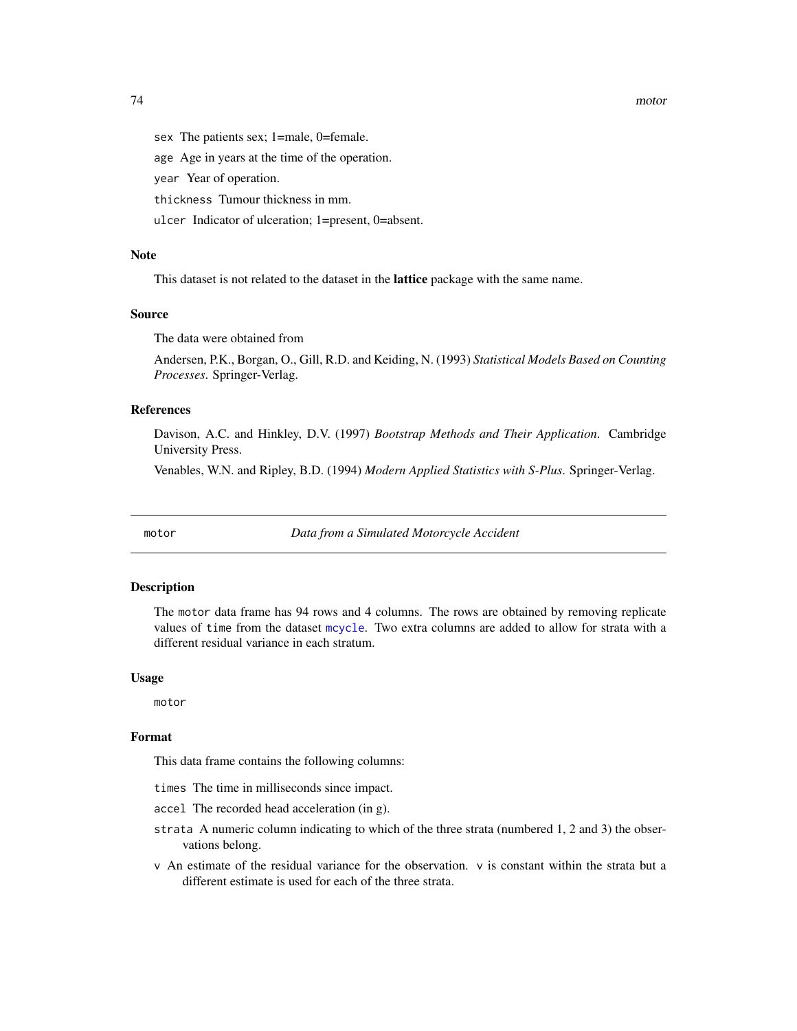74 motor

sex The patients sex; 1=male, 0=female.

age Age in years at the time of the operation.

year Year of operation.

thickness Tumour thickness in mm.

ulcer Indicator of ulceration; 1=present, 0=absent.

#### Note

This dataset is not related to the dataset in the lattice package with the same name.

# Source

The data were obtained from

Andersen, P.K., Borgan, O., Gill, R.D. and Keiding, N. (1993) *Statistical Models Based on Counting Processes*. Springer-Verlag.

# References

Davison, A.C. and Hinkley, D.V. (1997) *Bootstrap Methods and Their Application*. Cambridge University Press.

Venables, W.N. and Ripley, B.D. (1994) *Modern Applied Statistics with S-Plus*. Springer-Verlag.

motor *Data from a Simulated Motorcycle Accident*

#### Description

The motor data frame has 94 rows and 4 columns. The rows are obtained by removing replicate values of time from the dataset [mcycle](#page-0-0). Two extra columns are added to allow for strata with a different residual variance in each stratum.

## Usage

motor

# Format

This data frame contains the following columns:

times The time in milliseconds since impact.

accel The recorded head acceleration (in g).

- strata A numeric column indicating to which of the three strata (numbered 1, 2 and 3) the observations belong.
- v An estimate of the residual variance for the observation. v is constant within the strata but a different estimate is used for each of the three strata.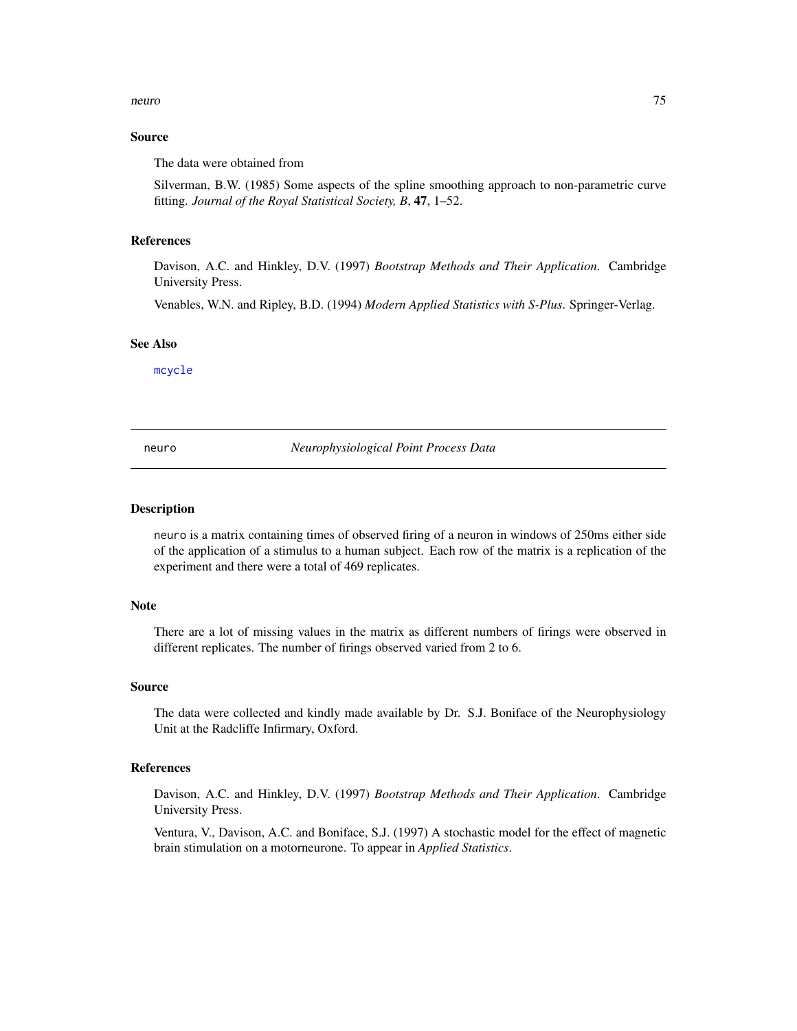#### neuro 75

# Source

The data were obtained from

Silverman, B.W. (1985) Some aspects of the spline smoothing approach to non-parametric curve fitting. *Journal of the Royal Statistical Society, B*, 47, 1–52.

#### References

Davison, A.C. and Hinkley, D.V. (1997) *Bootstrap Methods and Their Application*. Cambridge University Press.

Venables, W.N. and Ripley, B.D. (1994) *Modern Applied Statistics with S-Plus*. Springer-Verlag.

#### See Also

[mcycle](#page-0-0)

neuro *Neurophysiological Point Process Data*

# Description

neuro is a matrix containing times of observed firing of a neuron in windows of 250ms either side of the application of a stimulus to a human subject. Each row of the matrix is a replication of the experiment and there were a total of 469 replicates.

#### **Note**

There are a lot of missing values in the matrix as different numbers of firings were observed in different replicates. The number of firings observed varied from 2 to 6.

#### Source

The data were collected and kindly made available by Dr. S.J. Boniface of the Neurophysiology Unit at the Radcliffe Infirmary, Oxford.

# References

Davison, A.C. and Hinkley, D.V. (1997) *Bootstrap Methods and Their Application*. Cambridge University Press.

Ventura, V., Davison, A.C. and Boniface, S.J. (1997) A stochastic model for the effect of magnetic brain stimulation on a motorneurone. To appear in *Applied Statistics*.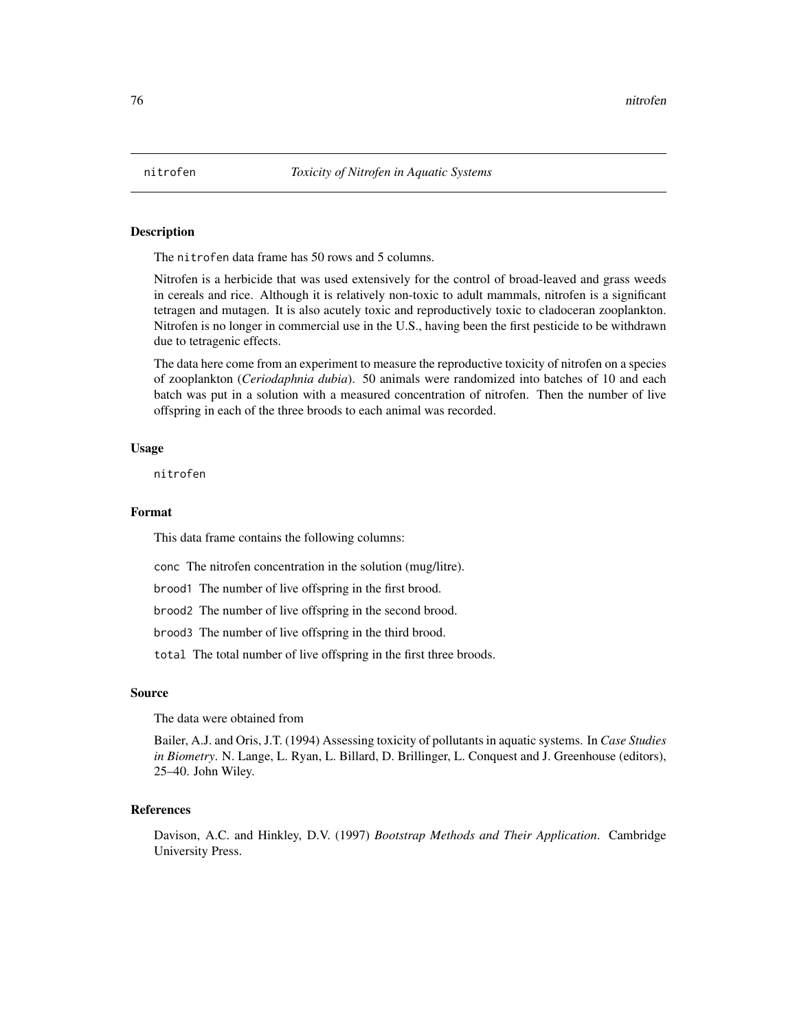The nitrofen data frame has 50 rows and 5 columns.

Nitrofen is a herbicide that was used extensively for the control of broad-leaved and grass weeds in cereals and rice. Although it is relatively non-toxic to adult mammals, nitrofen is a significant tetragen and mutagen. It is also acutely toxic and reproductively toxic to cladoceran zooplankton. Nitrofen is no longer in commercial use in the U.S., having been the first pesticide to be withdrawn due to tetragenic effects.

The data here come from an experiment to measure the reproductive toxicity of nitrofen on a species of zooplankton (*Ceriodaphnia dubia*). 50 animals were randomized into batches of 10 and each batch was put in a solution with a measured concentration of nitrofen. Then the number of live offspring in each of the three broods to each animal was recorded.

#### Usage

nitrofen

## Format

This data frame contains the following columns:

conc The nitrofen concentration in the solution (mug/litre).

brood1 The number of live offspring in the first brood.

brood2 The number of live offspring in the second brood.

brood3 The number of live offspring in the third brood.

total The total number of live offspring in the first three broods.

## Source

The data were obtained from

Bailer, A.J. and Oris, J.T. (1994) Assessing toxicity of pollutants in aquatic systems. In *Case Studies in Biometry*. N. Lange, L. Ryan, L. Billard, D. Brillinger, L. Conquest and J. Greenhouse (editors), 25–40. John Wiley.

# References

Davison, A.C. and Hinkley, D.V. (1997) *Bootstrap Methods and Their Application*. Cambridge University Press.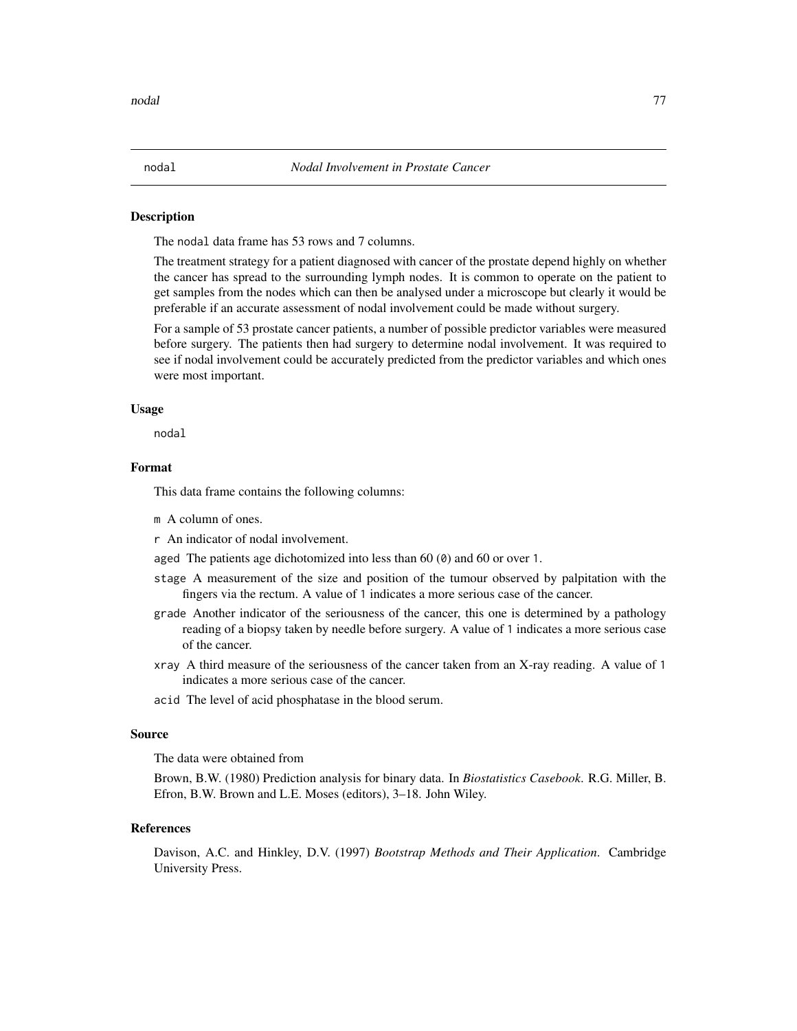The nodal data frame has 53 rows and 7 columns.

The treatment strategy for a patient diagnosed with cancer of the prostate depend highly on whether the cancer has spread to the surrounding lymph nodes. It is common to operate on the patient to get samples from the nodes which can then be analysed under a microscope but clearly it would be preferable if an accurate assessment of nodal involvement could be made without surgery.

For a sample of 53 prostate cancer patients, a number of possible predictor variables were measured before surgery. The patients then had surgery to determine nodal involvement. It was required to see if nodal involvement could be accurately predicted from the predictor variables and which ones were most important.

#### Usage

nodal

# Format

This data frame contains the following columns:

- m A column of ones.
- r An indicator of nodal involvement.

aged The patients age dichotomized into less than 60 (0) and 60 or over 1.

- stage A measurement of the size and position of the tumour observed by palpitation with the fingers via the rectum. A value of 1 indicates a more serious case of the cancer.
- grade Another indicator of the seriousness of the cancer, this one is determined by a pathology reading of a biopsy taken by needle before surgery. A value of 1 indicates a more serious case of the cancer.
- xray A third measure of the seriousness of the cancer taken from an X-ray reading. A value of 1 indicates a more serious case of the cancer.
- acid The level of acid phosphatase in the blood serum.

#### Source

The data were obtained from

Brown, B.W. (1980) Prediction analysis for binary data. In *Biostatistics Casebook*. R.G. Miller, B. Efron, B.W. Brown and L.E. Moses (editors), 3–18. John Wiley.

#### References

Davison, A.C. and Hinkley, D.V. (1997) *Bootstrap Methods and Their Application*. Cambridge University Press.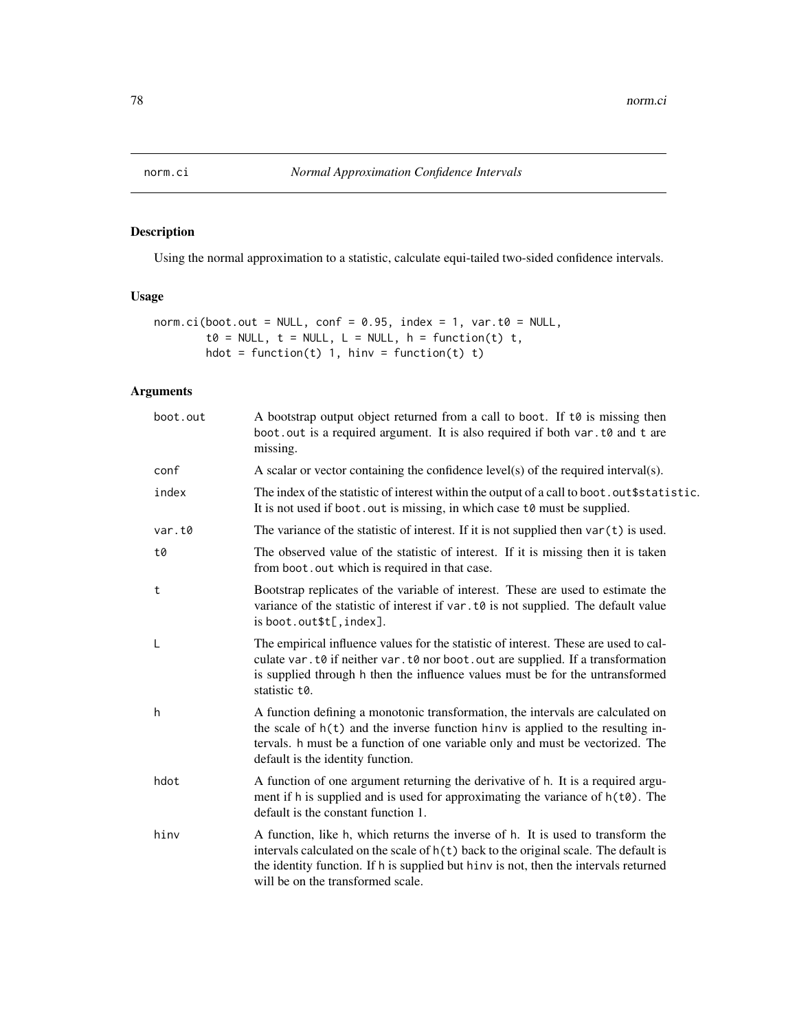Using the normal approximation to a statistic, calculate equi-tailed two-sided confidence intervals.

# Usage

```
norm.ci(boot.out = NULL, conf = 0.95, index = 1, var.t0 = NULL,t0 = NULL, t = NULL, L = NULL, h = function(t),
       hdot = function(t) 1, hinv = function(t) t)
```
# Arguments

| boot.out | A bootstrap output object returned from a call to boot. If to is missing then<br>boot out is a required argument. It is also required if both var. t0 and t are<br>missing.                                                                                                                            |
|----------|--------------------------------------------------------------------------------------------------------------------------------------------------------------------------------------------------------------------------------------------------------------------------------------------------------|
| conf     | A scalar or vector containing the confidence level(s) of the required interval(s).                                                                                                                                                                                                                     |
| index    | The index of the statistic of interest within the output of a call to boot. out \$statistic.<br>It is not used if boot. out is missing, in which case to must be supplied.                                                                                                                             |
| var.t0   | The variance of the statistic of interest. If it is not supplied then $var(t)$ is used.                                                                                                                                                                                                                |
| t0       | The observed value of the statistic of interest. If it is missing then it is taken<br>from boot. out which is required in that case.                                                                                                                                                                   |
| t        | Bootstrap replicates of the variable of interest. These are used to estimate the<br>variance of the statistic of interest if $var. t\theta$ is not supplied. The default value<br>is boot.out\$t[, index].                                                                                             |
| L        | The empirical influence values for the statistic of interest. These are used to cal-<br>culate var. t0 if neither var. t0 nor boot. out are supplied. If a transformation<br>is supplied through h then the influence values must be for the untransformed<br>statistic t0.                            |
| h        | A function defining a monotonic transformation, the intervals are calculated on<br>the scale of $h(t)$ and the inverse function hinv is applied to the resulting in-<br>tervals. h must be a function of one variable only and must be vectorized. The<br>default is the identity function.            |
| hdot     | A function of one argument returning the derivative of h. It is a required argu-<br>ment if h is supplied and is used for approximating the variance of h(t0). The<br>default is the constant function 1.                                                                                              |
| hinv     | A function, like h, which returns the inverse of h. It is used to transform the<br>intervals calculated on the scale of $h(t)$ back to the original scale. The default is<br>the identity function. If h is supplied but hinv is not, then the intervals returned<br>will be on the transformed scale. |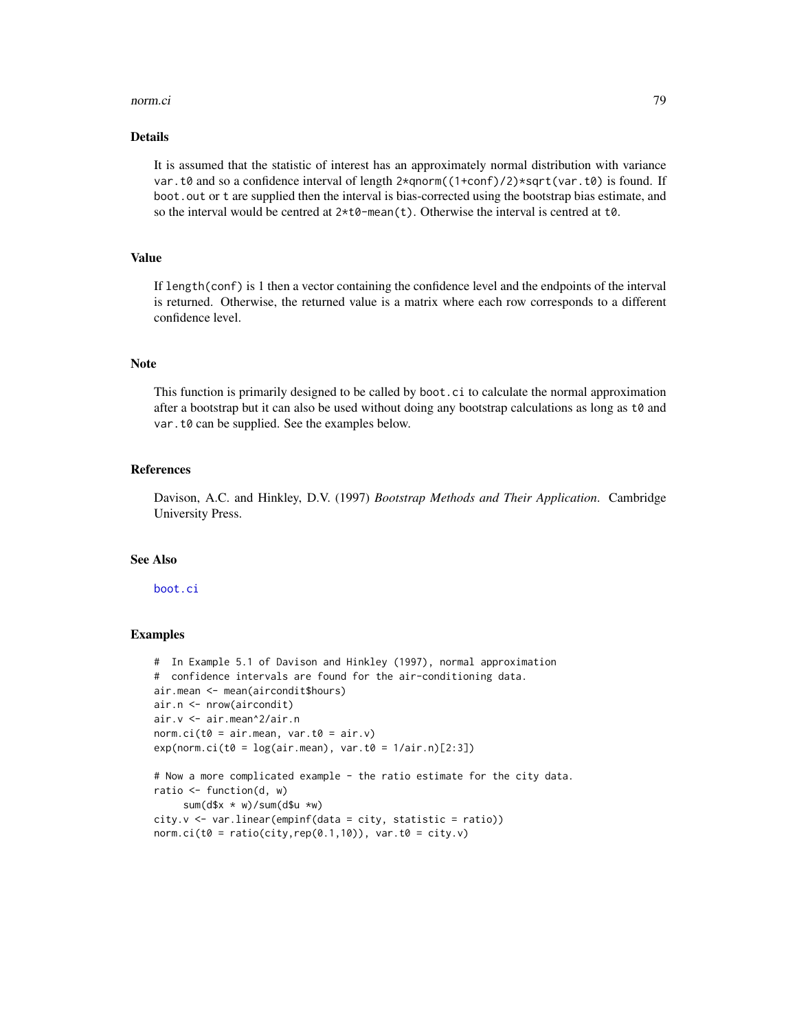#### norm.ci **79**

# Details

It is assumed that the statistic of interest has an approximately normal distribution with variance var.t0 and so a confidence interval of length  $2*qnorm((1+conf)/2)*sqrt(var.t0)$  is found. If boot.out or t are supplied then the interval is bias-corrected using the bootstrap bias estimate, and so the interval would be centred at  $2 \star t0$ -mean(t). Otherwise the interval is centred at  $t0$ .

# Value

If length(conf) is 1 then a vector containing the confidence level and the endpoints of the interval is returned. Otherwise, the returned value is a matrix where each row corresponds to a different confidence level.

# **Note**

This function is primarily designed to be called by boot.ci to calculate the normal approximation after a bootstrap but it can also be used without doing any bootstrap calculations as long as t0 and var.t0 can be supplied. See the examples below.

#### **References**

Davison, A.C. and Hinkley, D.V. (1997) *Bootstrap Methods and Their Application*. Cambridge University Press.

#### See Also

#### [boot.ci](#page-17-0)

#### Examples

```
# In Example 5.1 of Davison and Hinkley (1997), normal approximation
# confidence intervals are found for the air-conditioning data.
air.mean <- mean(aircondit$hours)
air.n <- nrow(aircondit)
air.v <- air.mean^2/air.n
norm.ci(t0 = air.mean, var.t0 = air.v)
exp(norm.ci(t0 = log(air.macan), var.t0 = 1/air.n)[2:3])# Now a more complicated example - the ratio estimate for the city data.
ratio \leq function(d, w)
     sum(d$x * w)/sum(d$u *w)city.v <- var.linear(empinf(data = city, statistic = ratio))
norm.ci(t0 = ratio(city, rep(0.1,10)), var.t0 = city.v)
```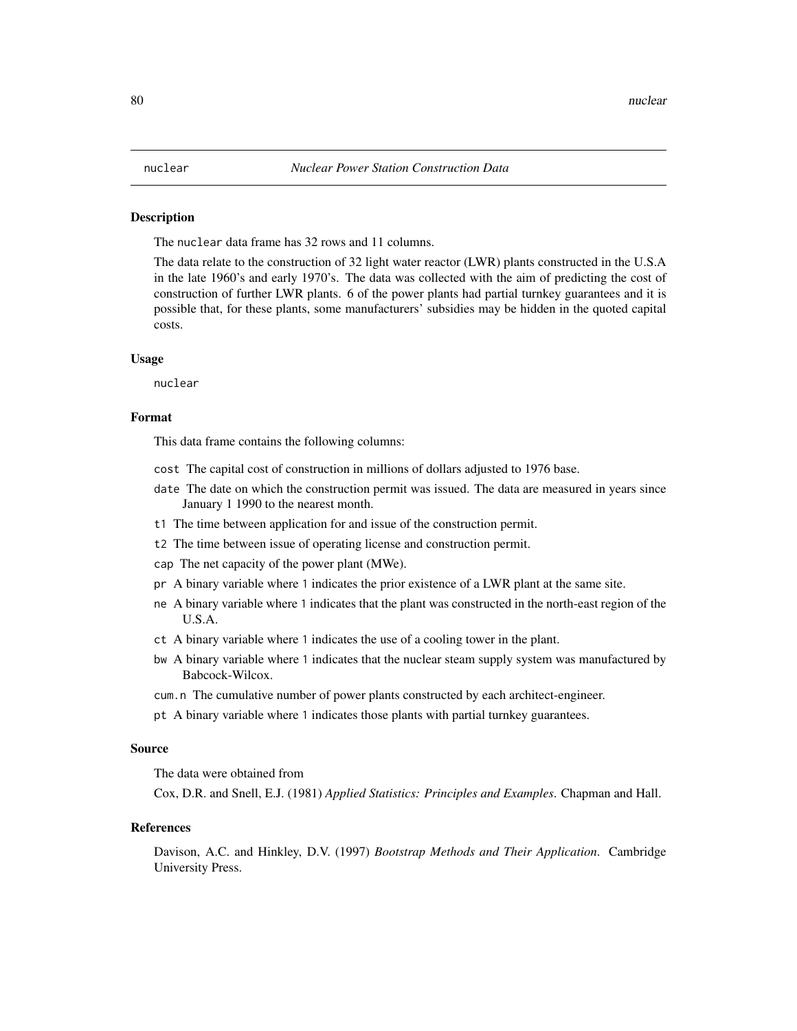The nuclear data frame has 32 rows and 11 columns.

The data relate to the construction of 32 light water reactor (LWR) plants constructed in the U.S.A in the late 1960's and early 1970's. The data was collected with the aim of predicting the cost of construction of further LWR plants. 6 of the power plants had partial turnkey guarantees and it is possible that, for these plants, some manufacturers' subsidies may be hidden in the quoted capital costs.

#### Usage

nuclear

# Format

This data frame contains the following columns:

- cost The capital cost of construction in millions of dollars adjusted to 1976 base.
- date The date on which the construction permit was issued. The data are measured in years since January 1 1990 to the nearest month.
- t1 The time between application for and issue of the construction permit.
- t2 The time between issue of operating license and construction permit.
- cap The net capacity of the power plant (MWe).
- pr A binary variable where 1 indicates the prior existence of a LWR plant at the same site.
- ne A binary variable where 1 indicates that the plant was constructed in the north-east region of the U.S.A.
- ct A binary variable where 1 indicates the use of a cooling tower in the plant.
- bw A binary variable where 1 indicates that the nuclear steam supply system was manufactured by Babcock-Wilcox.
- cum.n The cumulative number of power plants constructed by each architect-engineer.
- pt A binary variable where 1 indicates those plants with partial turnkey guarantees.

#### Source

The data were obtained from

Cox, D.R. and Snell, E.J. (1981) *Applied Statistics: Principles and Examples*. Chapman and Hall.

#### References

Davison, A.C. and Hinkley, D.V. (1997) *Bootstrap Methods and Their Application*. Cambridge University Press.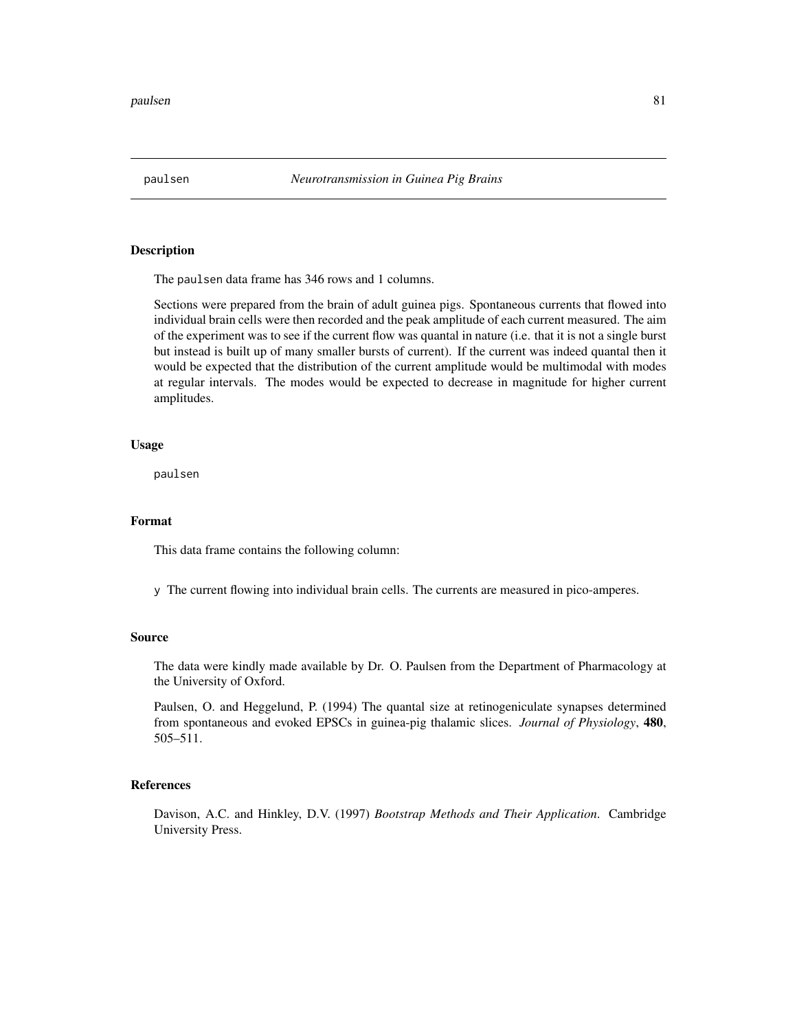The paulsen data frame has 346 rows and 1 columns.

Sections were prepared from the brain of adult guinea pigs. Spontaneous currents that flowed into individual brain cells were then recorded and the peak amplitude of each current measured. The aim of the experiment was to see if the current flow was quantal in nature (i.e. that it is not a single burst but instead is built up of many smaller bursts of current). If the current was indeed quantal then it would be expected that the distribution of the current amplitude would be multimodal with modes at regular intervals. The modes would be expected to decrease in magnitude for higher current amplitudes.

## Usage

paulsen

#### Format

This data frame contains the following column:

y The current flowing into individual brain cells. The currents are measured in pico-amperes.

# Source

The data were kindly made available by Dr. O. Paulsen from the Department of Pharmacology at the University of Oxford.

Paulsen, O. and Heggelund, P. (1994) The quantal size at retinogeniculate synapses determined from spontaneous and evoked EPSCs in guinea-pig thalamic slices. *Journal of Physiology*, 480, 505–511.

# References

Davison, A.C. and Hinkley, D.V. (1997) *Bootstrap Methods and Their Application*. Cambridge University Press.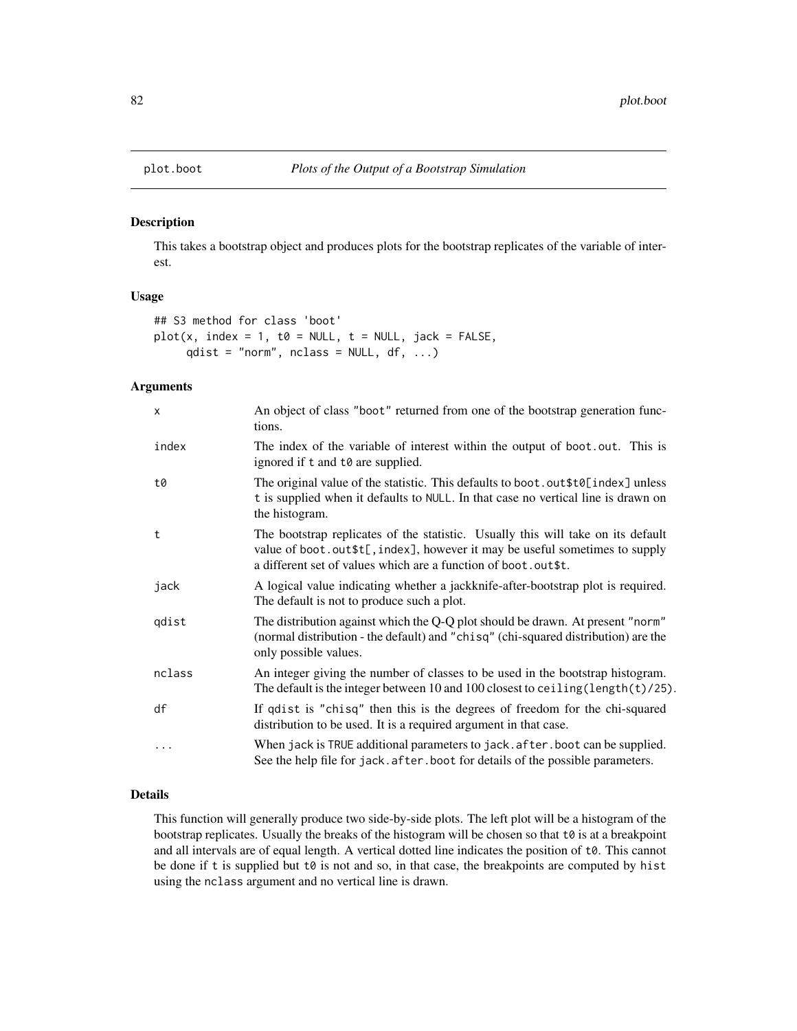<span id="page-81-0"></span>

This takes a bootstrap object and produces plots for the bootstrap replicates of the variable of interest.

# Usage

```
## S3 method for class 'boot'
plot(x, index = 1, to = NULL, t = NULL, jack = FALSE,qdist = "norm", nclass = NULL, df, ...)
```
# Arguments

| X      | An object of class "boot" returned from one of the bootstrap generation func-<br>tions.                                                                                                                                            |
|--------|------------------------------------------------------------------------------------------------------------------------------------------------------------------------------------------------------------------------------------|
| index  | The index of the variable of interest within the output of boot.out. This is<br>ignored if t and to are supplied.                                                                                                                  |
| t0     | The original value of the statistic. This defaults to boot.out \$t0[index] unless<br>t is supplied when it defaults to NULL. In that case no vertical line is drawn on<br>the histogram.                                           |
| t      | The bootstrap replicates of the statistic. Usually this will take on its default<br>value of boot.out \$t[, index], however it may be useful sometimes to supply<br>a different set of values which are a function of boot.out\$t. |
| jack   | A logical value indicating whether a jackknife-after-bootstrap plot is required.<br>The default is not to produce such a plot.                                                                                                     |
| qdist  | The distribution against which the Q-Q plot should be drawn. At present "norm"<br>(normal distribution - the default) and "chisq" (chi-squared distribution) are the<br>only possible values.                                      |
| nclass | An integer giving the number of classes to be used in the bootstrap histogram.<br>The default is the integer between 10 and 100 closest to ceiling (length $(t)/25$ ).                                                             |
| df     | If qdist is "chisq" then this is the degrees of freedom for the chi-squared<br>distribution to be used. It is a required argument in that case.                                                                                    |
| .      | When jack is TRUE additional parameters to jack. after. boot can be supplied.<br>See the help file for jack. after. boot for details of the possible parameters.                                                                   |

# Details

This function will generally produce two side-by-side plots. The left plot will be a histogram of the bootstrap replicates. Usually the breaks of the histogram will be chosen so that  $t\theta$  is at a breakpoint and all intervals are of equal length. A vertical dotted line indicates the position of t0. This cannot be done if t is supplied but t0 is not and so, in that case, the breakpoints are computed by hist using the nclass argument and no vertical line is drawn.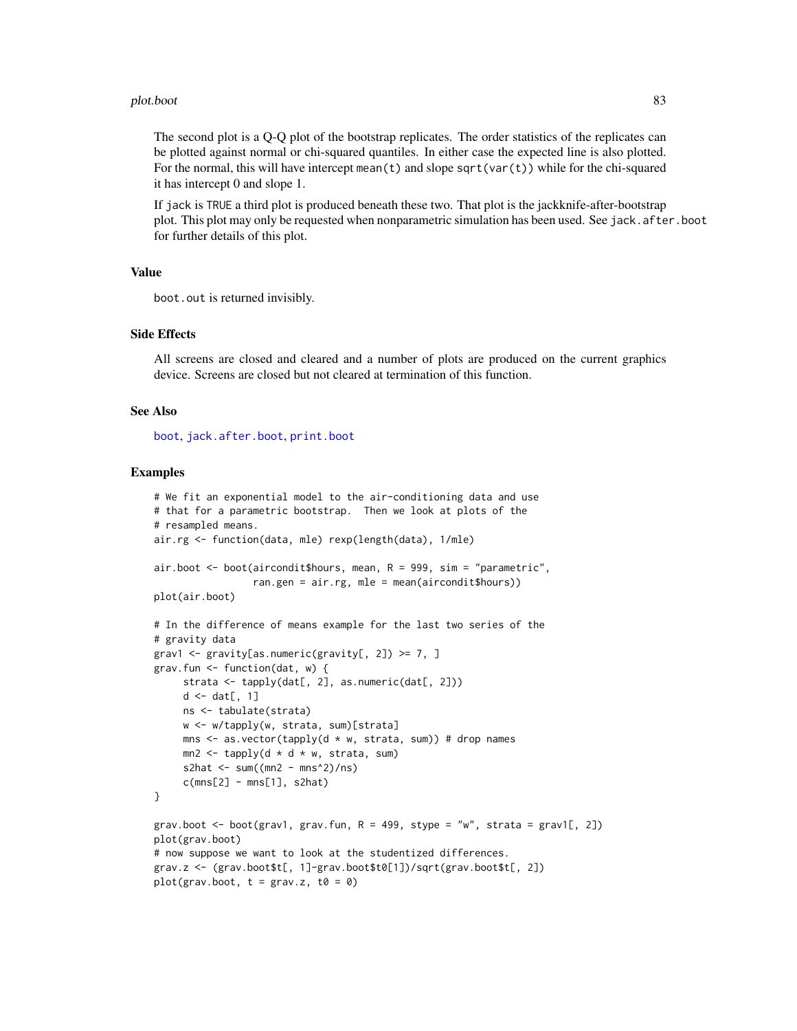#### plot.boot 83

The second plot is a Q-Q plot of the bootstrap replicates. The order statistics of the replicates can be plotted against normal or chi-squared quantiles. In either case the expected line is also plotted. For the normal, this will have intercept mean(t) and slope sqrt(var(t)) while for the chi-squared it has intercept 0 and slope 1.

If jack is TRUE a third plot is produced beneath these two. That plot is the jackknife-after-bootstrap plot. This plot may only be requested when nonparametric simulation has been used. See jack.after.boot for further details of this plot.

# Value

```
boot.out is returned invisibly.
```
## Side Effects

All screens are closed and cleared and a number of plots are produced on the current graphics device. Screens are closed but not cleared at termination of this function.

## See Also

[boot](#page-10-0), [jack.after.boot](#page-64-0), [print.boot](#page-85-0)

## Examples

```
# We fit an exponential model to the air-conditioning data and use
# that for a parametric bootstrap. Then we look at plots of the
# resampled means.
air.rg <- function(data, mle) rexp(length(data), 1/mle)
air.boot <- boot(aircondit$hours, mean, R = 999, sim = "parametric",
                 ran.gen = air.rg, mle = mean(aircondit$hours))
plot(air.boot)
# In the difference of means example for the last two series of the
# gravity data
grav1 <- gravity[as.numeric(gravity[, 2]) >= 7, ]
grav.fun <- function(dat, w) {
     strata <- tapply(dat[, 2], as.numeric(dat[, 2]))
     d \leftarrow dat[, 1]ns <- tabulate(strata)
     w <- w/tapply(w, strata, sum)[strata]
    mns \leq as.vector(tapply(d \star w, strata, sum)) # drop names
    mn2 \leq - \t{tapply(d \times d \times w, strata, sum)}s2hat \le sum((mn2 - mns^2)/ns)
     c(mns[2] - mns[1], s2hat)}
grav.boot \leq boot(grav1, grav.fun, R = 499, stype = "w", strata = grav1[, 2])
plot(grav.boot)
# now suppose we want to look at the studentized differences.
grav.z <- (grav.boot$t[, 1]-grav.boot$t0[1])/sqrt(grav.boot$t[, 2])
plot(grav.boot, t = grav.z, t0 = 0)
```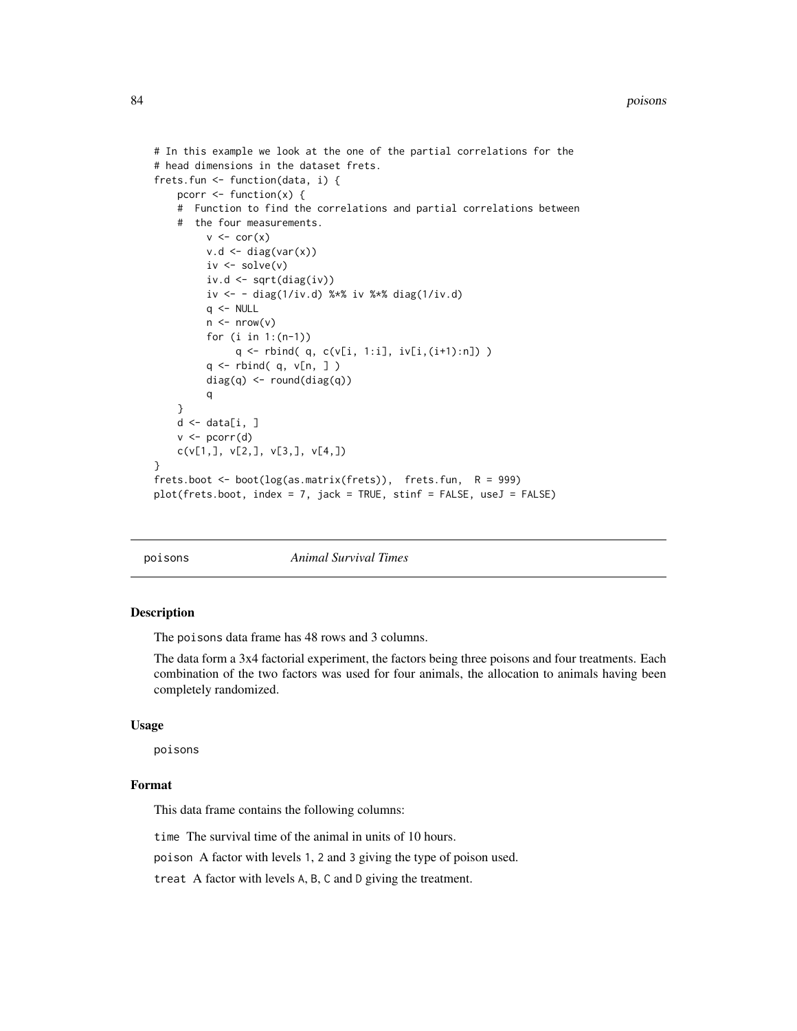#### 84 poisons

```
# In this example we look at the one of the partial correlations for the
# head dimensions in the dataset frets.
frets.fun <- function(data, i) {
    pcorr \leq function(x) {
    # Function to find the correlations and partial correlations between
    # the four measurements.
         v \leftarrow cor(x)v.d \leftarrow diag(var(x))iv <- solve(v)
         iv.d <- sqrt(diag(iv))
         iv <- - diag(1/iv.d) %*% iv %*% diag(1/iv.d)
         q \le - NULL
         n \leftarrow \text{nrow}(v)for (i in 1:(n-1))
              q <- rbind( q, c(v[i, 1:i], iv[i,(i+1):n]) )
         q <- rbind( q, v[n, ] )
         diag(q) <- round(diag(q))
         q
    }
    d \leftarrow data[i, ]v \leftarrow pcorr(d)c(v[1,], v[2,], v[3,], v[4,])
}
frets.boot <- boot(log(as.matrix(frets)), frets.fun, R = 999)
plot(frets.boot, index = 7, jack = TRUE, stinf = FALSE, useJ = FALSE)
```
poisons *Animal Survival Times*

## Description

The poisons data frame has 48 rows and 3 columns.

The data form a 3x4 factorial experiment, the factors being three poisons and four treatments. Each combination of the two factors was used for four animals, the allocation to animals having been completely randomized.

## Usage

poisons

## Format

This data frame contains the following columns:

time The survival time of the animal in units of 10 hours.

poison A factor with levels 1, 2 and 3 giving the type of poison used.

treat A factor with levels A, B, C and D giving the treatment.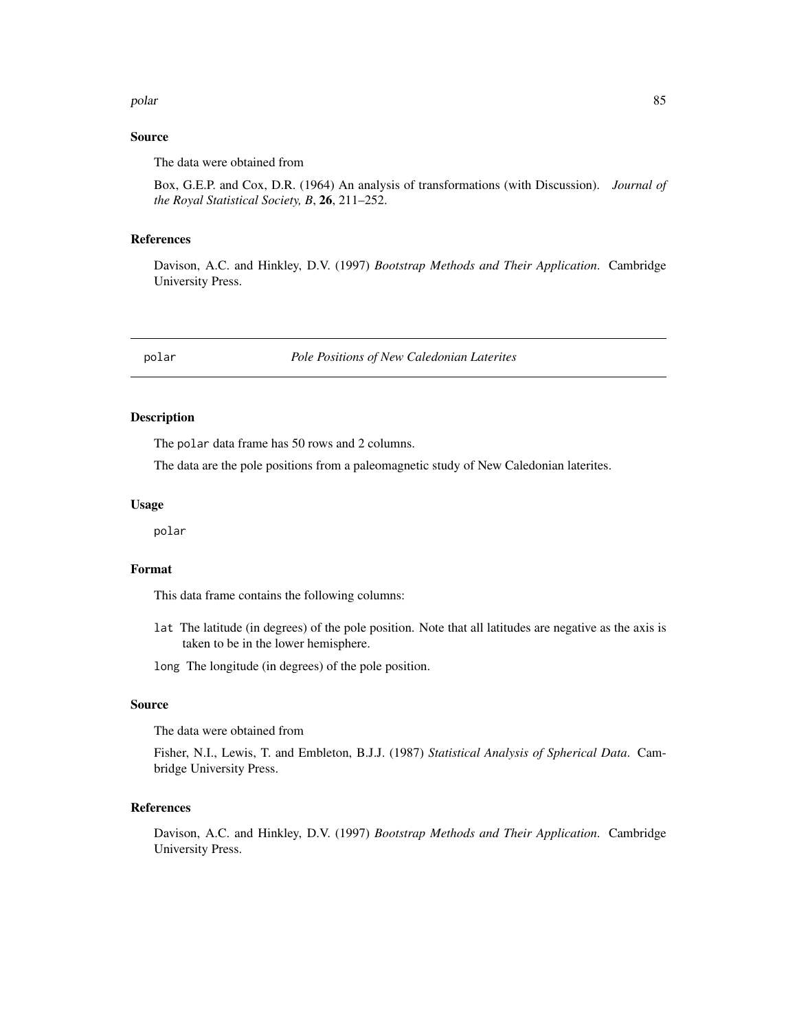#### polar and the set of the set of the set of the set of the set of the set of the set of the set of the set of the set of the set of the set of the set of the set of the set of the set of the set of the set of the set of the

# Source

The data were obtained from

Box, G.E.P. and Cox, D.R. (1964) An analysis of transformations (with Discussion). *Journal of the Royal Statistical Society, B*, 26, 211–252.

#### References

Davison, A.C. and Hinkley, D.V. (1997) *Bootstrap Methods and Their Application*. Cambridge University Press.

polar *Pole Positions of New Caledonian Laterites*

## Description

The polar data frame has 50 rows and 2 columns.

The data are the pole positions from a paleomagnetic study of New Caledonian laterites.

#### Usage

polar

# Format

This data frame contains the following columns:

- lat The latitude (in degrees) of the pole position. Note that all latitudes are negative as the axis is taken to be in the lower hemisphere.
- long The longitude (in degrees) of the pole position.

# Source

The data were obtained from

Fisher, N.I., Lewis, T. and Embleton, B.J.J. (1987) *Statistical Analysis of Spherical Data*. Cambridge University Press.

# References

Davison, A.C. and Hinkley, D.V. (1997) *Bootstrap Methods and Their Application*. Cambridge University Press.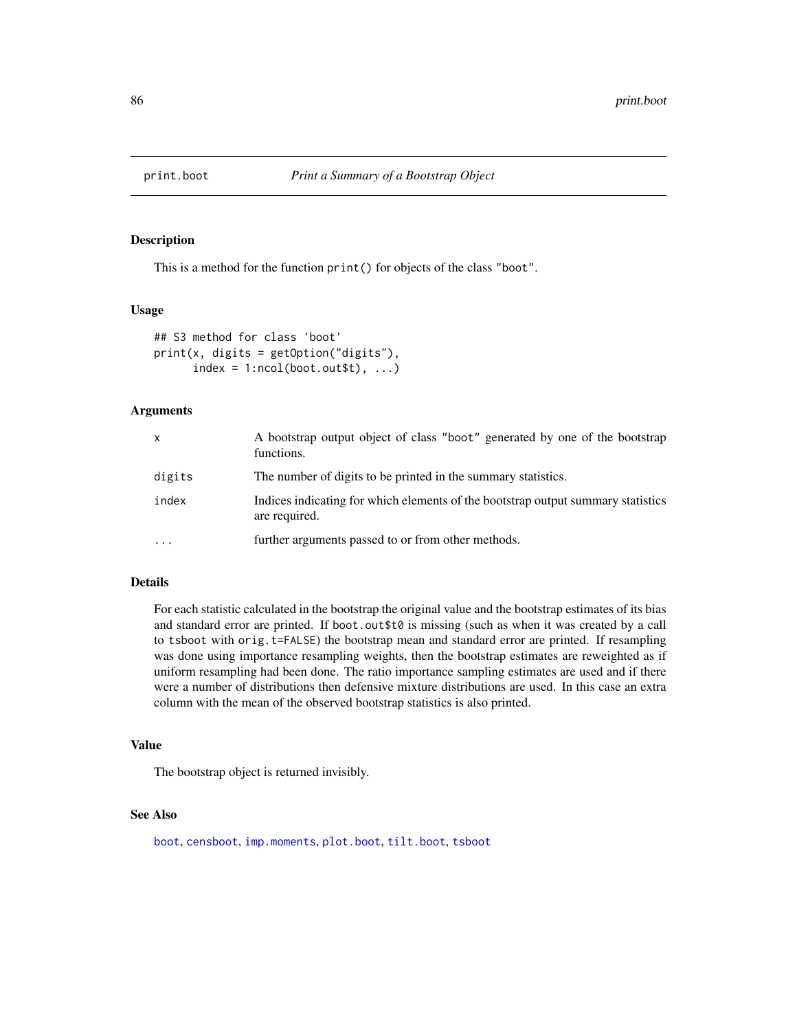<span id="page-85-0"></span>

This is a method for the function print() for objects of the class "boot".

## Usage

```
## S3 method for class 'boot'
print(x, digits = getOption("digits"),
     index = 1:ncol(boot.out $t), ...
```
## Arguments

| $\mathsf{x}$ | A bootstrap output object of class "boot" generated by one of the bootstrap<br>functions.         |
|--------------|---------------------------------------------------------------------------------------------------|
| digits       | The number of digits to be printed in the summary statistics.                                     |
| index        | Indices indicating for which elements of the bootstrap output summary statistics<br>are required. |
| $\cdots$     | further arguments passed to or from other methods.                                                |

# Details

For each statistic calculated in the bootstrap the original value and the bootstrap estimates of its bias and standard error are printed. If boot.out \$t0 is missing (such as when it was created by a call to tsboot with orig.t=FALSE) the bootstrap mean and standard error are printed. If resampling was done using importance resampling weights, then the bootstrap estimates are reweighted as if uniform resampling had been done. The ratio importance sampling estimates are used and if there were a number of distributions then defensive mixture distributions are used. In this case an extra column with the mean of the observed bootstrap statistics is also printed.

# Value

The bootstrap object is returned invisibly.

# See Also

[boot](#page-10-0), [censboot](#page-28-0), [imp.moments](#page-59-0), [plot.boot](#page-81-0), [tilt.boot](#page-103-0), [tsboot](#page-106-0)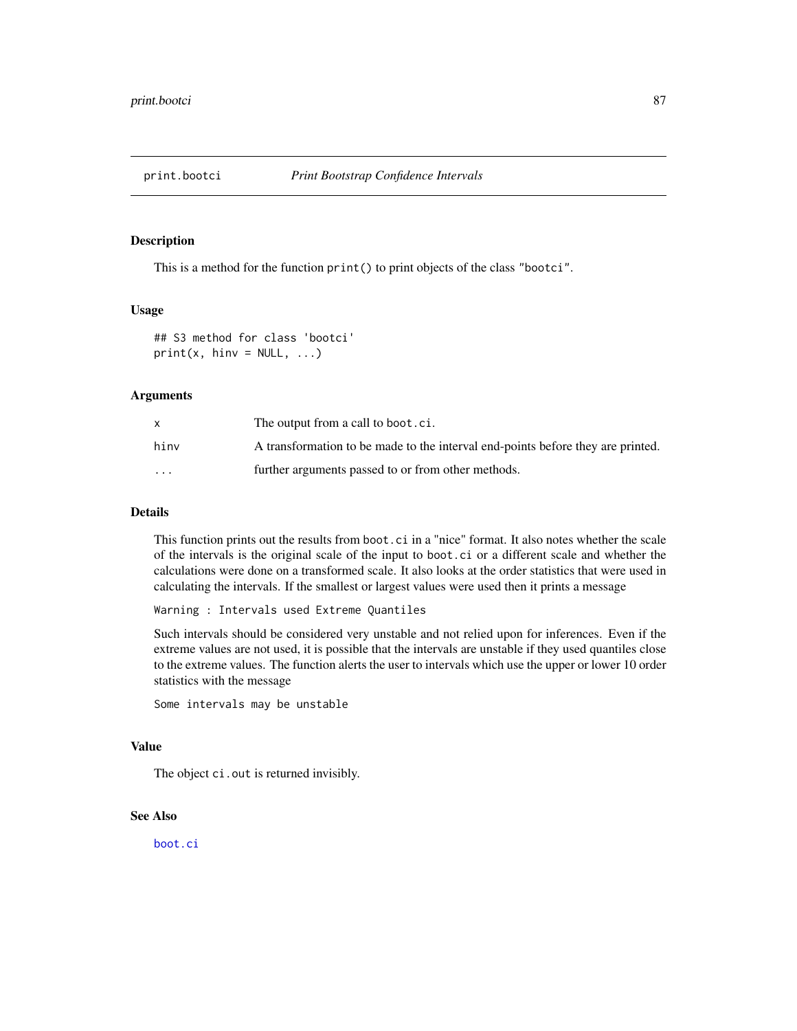This is a method for the function  $print()$  to print objects of the class "bootci".

#### Usage

```
## S3 method for class 'bootci'
print(x, \text{ hinv} = NULL, ...)
```
## Arguments

|          | The output from a call to boot.ci.                                              |
|----------|---------------------------------------------------------------------------------|
| hinv     | A transformation to be made to the interval end-points before they are printed. |
| $\cdots$ | further arguments passed to or from other methods.                              |

## Details

This function prints out the results from boot.ci in a "nice" format. It also notes whether the scale of the intervals is the original scale of the input to boot.ci or a different scale and whether the calculations were done on a transformed scale. It also looks at the order statistics that were used in calculating the intervals. If the smallest or largest values were used then it prints a message

Warning : Intervals used Extreme Quantiles

Such intervals should be considered very unstable and not relied upon for inferences. Even if the extreme values are not used, it is possible that the intervals are unstable if they used quantiles close to the extreme values. The function alerts the user to intervals which use the upper or lower 10 order statistics with the message

Some intervals may be unstable

# Value

The object ci.out is returned invisibly.

# See Also

[boot.ci](#page-17-0)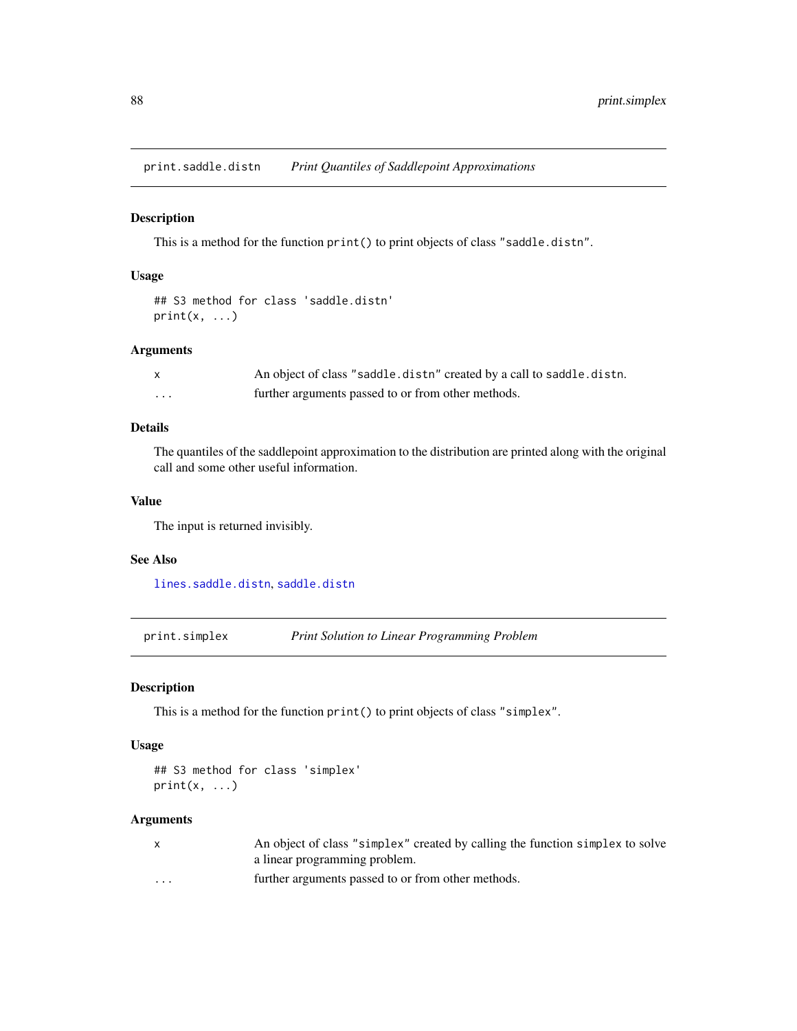<span id="page-87-0"></span>print.saddle.distn *Print Quantiles of Saddlepoint Approximations*

#### Description

This is a method for the function print() to print objects of class "saddle.distn".

# Usage

```
## S3 method for class 'saddle.distn'
print(x, \ldots)
```
# Arguments

| X | An object of class "saddle.distn" created by a call to saddle.distn. |
|---|----------------------------------------------------------------------|
| . | further arguments passed to or from other methods.                   |

# Details

The quantiles of the saddlepoint approximation to the distribution are printed along with the original call and some other useful information.

# Value

The input is returned invisibly.

# See Also

[lines.saddle.distn](#page-69-0), [saddle.distn](#page-91-0)

<span id="page-87-1"></span>print.simplex *Print Solution to Linear Programming Problem*

# Description

This is a method for the function print() to print objects of class "simplex".

# Usage

```
## S3 method for class 'simplex'
print(x, \ldots)
```
# Arguments

|          | An object of class "simplex" created by calling the function simplex to solve |
|----------|-------------------------------------------------------------------------------|
|          | a linear programming problem.                                                 |
| $\cdots$ | further arguments passed to or from other methods.                            |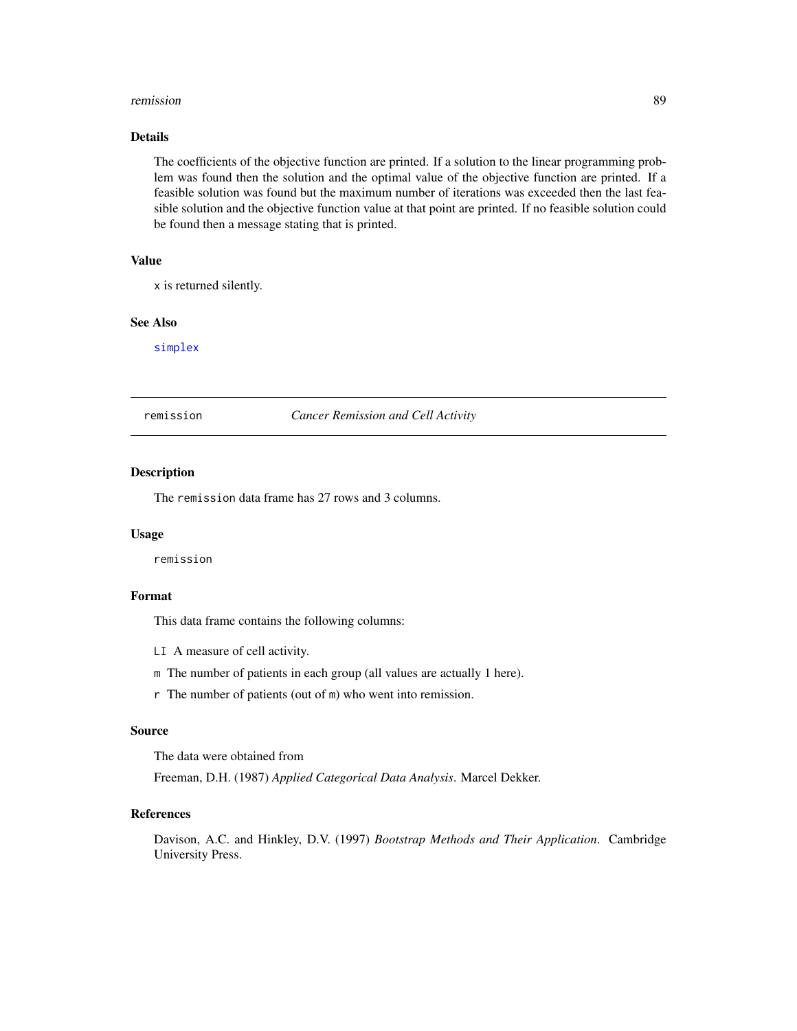#### remission 89

# Details

The coefficients of the objective function are printed. If a solution to the linear programming problem was found then the solution and the optimal value of the objective function are printed. If a feasible solution was found but the maximum number of iterations was exceeded then the last feasible solution and the objective function value at that point are printed. If no feasible solution could be found then a message stating that is printed.

# Value

x is returned silently.

## See Also

[simplex](#page-96-0)

remission *Cancer Remission and Cell Activity*

# Description

The remission data frame has 27 rows and 3 columns.

## Usage

remission

# Format

This data frame contains the following columns:

LI A measure of cell activity.

m The number of patients in each group (all values are actually 1 here).

r The number of patients (out of m) who went into remission.

#### Source

The data were obtained from

Freeman, D.H. (1987) *Applied Categorical Data Analysis*. Marcel Dekker.

#### References

Davison, A.C. and Hinkley, D.V. (1997) *Bootstrap Methods and Their Application*. Cambridge University Press.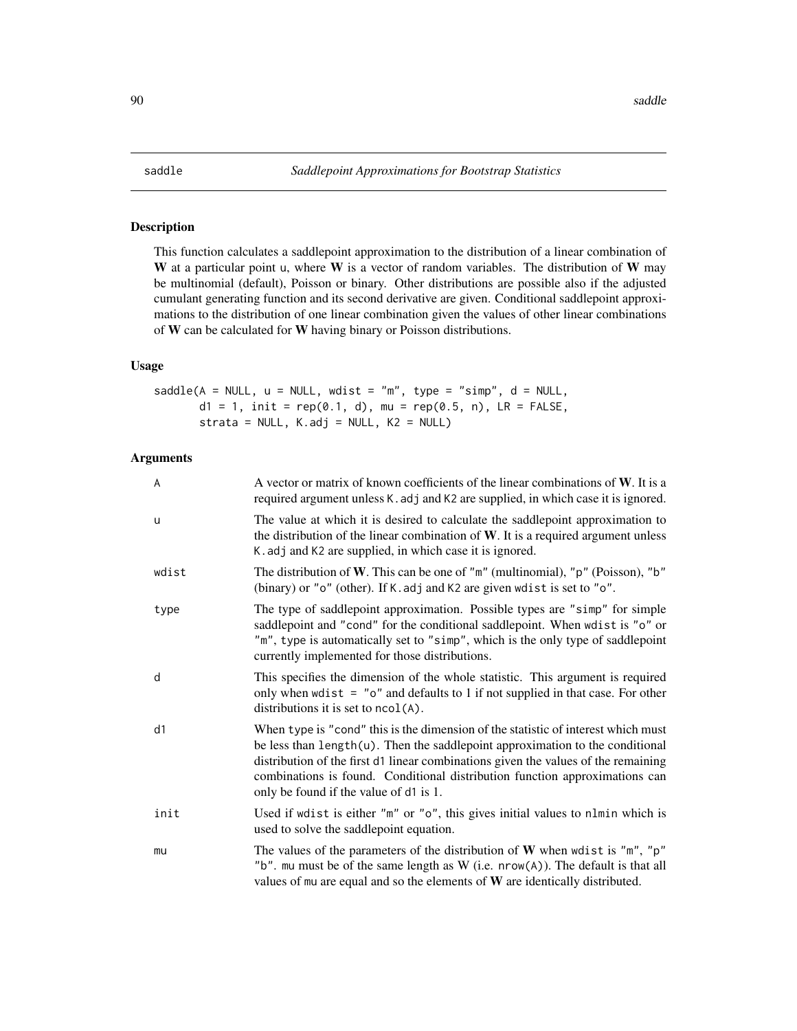<span id="page-89-0"></span>This function calculates a saddlepoint approximation to the distribution of a linear combination of W at a particular point u, where  $W$  is a vector of random variables. The distribution of  $W$  may be multinomial (default), Poisson or binary. Other distributions are possible also if the adjusted cumulant generating function and its second derivative are given. Conditional saddlepoint approximations to the distribution of one linear combination given the values of other linear combinations of W can be calculated for W having binary or Poisson distributions.

# Usage

 $saddle(A = NULL, u = NULL, wdist = "m", type = "simp", d = NULL,$  $d1 = 1$ ,  $init = rep(0.1, d)$ ,  $mu = rep(0.5, n)$ ,  $LR = FALSE$ , strata = NULL, K.adj = NULL, K2 = NULL)

# Arguments

| A     | A vector or matrix of known coefficients of the linear combinations of $W$ . It is a<br>required argument unless K. adj and K2 are supplied, in which case it is ignored.                                                                                                                                                                                                            |
|-------|--------------------------------------------------------------------------------------------------------------------------------------------------------------------------------------------------------------------------------------------------------------------------------------------------------------------------------------------------------------------------------------|
| u     | The value at which it is desired to calculate the saddlepoint approximation to<br>the distribution of the linear combination of $W$ . It is a required argument unless<br>K. adj and K2 are supplied, in which case it is ignored.                                                                                                                                                   |
| wdist | The distribution of W. This can be one of " $m$ " (multinomial), " $p$ " (Poisson), " $b$ "<br>(binary) or "o" (other). If K. adj and K2 are given wdist is set to "o".                                                                                                                                                                                                              |
| type  | The type of saddlepoint approximation. Possible types are "simp" for simple<br>saddlepoint and "cond" for the conditional saddlepoint. When wdist is "o" or<br>"m", type is automatically set to "simp", which is the only type of saddlepoint<br>currently implemented for those distributions.                                                                                     |
| d     | This specifies the dimension of the whole statistic. This argument is required<br>only when wdist $=$ " $o$ " and defaults to 1 if not supplied in that case. For other<br>distributions it is set to $ncol(A)$ .                                                                                                                                                                    |
| d1    | When type is "cond" this is the dimension of the statistic of interest which must<br>be less than $length(u)$ . Then the saddlepoint approximation to the conditional<br>distribution of the first d1 linear combinations given the values of the remaining<br>combinations is found. Conditional distribution function approximations can<br>only be found if the value of d1 is 1. |
| init  | Used if wdist is either "m" or "o", this gives initial values to nlmin which is<br>used to solve the saddlepoint equation.                                                                                                                                                                                                                                                           |
| mu    | The values of the parameters of the distribution of $W$ when wdist is "m", "p"<br>"b". mu must be of the same length as W (i.e. nrow(A)). The default is that all<br>values of $mu$ are equal and so the elements of $W$ are identically distributed.                                                                                                                                |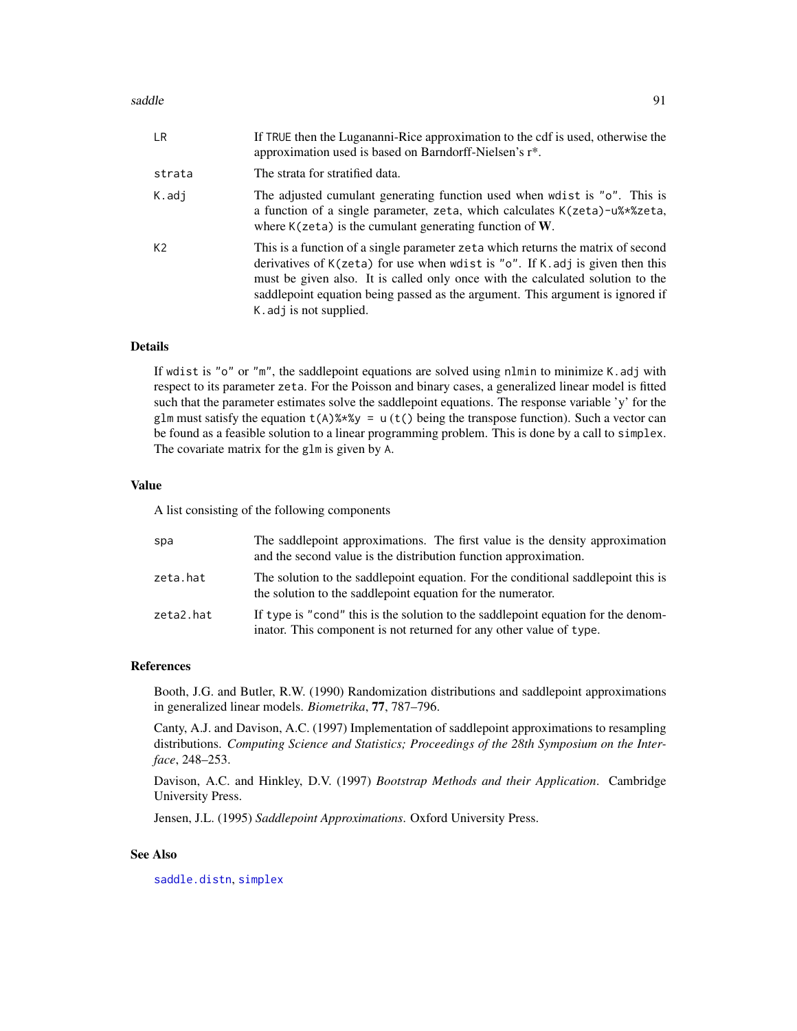## saddle 91 and 91 and 92 and 92 and 92 and 93 and 93 and 93 and 94 and 94 and 94 and 94 and 94 and 94 and 95 and 95 and 96 and 96 and 96 and 96 and 96 and 96 and 96 and 96 and 96 and 96 and 96 and 96 and 96 and 96 and 96 an

| LR.            | If TRUE then the Lugananni-Rice approximation to the cdf is used, otherwise the<br>approximation used is based on Barndorff-Nielsen's r <sup>*</sup> .                                                                                                                                                                                                                  |
|----------------|-------------------------------------------------------------------------------------------------------------------------------------------------------------------------------------------------------------------------------------------------------------------------------------------------------------------------------------------------------------------------|
| strata         | The strata for stratified data.                                                                                                                                                                                                                                                                                                                                         |
| K.adj          | The adjusted cumulant generating function used when wdist is "o". This is<br>a function of a single parameter, zeta, which calculates K(zeta)-u%*%zeta,<br>where $K$ (zeta) is the cumulant generating function of W.                                                                                                                                                   |
| K <sub>2</sub> | This is a function of a single parameter zeta which returns the matrix of second<br>derivatives of $K(zeta)$ for use when wdist is " $o$ ". If K. adj is given then this<br>must be given also. It is called only once with the calculated solution to the<br>saddlepoint equation being passed as the argument. This argument is ignored if<br>K. adj is not supplied. |

## Details

If wdist is "o" or "m", the saddlepoint equations are solved using nlmin to minimize K.adj with respect to its parameter zeta. For the Poisson and binary cases, a generalized linear model is fitted such that the parameter estimates solve the saddlepoint equations. The response variable 'y' for the glm must satisfy the equation  $t(A)$ %\*%y = u ( $t()$  being the transpose function). Such a vector can be found as a feasible solution to a linear programming problem. This is done by a call to simplex. The covariate matrix for the glm is given by A.

# Value

A list consisting of the following components

| spa       | The saddlepoint approximations. The first value is the density approximation<br>and the second value is the distribution function approximation.         |
|-----------|----------------------------------------------------------------------------------------------------------------------------------------------------------|
| zeta.hat  | The solution to the saddlepoint equation. For the conditional saddlepoint this is<br>the solution to the saddlepoint equation for the numerator.         |
| zeta2.hat | If type is "cond" this is the solution to the saddlepoint equation for the denom-<br>inator. This component is not returned for any other value of type. |

#### References

Booth, J.G. and Butler, R.W. (1990) Randomization distributions and saddlepoint approximations in generalized linear models. *Biometrika*, 77, 787–796.

Canty, A.J. and Davison, A.C. (1997) Implementation of saddlepoint approximations to resampling distributions. *Computing Science and Statistics; Proceedings of the 28th Symposium on the Interface*, 248–253.

Davison, A.C. and Hinkley, D.V. (1997) *Bootstrap Methods and their Application*. Cambridge University Press.

Jensen, J.L. (1995) *Saddlepoint Approximations*. Oxford University Press.

# See Also

[saddle.distn](#page-91-0), [simplex](#page-96-0)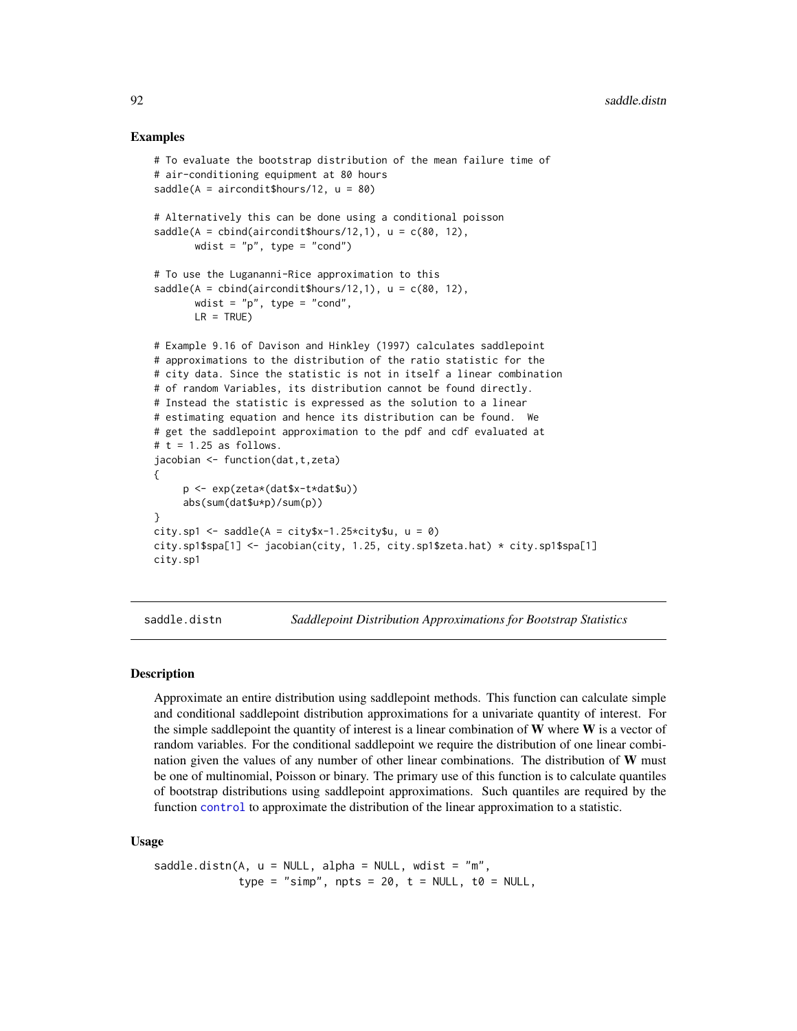## Examples

```
# To evaluate the bootstrap distribution of the mean failure time of
# air-conditioning equipment at 80 hours
saddle(A = \text{aircondit$hours}/12, u = 80)# Alternatively this can be done using a conditional poisson
saddle(A = child(airconditions/12,1), u = c(80, 12),wdist = "p", type = "cond")# To use the Lugananni-Rice approximation to this
saddle(A = child(airconditions/12,1), u = c(80, 12),wdist = "p", type = "cond",
       LR = TRUE)
# Example 9.16 of Davison and Hinkley (1997) calculates saddlepoint
# approximations to the distribution of the ratio statistic for the
# city data. Since the statistic is not in itself a linear combination
# of random Variables, its distribution cannot be found directly.
# Instead the statistic is expressed as the solution to a linear
# estimating equation and hence its distribution can be found. We
# get the saddlepoint approximation to the pdf and cdf evaluated at
# t = 1.25 as follows.
jacobian <- function(dat,t,zeta)
{
     p <- exp(zeta*(dat$x-t*dat$u))
     abs(sum(dat$u*p)/sum(p))
}
city.sp1 <- saddle(A = city$x-1.25*city$u, u = 0)
city.sp1$spa[1] <- jacobian(city, 1.25, city.sp1$zeta.hat) * city.sp1$spa[1]
city.sp1
```
<span id="page-91-0"></span>

saddle.distn *Saddlepoint Distribution Approximations for Bootstrap Statistics*

## Description

Approximate an entire distribution using saddlepoint methods. This function can calculate simple and conditional saddlepoint distribution approximations for a univariate quantity of interest. For the simple saddlepoint the quantity of interest is a linear combination of  $W$  where  $W$  is a vector of random variables. For the conditional saddlepoint we require the distribution of one linear combination given the values of any number of other linear combinations. The distribution of W must be one of multinomial, Poisson or binary. The primary use of this function is to calculate quantiles of bootstrap distributions using saddlepoint approximations. Such quantiles are required by the function [control](#page-36-0) to approximate the distribution of the linear approximation to a statistic.

#### Usage

```
saddle.distn(A, u = NULL, alpha = NULL, wdist = "m",
             type = "simp", npts = 20, t = NULL, t0 = NULL,
```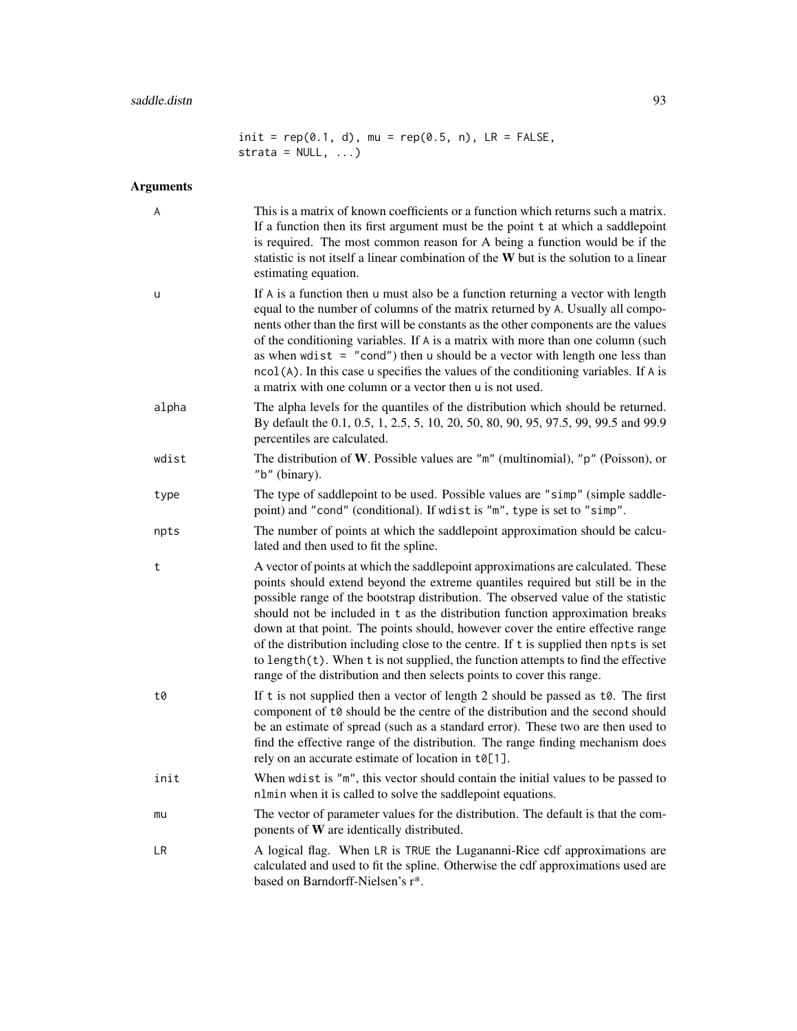$init = rep(0.1, d)$ , mu =  $rep(0.5, n)$ , LR = FALSE,  $strata = NULL, ...$ 

# Arguments

| A     | This is a matrix of known coefficients or a function which returns such a matrix.<br>If a function then its first argument must be the point t at which a saddlepoint<br>is required. The most common reason for A being a function would be if the<br>statistic is not itself a linear combination of the W but is the solution to a linear<br>estimating equation.                                                                                                                                                                                                                                                                                                               |
|-------|------------------------------------------------------------------------------------------------------------------------------------------------------------------------------------------------------------------------------------------------------------------------------------------------------------------------------------------------------------------------------------------------------------------------------------------------------------------------------------------------------------------------------------------------------------------------------------------------------------------------------------------------------------------------------------|
| u     | If A is a function then u must also be a function returning a vector with length<br>equal to the number of columns of the matrix returned by A. Usually all compo-<br>nents other than the first will be constants as the other components are the values<br>of the conditioning variables. If A is a matrix with more than one column (such<br>as when wdist $=$ "cond") then u should be a vector with length one less than<br>ncol(A). In this case u specifies the values of the conditioning variables. If A is<br>a matrix with one column or a vector then u is not used.                                                                                                   |
| alpha | The alpha levels for the quantiles of the distribution which should be returned.<br>By default the 0.1, 0.5, 1, 2.5, 5, 10, 20, 50, 80, 90, 95, 97.5, 99, 99.5 and 99.9<br>percentiles are calculated.                                                                                                                                                                                                                                                                                                                                                                                                                                                                             |
| wdist | The distribution of W. Possible values are " $m$ " (multinomial), " $p$ " (Poisson), or<br>"b" (binary).                                                                                                                                                                                                                                                                                                                                                                                                                                                                                                                                                                           |
| type  | The type of saddlepoint to be used. Possible values are "simp" (simple saddle-<br>point) and "cond" (conditional). If wdist is "m", type is set to "simp".                                                                                                                                                                                                                                                                                                                                                                                                                                                                                                                         |
| npts  | The number of points at which the saddlepoint approximation should be calcu-<br>lated and then used to fit the spline.                                                                                                                                                                                                                                                                                                                                                                                                                                                                                                                                                             |
| t     | A vector of points at which the saddlepoint approximations are calculated. These<br>points should extend beyond the extreme quantiles required but still be in the<br>possible range of the bootstrap distribution. The observed value of the statistic<br>should not be included in t as the distribution function approximation breaks<br>down at that point. The points should, however cover the entire effective range<br>of the distribution including close to the centre. If t is supplied then npts is set<br>to length(t). When t is not supplied, the function attempts to find the effective<br>range of the distribution and then selects points to cover this range. |
| t0    | If t is not supplied then a vector of length 2 should be passed as t0. The first<br>component of t0 should be the centre of the distribution and the second should<br>be an estimate of spread (such as a standard error). These two are then used to<br>find the effective range of the distribution. The range finding mechanism does<br>rely on an accurate estimate of location in $t\theta[1]$ .                                                                                                                                                                                                                                                                              |
| init  | When wdist is "m", this vector should contain the initial values to be passed to<br>nlmin when it is called to solve the saddlepoint equations.                                                                                                                                                                                                                                                                                                                                                                                                                                                                                                                                    |
| mu    | The vector of parameter values for the distribution. The default is that the com-<br>ponents of W are identically distributed.                                                                                                                                                                                                                                                                                                                                                                                                                                                                                                                                                     |
| LR    | A logical flag. When LR is TRUE the Lugananni-Rice cdf approximations are<br>calculated and used to fit the spline. Otherwise the cdf approximations used are<br>based on Barndorff-Nielsen's r*.                                                                                                                                                                                                                                                                                                                                                                                                                                                                                  |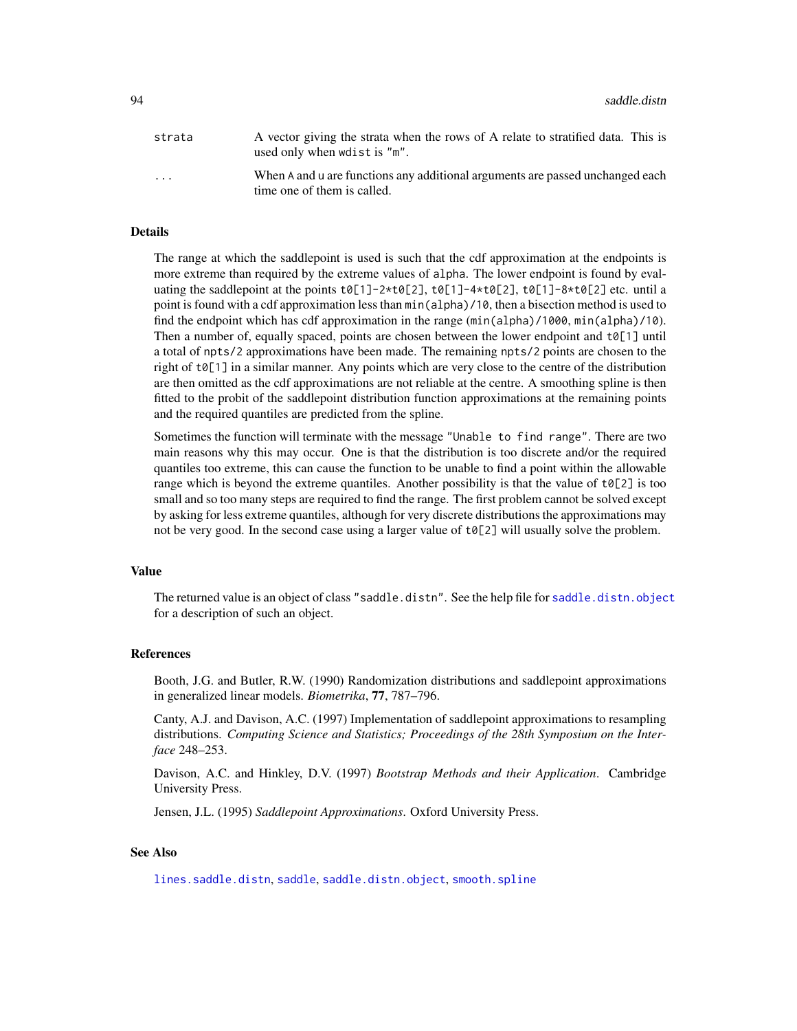| strata                  | A vector giving the strata when the rows of A relate to stratified data. This is<br>used only when wdist is "m". |
|-------------------------|------------------------------------------------------------------------------------------------------------------|
| $\cdot$ $\cdot$ $\cdot$ | When A and u are functions any additional arguments are passed unchanged each<br>time one of them is called.     |

# Details

The range at which the saddlepoint is used is such that the cdf approximation at the endpoints is more extreme than required by the extreme values of alpha. The lower endpoint is found by evaluating the saddlepoint at the points  $t0[1]-2*t0[2], t0[1]-4*t0[2], t0[1]-8*t0[2]$  etc. until a point is found with a cdf approximation less than min(alpha)/10, then a bisection method is used to find the endpoint which has cdf approximation in the range (min(alpha)/1000, min(alpha)/10). Then a number of, equally spaced, points are chosen between the lower endpoint and  $\text{\sf t}\delta[1]$  until a total of npts/2 approximations have been made. The remaining npts/2 points are chosen to the right of t0[1] in a similar manner. Any points which are very close to the centre of the distribution are then omitted as the cdf approximations are not reliable at the centre. A smoothing spline is then fitted to the probit of the saddlepoint distribution function approximations at the remaining points and the required quantiles are predicted from the spline.

Sometimes the function will terminate with the message "Unable to find range". There are two main reasons why this may occur. One is that the distribution is too discrete and/or the required quantiles too extreme, this can cause the function to be unable to find a point within the allowable range which is beyond the extreme quantiles. Another possibility is that the value of  $\mathfrak{to}[\![2]\!]$  is too small and so too many steps are required to find the range. The first problem cannot be solved except by asking for less extreme quantiles, although for very discrete distributions the approximations may not be very good. In the second case using a larger value of t0[2] will usually solve the problem.

#### Value

The returned value is an object of class "saddle.distn". See the help file for [saddle.distn.object](#page-94-0) for a description of such an object.

#### References

Booth, J.G. and Butler, R.W. (1990) Randomization distributions and saddlepoint approximations in generalized linear models. *Biometrika*, 77, 787–796.

Canty, A.J. and Davison, A.C. (1997) Implementation of saddlepoint approximations to resampling distributions. *Computing Science and Statistics; Proceedings of the 28th Symposium on the Interface* 248–253.

Davison, A.C. and Hinkley, D.V. (1997) *Bootstrap Methods and their Application*. Cambridge University Press.

Jensen, J.L. (1995) *Saddlepoint Approximations*. Oxford University Press.

## See Also

[lines.saddle.distn](#page-69-0), [saddle](#page-89-0), [saddle.distn.object](#page-94-0), [smooth.spline](#page-0-0)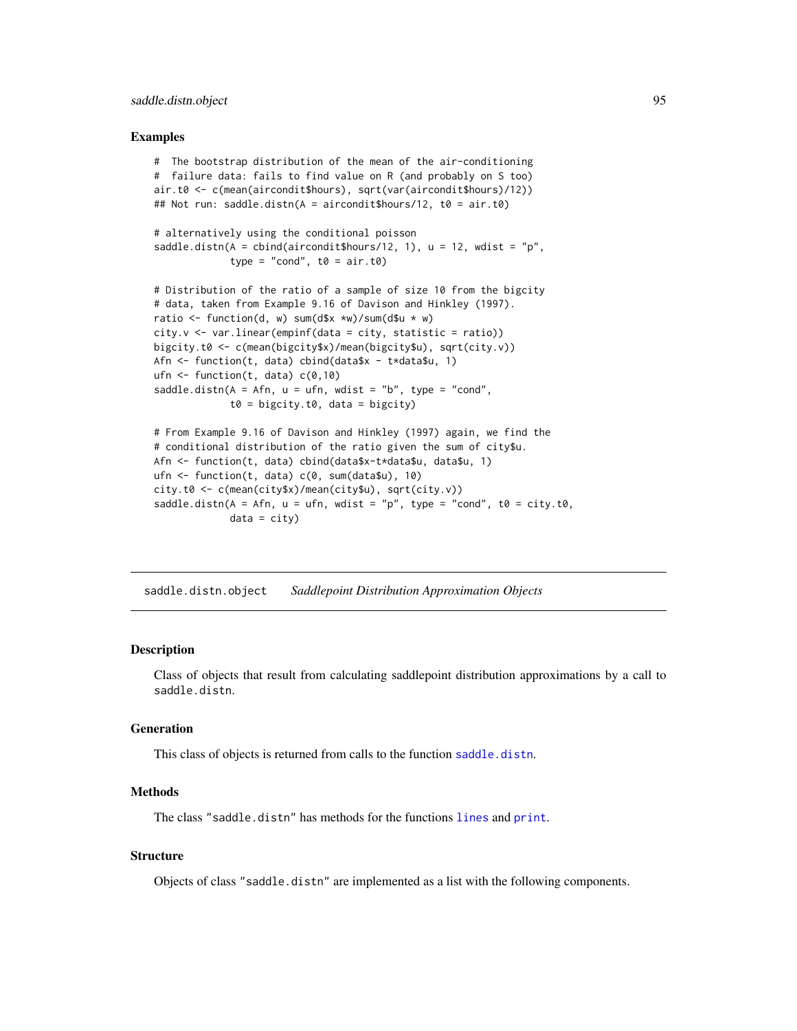# saddle.distn.object 95

## Examples

```
# The bootstrap distribution of the mean of the air-conditioning
# failure data: fails to find value on R (and probably on S too)
air.t0 <- c(mean(aircondit$hours), sqrt(var(aircondit$hours)/12))
## Not run: saddle.distn(A = aircondit$hours/12, t0 = air.t0)
# alternatively using the conditional poisson
saddle.distn(A = \text{cbind}(\text{airconditions}/12, 1), u = 12, \text{ wdist} = "p",type = "cond", t0 = air.t0)
# Distribution of the ratio of a sample of size 10 from the bigcity
# data, taken from Example 9.16 of Davison and Hinkley (1997).
ratio \leq function(d, w) sum(d$x *w)/sum(d$u * w)
city.v \leftarrow varuinear(empinf(data = city, statistic = ratio))
bigcity.t0 <- c(mean(bigcity$x)/mean(bigcity$u), sqrt(city.v))
Afn <- function(t, data) cbind(data$x - t*data$u, 1)
ufn \le function(t, data) c(0,10)saddle.distn(A = Afn, u = ufn, wdist = "b", type = "cond",
             t0 = bigcity.t0, data = bigcity)# From Example 9.16 of Davison and Hinkley (1997) again, we find the
# conditional distribution of the ratio given the sum of city$u.
Afn <- function(t, data) cbind(data$x-t*data$u, data$u, 1)
ufn <- function(t, data) c(0, sum(data$u), 10)
city.t0 <- c(mean(city$x)/mean(city$u), sqrt(city.v))
saddle.distn(A = Afn, u = ufn, wdist = "p", type = "cond", t0 = city.t0,
             data = city)
```
<span id="page-94-0"></span>saddle.distn.object *Saddlepoint Distribution Approximation Objects*

#### Description

Class of objects that result from calculating saddlepoint distribution approximations by a call to saddle.distn.

# Generation

This class of objects is returned from calls to the function [saddle.distn](#page-91-0).

#### Methods

The class "saddle.distn" has methods for the functions [lines](#page-0-0) and [print](#page-0-0).

# **Structure**

Objects of class "saddle.distn" are implemented as a list with the following components.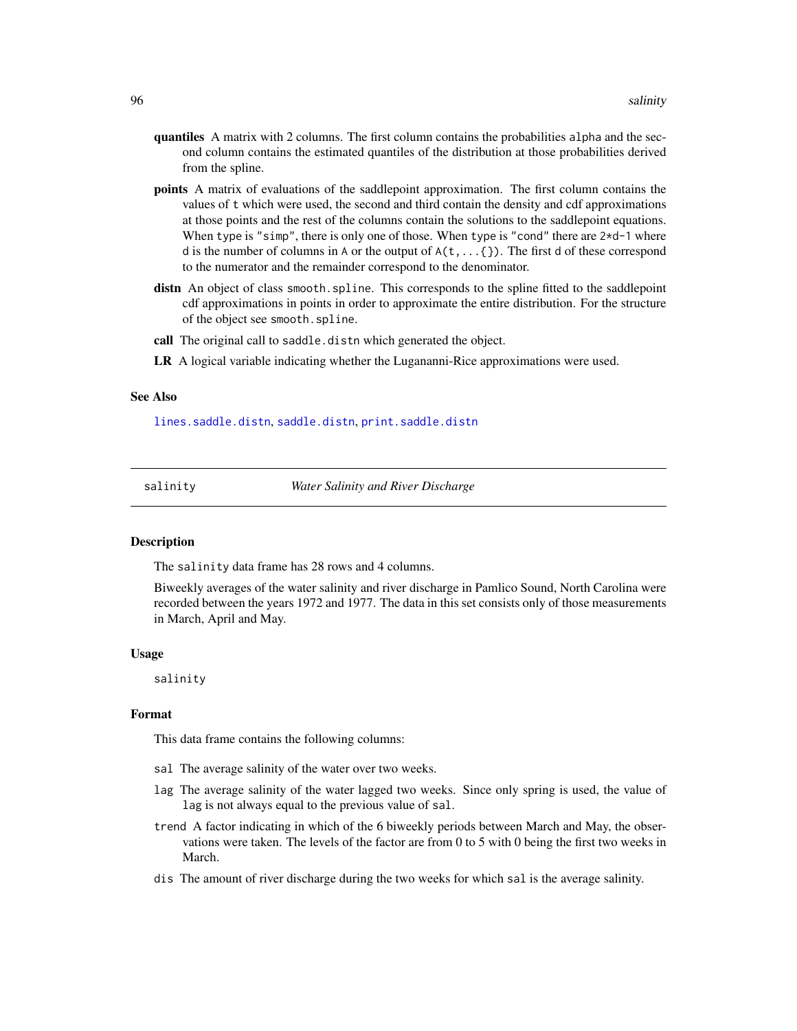- quantiles A matrix with 2 columns. The first column contains the probabilities alpha and the second column contains the estimated quantiles of the distribution at those probabilities derived from the spline.
- points A matrix of evaluations of the saddlepoint approximation. The first column contains the values of t which were used, the second and third contain the density and cdf approximations at those points and the rest of the columns contain the solutions to the saddlepoint equations. When type is "simp", there is only one of those. When type is "cond" there are  $2*d-1$  where d is the number of columns in A or the output of  $A(t, \ldots \{ \})$ . The first d of these correspond to the numerator and the remainder correspond to the denominator.
- distn An object of class smooth.spline. This corresponds to the spline fitted to the saddlepoint cdf approximations in points in order to approximate the entire distribution. For the structure of the object see smooth.spline.
- call The original call to saddle.distn which generated the object.
- LR A logical variable indicating whether the Lugananni-Rice approximations were used.

# See Also

[lines.saddle.distn](#page-69-0), [saddle.distn](#page-91-0), [print.saddle.distn](#page-87-0)

salinity *Water Salinity and River Discharge*

#### Description

The salinity data frame has 28 rows and 4 columns.

Biweekly averages of the water salinity and river discharge in Pamlico Sound, North Carolina were recorded between the years 1972 and 1977. The data in this set consists only of those measurements in March, April and May.

#### Usage

salinity

#### Format

This data frame contains the following columns:

- sal The average salinity of the water over two weeks.
- lag The average salinity of the water lagged two weeks. Since only spring is used, the value of lag is not always equal to the previous value of sal.
- trend A factor indicating in which of the 6 biweekly periods between March and May, the observations were taken. The levels of the factor are from 0 to 5 with 0 being the first two weeks in March.
- dis The amount of river discharge during the two weeks for which sal is the average salinity.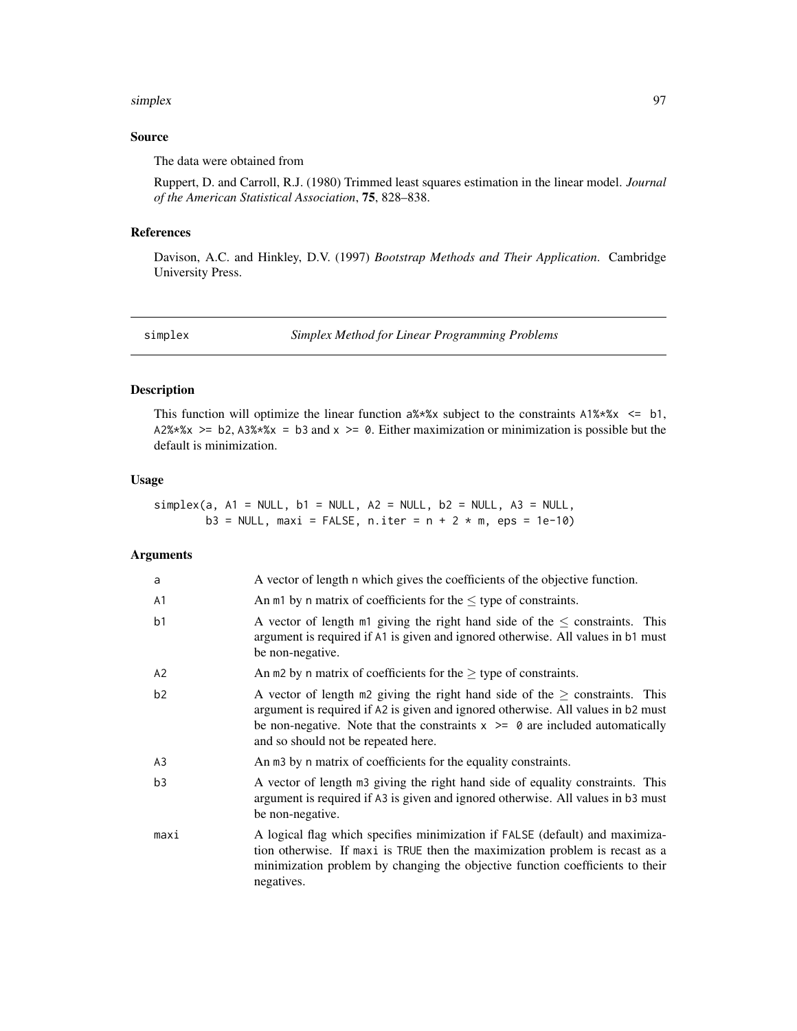#### simplex 97

# Source

The data were obtained from

Ruppert, D. and Carroll, R.J. (1980) Trimmed least squares estimation in the linear model. *Journal of the American Statistical Association*, 75, 828–838.

#### References

Davison, A.C. and Hinkley, D.V. (1997) *Bootstrap Methods and Their Application*. Cambridge University Press.

<span id="page-96-0"></span>simplex *Simplex Method for Linear Programming Problems*

# Description

This function will optimize the linear function  $a\ast x$  subject to the constraints  $A1\ast x$   $\leq b1$ , A2%\*%x >= b2, A3%\*%x = b3 and x >= 0. Either maximization or minimization is possible but the default is minimization.

# Usage

 $simplex(a, A1 = NULL, b1 = NULL, A2 = NULL, b2 = NULL, A3 = NULL,$  $b3 = NULL$ , maxi = FALSE, n.iter = n + 2 \* m, eps = 1e-10)

#### Arguments

| a              | A vector of length n which gives the coefficients of the objective function.                                                                                                                                                                                                                   |
|----------------|------------------------------------------------------------------------------------------------------------------------------------------------------------------------------------------------------------------------------------------------------------------------------------------------|
| A <sub>1</sub> | An $m1$ by n matrix of coefficients for the $\leq$ type of constraints.                                                                                                                                                                                                                        |
| b <sub>1</sub> | A vector of length $m1$ giving the right hand side of the $\leq$ constraints. This<br>argument is required if A1 is given and ignored otherwise. All values in b1 must<br>be non-negative.                                                                                                     |
| A <sub>2</sub> | An m2 by n matrix of coefficients for the $\geq$ type of constraints.                                                                                                                                                                                                                          |
| b2             | A vector of length m2 giving the right hand side of the $\geq$ constraints. This<br>argument is required if A2 is given and ignored otherwise. All values in b2 must<br>be non-negative. Note that the constraints $x \ge 0$ are included automatically<br>and so should not be repeated here. |
| A <sub>3</sub> | An m3 by n matrix of coefficients for the equality constraints.                                                                                                                                                                                                                                |
| b <sub>3</sub> | A vector of length m3 giving the right hand side of equality constraints. This<br>argument is required if A3 is given and ignored otherwise. All values in b3 must<br>be non-negative.                                                                                                         |
| maxi           | A logical flag which specifies minimization if FALSE (default) and maximiza-<br>tion otherwise. If maxi is TRUE then the maximization problem is recast as a<br>minimization problem by changing the objective function coefficients to their<br>negatives.                                    |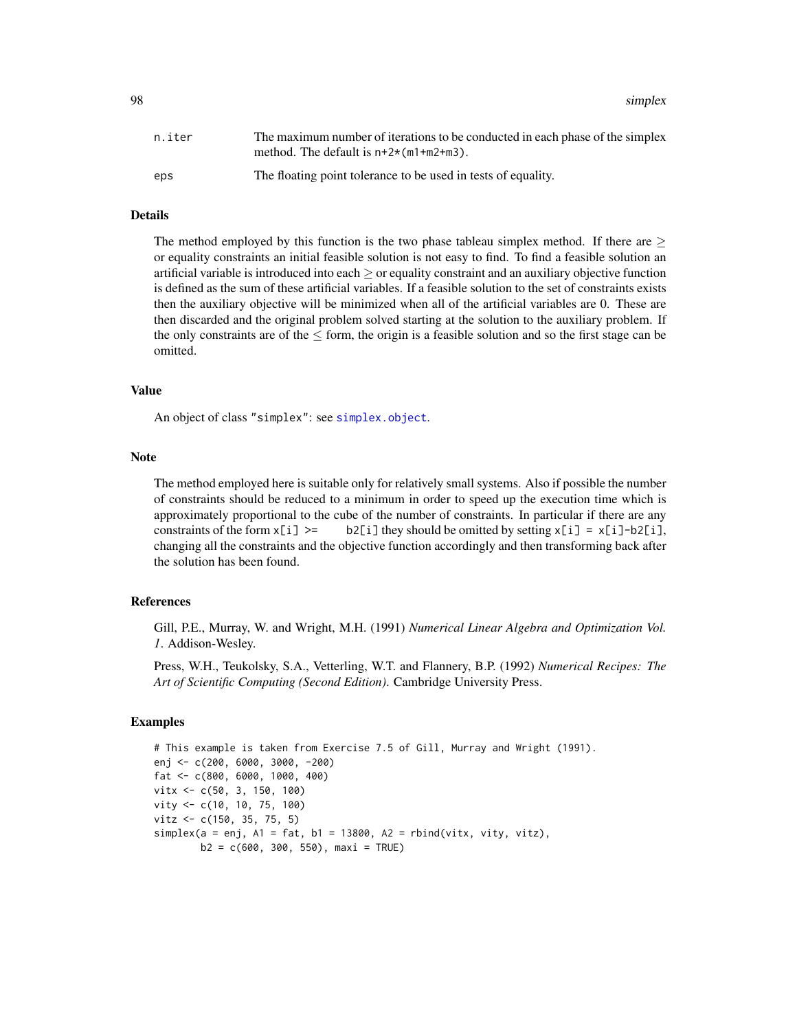98 simplex

| n.iter | The maximum number of iterations to be conducted in each phase of the simplex<br>method. The default is $n+2*(m1+m2+m3)$ . |
|--------|----------------------------------------------------------------------------------------------------------------------------|
| eps    | The floating point tolerance to be used in tests of equality.                                                              |

#### Details

The method employed by this function is the two phase tableau simplex method. If there are  $\geq$ or equality constraints an initial feasible solution is not easy to find. To find a feasible solution an artificial variable is introduced into each  $\geq$  or equality constraint and an auxiliary objective function is defined as the sum of these artificial variables. If a feasible solution to the set of constraints exists then the auxiliary objective will be minimized when all of the artificial variables are 0. These are then discarded and the original problem solved starting at the solution to the auxiliary problem. If the only constraints are of the  $\leq$  form, the origin is a feasible solution and so the first stage can be omitted.

#### Value

An object of class "simplex": see [simplex.object](#page-98-0).

#### **Note**

The method employed here is suitable only for relatively small systems. Also if possible the number of constraints should be reduced to a minimum in order to speed up the execution time which is approximately proportional to the cube of the number of constraints. In particular if there are any constraints of the form  $x[i] \ge -b2[i]$  they should be omitted by setting  $x[i] = x[i]-b2[i]$ , changing all the constraints and the objective function accordingly and then transforming back after the solution has been found.

# References

Gill, P.E., Murray, W. and Wright, M.H. (1991) *Numerical Linear Algebra and Optimization Vol. 1*. Addison-Wesley.

Press, W.H., Teukolsky, S.A., Vetterling, W.T. and Flannery, B.P. (1992) *Numerical Recipes: The Art of Scientific Computing (Second Edition)*. Cambridge University Press.

# **Examples**

```
# This example is taken from Exercise 7.5 of Gill, Murray and Wright (1991).
enj <- c(200, 6000, 3000, -200)
fat <- c(800, 6000, 1000, 400)
vitx <- c(50, 3, 150, 100)
vity <- c(10, 10, 75, 100)
vitz <- c(150, 35, 75, 5)
simplex(a = enj, A1 = fat, b1 = 13800, A2 = rhind(vitx, vity, vitz),b2 = c(600, 300, 550), maxi = TRUE)
```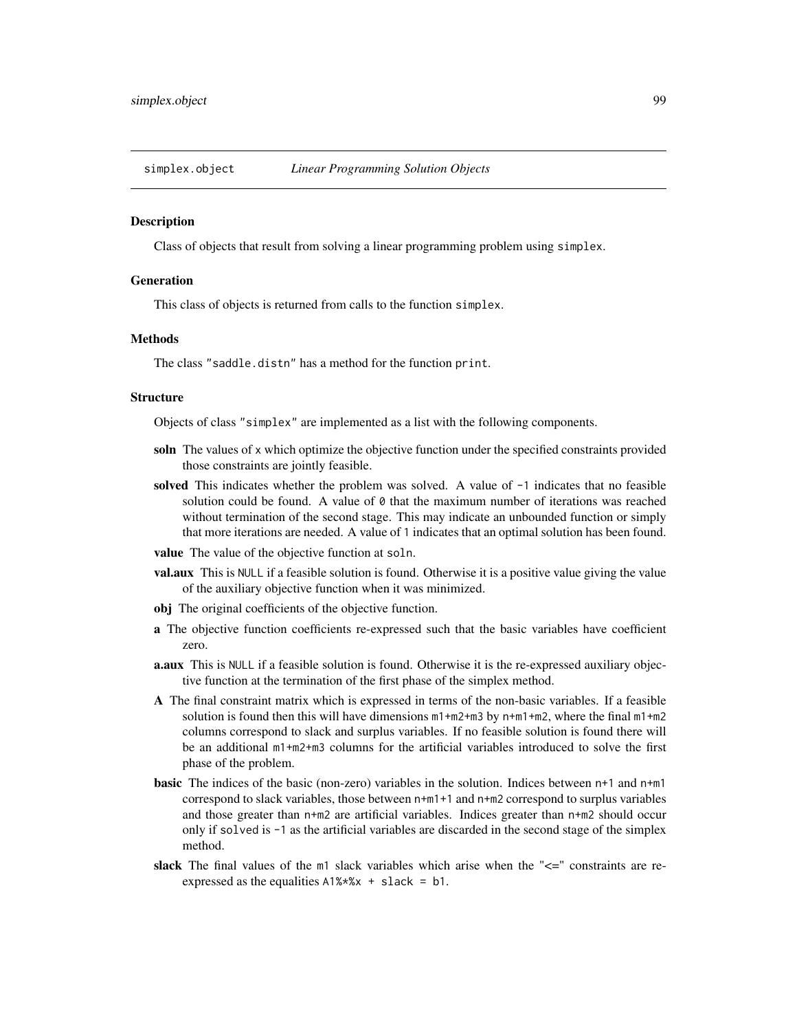<span id="page-98-0"></span>

Class of objects that result from solving a linear programming problem using simplex.

#### Generation

This class of objects is returned from calls to the function simplex.

# Methods

The class "saddle.distn" has a method for the function print.

#### Structure

Objects of class "simplex" are implemented as a list with the following components.

- soln The values of x which optimize the objective function under the specified constraints provided those constraints are jointly feasible.
- solved This indicates whether the problem was solved. A value of  $-1$  indicates that no feasible solution could be found. A value of  $\theta$  that the maximum number of iterations was reached without termination of the second stage. This may indicate an unbounded function or simply that more iterations are needed. A value of 1 indicates that an optimal solution has been found.
- value The value of the objective function at soln.
- val.aux This is NULL if a feasible solution is found. Otherwise it is a positive value giving the value of the auxiliary objective function when it was minimized.
- obj The original coefficients of the objective function.
- a The objective function coefficients re-expressed such that the basic variables have coefficient zero.
- **a.aux** This is NULL if a feasible solution is found. Otherwise it is the re-expressed auxiliary objective function at the termination of the first phase of the simplex method.
- A The final constraint matrix which is expressed in terms of the non-basic variables. If a feasible solution is found then this will have dimensions  $m1+m2+m3$  by  $n+m1+m2$ , where the final  $m1+m2$ columns correspond to slack and surplus variables. If no feasible solution is found there will be an additional m1+m2+m3 columns for the artificial variables introduced to solve the first phase of the problem.
- basic The indices of the basic (non-zero) variables in the solution. Indices between n+1 and n+m1 correspond to slack variables, those between n+m1+1 and n+m2 correspond to surplus variables and those greater than n+m2 are artificial variables. Indices greater than n+m2 should occur only if solved is -1 as the artificial variables are discarded in the second stage of the simplex method.
- slack The final values of the  $m1$  slack variables which arise when the " $\leq$ " constraints are reexpressed as the equalities A1%\*%x + slack = b1.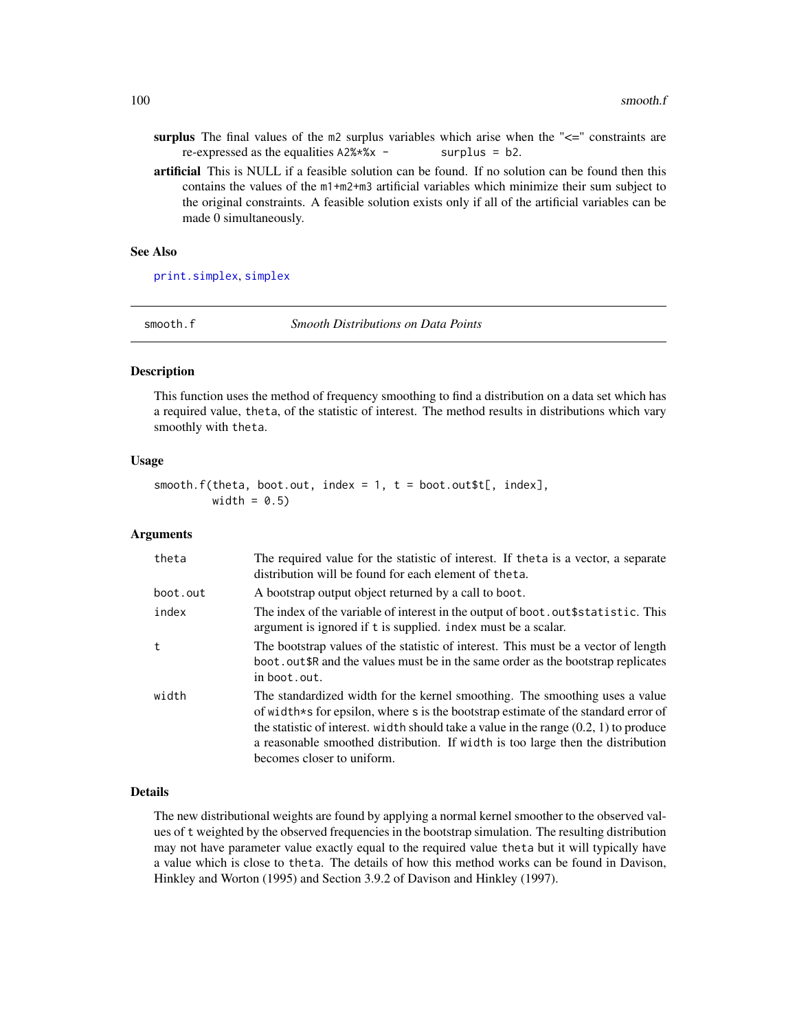- surplus The final values of the  $m2$  surplus variables which arise when the " $\leq$ =" constraints are re-expressed as the equalities  $A2\% \times \times$  - surplus = b2.
- artificial This is NULL if a feasible solution can be found. If no solution can be found then this contains the values of the m1+m2+m3 artificial variables which minimize their sum subject to the original constraints. A feasible solution exists only if all of the artificial variables can be made 0 simultaneously.

#### See Also

[print.simplex](#page-87-1), [simplex](#page-96-0)

<span id="page-99-0"></span>smooth.f *Smooth Distributions on Data Points*

# **Description**

This function uses the method of frequency smoothing to find a distribution on a data set which has a required value, theta, of the statistic of interest. The method results in distributions which vary smoothly with theta.

#### Usage

 $smooth.f(theta, boot.out, index = 1, t = boot.out$t[, index],$ width =  $0.5$ )

## **Arguments**

| theta    | The required value for the statistic of interest. If the ta is a vector, a separate<br>distribution will be found for each element of theta.                                                                                                                                                                                                                                  |
|----------|-------------------------------------------------------------------------------------------------------------------------------------------------------------------------------------------------------------------------------------------------------------------------------------------------------------------------------------------------------------------------------|
| boot.out | A bootstrap output object returned by a call to boot.                                                                                                                                                                                                                                                                                                                         |
| index    | The index of the variable of interest in the output of boot. out \$statistic. This<br>argument is ignored if t is supplied, index must be a scalar.                                                                                                                                                                                                                           |
| t        | The bootstrap values of the statistic of interest. This must be a vector of length<br>boot, out \$R and the values must be in the same order as the bootstrap replicates<br>in boot.out.                                                                                                                                                                                      |
| width    | The standardized width for the kernel smoothing. The smoothing uses a value<br>of width*s for epsilon, where s is the bootstrap estimate of the standard error of<br>the statistic of interest. width should take a value in the range $(0.2, 1)$ to produce<br>a reasonable smoothed distribution. If width is too large then the distribution<br>becomes closer to uniform. |

#### Details

The new distributional weights are found by applying a normal kernel smoother to the observed values of t weighted by the observed frequencies in the bootstrap simulation. The resulting distribution may not have parameter value exactly equal to the required value theta but it will typically have a value which is close to theta. The details of how this method works can be found in Davison, Hinkley and Worton (1995) and Section 3.9.2 of Davison and Hinkley (1997).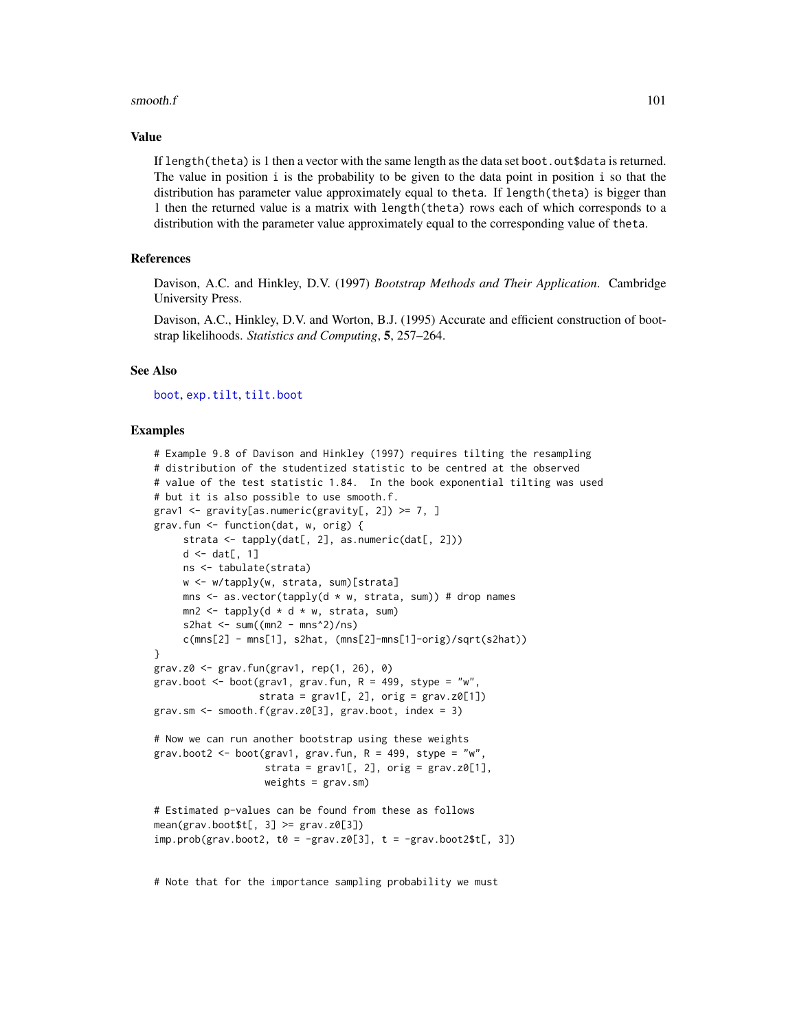#### smooth. $f$  101

#### Value

If length(theta) is 1 then a vector with the same length as the data set boot.out\$data is returned. The value in position i is the probability to be given to the data point in position i so that the distribution has parameter value approximately equal to theta. If length(theta) is bigger than 1 then the returned value is a matrix with length(theta) rows each of which corresponds to a distribution with the parameter value approximately equal to the corresponding value of theta.

# References

Davison, A.C. and Hinkley, D.V. (1997) *Bootstrap Methods and Their Application*. Cambridge University Press.

Davison, A.C., Hinkley, D.V. and Worton, B.J. (1995) Accurate and efficient construction of bootstrap likelihoods. *Statistics and Computing*, 5, 257–264.

# See Also

[boot](#page-10-0), [exp.tilt](#page-51-0), [tilt.boot](#page-103-0)

#### Examples

```
# Example 9.8 of Davison and Hinkley (1997) requires tilting the resampling
# distribution of the studentized statistic to be centred at the observed
# value of the test statistic 1.84. In the book exponential tilting was used
# but it is also possible to use smooth.f.
grav1 <- gravity[as.numeric(gravity[, 2]) >= 7, ]
grav.fun <- function(dat, w, orig) {
     strata \leq tapply(dat[, 2], as.numeric(dat[, 2]))
     d \leftarrow dat[, 1]ns <- tabulate(strata)
    w <- w/tapply(w, strata, sum)[strata]
    mns \leq as.vector(tapply(d \star w, strata, sum)) # drop names
    mn2 \leq - \t{tapply}(d * d * w, \text{strata}, \text{sum})s2hat \le sum((mn2 - mns^2)/ns)
     c(mns[2] - mns[1], s2hat, (mns[2]-mns[1]-orig)/sqrt(s2hat))
}
grav.z0 \leq grav.fun (grav1, rep(1, 26), 0)grav.boot <- boot(grav1, grav.fun, R = 499, stype = "w",
                  strata = grav1[, 2], orig = grav.z0[1])grav.sm \leq smooth.f(grav.z0[3], grav.boot, index = 3)
# Now we can run another bootstrap using these weights
grav.boot2 <- boot(grav1, grav.fun, R = 499, stype = "w",
                   strata = grav1[, 2], orig = grav.z0[1],weights = grav.sm)
# Estimated p-values can be found from these as follows
mean(grav.bootst[, 3] \geq grav.z0[3])imp.prob(grav.boot2, t0 = -grav.z0[3], t = -grav.boot2$t[, 3])
```
# Note that for the importance sampling probability we must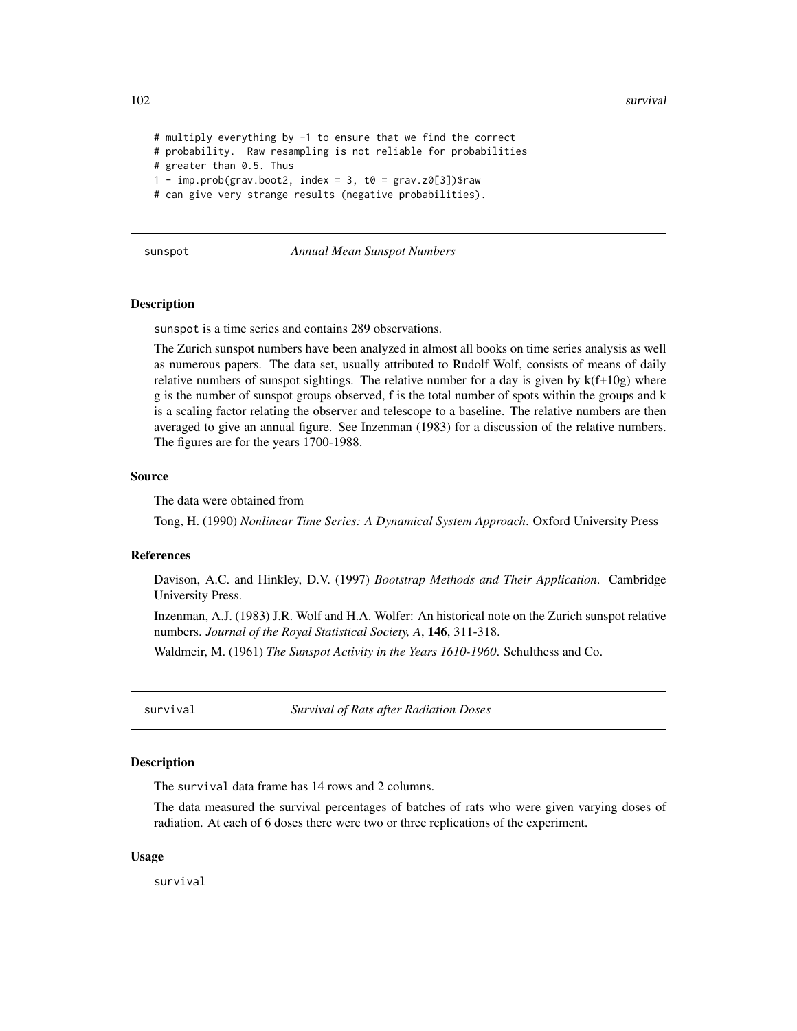```
# multiply everything by -1 to ensure that we find the correct
# probability. Raw resampling is not reliable for probabilities
# greater than 0.5. Thus
1 - imp.prob(grav.boot2, index = 3, t0 = grav.z0[3])$raw
# can give very strange results (negative probabilities).
```

|  | sunspot |
|--|---------|
|--|---------|

#### sunspot *Annual Mean Sunspot Numbers*

#### Description

sunspot is a time series and contains 289 observations.

The Zurich sunspot numbers have been analyzed in almost all books on time series analysis as well as numerous papers. The data set, usually attributed to Rudolf Wolf, consists of means of daily relative numbers of sunspot sightings. The relative number for a day is given by  $k(f+10g)$  where g is the number of sunspot groups observed, f is the total number of spots within the groups and k is a scaling factor relating the observer and telescope to a baseline. The relative numbers are then averaged to give an annual figure. See Inzenman (1983) for a discussion of the relative numbers. The figures are for the years 1700-1988.

## Source

The data were obtained from

Tong, H. (1990) *Nonlinear Time Series: A Dynamical System Approach*. Oxford University Press

#### **References**

Davison, A.C. and Hinkley, D.V. (1997) *Bootstrap Methods and Their Application*. Cambridge University Press.

Inzenman, A.J. (1983) J.R. Wolf and H.A. Wolfer: An historical note on the Zurich sunspot relative numbers. *Journal of the Royal Statistical Society, A*, 146, 311-318.

Waldmeir, M. (1961) *The Sunspot Activity in the Years 1610-1960*. Schulthess and Co.

survival *Survival of Rats after Radiation Doses*

# **Description**

The survival data frame has 14 rows and 2 columns.

The data measured the survival percentages of batches of rats who were given varying doses of radiation. At each of 6 doses there were two or three replications of the experiment.

# Usage

survival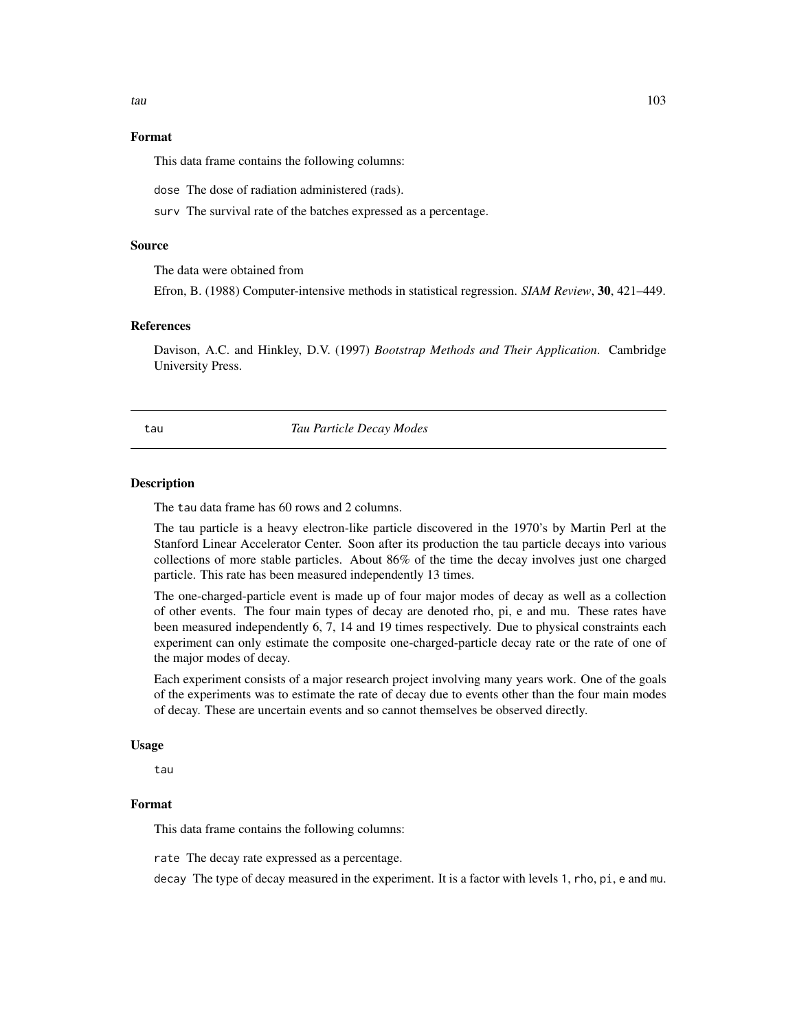# Format

This data frame contains the following columns:

dose The dose of radiation administered (rads).

surv The survival rate of the batches expressed as a percentage.

#### Source

The data were obtained from

Efron, B. (1988) Computer-intensive methods in statistical regression. *SIAM Review*, 30, 421–449.

#### References

Davison, A.C. and Hinkley, D.V. (1997) *Bootstrap Methods and Their Application*. Cambridge University Press.

# tau *Tau Particle Decay Modes*

#### Description

The tau data frame has 60 rows and 2 columns.

The tau particle is a heavy electron-like particle discovered in the 1970's by Martin Perl at the Stanford Linear Accelerator Center. Soon after its production the tau particle decays into various collections of more stable particles. About 86% of the time the decay involves just one charged particle. This rate has been measured independently 13 times.

The one-charged-particle event is made up of four major modes of decay as well as a collection of other events. The four main types of decay are denoted rho, pi, e and mu. These rates have been measured independently 6, 7, 14 and 19 times respectively. Due to physical constraints each experiment can only estimate the composite one-charged-particle decay rate or the rate of one of the major modes of decay.

Each experiment consists of a major research project involving many years work. One of the goals of the experiments was to estimate the rate of decay due to events other than the four main modes of decay. These are uncertain events and so cannot themselves be observed directly.

# Usage

tau

## Format

This data frame contains the following columns:

rate The decay rate expressed as a percentage.

decay The type of decay measured in the experiment. It is a factor with levels 1, rho, pi, e and mu.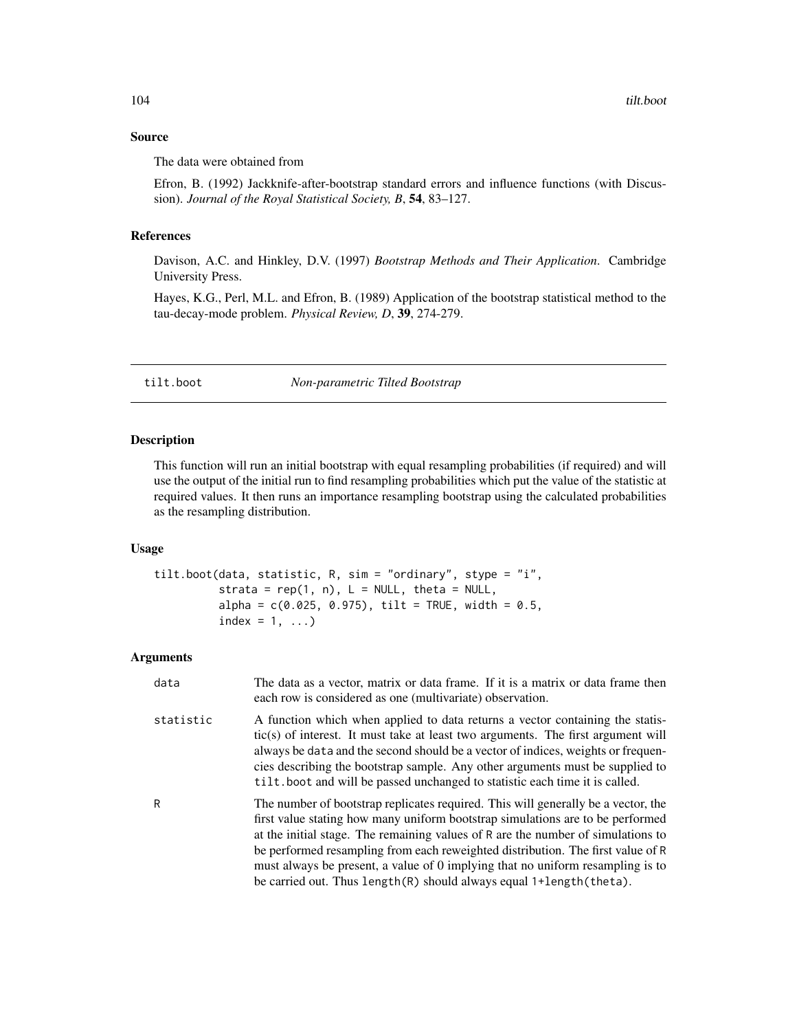# Source

The data were obtained from

Efron, B. (1992) Jackknife-after-bootstrap standard errors and influence functions (with Discussion). *Journal of the Royal Statistical Society, B*, 54, 83–127.

# References

Davison, A.C. and Hinkley, D.V. (1997) *Bootstrap Methods and Their Application*. Cambridge University Press.

Hayes, K.G., Perl, M.L. and Efron, B. (1989) Application of the bootstrap statistical method to the tau-decay-mode problem. *Physical Review, D*, 39, 274-279.

<span id="page-103-0"></span>tilt.boot *Non-parametric Tilted Bootstrap*

# Description

This function will run an initial bootstrap with equal resampling probabilities (if required) and will use the output of the initial run to find resampling probabilities which put the value of the statistic at required values. It then runs an importance resampling bootstrap using the calculated probabilities as the resampling distribution.

## Usage

```
tilt.boot(data, statistic, R, sim = "ordinary", stype = "i",
          strata = rep(1, n), L = NULL, theta = NULL,
          alpha = c(0.025, 0.975), tilt = TRUE, width = 0.5,
          index = 1, ...)
```
# Arguments

| data      | The data as a vector, matrix or data frame. If it is a matrix or data frame then<br>each row is considered as one (multivariate) observation.                                                                                                                                                                                                                                                                                                                                                       |
|-----------|-----------------------------------------------------------------------------------------------------------------------------------------------------------------------------------------------------------------------------------------------------------------------------------------------------------------------------------------------------------------------------------------------------------------------------------------------------------------------------------------------------|
| statistic | A function which when applied to data returns a vector containing the statis-<br>tic(s) of interest. It must take at least two arguments. The first argument will<br>always be data and the second should be a vector of indices, weights or frequen-<br>cies describing the bootstrap sample. Any other arguments must be supplied to<br>tilt. boot and will be passed unchanged to statistic each time it is called.                                                                              |
| R         | The number of bootstrap replicates required. This will generally be a vector, the<br>first value stating how many uniform bootstrap simulations are to be performed<br>at the initial stage. The remaining values of R are the number of simulations to<br>be performed resampling from each reweighted distribution. The first value of R<br>must always be present, a value of 0 implying that no uniform resampling is to<br>be carried out. Thus length(R) should always equal 1+length(theta). |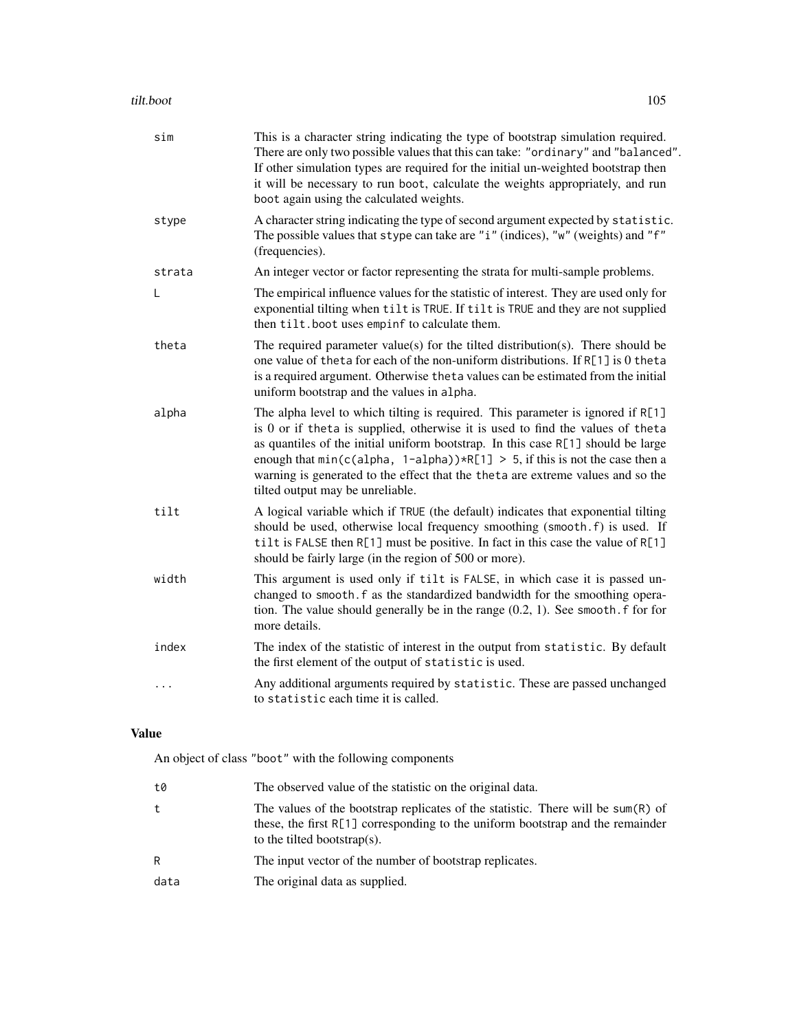| sim      | This is a character string indicating the type of bootstrap simulation required.<br>There are only two possible values that this can take: "ordinary" and "balanced".<br>If other simulation types are required for the initial un-weighted bootstrap then<br>it will be necessary to run boot, calculate the weights appropriately, and run<br>boot again using the calculated weights.                                                                                       |
|----------|--------------------------------------------------------------------------------------------------------------------------------------------------------------------------------------------------------------------------------------------------------------------------------------------------------------------------------------------------------------------------------------------------------------------------------------------------------------------------------|
| stype    | A character string indicating the type of second argument expected by statistic.<br>The possible values that stype can take are "i" (indices), "w" (weights) and "f"<br>(frequencies).                                                                                                                                                                                                                                                                                         |
| strata   | An integer vector or factor representing the strata for multi-sample problems.                                                                                                                                                                                                                                                                                                                                                                                                 |
| L        | The empirical influence values for the statistic of interest. They are used only for<br>exponential tilting when tilt is TRUE. If tilt is TRUE and they are not supplied<br>then tilt.boot uses empinf to calculate them.                                                                                                                                                                                                                                                      |
| theta    | The required parameter value(s) for the tilted distribution(s). There should be<br>one value of theta for each of the non-uniform distributions. If R[1] is 0 theta<br>is a required argument. Otherwise theta values can be estimated from the initial<br>uniform bootstrap and the values in alpha.                                                                                                                                                                          |
| alpha    | The alpha level to which tilting is required. This parameter is ignored if R[1]<br>is 0 or if theta is supplied, otherwise it is used to find the values of theta<br>as quantiles of the initial uniform bootstrap. In this case R[1] should be large<br>enough that $min(c(\text{alpha}, 1-\text{alpha})) * R[1] > 5$ , if this is not the case then a<br>warning is generated to the effect that the theta are extreme values and so the<br>tilted output may be unreliable. |
| tilt     | A logical variable which if TRUE (the default) indicates that exponential tilting<br>should be used, otherwise local frequency smoothing (smooth.f) is used. If<br>tilt is FALSE then R[1] must be positive. In fact in this case the value of R[1]<br>should be fairly large (in the region of 500 or more).                                                                                                                                                                  |
| width    | This argument is used only if tilt is FALSE, in which case it is passed un-<br>changed to smooth. f as the standardized bandwidth for the smoothing opera-<br>tion. The value should generally be in the range $(0.2, 1)$ . See smooth. f for for<br>more details.                                                                                                                                                                                                             |
| index    | The index of the statistic of interest in the output from statistic. By default<br>the first element of the output of statistic is used.                                                                                                                                                                                                                                                                                                                                       |
| $\cdots$ | Any additional arguments required by statistic. These are passed unchanged<br>to statistic each time it is called.                                                                                                                                                                                                                                                                                                                                                             |

# Value

An object of class "boot" with the following components

| t0   | The observed value of the statistic on the original data.                                                                                                                                         |
|------|---------------------------------------------------------------------------------------------------------------------------------------------------------------------------------------------------|
| t    | The values of the bootstrap replicates of the statistic. There will be sum(R) of<br>these, the first R[1] corresponding to the uniform bootstrap and the remainder<br>to the tilted bootstrap(s). |
| R    | The input vector of the number of bootstrap replicates.                                                                                                                                           |
| data | The original data as supplied.                                                                                                                                                                    |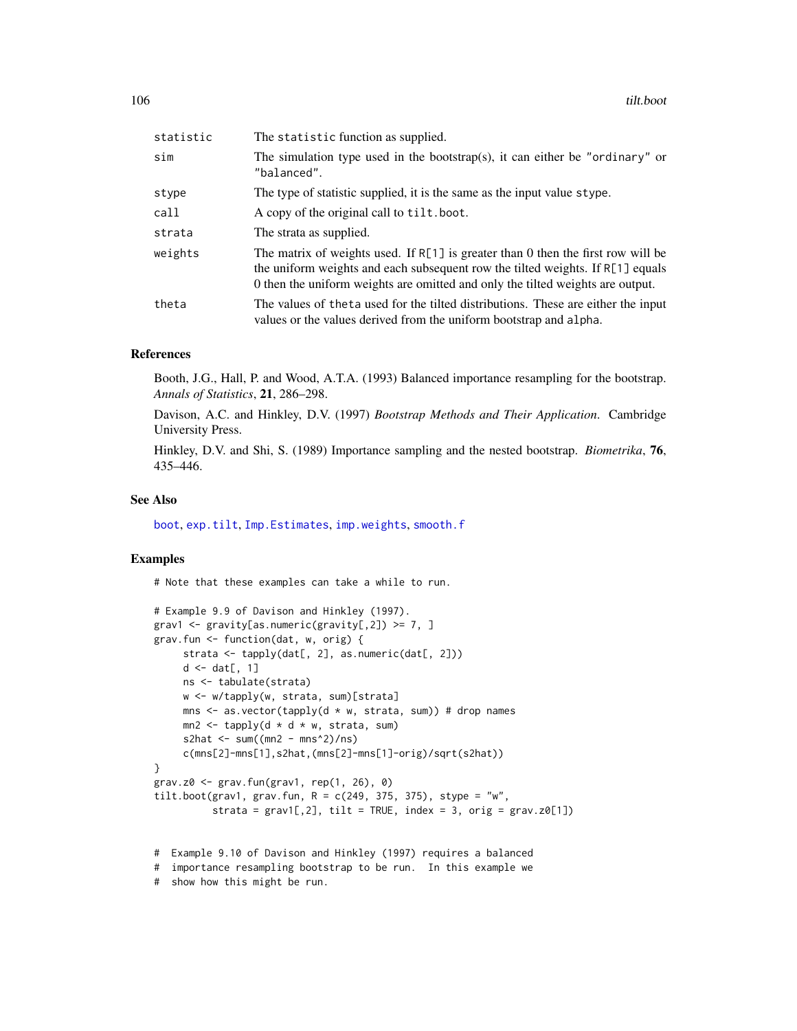| statistic | The statistic function as supplied.                                                                                                                                                                                                                      |
|-----------|----------------------------------------------------------------------------------------------------------------------------------------------------------------------------------------------------------------------------------------------------------|
| sim       | The simulation type used in the bootstrap(s), it can either be "ordinary" or<br>"balanced".                                                                                                                                                              |
| stype     | The type of statistic supplied, it is the same as the input value stype.                                                                                                                                                                                 |
| call      | A copy of the original call to tilt.boot.                                                                                                                                                                                                                |
| strata    | The strata as supplied.                                                                                                                                                                                                                                  |
| weights   | The matrix of weights used. If $R[1]$ is greater than 0 then the first row will be<br>the uniform weights and each subsequent row the tilted weights. If $R[1]$ equals<br>0 then the uniform weights are omitted and only the tilted weights are output. |
| theta     | The values of the ta used for the tilted distributions. These are either the input<br>values or the values derived from the uniform bootstrap and alpha.                                                                                                 |

# References

Booth, J.G., Hall, P. and Wood, A.T.A. (1993) Balanced importance resampling for the bootstrap. *Annals of Statistics*, 21, 286–298.

Davison, A.C. and Hinkley, D.V. (1997) *Bootstrap Methods and Their Application*. Cambridge University Press.

Hinkley, D.V. and Shi, S. (1989) Importance sampling and the nested bootstrap. *Biometrika*, 76, 435–446.

# See Also

[boot](#page-10-0), [exp.tilt](#page-51-0), [Imp.Estimates](#page-59-1), [imp.weights](#page-61-0), [smooth.f](#page-99-0)

# Examples

# Note that these examples can take a while to run.

```
# Example 9.9 of Davison and Hinkley (1997).
grav1 \leq gravity[as.numeric(gravity[,2]) \geq 7, ]
grav.fun <- function(dat, w, orig) {
     strata <- tapply(dat[, 2], as.numeric(dat[, 2]))
    d \leftarrow dat[, 1]ns <- tabulate(strata)
    w <- w/tapply(w, strata, sum)[strata]
    mns \leq as.vector(tapply(d * w, strata, sum)) # drop names
    mn2 \leq - \t{tapply(d \times d \times w, strata, sum)}s2hat \leq sum((mn2 - mns^2)/ns)
     c(mns[2]-mns[1],s2hat,(mns[2]-mns[1]-orig)/sqrt(s2hat))
}
grav.z0 <- grav.fun(grav1, rep(1, 26), 0)
tilt.boot(grav1, grav.fun, R = c(249, 375, 375), stype = "w",
          strata = grav1[,2], tilt = TRUE, index = 3, orig = grav.z0[1])
```
# Example 9.10 of Davison and Hinkley (1997) requires a balanced

```
# importance resampling bootstrap to be run. In this example we
```
# show how this might be run.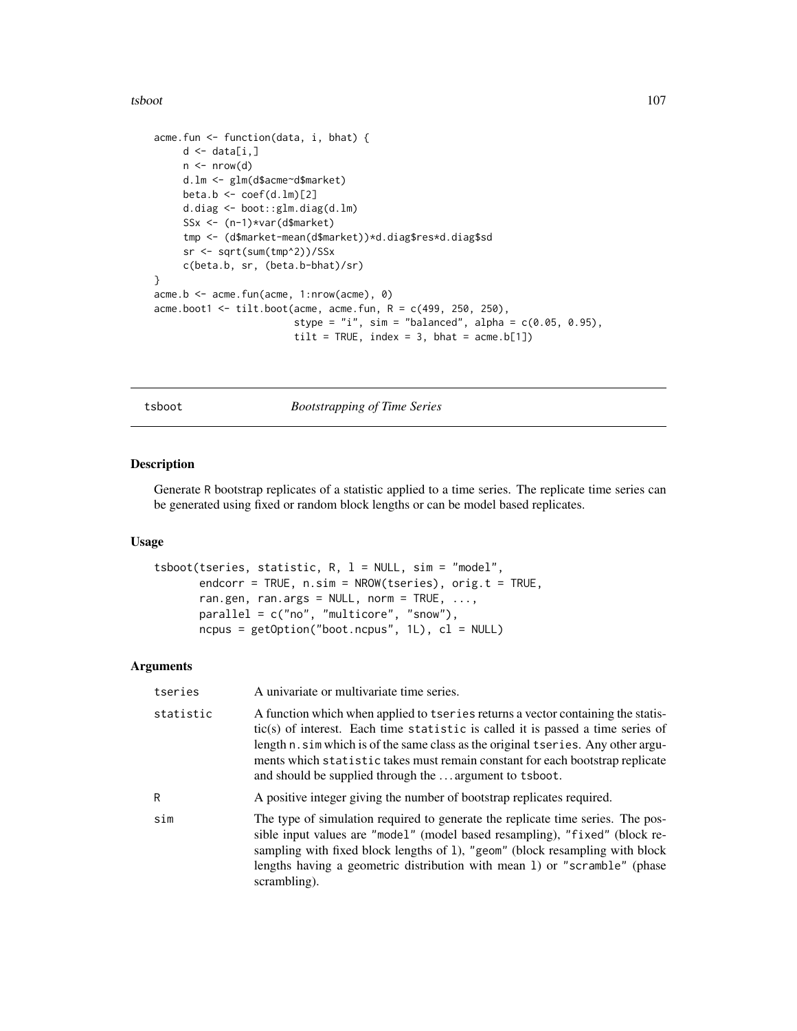tsboot and the state of the state of the state of the state of the state of the state of the state of the state of the state of the state of the state of the state of the state of the state of the state of the state of the

```
acme.fun <- function(data, i, bhat) {
    d \leftarrow data[i, ]n \leftarrow \text{nrow}(d)d.lm <- glm(d$acme~d$market)
    beta.b \leq coef(d.lm)[2]
     d.diag <- boot::glm.diag(d.lm)
     SSx <- (n-1)*var(d$market)
     tmp <- (d$market-mean(d$market))*d.diag$res*d.diag$sd
     sr <- sqrt(sum(tmp^2))/SSx
     c(beta.b, sr, (beta.b-bhat)/sr)
}
acme.b <- acme.fun(acme, 1:nrow(acme), 0)
acme.boot1 <- tilt.boot(acme, acme.fun, R = c(499, 250, 250),
                         stype = "i", sim = "balanced", alpha = c(0.05, 0.95),
                         tilt = TRUE, index = 3, bhat = acme.b[1])
```
<span id="page-106-0"></span>tsboot *Bootstrapping of Time Series*

# Description

Generate R bootstrap replicates of a statistic applied to a time series. The replicate time series can be generated using fixed or random block lengths or can be model based replicates.

# Usage

```
tsboot(tseries, statistic, R, l = NULL, sim = "model",
       endcorr = TRUE, n.sim = NROW(tseries), orig.t = TRUE,
       ran.gen, ran.args = NULL, norm = TRUE, ...,
       parallel = c("no", "multicore", "snow"),
       ncpus = getOption("boot.ncpus", 1L), cl = NULL)
```
# Arguments

| tseries   | A univariate or multivariate time series.                                                                                                                                                                                                                                                                                                                                                            |
|-----------|------------------------------------------------------------------------------------------------------------------------------------------------------------------------------------------------------------------------------------------------------------------------------------------------------------------------------------------------------------------------------------------------------|
| statistic | A function which when applied to tseries returns a vector containing the statis-<br>tic(s) of interest. Each time statistic is called it is passed a time series of<br>length n. sim which is of the same class as the original tseries. Any other argu-<br>ments which statistic takes must remain constant for each bootstrap replicate<br>and should be supplied through the  argument to tsboot. |
| R         | A positive integer giving the number of bootstrap replicates required.                                                                                                                                                                                                                                                                                                                               |
| sim       | The type of simulation required to generate the replicate time series. The pos-<br>sible input values are "model" (model based resampling), "fixed" (block re-<br>sampling with fixed block lengths of 1), "geom" (block resampling with block<br>lengths having a geometric distribution with mean 1) or "scramble" (phase<br>scrambling).                                                          |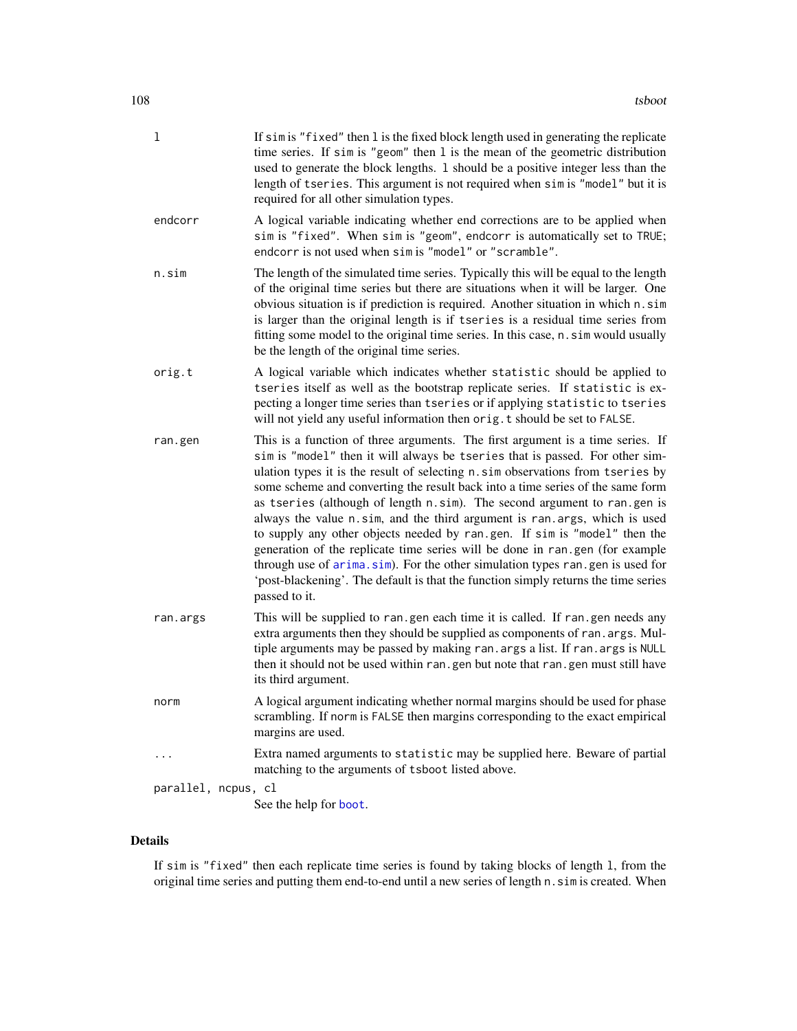| 1                   | If sim is "fixed" then 1 is the fixed block length used in generating the replicate<br>time series. If $\sin$ is "geom" then 1 is the mean of the geometric distribution<br>used to generate the block lengths. 1 should be a positive integer less than the<br>length of tseries. This argument is not required when sim is "model" but it is<br>required for all other simulation types.                                                                                                                                                                                                                                                                                                                                                                                                                                                       |
|---------------------|--------------------------------------------------------------------------------------------------------------------------------------------------------------------------------------------------------------------------------------------------------------------------------------------------------------------------------------------------------------------------------------------------------------------------------------------------------------------------------------------------------------------------------------------------------------------------------------------------------------------------------------------------------------------------------------------------------------------------------------------------------------------------------------------------------------------------------------------------|
| endcorr             | A logical variable indicating whether end corrections are to be applied when<br>sim is "fixed". When sim is "geom", endcorr is automatically set to TRUE;<br>endcorr is not used when sim is "model" or "scramble".                                                                                                                                                                                                                                                                                                                                                                                                                                                                                                                                                                                                                              |
| n.sim               | The length of the simulated time series. Typically this will be equal to the length<br>of the original time series but there are situations when it will be larger. One<br>obvious situation is if prediction is required. Another situation in which n.sim<br>is larger than the original length is if tseries is a residual time series from<br>fitting some model to the original time series. In this case, n. sim would usually<br>be the length of the original time series.                                                                                                                                                                                                                                                                                                                                                               |
| orig.t              | A logical variable which indicates whether statistic should be applied to<br>tseries itself as well as the bootstrap replicate series. If statistic is ex-<br>pecting a longer time series than tseries or if applying statistic to tseries<br>will not yield any useful information then orig. t should be set to FALSE.                                                                                                                                                                                                                                                                                                                                                                                                                                                                                                                        |
| ran.gen             | This is a function of three arguments. The first argument is a time series. If<br>sim is "model" then it will always be tseries that is passed. For other sim-<br>ulation types it is the result of selecting n.sim observations from tseries by<br>some scheme and converting the result back into a time series of the same form<br>as tseries (although of length n.sim). The second argument to ran.gen is<br>always the value n.sim, and the third argument is ran.args, which is used<br>to supply any other objects needed by ran.gen. If sim is "model" then the<br>generation of the replicate time series will be done in ran.gen (for example<br>through use of arima.sim). For the other simulation types ran.gen is used for<br>'post-blackening'. The default is that the function simply returns the time series<br>passed to it. |
| ran.args            | This will be supplied to ran.gen each time it is called. If ran.gen needs any<br>extra arguments then they should be supplied as components of ran. args. Mul-<br>tiple arguments may be passed by making ran. args a list. If ran. args is NULL<br>then it should not be used within ran.gen but note that ran.gen must still have<br>its third argument.                                                                                                                                                                                                                                                                                                                                                                                                                                                                                       |
| norm                | A logical argument indicating whether normal margins should be used for phase<br>scrambling. If norm is FALSE then margins corresponding to the exact empirical<br>margins are used.                                                                                                                                                                                                                                                                                                                                                                                                                                                                                                                                                                                                                                                             |
|                     | Extra named arguments to statistic may be supplied here. Beware of partial<br>matching to the arguments of tsboot listed above.                                                                                                                                                                                                                                                                                                                                                                                                                                                                                                                                                                                                                                                                                                                  |
| parallel, ncpus, cl |                                                                                                                                                                                                                                                                                                                                                                                                                                                                                                                                                                                                                                                                                                                                                                                                                                                  |
|                     | See the help for boot.                                                                                                                                                                                                                                                                                                                                                                                                                                                                                                                                                                                                                                                                                                                                                                                                                           |

# Details

If sim is "fixed" then each replicate time series is found by taking blocks of length l, from the original time series and putting them end-to-end until a new series of length n. sim is created. When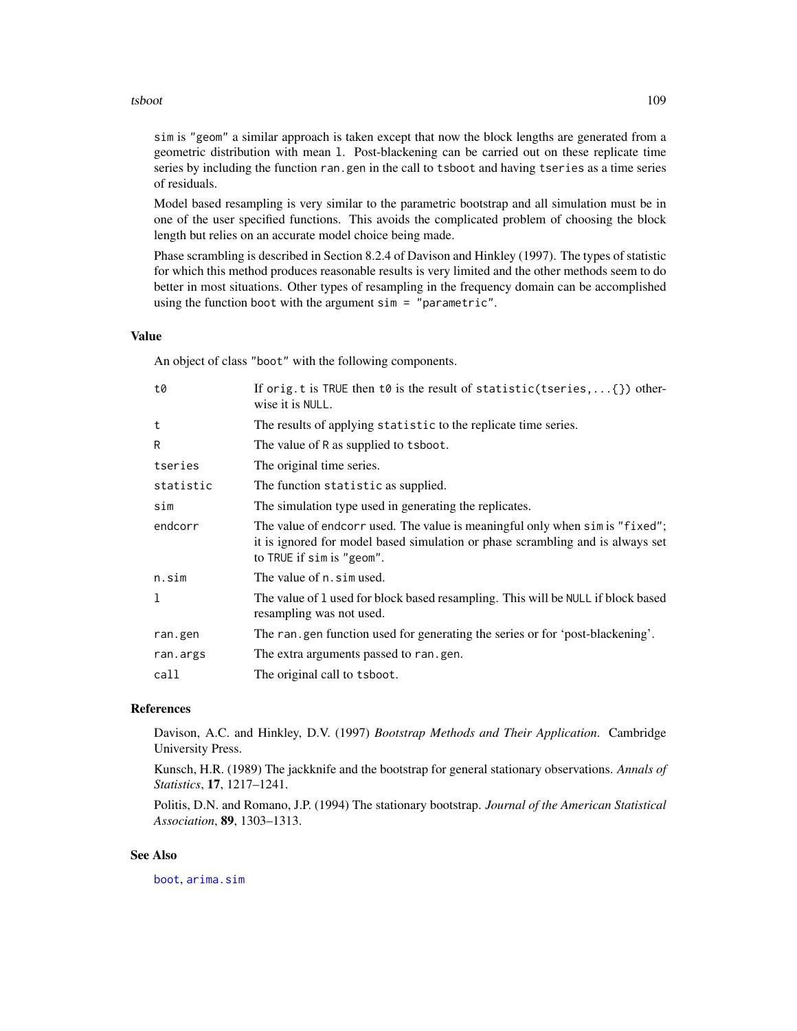#### <span id="page-108-0"></span>tsboot and the state of the state of the state of the state of the state of the state of the state of the state of the state of the state of the state of the state of the state of the state of the state of the state of the

sim is "geom" a similar approach is taken except that now the block lengths are generated from a geometric distribution with mean l. Post-blackening can be carried out on these replicate time series by including the function ran.gen in the call to tsboot and having tseries as a time series of residuals.

Model based resampling is very similar to the parametric bootstrap and all simulation must be in one of the user specified functions. This avoids the complicated problem of choosing the block length but relies on an accurate model choice being made.

Phase scrambling is described in Section 8.2.4 of Davison and Hinkley (1997). The types of statistic for which this method produces reasonable results is very limited and the other methods seem to do better in most situations. Other types of resampling in the frequency domain can be accomplished using the function boot with the argument sim = "parametric".

#### Value

An object of class "boot" with the following components.

| t0           | If orig.t is TRUE then t0 is the result of statistic(tseries, $\{\}$ ) other-<br>wise it is NULL.                                                                                           |
|--------------|---------------------------------------------------------------------------------------------------------------------------------------------------------------------------------------------|
| t            | The results of applying statistic to the replicate time series.                                                                                                                             |
| R            | The value of R as supplied to tsboot.                                                                                                                                                       |
| tseries      | The original time series.                                                                                                                                                                   |
| statistic    | The function statistic as supplied.                                                                                                                                                         |
| sim          | The simulation type used in generating the replicates.                                                                                                                                      |
| endcorr      | The value of endcorr used. The value is meaningful only when sim is "fixed";<br>it is ignored for model based simulation or phase scrambling and is always set<br>to TRUE if sim is "geom". |
| n.sim        | The value of n. sim used.                                                                                                                                                                   |
| $\mathbf{1}$ | The value of 1 used for block based resampling. This will be NULL if block based<br>resampling was not used.                                                                                |
| ran.gen      | The ran gen function used for generating the series or for 'post-blackening'.                                                                                                               |
| ran.args     | The extra arguments passed to ran.gen.                                                                                                                                                      |
| call         | The original call to tsboot.                                                                                                                                                                |
|              |                                                                                                                                                                                             |

# References

Davison, A.C. and Hinkley, D.V. (1997) *Bootstrap Methods and Their Application*. Cambridge University Press.

Kunsch, H.R. (1989) The jackknife and the bootstrap for general stationary observations. *Annals of Statistics*, 17, 1217–1241.

Politis, D.N. and Romano, J.P. (1994) The stationary bootstrap. *Journal of the American Statistical Association*, 89, 1303–1313.

#### See Also

[boot](#page-10-0), [arima.sim](#page-0-0)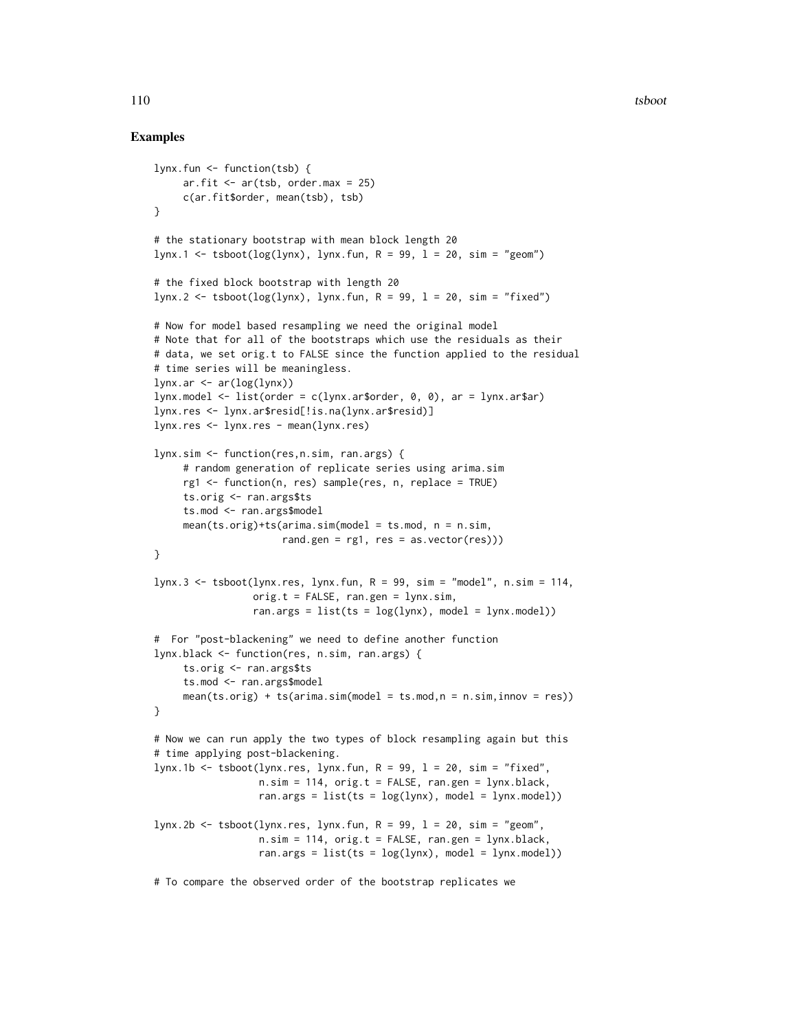# Examples

```
lynx.fun <- function(tsb) {
     ar.fit \leq ar(tsb, order.max = 25)
     c(ar.fit$order, mean(tsb), tsb)
}
# the stationary bootstrap with mean block length 20
lynx.1 < - tsboot(log(1ynx), 1ynx.fun, R = 99, 1 = 20, sim = "geom")
# the fixed block bootstrap with length 20
lynx.2 < - tsboot(log(lynx), lynx.fun, R = 99, l = 20, sim = "fixed")
# Now for model based resampling we need the original model
# Note that for all of the bootstraps which use the residuals as their
# data, we set orig.t to FALSE since the function applied to the residual
# time series will be meaningless.
lynx.ar < ar(log(lynx))lynx_model \leftarrow list(order = c(lynx.arrayorder, 0, 0), ar = 1ynx.ar$ar)lynx.res <- lynx.ar$resid[!is.na(lynx.ar$resid)]
lynx.res <- lynx.res - mean(lynx.res)
lynx.sim <- function(res,n.sim, ran.args) {
     # random generation of replicate series using arima.sim
     rg1 <- function(n, res) sample(res, n, replace = TRUE)
     ts.orig <- ran.args$ts
     ts.mod <- ran.args$model
     mean(ts.orig) + ts(arima.sim(model = ts.mod, n = n.sim,rand.gen = rg1, res = as.vector(res)))
}
lynx.3 <- tsboot(lynx.res, lynx.fun, R = 99, sim = "model", n.sim = 114,
                 orig.t = FALSE, ran.gen = 1ynx.sim,ran.args = list(ts = log(1ynx)), model = 1ynx.model))
# For "post-blackening" we need to define another function
lynx.black <- function(res, n.sim, ran.args) {
     ts.orig <- ran.args$ts
     ts.mod <- ran.args$model
     mean(ts.orig) + ts(arima.sim(model = ts.mod, n = n.sim, innov = res))}
# Now we can run apply the two types of block resampling again but this
# time applying post-blackening.
lynx.1b <- tsboot(lynx.res, lynx.fun, R = 99, l = 20, sim = "fixed",
                  n.sim = 114, orig.t = FALSE, ran.gen = 1ynx.black,
                  ran.args = list(ts = log(1ynx)), model = 1ynx.model))
lynx.2b <- tsboot(lynx.res, lynx.fun, R = 99, l = 20, sim = "geom",
                  n.sim = 114, orig.t = FALSE, ran.gen = 1ynx.black,
                  ran.args = list(ts = log(1ynx), model = 1ynx.model))
```
# To compare the observed order of the bootstrap replicates we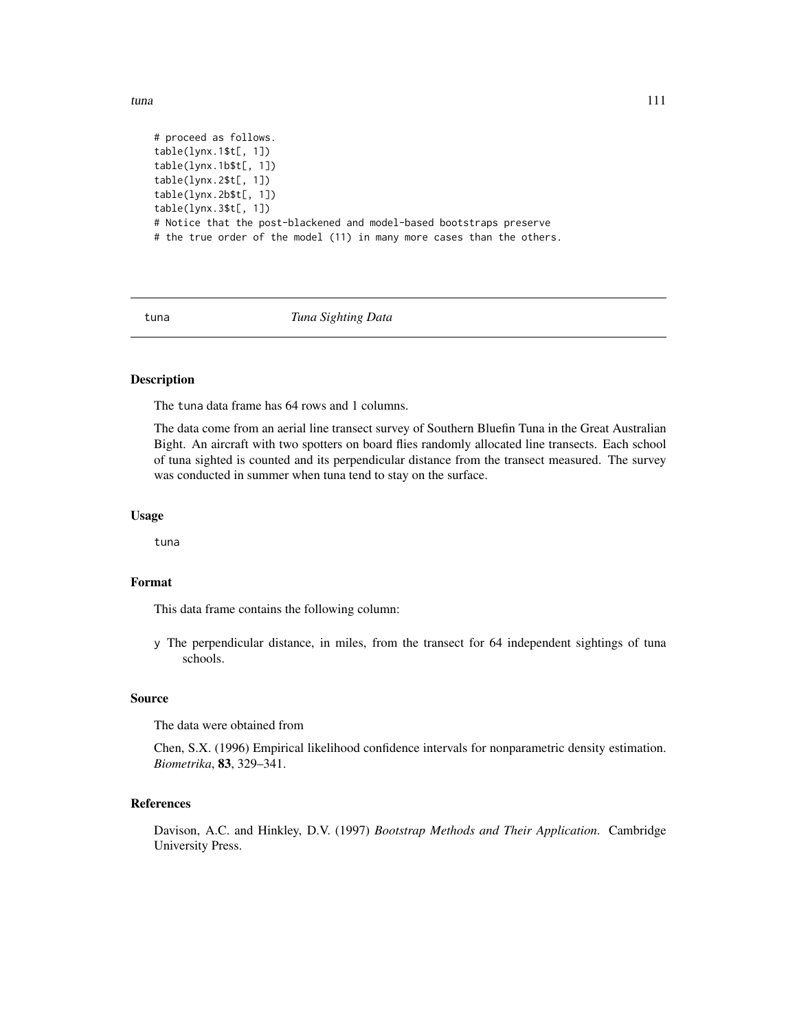<span id="page-110-0"></span># proceed as follows. table(lynx.1\$t[, 1]) table(lynx.1b\$t[, 1]) table(lynx.2\$t[, 1]) table(lynx.2b\$t[, 1]) table(lynx.3\$t[, 1]) # Notice that the post-blackened and model-based bootstraps preserve # the true order of the model (11) in many more cases than the others.

tuna *Tuna Sighting Data*

# Description

The tuna data frame has 64 rows and 1 columns.

The data come from an aerial line transect survey of Southern Bluefin Tuna in the Great Australian Bight. An aircraft with two spotters on board flies randomly allocated line transects. Each school of tuna sighted is counted and its perpendicular distance from the transect measured. The survey was conducted in summer when tuna tend to stay on the surface.

#### Usage

tuna

# Format

This data frame contains the following column:

y The perpendicular distance, in miles, from the transect for 64 independent sightings of tuna schools.

#### Source

The data were obtained from

Chen, S.X. (1996) Empirical likelihood confidence intervals for nonparametric density estimation. *Biometrika*, 83, 329–341.

#### References

Davison, A.C. and Hinkley, D.V. (1997) *Bootstrap Methods and Their Application*. Cambridge University Press.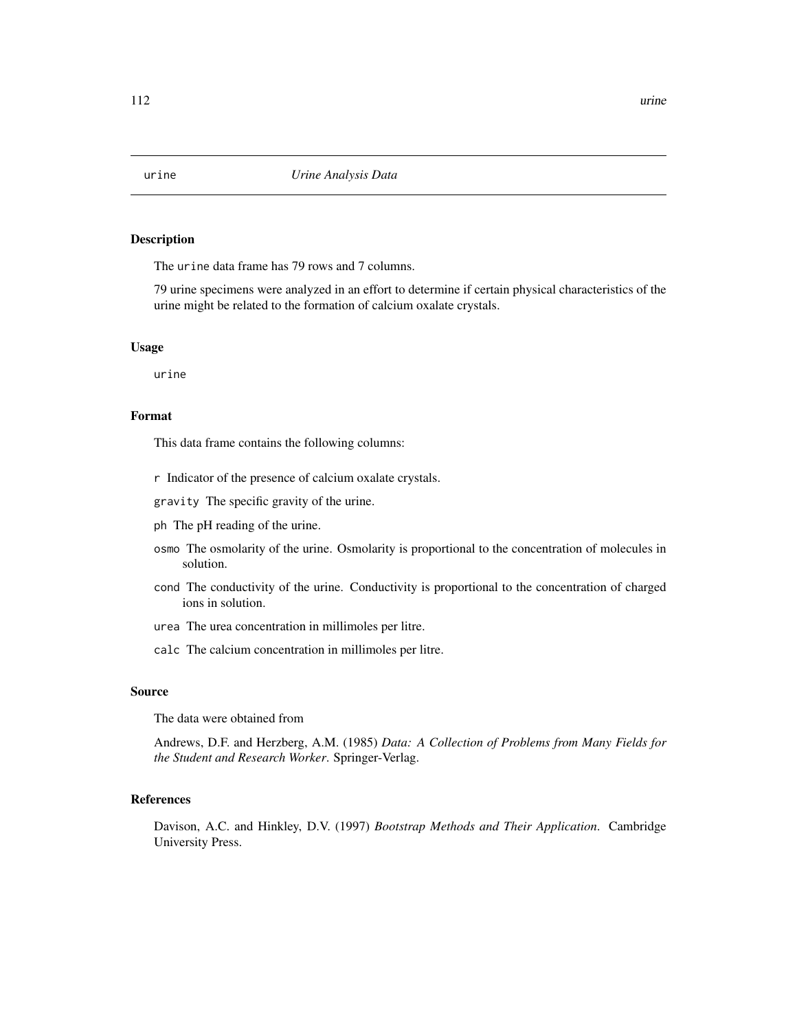<span id="page-111-0"></span>

#### Description

The urine data frame has 79 rows and 7 columns.

79 urine specimens were analyzed in an effort to determine if certain physical characteristics of the urine might be related to the formation of calcium oxalate crystals.

#### Usage

urine

# Format

This data frame contains the following columns:

- r Indicator of the presence of calcium oxalate crystals.
- gravity The specific gravity of the urine.
- ph The pH reading of the urine.
- osmo The osmolarity of the urine. Osmolarity is proportional to the concentration of molecules in solution.
- cond The conductivity of the urine. Conductivity is proportional to the concentration of charged ions in solution.
- urea The urea concentration in millimoles per litre.
- calc The calcium concentration in millimoles per litre.

#### Source

The data were obtained from

Andrews, D.F. and Herzberg, A.M. (1985) *Data: A Collection of Problems from Many Fields for the Student and Research Worker*. Springer-Verlag.

# References

Davison, A.C. and Hinkley, D.V. (1997) *Bootstrap Methods and Their Application*. Cambridge University Press.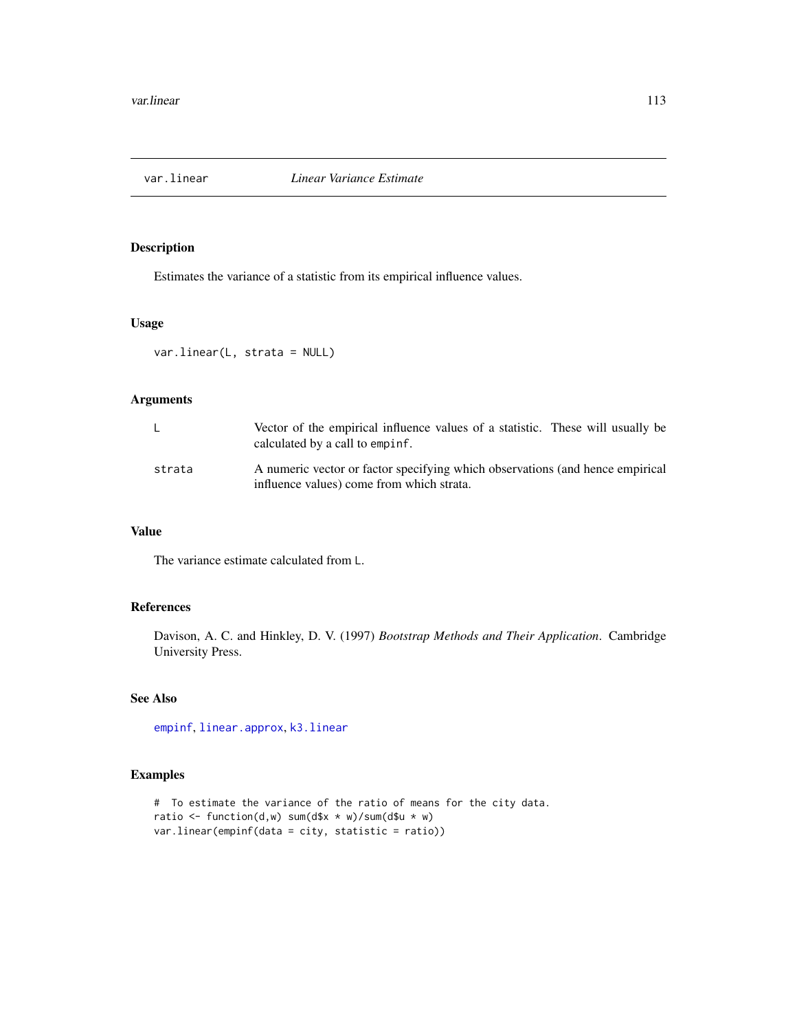<span id="page-112-0"></span>

# Description

Estimates the variance of a statistic from its empirical influence values.

# Usage

```
var.linear(L, strata = NULL)
```
# Arguments

|        | Vector of the empirical influence values of a statistic. These will usually be<br>calculated by a call to empinf.          |
|--------|----------------------------------------------------------------------------------------------------------------------------|
| strata | A numeric vector or factor specifying which observations (and hence empirical<br>influence values) come from which strata. |

# Value

The variance estimate calculated from L.

# References

Davison, A. C. and Hinkley, D. V. (1997) *Bootstrap Methods and Their Application*. Cambridge University Press.

# See Also

[empinf](#page-46-0), [linear.approx](#page-67-0), [k3.linear](#page-66-0)

# Examples

```
# To estimate the variance of the ratio of means for the city data.
ratio <- function(d,w) sum(d$x * w)/sum(d$u * w)
var.linear(empinf(data = city, statistic = ratio))
```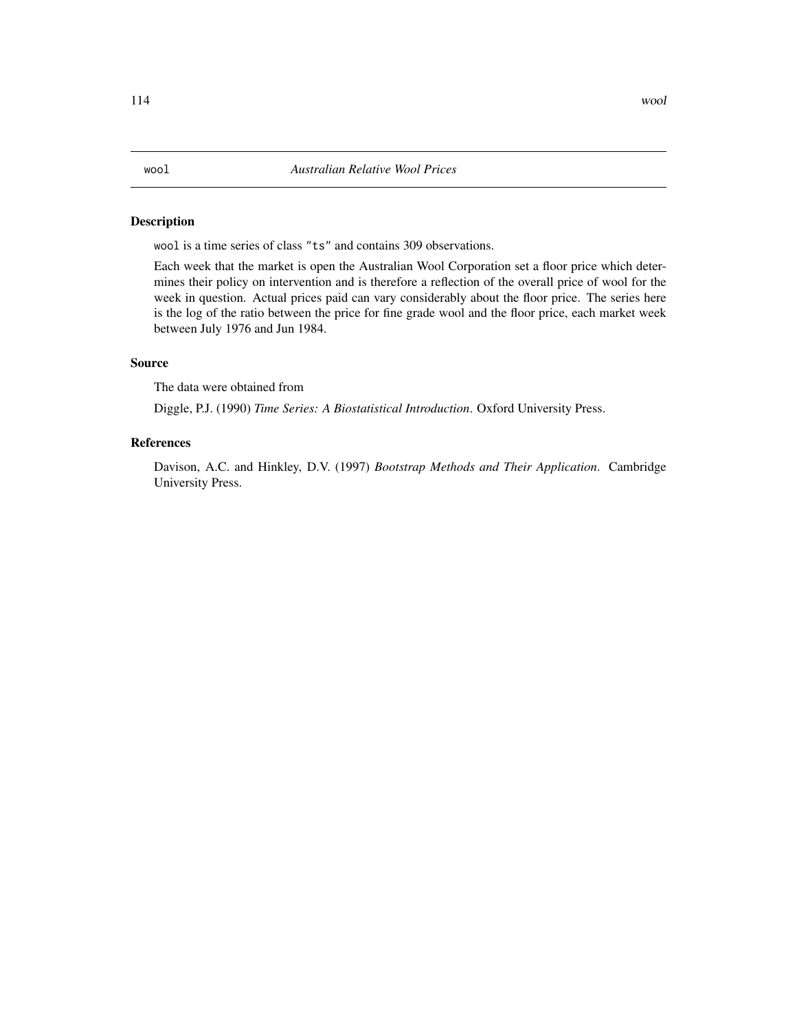# <span id="page-113-0"></span>Description

wool is a time series of class "ts" and contains 309 observations.

Each week that the market is open the Australian Wool Corporation set a floor price which determines their policy on intervention and is therefore a reflection of the overall price of wool for the week in question. Actual prices paid can vary considerably about the floor price. The series here is the log of the ratio between the price for fine grade wool and the floor price, each market week between July 1976 and Jun 1984.

# Source

The data were obtained from

Diggle, P.J. (1990) *Time Series: A Biostatistical Introduction*. Oxford University Press.

# References

Davison, A.C. and Hinkley, D.V. (1997) *Bootstrap Methods and Their Application*. Cambridge University Press.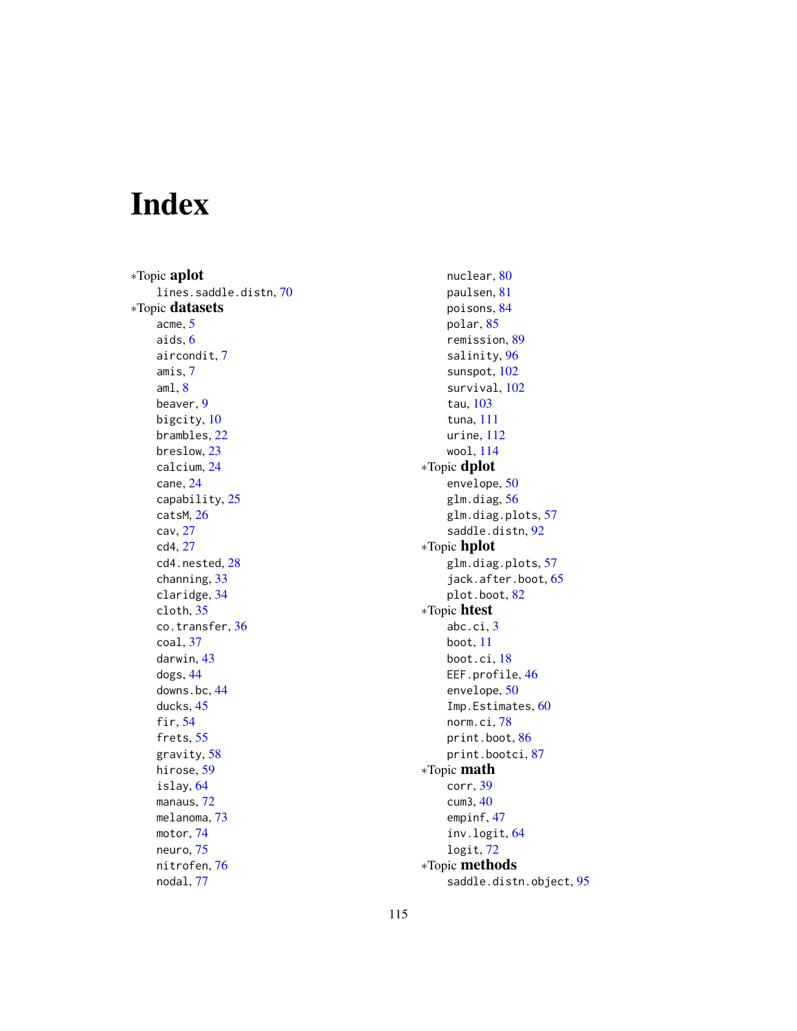# Index

∗Topic aplot lines.saddle.distn, [70](#page-69-0) ∗Topic datasets acme, [5](#page-4-0) aids, [6](#page-5-0) aircondit, [7](#page-6-0) amis, [7](#page-6-0)  $am1, 8$  $am1, 8$ beaver, [9](#page-8-0) bigcity, [10](#page-9-0) brambles, [22](#page-21-0) breslow, [23](#page-22-0) calcium, [24](#page-23-0) cane, [24](#page-23-0) capability, [25](#page-24-0) catsM, [26](#page-25-0) cav, [27](#page-26-0) cd4, [27](#page-26-0) cd4.nested, [28](#page-27-0) channing, [33](#page-32-0) claridge, [34](#page-33-0) cloth, [35](#page-34-0) co.transfer, [36](#page-35-0) coal, [37](#page-36-0) darwin, [43](#page-42-0) dogs, [44](#page-43-0) downs.bc, [44](#page-43-0) ducks, [45](#page-44-0) fir, [54](#page-53-0) frets, [55](#page-54-0) gravity, [58](#page-57-0) hirose, [59](#page-58-0) islay, [64](#page-63-0) manaus, [72](#page-71-0) melanoma, [73](#page-72-0) motor, [74](#page-73-0) neuro, [75](#page-74-0) nitrofen, [76](#page-75-0) nodal, [77](#page-76-0)

nuclear, [80](#page-79-0) paulsen, [81](#page-80-0) poisons, [84](#page-83-0) polar, [85](#page-84-0) remission, [89](#page-88-0) salinity, [96](#page-95-0) sunspot, [102](#page-101-0) survival, [102](#page-101-0) tau, [103](#page-102-0) tuna, [111](#page-110-0) urine, [112](#page-111-0) wool, [114](#page-113-0) ∗Topic dplot envelope, [50](#page-49-0) glm.diag, [56](#page-55-0) glm.diag.plots, [57](#page-56-0) saddle.distn, [92](#page-91-0) ∗Topic hplot glm.diag.plots, [57](#page-56-0) jack.after.boot, [65](#page-64-0) plot.boot, [82](#page-81-0) ∗Topic htest abc.ci, [3](#page-2-0) boot, [11](#page-10-1) boot.ci, [18](#page-17-0) EEF.profile, [46](#page-45-0) envelope, [50](#page-49-0) Imp.Estimates, [60](#page-59-0) norm.ci, [78](#page-77-0) print.boot, [86](#page-85-0) print.bootci, [87](#page-86-0) ∗Topic math corr, [39](#page-38-0) cum3, [40](#page-39-0) empinf, [47](#page-46-1) inv.logit, [64](#page-63-0) logit, [72](#page-71-0) ∗Topic methods saddle.distn.object, [95](#page-94-0)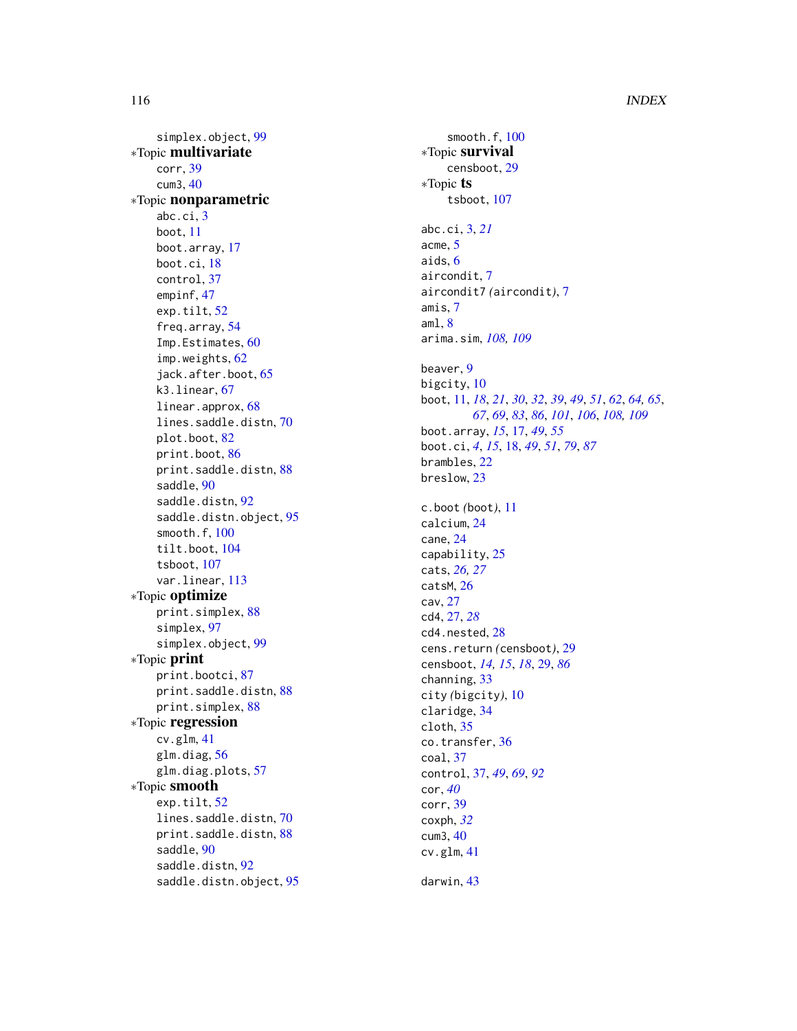# 116 INDEX

simplex.object , [99](#page-98-0) ∗Topic multivariate corr , [39](#page-38-0) cum3 , [40](#page-39-0) ∗Topic nonparametric abc.ci , [3](#page-2-0) boot , [11](#page-10-1) boot.array , [17](#page-16-0) boot.ci , [18](#page-17-0) control , [37](#page-36-0) empinf , [47](#page-46-1) exp.tilt, [52](#page-51-0) freq.array , [54](#page-53-0) Imp. Estimates, [60](#page-59-0) imp.weights , [62](#page-61-0) jack.after.boot , [65](#page-64-0) k3.linear , [67](#page-66-1) linear.approx, [68](#page-67-1) lines.saddle.distn , [70](#page-69-0) plot.boot , [82](#page-81-0) print.boot , [86](#page-85-0) print.saddle.distn , [88](#page-87-0) saddle, [90](#page-89-0) saddle.distn, [92](#page-91-0) saddle.distn.object, [95](#page-94-0) smooth.f , [100](#page-99-0) tilt.boot , [104](#page-103-0) tsboot , [107](#page-106-0) var.linear , [113](#page-112-0) ∗Topic optimize print.simplex, [88](#page-87-0) simplex , [97](#page-96-0) simplex.object , [99](#page-98-0) ∗Topic print print.bootci , [87](#page-86-0) print.saddle.distn, [88](#page-87-0) print.simplex, [88](#page-87-0) ∗Topic regression cv.glm , [41](#page-40-0) glm.diag, [56](#page-55-0) glm.diag.plots , [57](#page-56-0) ∗Topic smooth exp.tilt, [52](#page-51-0) lines.saddle.distn , [70](#page-69-0) print.saddle.distn, [88](#page-87-0) saddle, [90](#page-89-0) saddle.distn, [92](#page-91-0) saddle.distn.object, [95](#page-94-0)

smooth.f, [100](#page-99-0) ∗Topic survival censboot , [29](#page-28-0) ∗Topic ts tsboot , [107](#page-106-0) abc.ci , [3](#page-2-0) , *[21](#page-20-0)* acme , [5](#page-4-0) aids , [6](#page-5-0) aircondit , [7](#page-6-0) aircondit7 *(*aircondit *)* , [7](#page-6-0) amis , [7](#page-6-0) aml , [8](#page-7-0) arima.sim , *[108](#page-107-0) , [109](#page-108-0)* beaver , [9](#page-8-0) bigcity , [10](#page-9-0) boot , [11](#page-10-1) , *[18](#page-17-0)* , *[21](#page-20-0)* , *[30](#page-29-0)* , *[32](#page-31-0)* , *[39](#page-38-0)* , *[49](#page-48-0)* , *[51](#page-50-0)* , *[62](#page-61-0)* , *[64](#page-63-0) , [65](#page-64-0)* , *[67](#page-66-1)* , *[69](#page-68-0)* , *[83](#page-82-0)* , *[86](#page-85-0)* , *[101](#page-100-0)* , *[106](#page-105-0)* , *[108](#page-107-0) , [109](#page-108-0)* boot.array , *[15](#page-14-0)* , [17](#page-16-0) , *[49](#page-48-0)* , *[55](#page-54-0)* boot.ci , *[4](#page-3-0)* , *[15](#page-14-0)* , [18](#page-17-0) , *[49](#page-48-0)* , *[51](#page-50-0)* , *[79](#page-78-0)* , *[87](#page-86-0)* brambles , [22](#page-21-0) breslow , [23](#page-22-0) c.boot *(*boot *)* , [11](#page-10-1) calcium , [24](#page-23-0) cane , [24](#page-23-0) capability , [25](#page-24-0) cats , *[26,](#page-25-0) [27](#page-26-0)* catsM , [26](#page-25-0) cav , [27](#page-26-0) cd4 , [27](#page-26-0) , *[28](#page-27-0)* cd4.nested, [28](#page-27-0) cens.return *(*censboot *)* , [29](#page-28-0) censboot , *[14](#page-13-0) , [15](#page-14-0)* , *[18](#page-17-0)* , [29](#page-28-0) , *[86](#page-85-0)* channing , [33](#page-32-0) city *(*bigcity *)* , [10](#page-9-0) claridge , [34](#page-33-0) cloth , [35](#page-34-0) co.transfer , [36](#page-35-0) coal , [37](#page-36-0) control , [37](#page-36-0) , *[49](#page-48-0)* , *[69](#page-68-0)* , *[92](#page-91-0)* cor , *[40](#page-39-0)* corr , [39](#page-38-0) coxph , *[32](#page-31-0)* cum3 , [40](#page-39-0) cv.glm , [41](#page-40-0)

darwin , [43](#page-42-0)